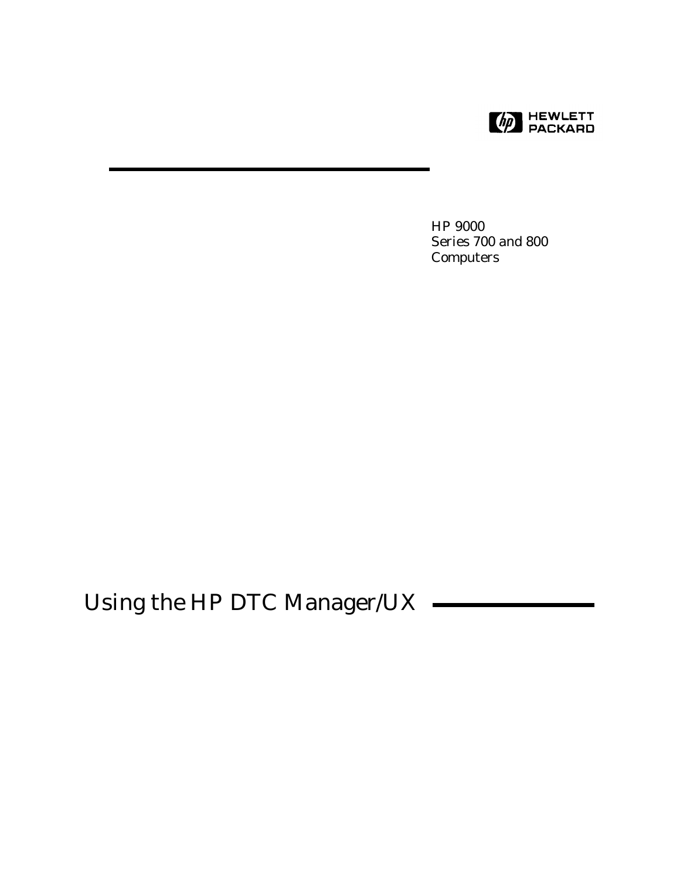

HP 9000 Series 700 and 800 **Computers** 

Using the HP DTC Manager/UX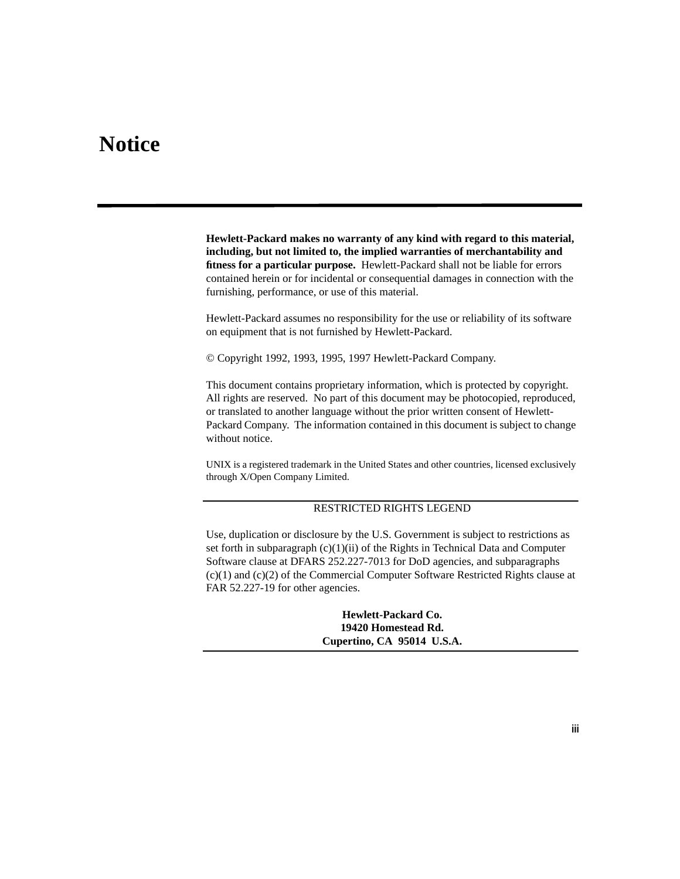# **Notice**

**Hewlett-Packard makes no warranty of any kind with regard to this material, including, but not limited to, the implied warranties of merchantability and fitness for a particular purpose.** Hewlett-Packard shall not be liable for errors contained herein or for incidental or consequential damages in connection with the furnishing, performance, or use of this material.

Hewlett-Packard assumes no responsibility for the use or reliability of its software on equipment that is not furnished by Hewlett-Packard.

© Copyright 1992, 1993, 1995, 1997 Hewlett-Packard Company.

This document contains proprietary information, which is protected by copyright. All rights are reserved. No part of this document may be photocopied, reproduced, or translated to another language without the prior written consent of Hewlett-Packard Company. The information contained in this document is subject to change without notice.

UNIX is a registered trademark in the United States and other countries, licensed exclusively through X/Open Company Limited.

# RESTRICTED RIGHTS LEGEND

Use, duplication or disclosure by the U.S. Government is subject to restrictions as set forth in subparagraph  $(c)(1)(ii)$  of the Rights in Technical Data and Computer Software clause at DFARS 252.227-7013 for DoD agencies, and subparagraphs (c)(1) and (c)(2) of the Commercial Computer Software Restricted Rights clause at FAR 52.227-19 for other agencies.

> **Hewlett-Packard Co. 19420 Homestead Rd. Cupertino, CA 95014 U.S.A.**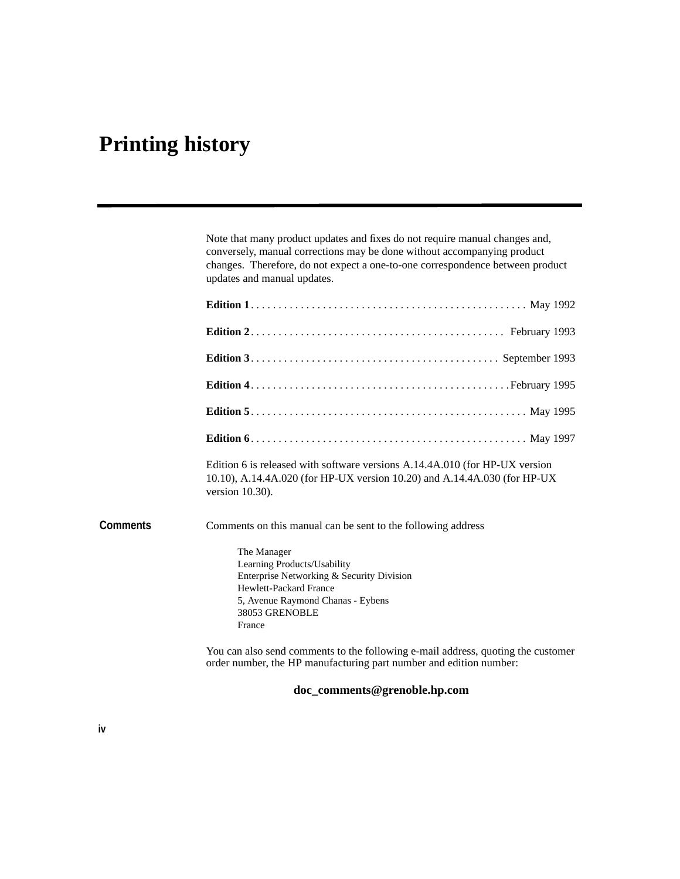# **Printing history**

Note that many product updates and fixes do not require manual changes and, conversely, manual corrections may be done without accompanying product changes. Therefore, do not expect a one-to-one correspondence between product updates and manual updates. **Edition 1**. . . . . . . . . . . . . . . . . . . . . . . . . . . . . . . . . . . . . . . . . . . . . . . . . . May 1992 **Edition 2**. . . . . . . . . . . . . . . . . . . . . . . . . . . . . . . . . . . . . . . . . . . . . . February 1993 **Edition 3**. . . . . . . . . . . . . . . . . . . . . . . . . . . . . . . . . . . . . . . . . . . . . September 1993 **Edition 4**. . . . . . . . . . . . . . . . . . . . . . . . . . . . . . . . . . . . . . . . . . . . . . .February 1995 **Edition 5**. . . . . . . . . . . . . . . . . . . . . . . . . . . . . . . . . . . . . . . . . . . . . . . . . . May 1995 **Edition 6**. . . . . . . . . . . . . . . . . . . . . . . . . . . . . . . . . . . . . . . . . . . . . . . . . . May 1997 Edition 6 is released with software versions A.14.4A.010 (for HP-UX version 10.10), A.14.4A.020 (for HP-UX version 10.20) and A.14.4A.030 (for HP-UX version 10.30). **Comments** Comments on this manual can be sent to the following address The Manager Learning Products/Usability Enterprise Networking & Security Division Hewlett-Packard France 5, Avenue Raymond Chanas - Eybens 38053 GRENOBLE France You can also send comments to the following e-mail address, quoting the customer

order number, the HP manufacturing part number and edition number:

**doc\_comments@grenoble.hp.com**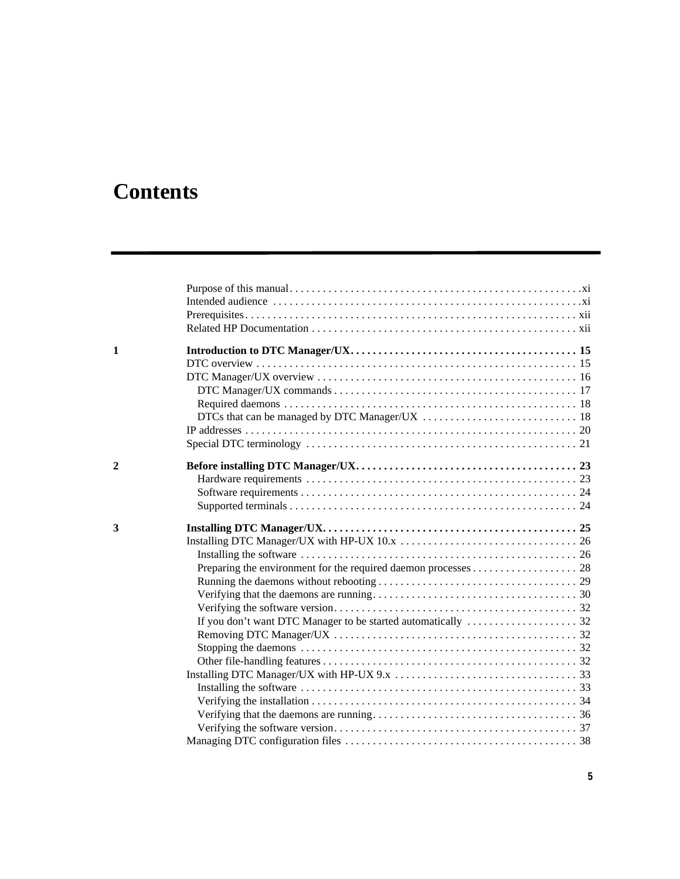# **Contents**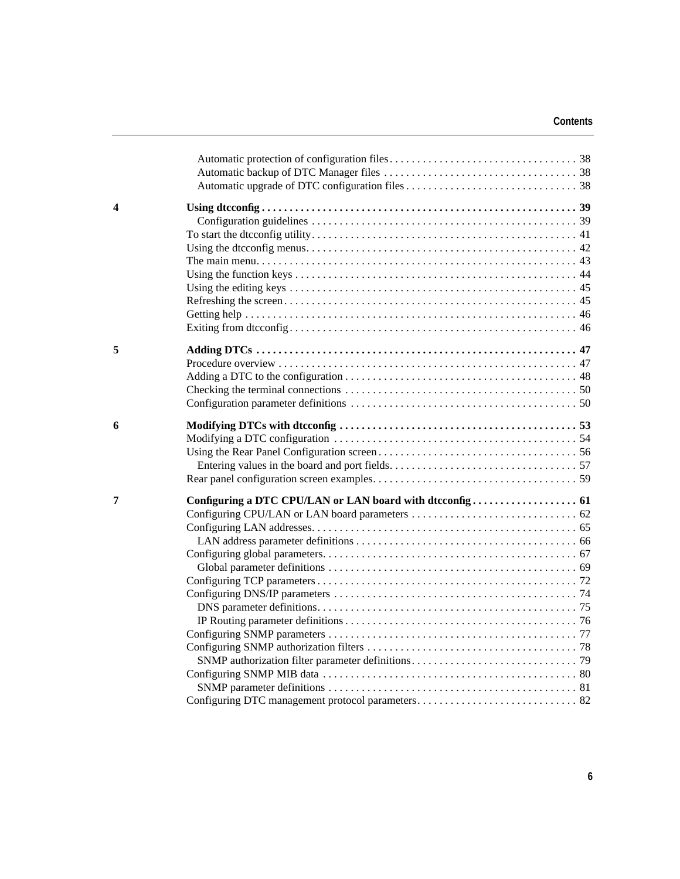# **Contents**

| $\boldsymbol{4}$ |  |
|------------------|--|
| 5                |  |
| 6                |  |
| 7                |  |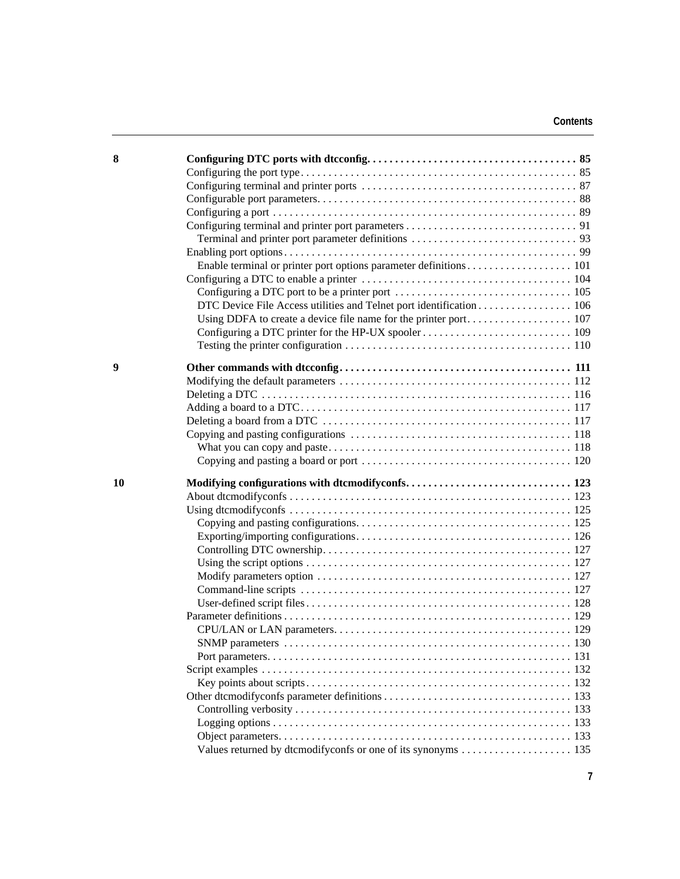| 8  |                                                                     |  |
|----|---------------------------------------------------------------------|--|
|    |                                                                     |  |
|    |                                                                     |  |
|    |                                                                     |  |
|    |                                                                     |  |
|    |                                                                     |  |
|    |                                                                     |  |
|    |                                                                     |  |
|    |                                                                     |  |
|    |                                                                     |  |
|    |                                                                     |  |
|    | DTC Device File Access utilities and Telnet port identification 106 |  |
|    |                                                                     |  |
|    |                                                                     |  |
|    |                                                                     |  |
|    |                                                                     |  |
| 9  |                                                                     |  |
|    |                                                                     |  |
|    |                                                                     |  |
|    |                                                                     |  |
|    |                                                                     |  |
|    |                                                                     |  |
|    |                                                                     |  |
|    |                                                                     |  |
| 10 |                                                                     |  |
|    |                                                                     |  |
|    |                                                                     |  |
|    |                                                                     |  |
|    |                                                                     |  |
|    |                                                                     |  |
|    |                                                                     |  |
|    |                                                                     |  |
|    |                                                                     |  |
|    |                                                                     |  |
|    |                                                                     |  |
|    |                                                                     |  |
|    |                                                                     |  |
|    |                                                                     |  |
|    |                                                                     |  |
|    |                                                                     |  |
|    |                                                                     |  |
|    |                                                                     |  |
|    |                                                                     |  |
|    |                                                                     |  |
|    | Values returned by dtcmodifyconfs or one of its synonyms 135        |  |
|    |                                                                     |  |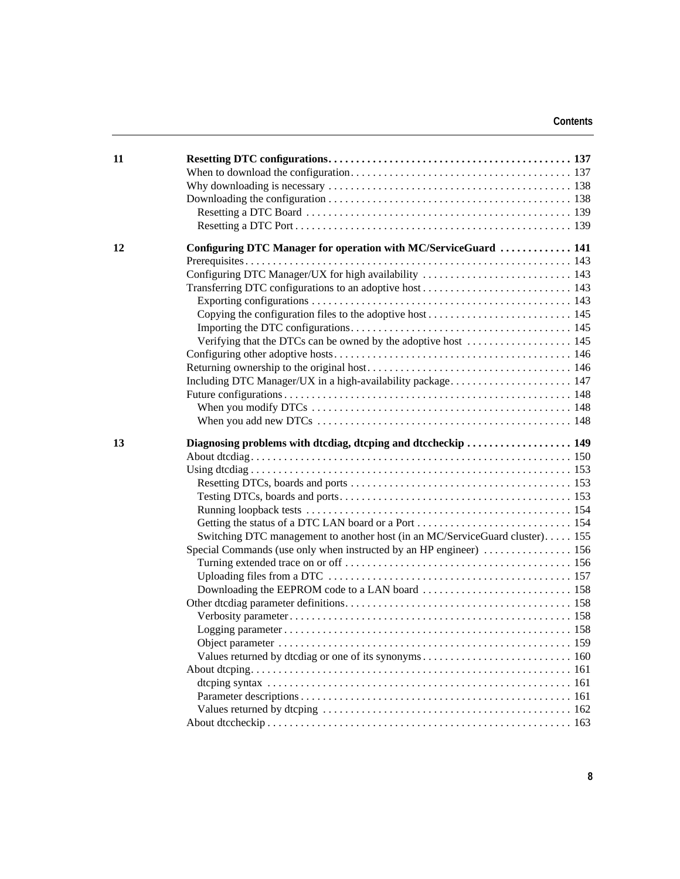| 11 |                                                                              |
|----|------------------------------------------------------------------------------|
| 12 | Configuring DTC Manager for operation with MC/ServiceGuard  141              |
|    |                                                                              |
|    |                                                                              |
|    |                                                                              |
|    |                                                                              |
|    |                                                                              |
|    |                                                                              |
|    |                                                                              |
|    |                                                                              |
|    |                                                                              |
|    |                                                                              |
|    |                                                                              |
|    |                                                                              |
|    |                                                                              |
| 13 | Diagnosing problems with dtcdiag, dtcping and dtccheckip  149                |
|    |                                                                              |
|    |                                                                              |
|    |                                                                              |
|    |                                                                              |
|    |                                                                              |
|    |                                                                              |
|    |                                                                              |
|    | Switching DTC management to another host (in an MC/ServiceGuard cluster) 155 |
|    |                                                                              |
|    |                                                                              |
|    |                                                                              |
|    |                                                                              |
|    |                                                                              |
|    |                                                                              |
|    |                                                                              |
|    |                                                                              |
|    |                                                                              |
|    |                                                                              |
|    |                                                                              |
|    |                                                                              |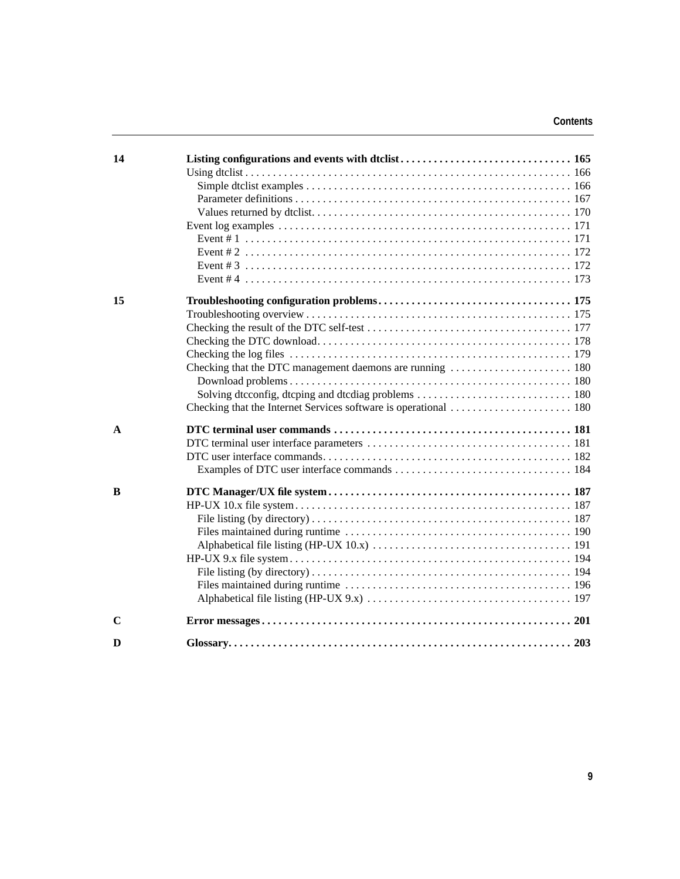| 14 |  |
|----|--|
| 15 |  |
| A  |  |
| B  |  |
| C  |  |
| D  |  |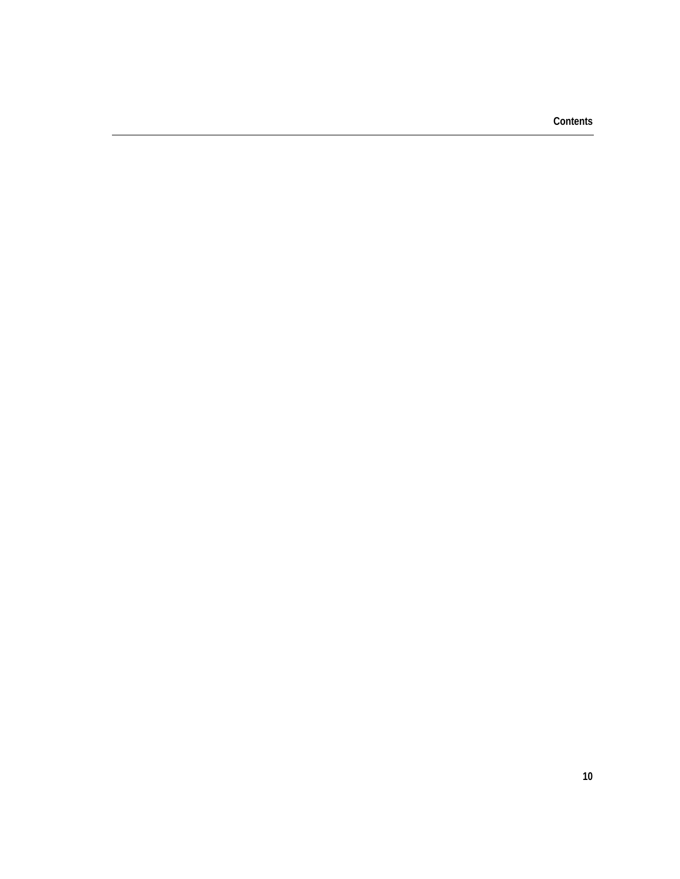**Contents**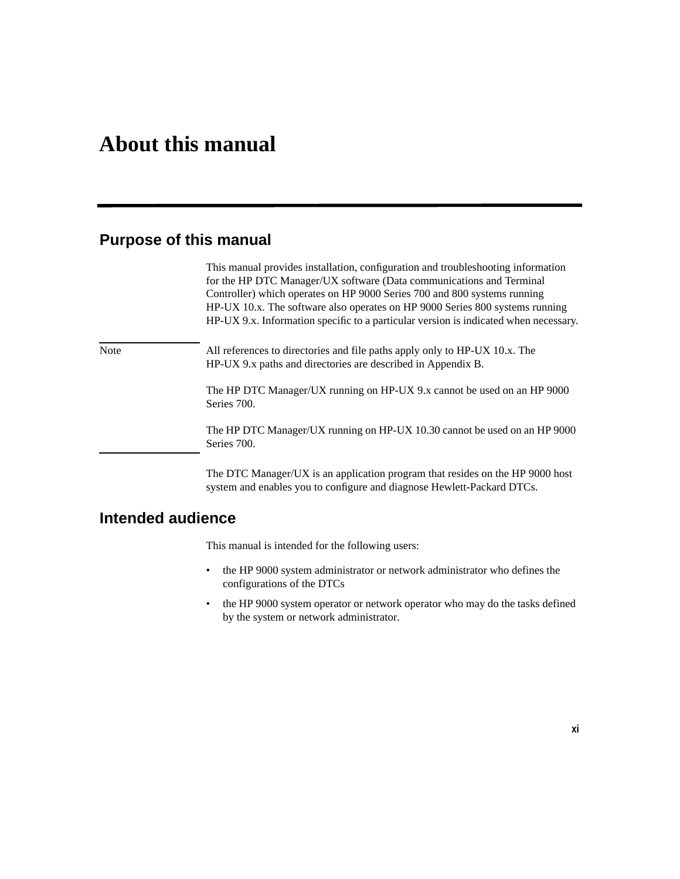# **About this manual**

# **Purpose of this manual**

This manual provides installation, configuration and troubleshooting information for the HP DTC Manager/UX software (Data communications and Terminal Controller) which operates on HP 9000 Series 700 and 800 systems running HP-UX 10.x. The software also operates on HP 9000 Series 800 systems running HP-UX 9.x. Information specific to a particular version is indicated when necessary.

Note All references to directories and file paths apply only to HP-UX 10.x. The HP-UX 9.x paths and directories are described in Appendix B.

> The HP DTC Manager/UX running on HP-UX 9.x cannot be used on an HP 9000 Series 700.

The HP DTC Manager/UX running on HP-UX 10.30 cannot be used on an HP 9000 Series 700.

The DTC Manager/UX is an application program that resides on the HP 9000 host system and enables you to configure and diagnose Hewlett-Packard DTCs.

# **Intended audience**

This manual is intended for the following users:

- the HP 9000 system administrator or network administrator who defines the configurations of the DTCs
- the HP 9000 system operator or network operator who may do the tasks defined by the system or network administrator.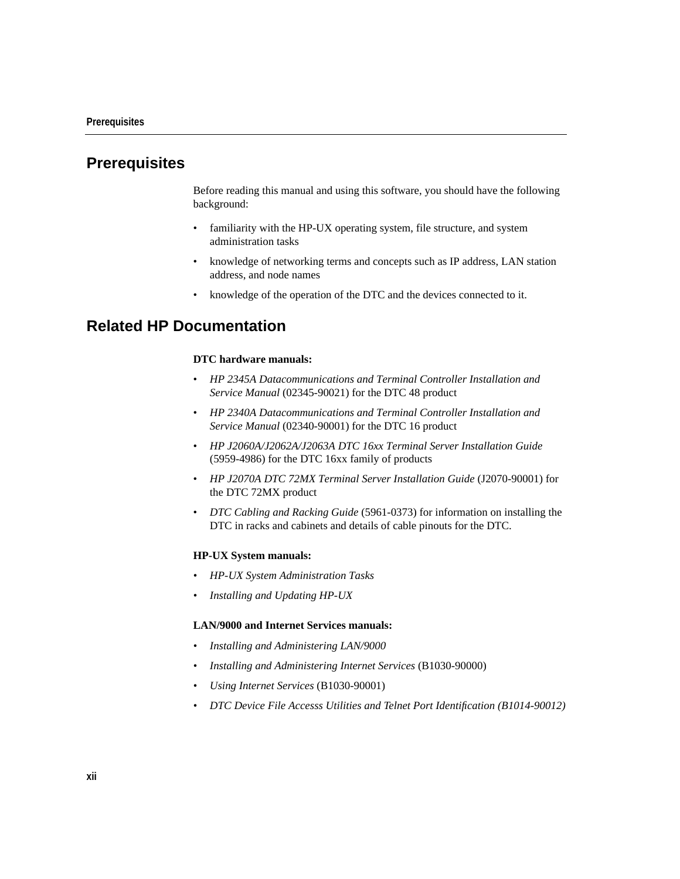# **Prerequisites**

Before reading this manual and using this software, you should have the following background:

- familiarity with the HP-UX operating system, file structure, and system administration tasks
- knowledge of networking terms and concepts such as IP address, LAN station address, and node names
- knowledge of the operation of the DTC and the devices connected to it.

# **Related HP Documentation**

## **DTC hardware manuals:**

- *HP 2345A Datacommunications and Terminal Controller Installation and Service Manual* (02345-90021) for the DTC 48 product
- *HP 2340A Datacommunications and Terminal Controller Installation and Service Manual* (02340-90001) for the DTC 16 product
- *HP J2060A/J2062A/J2063A DTC 16xx Terminal Server Installation Guide* (5959-4986) for the DTC 16xx family of products
- *HP J2070A DTC 72MX Terminal Server Installation Guide* (J2070-90001) for the DTC 72MX product
- *DTC Cabling and Racking Guide* (5961-0373) for information on installing the DTC in racks and cabinets and details of cable pinouts for the DTC.

#### **HP-UX System manuals:**

- *HP-UX System Administration Tasks*
- *Installing and Updating HP-UX*

### **LAN/9000 and Internet Services manuals:**

- *Installing and Administering LAN/9000*
- *Installing and Administering Internet Services* (B1030-90000)
- *Using Internet Services* (B1030-90001)
- *DTC Device File Accesss Utilities and Telnet Port Identification (B1014-90012)*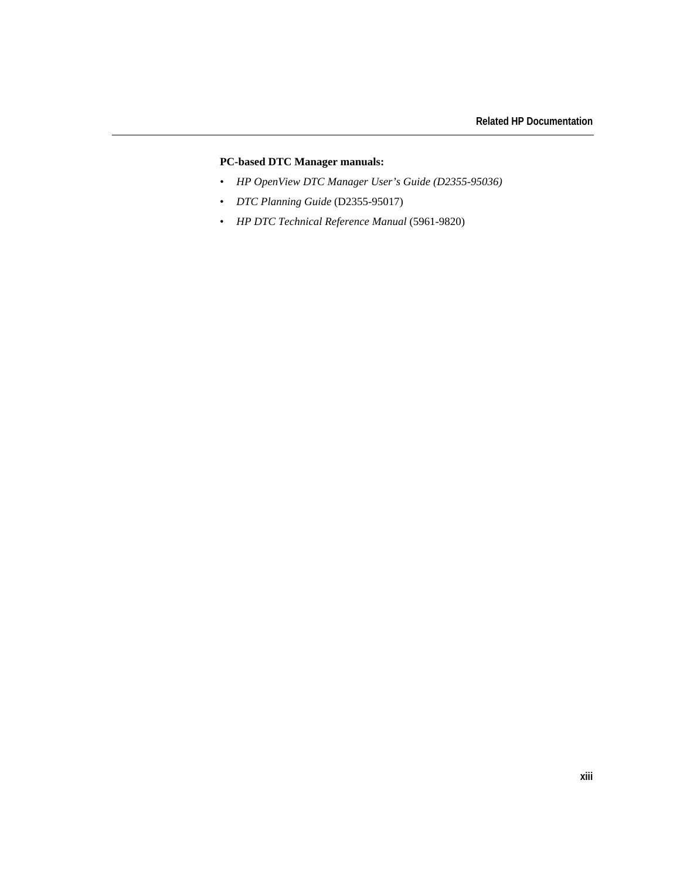# **PC-based DTC Manager manuals:**

- *HP OpenView DTC Manager User's Guide (D2355-95036)*
- *DTC Planning Guide* (D2355-95017)
- *HP DTC Technical Reference Manual* (5961-9820)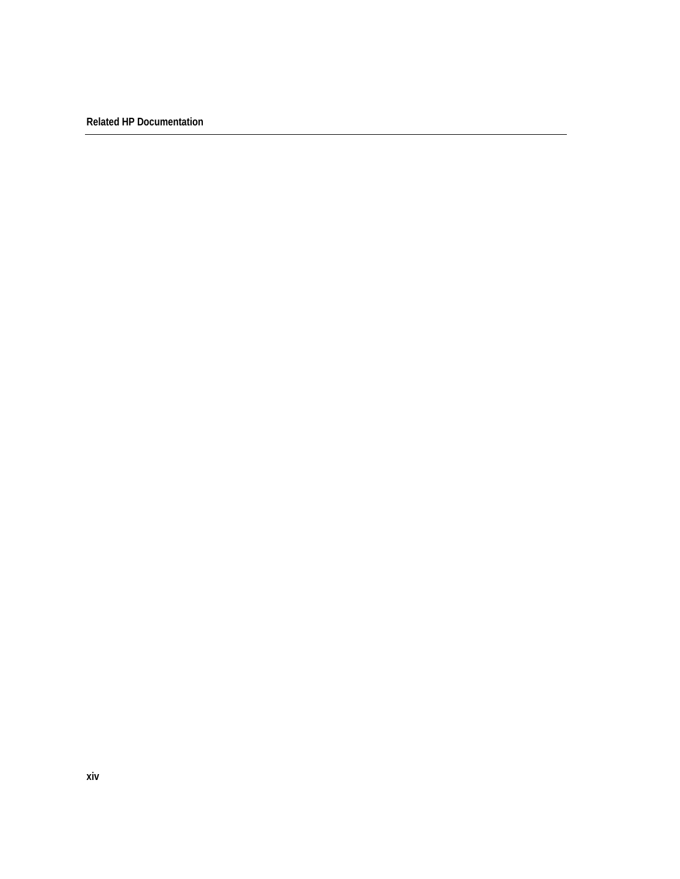**Related HP Documentation**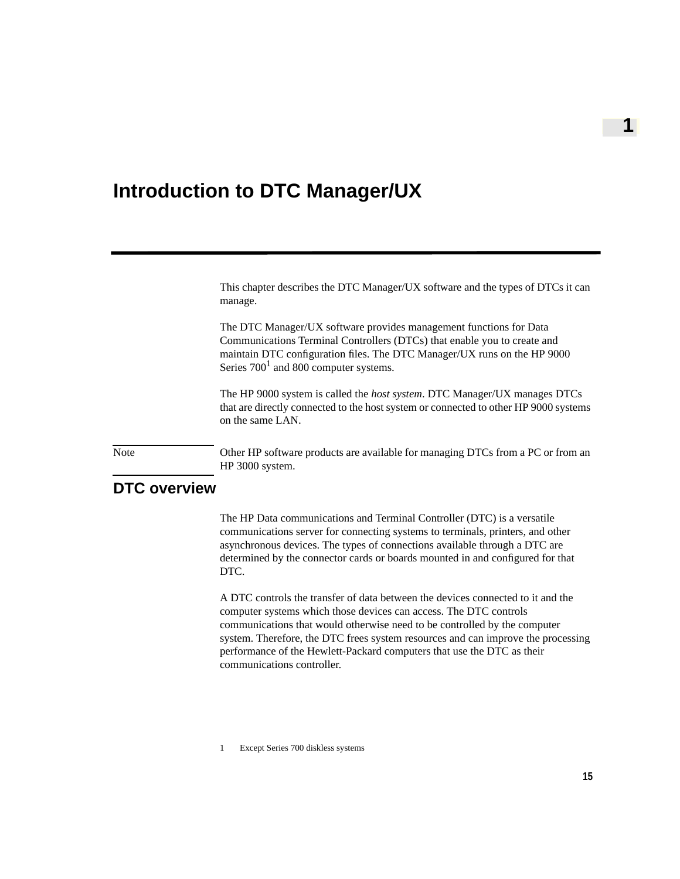# **Introduction to DTC Manager/UX**

This chapter describes the DTC Manager/UX software and the types of DTCs it can manage.

The DTC Manager/UX software provides management functions for Data Communications Terminal Controllers (DTCs) that enable you to create and maintain DTC configuration files. The DTC Manager/UX runs on the HP 9000 Series  $700<sup>1</sup>$  and 800 computer systems.

The HP 9000 system is called the *host system*. DTC Manager/UX manages DTCs that are directly connected to the host system or connected to other HP 9000 systems on the same LAN.

Note Other HP software products are available for managing DTCs from a PC or from an HP 3000 system.

# **DTC overview**

The HP Data communications and Terminal Controller (DTC) is a versatile communications server for connecting systems to terminals, printers, and other asynchronous devices. The types of connections available through a DTC are determined by the connector cards or boards mounted in and configured for that DTC.

A DTC controls the transfer of data between the devices connected to it and the computer systems which those devices can access. The DTC controls communications that would otherwise need to be controlled by the computer system. Therefore, the DTC frees system resources and can improve the processing performance of the Hewlett-Packard computers that use the DTC as their communications controller.

1 Except Series 700 diskless systems

**1**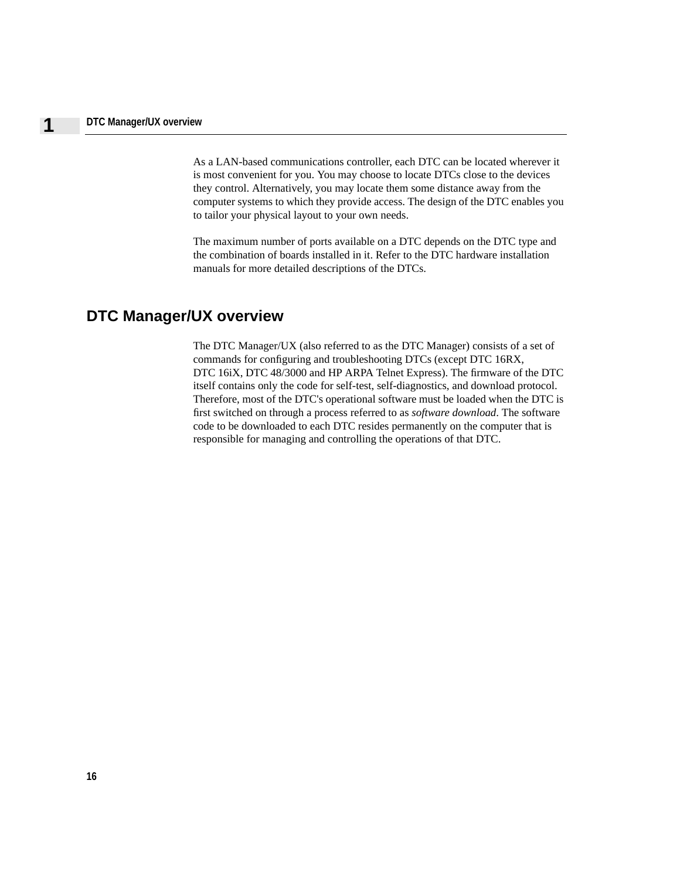As a LAN-based communications controller, each DTC can be located wherever it is most convenient for you. You may choose to locate DTCs close to the devices they control. Alternatively, you may locate them some distance away from the computer systems to which they provide access. The design of the DTC enables you to tailor your physical layout to your own needs.

The maximum number of ports available on a DTC depends on the DTC type and the combination of boards installed in it. Refer to the DTC hardware installation manuals for more detailed descriptions of the DTCs.

# **DTC Manager/UX overview**

The DTC Manager/UX (also referred to as the DTC Manager) consists of a set of commands for configuring and troubleshooting DTCs (except DTC 16RX, DTC 16iX, DTC 48/3000 and HP ARPA Telnet Express). The firmware of the DTC itself contains only the code for self-test, self-diagnostics, and download protocol. Therefore, most of the DTC's operational software must be loaded when the DTC is first switched on through a process referred to as *software download*. The software code to be downloaded to each DTC resides permanently on the computer that is responsible for managing and controlling the operations of that DTC.

**16**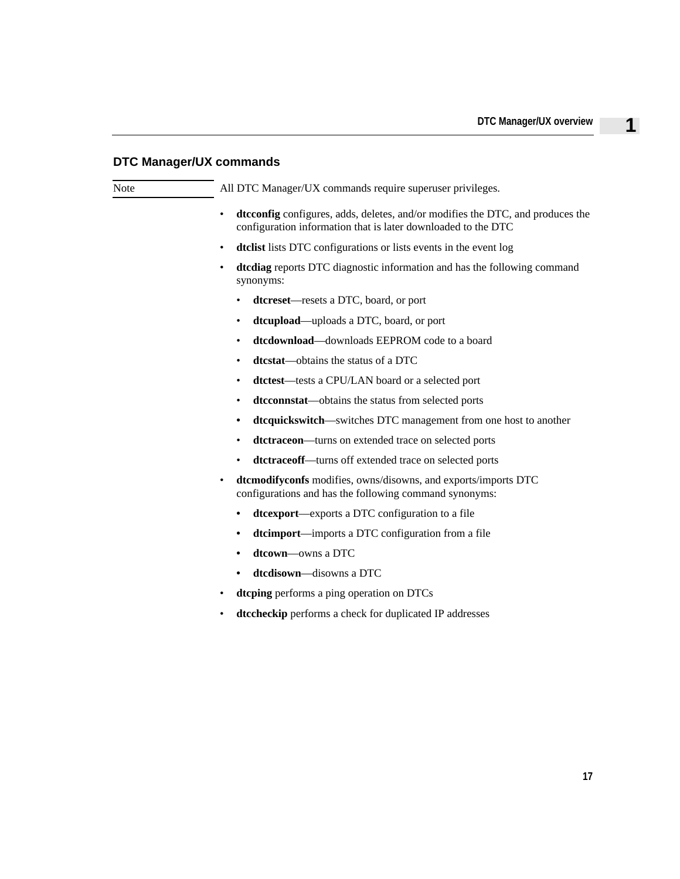# **DTC Manager/UX commands**

Note All DTC Manager/UX commands require superuser privileges.

- **dtcconfig** configures, adds, deletes, and/or modifies the DTC, and produces the configuration information that is later downloaded to the DTC
- **dtclist** lists DTC configurations or lists events in the event log
- **dtcdiag** reports DTC diagnostic information and has the following command synonyms:
	- **dtcreset**—resets a DTC, board, or port
	- **dtcupload**—uploads a DTC, board, or port
	- **dtcdownload**—downloads EEPROM code to a board
	- **dtcstat**—obtains the status of a DTC
	- **dtctest**—tests a CPU/LAN board or a selected port
	- **dtcconnstat**—obtains the status from selected ports
	- **dtcquickswitch**—switches DTC management from one host to another
	- **dtctraceon**—turns on extended trace on selected ports
	- **dtctraceoff**—turns off extended trace on selected ports
- **dtcmodifyconfs** modifies, owns/disowns, and exports/imports DTC configurations and has the following command synonyms:
	- **dtcexport**—exports a DTC configuration to a file
	- **dtcimport**—imports a DTC configuration from a file
	- **dtcown**—owns a DTC
	- **dtcdisown**—disowns a DTC
- **dtcping** performs a ping operation on DTCs
- dtccheckip performs a check for duplicated IP addresses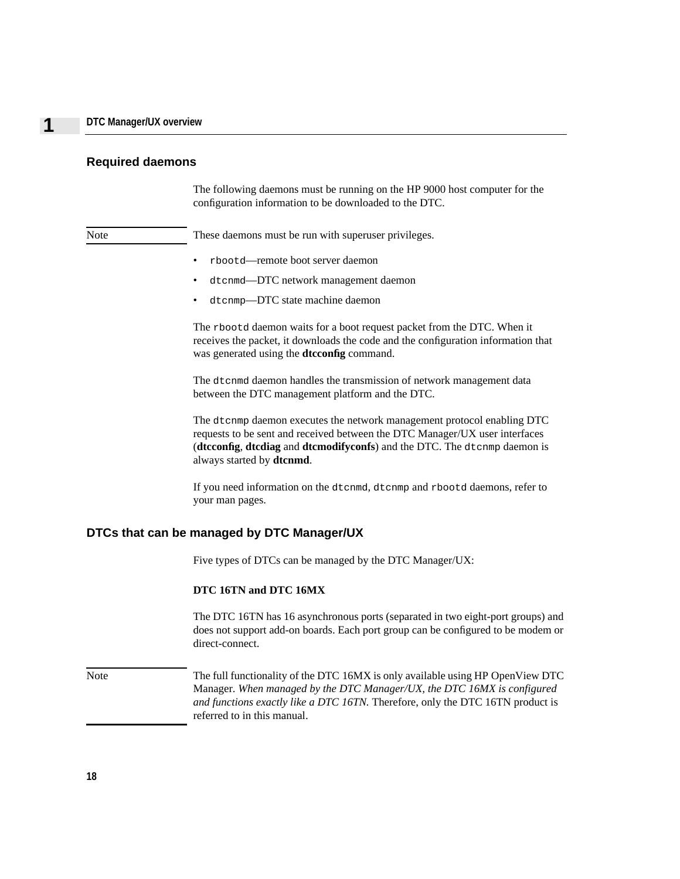# **Required daemons**

The following daemons must be running on the HP 9000 host computer for the configuration information to be downloaded to the DTC.

Note These daemons must be run with superuser privileges.

- rbootd—remote boot server daemon
- dtcnmd—DTC network management daemon
- dtcnmp—DTC state machine daemon

The rbootd daemon waits for a boot request packet from the DTC. When it receives the packet, it downloads the code and the configuration information that was generated using the **dtcconfig** command.

The dtcnmd daemon handles the transmission of network management data between the DTC management platform and the DTC.

The dtcnmp daemon executes the network management protocol enabling DTC requests to be sent and received between the DTC Manager/UX user interfaces (**dtcconfig**, **dtcdiag** and **dtcmodifyconfs**) and the DTC. The dtcnmp daemon is always started by **dtcnmd**.

If you need information on the dtcnmd, dtcnmp and rbootd daemons, refer to your man pages.

## **DTCs that can be managed by DTC Manager/UX**

Five types of DTCs can be managed by the DTC Manager/UX:

## **DTC 16TN and DTC 16MX**

The DTC 16TN has 16 asynchronous ports (separated in two eight-port groups) and does not support add-on boards. Each port group can be configured to be modem or direct-connect.

Note The full functionality of the DTC 16MX is only available using HP OpenView DTC Manager. *When managed by the DTC Manager/UX, the DTC 16MX is configured and functions exactly like a DTC 16TN.* Therefore, only the DTC 16TN product is referred to in this manual.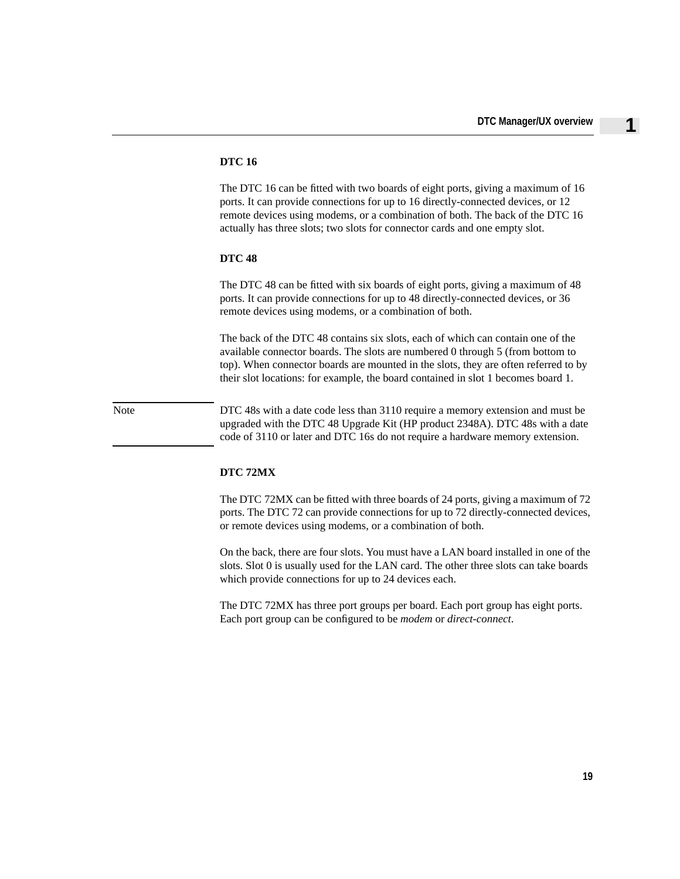# **DTC 16**

The DTC 16 can be fitted with two boards of eight ports, giving a maximum of 16 ports. It can provide connections for up to 16 directly-connected devices, or 12 remote devices using modems, or a combination of both. The back of the DTC 16 actually has three slots; two slots for connector cards and one empty slot.

## **DTC 48**

The DTC 48 can be fitted with six boards of eight ports, giving a maximum of 48 ports. It can provide connections for up to 48 directly-connected devices, or 36 remote devices using modems, or a combination of both.

The back of the DTC 48 contains six slots, each of which can contain one of the available connector boards. The slots are numbered 0 through 5 (from bottom to top). When connector boards are mounted in the slots, they are often referred to by their slot locations: for example, the board contained in slot 1 becomes board 1.

Note DTC 48s with a date code less than 3110 require a memory extension and must be upgraded with the DTC 48 Upgrade Kit (HP product 2348A). DTC 48s with a date code of 3110 or later and DTC 16s do not require a hardware memory extension.

## **DTC 72MX**

The DTC 72MX can be fitted with three boards of 24 ports, giving a maximum of 72 ports. The DTC 72 can provide connections for up to 72 directly-connected devices, or remote devices using modems, or a combination of both.

On the back, there are four slots. You must have a LAN board installed in one of the slots. Slot 0 is usually used for the LAN card. The other three slots can take boards which provide connections for up to 24 devices each.

The DTC 72MX has three port groups per board. Each port group has eight ports. Each port group can be configured to be *modem* or *direct-connect*.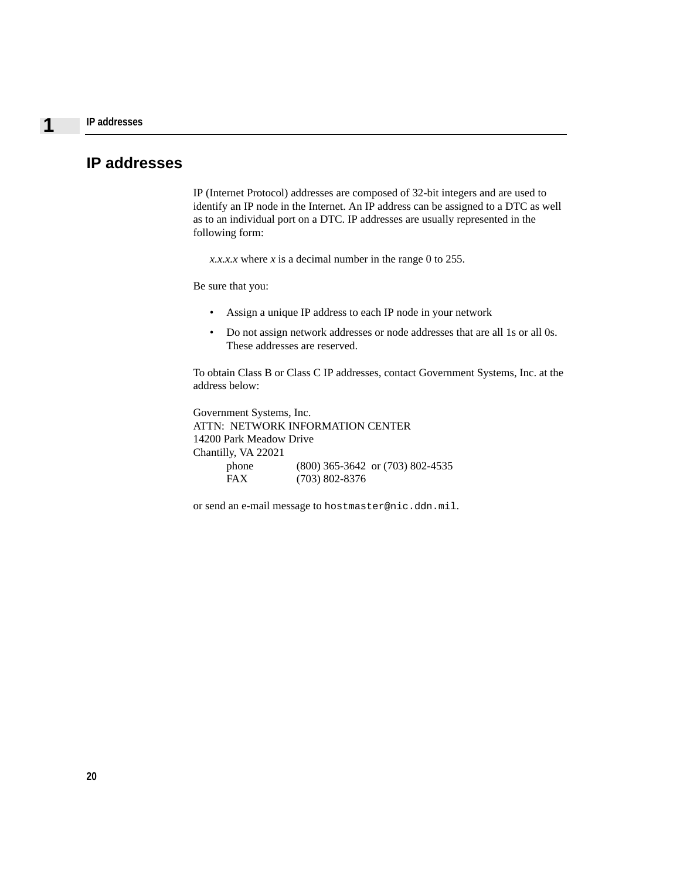# **IP addresses**

IP (Internet Protocol) addresses are composed of 32-bit integers and are used to identify an IP node in the Internet. An IP address can be assigned to a DTC as well as to an individual port on a DTC. IP addresses are usually represented in the following form:

*x.x.x.x* where *x* is a decimal number in the range 0 to 255.

Be sure that you:

- Assign a unique IP address to each IP node in your network
- Do not assign network addresses or node addresses that are all 1s or all 0s. These addresses are reserved.

To obtain Class B or Class C IP addresses, contact Government Systems, Inc. at the address below:

Government Systems, Inc. ATTN: NETWORK INFORMATION CENTER 14200 Park Meadow Drive Chantilly, VA 22021 phone (800) 365-3642 or (703) 802-4535 FAX (703) 802-8376

or send an e-mail message to hostmaster@nic.ddn.mil.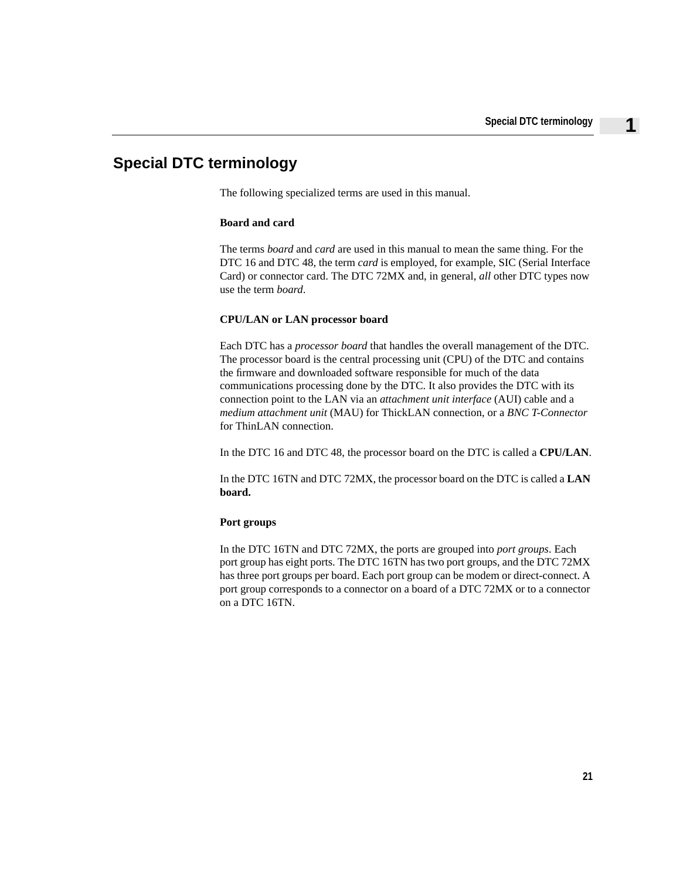# **Special DTC terminology**

The following specialized terms are used in this manual.

### **Board and card**

The terms *board* and *card* are used in this manual to mean the same thing. For the DTC 16 and DTC 48, the term *card* is employed, for example, SIC (Serial Interface Card) or connector card. The DTC 72MX and, in general, *all* other DTC types now use the term *board*.

### **CPU/LAN or LAN processor board**

Each DTC has a *processor board* that handles the overall management of the DTC. The processor board is the central processing unit (CPU) of the DTC and contains the firmware and downloaded software responsible for much of the data communications processing done by the DTC. It also provides the DTC with its connection point to the LAN via an *attachment unit interface* (AUI) cable and a *medium attachment unit* (MAU) for ThickLAN connection, or a *BNC T-Connector* for ThinLAN connection.

In the DTC 16 and DTC 48, the processor board on the DTC is called a **CPU/LAN**.

In the DTC 16TN and DTC 72MX, the processor board on the DTC is called a **LAN board.**

### **Port groups**

In the DTC 16TN and DTC 72MX, the ports are grouped into *port groups*. Each port group has eight ports. The DTC 16TN has two port groups, and the DTC 72MX has three port groups per board. Each port group can be modem or direct-connect. A port group corresponds to a connector on a board of a DTC 72MX or to a connector on a DTC 16TN.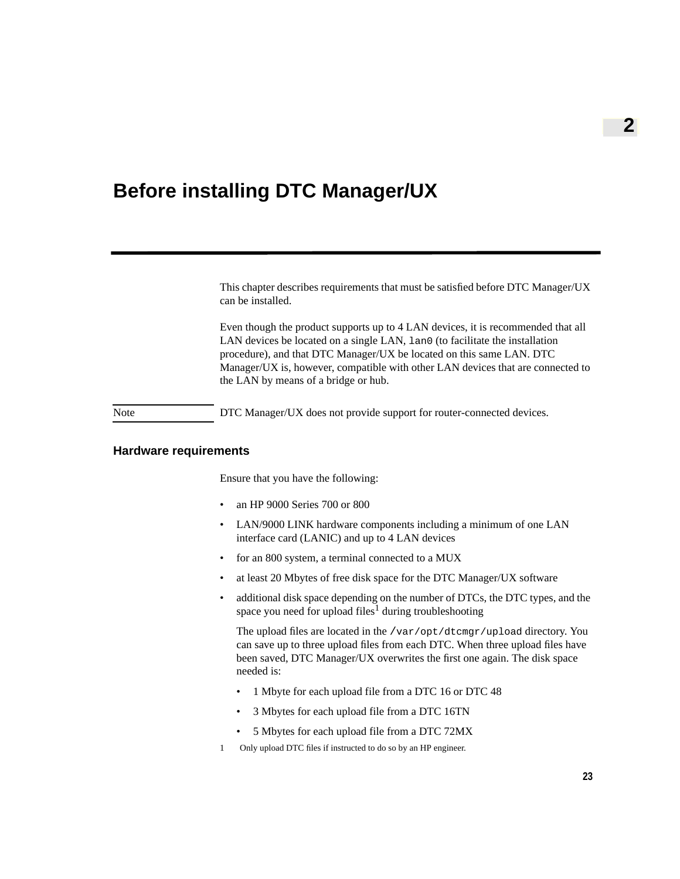# **Before installing DTC Manager/UX**

This chapter describes requirements that must be satisfied before DTC Manager/UX can be installed.

Even though the product supports up to 4 LAN devices, it is recommended that all LAN devices be located on a single LAN, lan0 (to facilitate the installation procedure), and that DTC Manager/UX be located on this same LAN. DTC Manager/UX is, however, compatible with other LAN devices that are connected to the LAN by means of a bridge or hub.

Note DTC Manager/UX does not provide support for router-connected devices.

### **Hardware requirements**

Ensure that you have the following:

- an HP 9000 Series 700 or 800
- LAN/9000 LINK hardware components including a minimum of one LAN interface card (LANIC) and up to 4 LAN devices
- for an 800 system, a terminal connected to a MUX
- at least 20 Mbytes of free disk space for the DTC Manager/UX software
- additional disk space depending on the number of DTCs, the DTC types, and the space you need for upload files<sup>1</sup> during troubleshooting

The upload files are located in the /var/opt/dtcmgr/upload directory. You can save up to three upload files from each DTC. When three upload files have been saved, DTC Manager/UX overwrites the first one again. The disk space needed is:

- 1 Mbyte for each upload file from a DTC 16 or DTC 48
- 3 Mbytes for each upload file from a DTC 16TN
- 5 Mbytes for each upload file from a DTC 72MX
- 1 Only upload DTC files if instructed to do so by an HP engineer.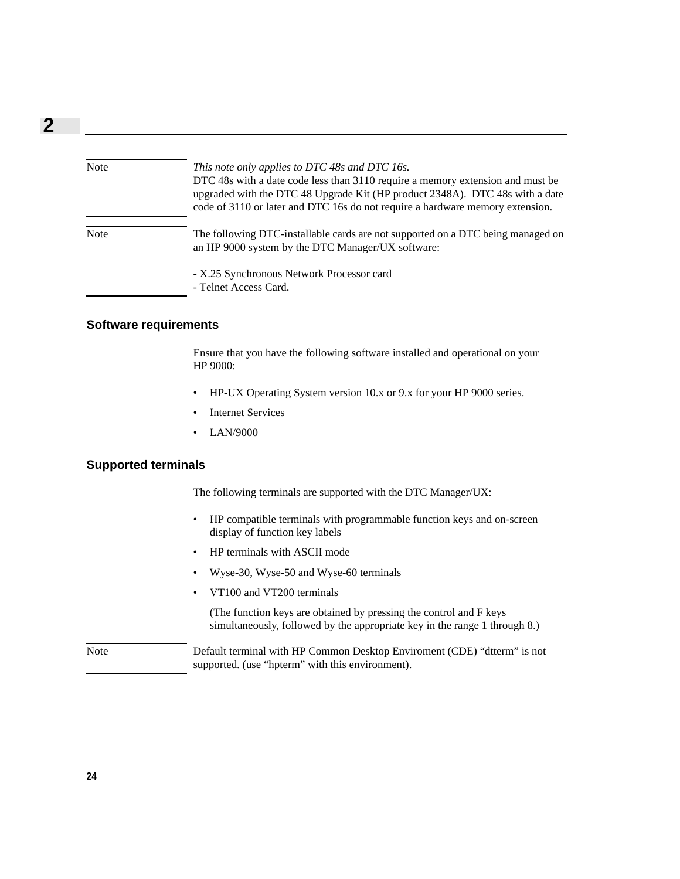| <b>Note</b> | This note only applies to DTC 48s and DTC 16s.<br>DTC 48s with a date code less than 3110 require a memory extension and must be<br>upgraded with the DTC 48 Upgrade Kit (HP product 2348A). DTC 48s with a date<br>code of 3110 or later and DTC 16s do not require a hardware memory extension. |
|-------------|---------------------------------------------------------------------------------------------------------------------------------------------------------------------------------------------------------------------------------------------------------------------------------------------------|
| <b>Note</b> | The following DTC-installable cards are not supported on a DTC being managed on<br>an HP 9000 system by the DTC Manager/UX software:                                                                                                                                                              |
|             | - X.25 Synchronous Network Processor card<br>- Telnet Access Card.                                                                                                                                                                                                                                |

## **Software requirements**

Ensure that you have the following software installed and operational on your HP 9000:

- HP-UX Operating System version 10.x or 9.x for your HP 9000 series.
- **Internet Services**
- LAN/9000

# **Supported terminals**

The following terminals are supported with the DTC Manager/UX:

- HP compatible terminals with programmable function keys and on-screen display of function key labels
- HP terminals with ASCII mode
- Wyse-30, Wyse-50 and Wyse-60 terminals
- VT100 and VT200 terminals

(The function keys are obtained by pressing the control and F keys simultaneously, followed by the appropriate key in the range 1 through 8.)

Note Default terminal with HP Common Desktop Enviroment (CDE) "dtterm" is not supported. (use "hpterm" with this environment).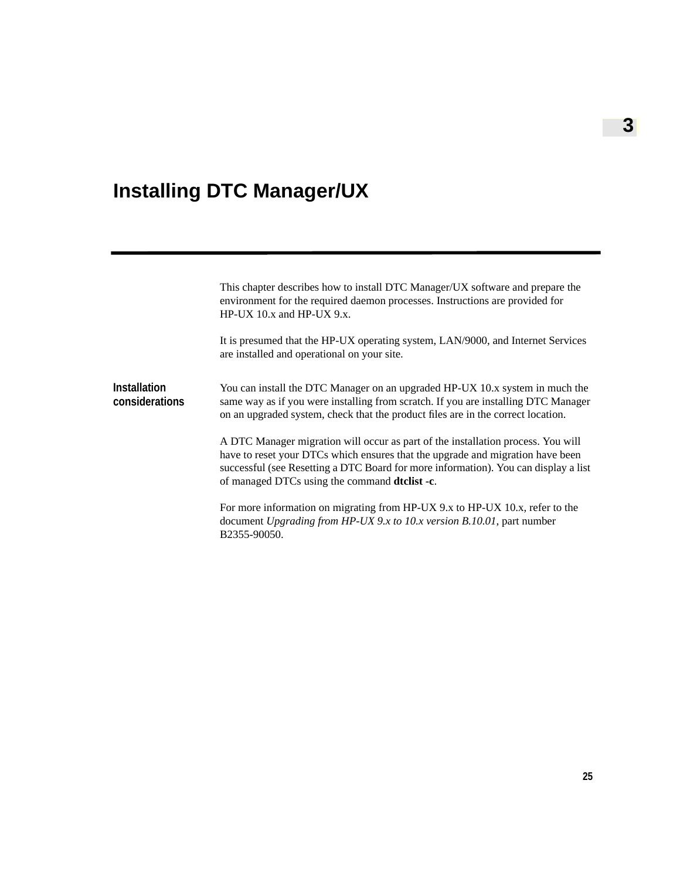# **Installing DTC Manager/UX**

This chapter describes how to install DTC Manager/UX software and prepare the environment for the required daemon processes. Instructions are provided for HP-UX 10.x and HP-UX 9.x. It is presumed that the HP-UX operating system, LAN/9000, and Internet Services are installed and operational on your site. **Installation considerations** You can install the DTC Manager on an upgraded HP-UX 10.x system in much the same way as if you were installing from scratch. If you are installing DTC Manager on an upgraded system, check that the product files are in the correct location. A DTC Manager migration will occur as part of the installation process. You will have to reset your DTCs which ensures that the upgrade and migration have been successful (see Resetting a DTC Board for more information). You can display a list of managed DTCs using the command **dtclist -c**. For more information on migrating from HP-UX 9.x to HP-UX 10.x, refer to the document *Upgrading from HP-UX 9.x to 10.x version B.10.01*, part number B2355-90050.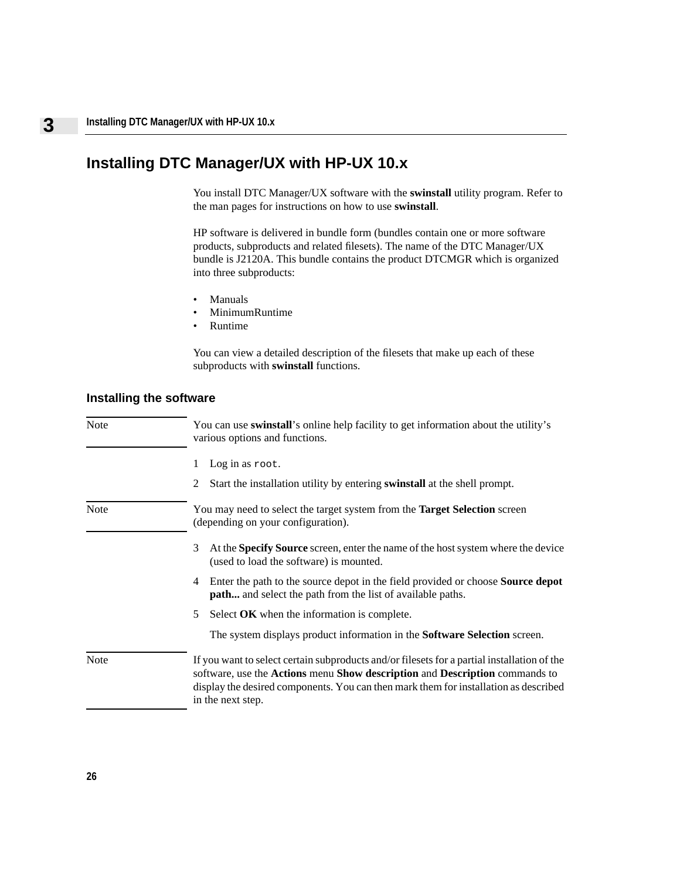# **Installing DTC Manager/UX with HP-UX 10.x**

You install DTC Manager/UX software with the **swinstall** utility program. Refer to the man pages for instructions on how to use **swinstall**.

HP software is delivered in bundle form (bundles contain one or more software products, subproducts and related filesets). The name of the DTC Manager/UX bundle is J2120A. This bundle contains the product DTCMGR which is organized into three subproducts:

- Manuals
- MinimumRuntime
- Runtime

You can view a detailed description of the filesets that make up each of these subproducts with **swinstall** functions.

# **Installing the software**

| Note | You can use <b>swinstall</b> 's online help facility to get information about the utility's<br>various options and functions.                                                                                                                                                           |
|------|-----------------------------------------------------------------------------------------------------------------------------------------------------------------------------------------------------------------------------------------------------------------------------------------|
|      | Log in as root.<br>1                                                                                                                                                                                                                                                                    |
|      | Start the installation utility by entering swinstall at the shell prompt.<br>2                                                                                                                                                                                                          |
| Note | You may need to select the target system from the <b>Target Selection</b> screen<br>(depending on your configuration).                                                                                                                                                                  |
|      | At the <b>Specify Source</b> screen, enter the name of the host system where the device<br>3<br>(used to load the software) is mounted.                                                                                                                                                 |
|      | Enter the path to the source depot in the field provided or choose <b>Source depot</b><br>4<br>path and select the path from the list of available paths.                                                                                                                               |
|      | Select OK when the information is complete.<br>5                                                                                                                                                                                                                                        |
|      | The system displays product information in the <b>Software Selection</b> screen.                                                                                                                                                                                                        |
| Note | If you want to select certain subproducts and/or filesets for a partial installation of the<br>software, use the Actions menu Show description and Description commands to<br>display the desired components. You can then mark them for installation as described<br>in the next step. |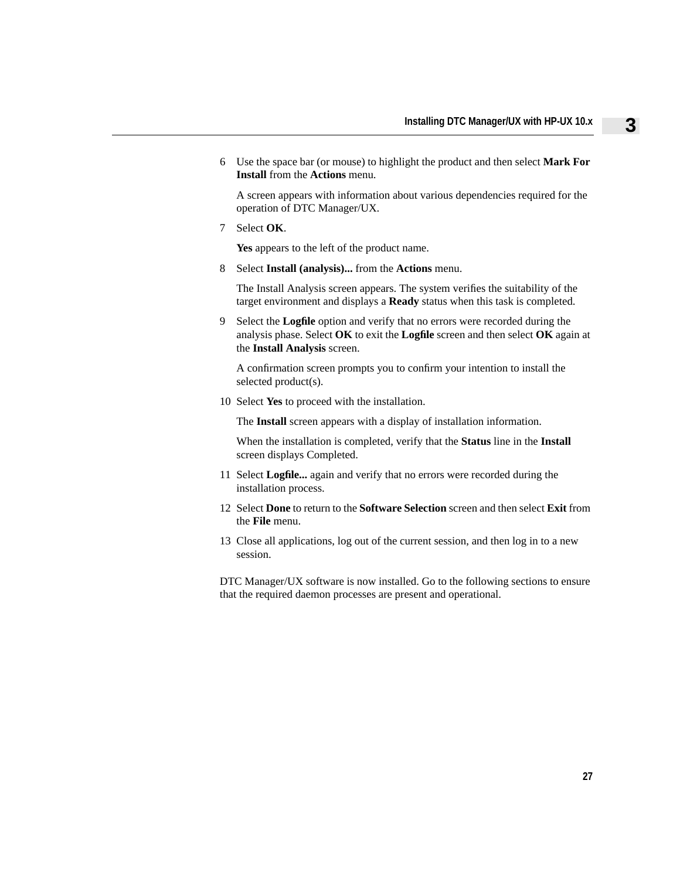6 Use the space bar (or mouse) to highlight the product and then select **Mark For Install** from the **Actions** menu.

A screen appears with information about various dependencies required for the operation of DTC Manager/UX.

7 Select **OK**.

**Yes** appears to the left of the product name.

8 Select **Install (analysis)...** from the **Actions** menu.

The Install Analysis screen appears. The system verifies the suitability of the target environment and displays a **Ready** status when this task is completed.

9 Select the **Logfile** option and verify that no errors were recorded during the analysis phase. Select **OK** to exit the **Logfile** screen and then select **OK** again at the **Install Analysis** screen.

A confirmation screen prompts you to confirm your intention to install the selected product(s).

10 Select **Yes** to proceed with the installation.

The **Install** screen appears with a display of installation information.

When the installation is completed, verify that the **Status** line in the **Install** screen displays Completed.

- 11 Select **Logfile...** again and verify that no errors were recorded during the installation process.
- 12 Select **Done** to return to the **Software Selection** screen and then select **Exit** from the **File** menu.
- 13 Close all applications, log out of the current session, and then log in to a new session.

DTC Manager/UX software is now installed. Go to the following sections to ensure that the required daemon processes are present and operational.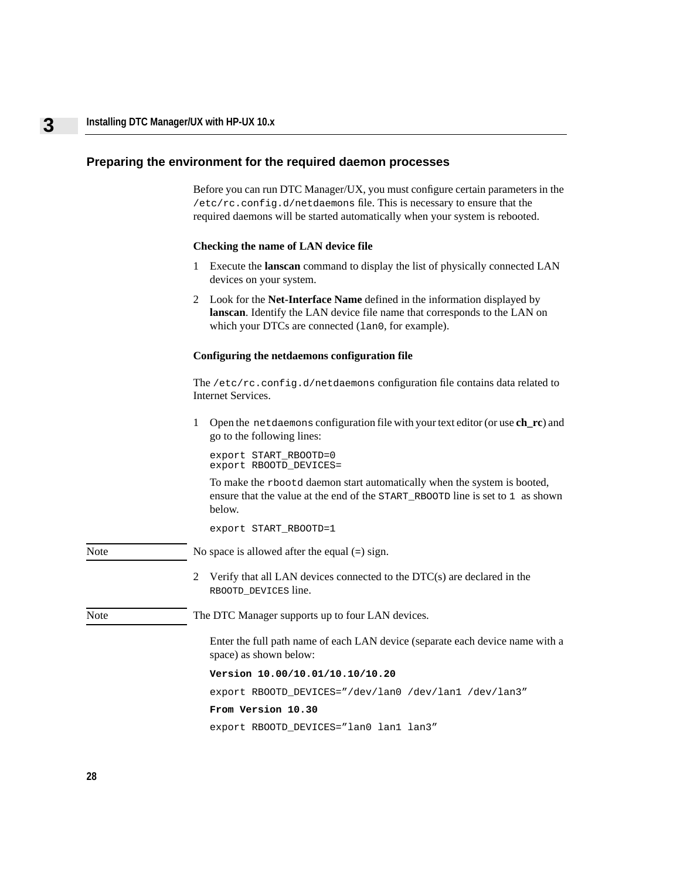## **Preparing the environment for the required daemon processes**

Before you can run DTC Manager/UX, you must configure certain parameters in the /etc/rc.config.d/netdaemons file. This is necessary to ensure that the required daemons will be started automatically when your system is rebooted.

#### **Checking the name of LAN device file**

- 1 Execute the **lanscan** command to display the list of physically connected LAN devices on your system.
- 2 Look for the **Net-Interface Name** defined in the information displayed by **lanscan**. Identify the LAN device file name that corresponds to the LAN on which your DTCs are connected (lan0, for example).

#### **Configuring the netdaemons configuration file**

The /etc/rc.config.d/netdaemons configuration file contains data related to Internet Services.

1 Open the netdaemons configuration file with your text editor (or use **ch\_rc**) and go to the following lines:

```
export START_RBOOTD=0
export RBOOTD_DEVICES=
```
To make the rbootd daemon start automatically when the system is booted, ensure that the value at the end of the START\_RBOOTD line is set to 1 as shown below.

export START\_RBOOTD=1

Note No space is allowed after the equal (=) sign.

2 Verify that all LAN devices connected to the DTC(s) are declared in the RBOOTD\_DEVICES line.

Note The DTC Manager supports up to four LAN devices.

Enter the full path name of each LAN device (separate each device name with a space) as shown below:

#### **Version 10.00/10.01/10.10/10.20**

export RBOOTD\_DEVICES="/dev/lan0 /dev/lan1 /dev/lan3"

#### **From Version 10.30**

export RBOOTD\_DEVICES="lan0 lan1 lan3"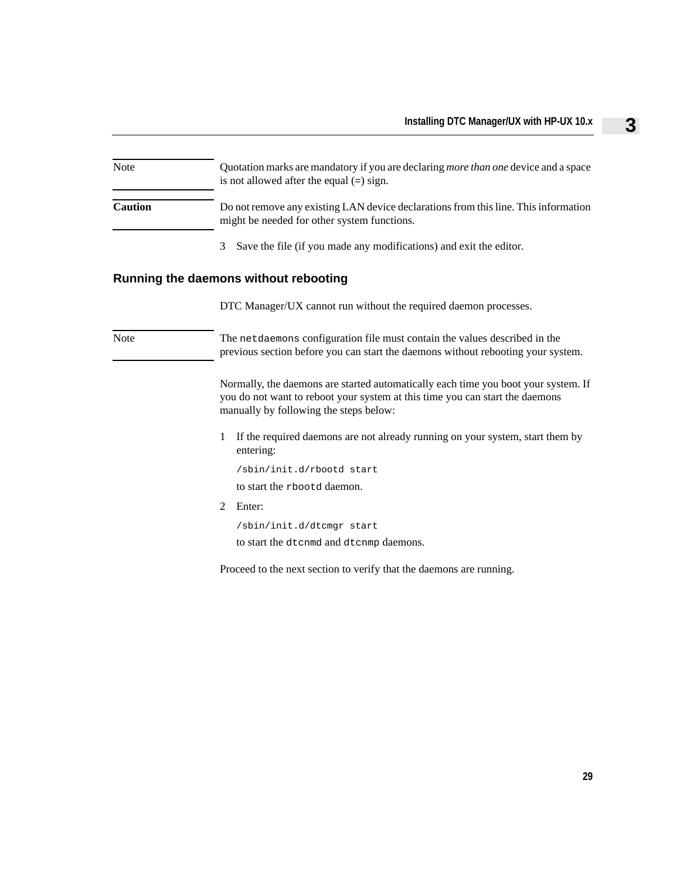| <b>Note</b>    | Quotation marks are mandatory if you are declaring <i>more than one</i> device and a space                                                                                                                   |
|----------------|--------------------------------------------------------------------------------------------------------------------------------------------------------------------------------------------------------------|
|                | is not allowed after the equal $(=)$ sign.                                                                                                                                                                   |
| <b>Caution</b> | Do not remove any existing LAN device declarations from this line. This information<br>might be needed for other system functions.                                                                           |
|                | Save the file (if you made any modifications) and exit the editor.<br>3                                                                                                                                      |
|                | Running the daemons without rebooting                                                                                                                                                                        |
|                | DTC Manager/UX cannot run without the required daemon processes.                                                                                                                                             |
| <b>Note</b>    | The netdaemons configuration file must contain the values described in the<br>previous section before you can start the daemons without rebooting your system.                                               |
|                | Normally, the daemons are started automatically each time you boot your system. If<br>you do not want to reboot your system at this time you can start the daemons<br>manually by following the steps below: |
|                | If the required daemons are not already running on your system, start them by<br>1<br>entering:                                                                                                              |
|                | /sbin/init.d/rbootd start                                                                                                                                                                                    |
|                | to start the rbootd daemon.                                                                                                                                                                                  |
|                | Enter:<br>$\mathcal{L}$                                                                                                                                                                                      |
|                | /sbin/init.d/dtcmgr start                                                                                                                                                                                    |
|                | to start the dtcnmd and dtcnmp daemons.                                                                                                                                                                      |
|                | Proceed to the next section to verify that the daemons are running.                                                                                                                                          |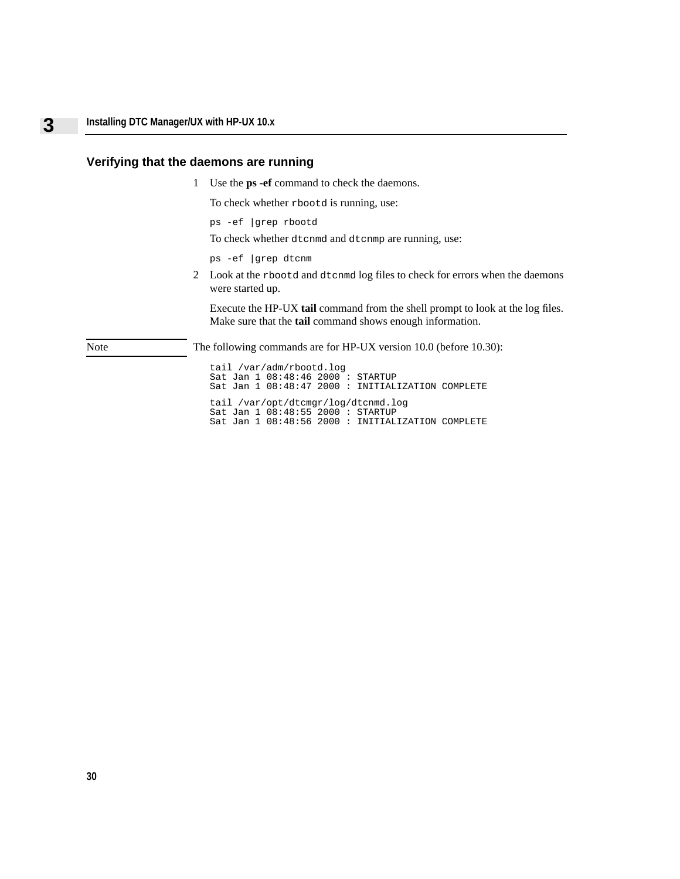## **Verifying that the daemons are running**

1 Use the **ps -ef** command to check the daemons.

To check whether rbootd is running, use:

ps -ef |grep rbootd

To check whether dtcnmd and dtcnmp are running, use:

ps -ef |grep dtcnm

2 Look at the rbootd and dtcnmd log files to check for errors when the daemons were started up.

Execute the HP-UX **tail** command from the shell prompt to look at the log files. Make sure that the **tail** command shows enough information.

Note The following commands are for HP-UX version 10.0 (before 10.30):

tail /var/adm/rbootd.log Sat Jan 1 08:48:46 2000 : STARTUP Sat Jan 1 08:48:47 2000 : INITIALIZATION COMPLETE tail /var/opt/dtcmgr/log/dtcnmd.log Sat Jan 1 08:48:55 2000 : STARTUP Sat Jan 1 08:48:56 2000 : INITIALIZATION COMPLETE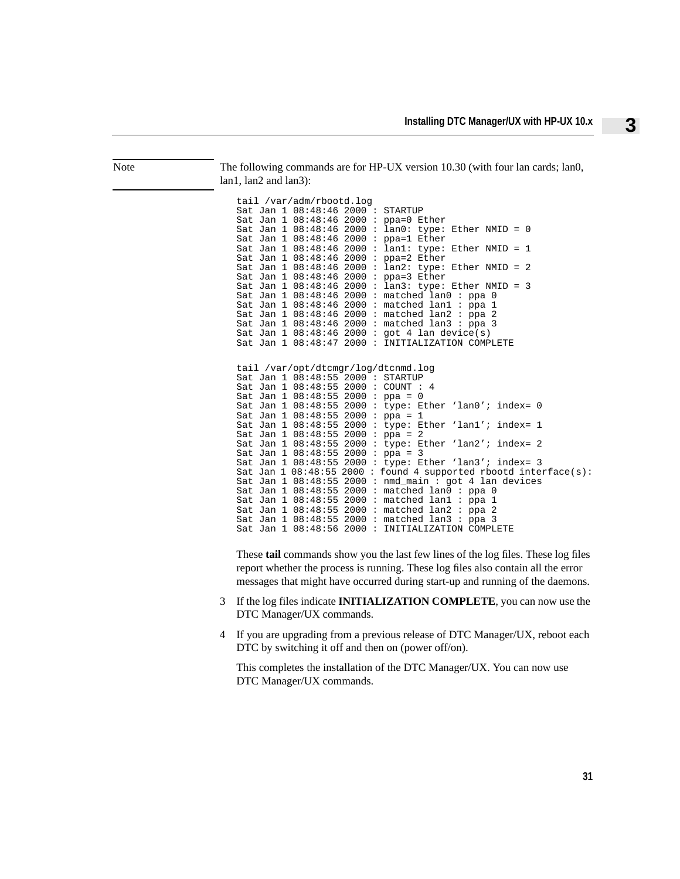| Note | The following commands are for HP-UX version 10.30 (with four lan cards; lan0,<br>$lan1$ , $lan2$ and $lan3$ ):                                                                                                                                                                                                                                                                                                                                                                                                                                                                                                                                                                                                                                                                                                                                                                                        |
|------|--------------------------------------------------------------------------------------------------------------------------------------------------------------------------------------------------------------------------------------------------------------------------------------------------------------------------------------------------------------------------------------------------------------------------------------------------------------------------------------------------------------------------------------------------------------------------------------------------------------------------------------------------------------------------------------------------------------------------------------------------------------------------------------------------------------------------------------------------------------------------------------------------------|
|      | tail /var/adm/rbootd.log<br>Sat Jan 1 08:48:46 2000 : STARTUP<br>Sat Jan 1 08:48:46 2000 : ppa=0 Ether<br>Sat Jan 1 08:48:46 2000 : lan0: type: Ether NMID = 0<br>Sat Jan 1 08:48:46 2000 : ppa=1 Ether<br>Sat Jan 1 08:48:46 2000 : lan1: type: Ether NMID = 1<br>Sat Jan 1 08:48:46 2000 : ppa=2 Ether<br>Sat Jan 1 08:48:46 2000 : lan2: type: Ether NMID = 2<br>Sat Jan 1 08:48:46 2000 : ppa=3 Ether<br>Sat Jan 1 08:48:46 2000 : lan3: type: Ether NMID = 3<br>Sat Jan 1 08:48:46 2000 : matched lan0 : ppa 0<br>Sat Jan 1 08:48:46 2000 : matched lan1 : ppa 1<br>Sat Jan 1 08:48:46 2000 : matched lan2 : ppa 2<br>Sat Jan 1 08:48:46 2000 : matched lan3 : ppa 3<br>Sat Jan 1 08:48:46 2000 : got 4 lan device(s)<br>Sat Jan 1 08:48:47 2000 : INITIALIZATION COMPLETE                                                                                                                        |
|      | tail /var/opt/dtcmgr/log/dtcnmd.log<br>Sat Jan 1 08:48:55 2000 : STARTUP<br>Sat Jan 1 08:48:55 2000 : COUNT : 4<br>Sat Jan 1 08:48:55 2000 : ppa = 0<br>Sat Jan 1 08:48:55 2000 : type: Ether 'lan0'; index= 0<br>Sat Jan 1 08:48:55 2000 : ppa = 1<br>Sat Jan 1 08:48:55 2000 : type: Ether 'lan1'; index= 1<br>Sat Jan 1 08:48:55 2000 : ppa = 2<br>Sat Jan 1 08:48:55 2000 : type: Ether 'lan2'; index= 2<br>Sat Jan 1 08:48:55 2000 : ppa = 3<br>Sat Jan 1 08:48:55 2000 : type: Ether 'lan3'; index= 3<br>Sat Jan 1 08:48:55 2000 : found 4 supported rbootd interface(s):<br>Sat Jan 1 08:48:55 2000 : nmd_main : got 4 lan devices<br>Sat Jan 1 08:48:55 2000 : matched lan0 : ppa 0<br>Sat Jan 1 08:48:55 2000 : matched lan1 : ppa 1<br>Sat Jan 1 08:48:55 2000 : matched lan2 : ppa 2<br>Sat Jan 1 08:48:55 2000 : matched lan3 : ppa 3<br>Sat Jan 1 08:48:56 2000 : INITIALIZATION COMPLETE |

These **tail** commands show you the last few lines of the log files. These log files report whether the process is running. These log files also contain all the error messages that might have occurred during start-up and running of the daemons.

- 3 If the log files indicate **INITIALIZATION COMPLETE**, you can now use the DTC Manager/UX commands.
- 4 If you are upgrading from a previous release of DTC Manager/UX, reboot each DTC by switching it off and then on (power off/on).

This completes the installation of the DTC Manager/UX. You can now use DTC Manager/UX commands.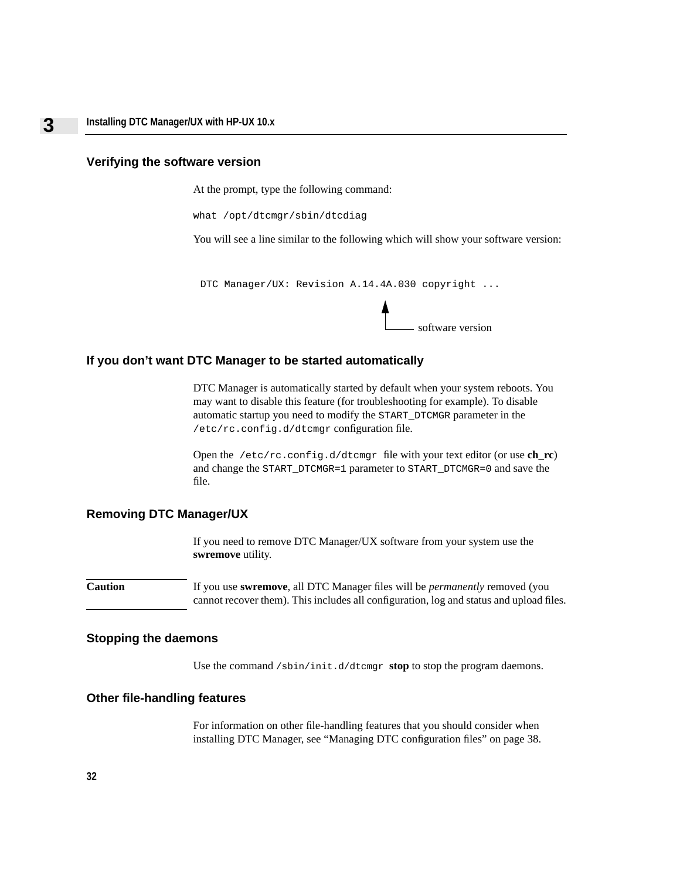### **Verifying the software version**

At the prompt, type the following command:

what /opt/dtcmgr/sbin/dtcdiag

You will see a line similar to the following which will show your software version:

software version

DTC Manager/UX: Revision A.14.4A.030 copyright ...

# **If you don't want DTC Manager to be started automatically**

DTC Manager is automatically started by default when your system reboots. You may want to disable this feature (for troubleshooting for example). To disable automatic startup you need to modify the START\_DTCMGR parameter in the /etc/rc.config.d/dtcmgr configuration file.

Open the /etc/rc.config.d/dtcmgr file with your text editor (or use **ch\_rc**) and change the START\_DTCMGR=1 parameter to START\_DTCMGR=0 and save the file.

# **Removing DTC Manager/UX**

If you need to remove DTC Manager/UX software from your system use the **swremove** utility.

**Caution** If you use **swremove**, all DTC Manager files will be *permanently* removed (you cannot recover them). This includes all configuration, log and status and upload files.

#### **Stopping the daemons**

Use the command /sbin/init.d/dtcmgr **stop** to stop the program daemons.

## **Other file-handling features**

For information on other file-handling features that you should consider when installing DTC Manager, see "Managing DTC configuration files" on page 38.

**32**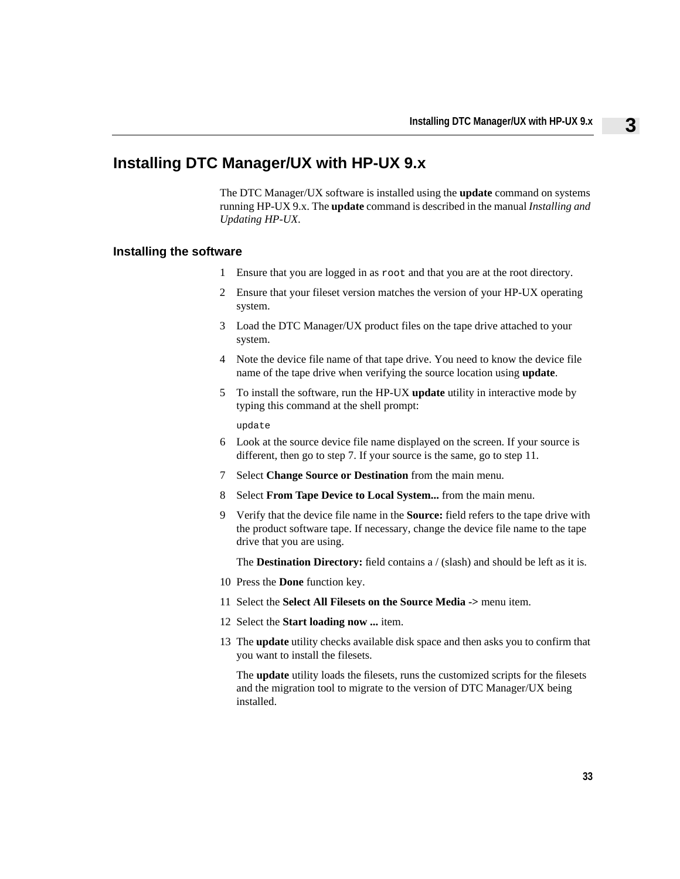# **Installing DTC Manager/UX with HP-UX 9.x**

The DTC Manager/UX software is installed using the **update** command on systems running HP-UX 9.x. The **update** command is described in the manual *Installing and Updating HP-UX*.

### **Installing the software**

- 1 Ensure that you are logged in as root and that you are at the root directory.
- 2 Ensure that your fileset version matches the version of your HP-UX operating system.
- 3 Load the DTC Manager/UX product files on the tape drive attached to your system.
- 4 Note the device file name of that tape drive. You need to know the device file name of the tape drive when verifying the source location using **update**.
- 5 To install the software, run the HP-UX **update** utility in interactive mode by typing this command at the shell prompt:

update

- 6 Look at the source device file name displayed on the screen. If your source is different, then go to step 7. If your source is the same, go to step 11.
- 7 Select **Change Source or Destination** from the main menu.
- 8 Select **From Tape Device to Local System...** from the main menu.
- 9 Verify that the device file name in the **Source:** field refers to the tape drive with the product software tape. If necessary, change the device file name to the tape drive that you are using.

The **Destination Directory:** field contains a / (slash) and should be left as it is.

- 10 Press the **Done** function key.
- 11 Select the **Select All Filesets on the Source Media ->** menu item.
- 12 Select the **Start loading now ...** item.
- 13 The **update** utility checks available disk space and then asks you to confirm that you want to install the filesets.

The **update** utility loads the filesets, runs the customized scripts for the filesets and the migration tool to migrate to the version of DTC Manager/UX being installed.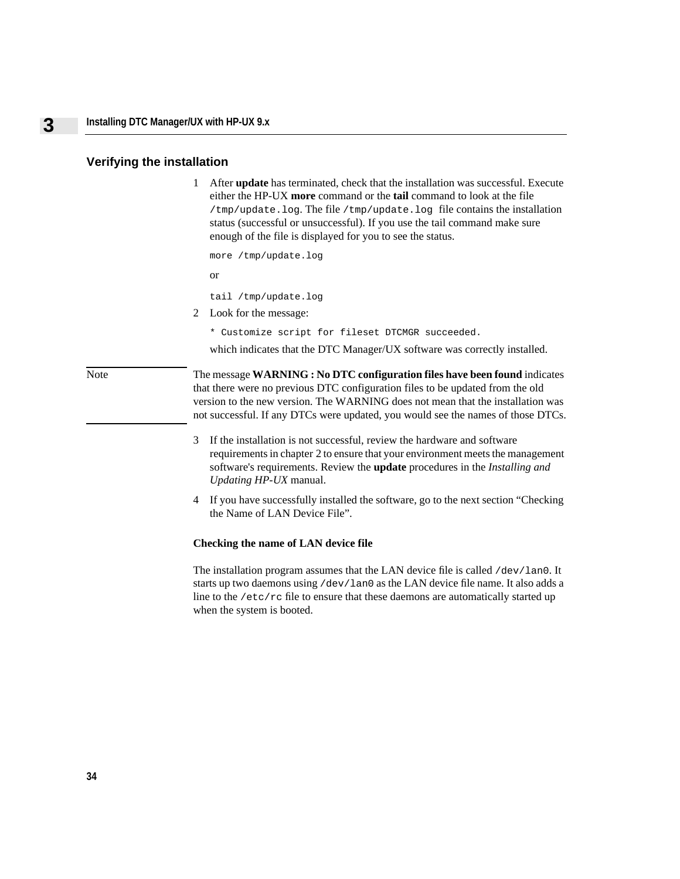## **Verifying the installation**

1 After **update** has terminated, check that the installation was successful. Execute either the HP-UX **more** command or the **tail** command to look at the file /tmp/update.log. The file /tmp/update.log file contains the installation status (successful or unsuccessful). If you use the tail command make sure enough of the file is displayed for you to see the status.

```
more /tmp/update.log
or
tail /tmp/update.log
```
- 2 Look for the message:
	- \* Customize script for fileset DTCMGR succeeded.

which indicates that the DTC Manager/UX software was correctly installed.

Note The message **WARNING : No DTC configuration files have been found** indicates that there were no previous DTC configuration files to be updated from the old version to the new version. The WARNING does not mean that the installation was not successful. If any DTCs were updated, you would see the names of those DTCs.

- 3 If the installation is not successful, review the hardware and software requirements in chapter 2 to ensure that your environment meets the management software's requirements. Review the **update** procedures in the *Installing and Updating HP-UX* manual.
- 4 If you have successfully installed the software, go to the next section "Checking the Name of LAN Device File".

## **Checking the name of LAN device file**

The installation program assumes that the LAN device file is called  $/$ dev $/$ lan0. It starts up two daemons using /dev/lan0 as the LAN device file name. It also adds a line to the /etc/rc file to ensure that these daemons are automatically started up when the system is booted.

**34**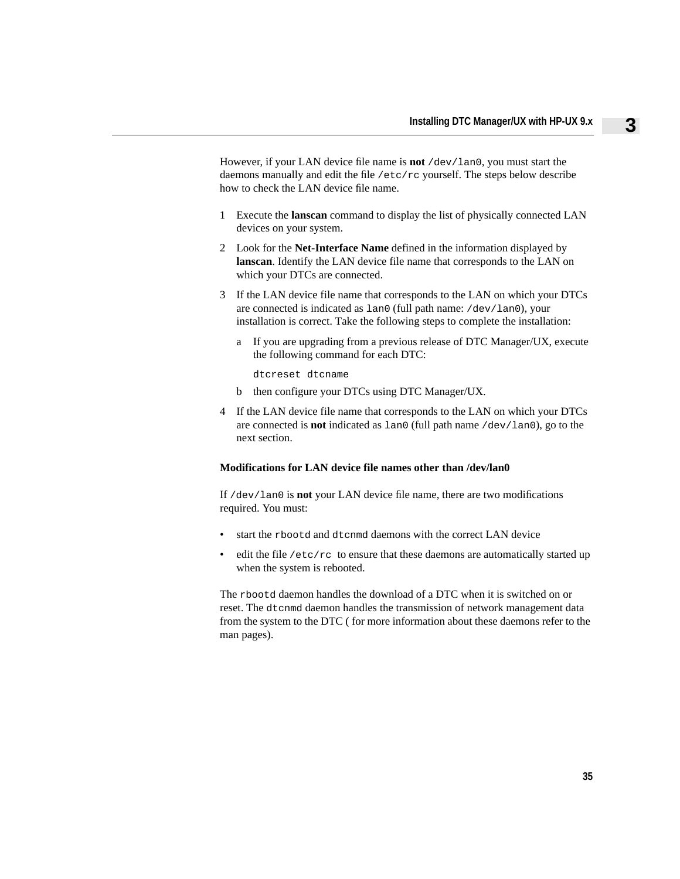However, if your LAN device file name is **not** /dev/lan0, you must start the daemons manually and edit the file /etc/rc yourself. The steps below describe how to check the LAN device file name.

- 1 Execute the **lanscan** command to display the list of physically connected LAN devices on your system.
- 2 Look for the **Net-Interface Name** defined in the information displayed by **lanscan**. Identify the LAN device file name that corresponds to the LAN on which your DTCs are connected.
- 3 If the LAN device file name that corresponds to the LAN on which your DTCs are connected is indicated as lan0 (full path name: /dev/lan0), your installation is correct. Take the following steps to complete the installation:
	- a If you are upgrading from a previous release of DTC Manager/UX, execute the following command for each DTC:
		- dtcreset dtcname
	- b then configure your DTCs using DTC Manager/UX.
- 4 If the LAN device file name that corresponds to the LAN on which your DTCs are connected is **not** indicated as lan0 (full path name /dev/lan0), go to the next section.

#### **Modifications for LAN device file names other than /dev/lan0**

If /dev/lan0 is **not** your LAN device file name, there are two modifications required. You must:

- start the rbootd and dtcnmd daemons with the correct LAN device
- edit the file /etc/rc to ensure that these daemons are automatically started up when the system is rebooted.

The rbootd daemon handles the download of a DTC when it is switched on or reset. The dtcnmd daemon handles the transmission of network management data from the system to the DTC ( for more information about these daemons refer to the man pages).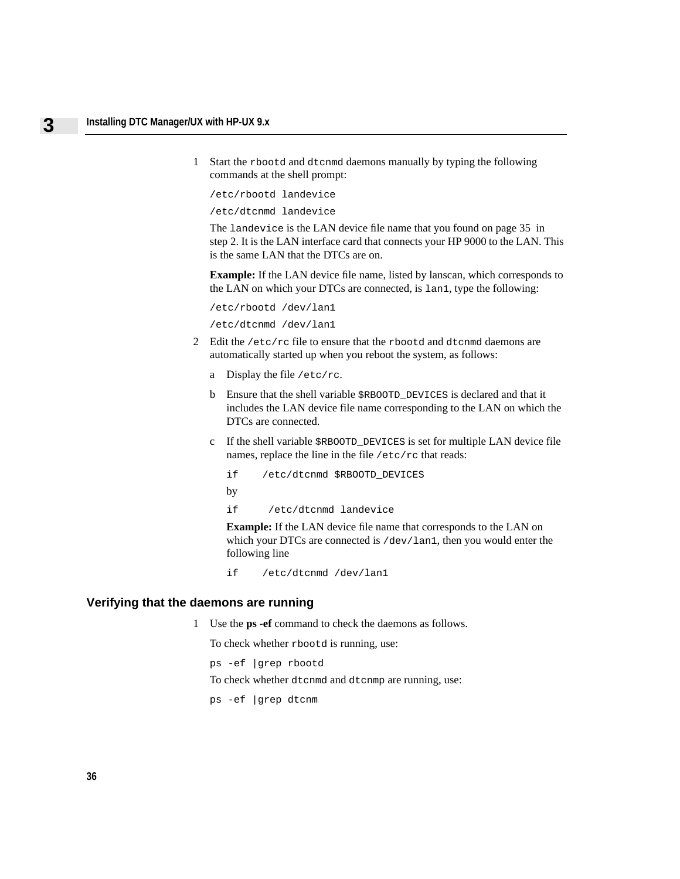1 Start the rbootd and dtcnmd daemons manually by typing the following commands at the shell prompt:

/etc/rbootd landevice /etc/dtcnmd landevice

The landevice is the LAN device file name that you found on page 35 in step 2. It is the LAN interface card that connects your HP 9000 to the LAN. This is the same LAN that the DTCs are on.

**Example:** If the LAN device file name, listed by lanscan, which corresponds to the LAN on which your DTCs are connected, is lan1, type the following:

/etc/rbootd /dev/lan1 /etc/dtcnmd /dev/lan1

- 2 Edit the /etc/rc file to ensure that the rbootd and dtcnmd daemons are automatically started up when you reboot the system, as follows:
	- a Display the file /etc/rc.
	- b Ensure that the shell variable \$RBOOTD\_DEVICES is declared and that it includes the LAN device file name corresponding to the LAN on which the DTCs are connected.
	- c If the shell variable \$RBOOTD\_DEVICES is set for multiple LAN device file names, replace the line in the file /etc/rc that reads:

if /etc/dtcnmd \$RBOOTD\_DEVICES by if /etc/dtcnmd landevice

**Example:** If the LAN device file name that corresponds to the LAN on which your DTCs are connected is /dev/lan1, then you would enter the following line

if /etc/dtcnmd /dev/lan1

## **Verifying that the daemons are running**

1 Use the **ps -ef** command to check the daemons as follows.

To check whether rbootd is running, use:

ps -ef |grep rbootd

To check whether dtcnmd and dtcnmp are running, use:

ps -ef |grep dtcnm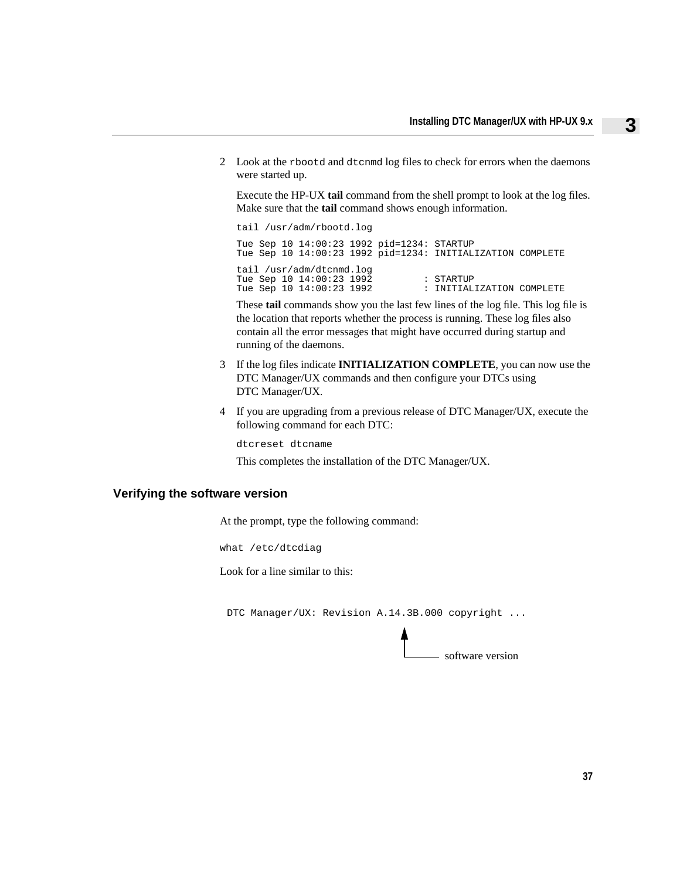2 Look at the rbootd and dtcnmd log files to check for errors when the daemons were started up.

Execute the HP-UX **tail** command from the shell prompt to look at the log files. Make sure that the **tail** command shows enough information.

tail /usr/adm/rbootd.log Tue Sep 10 14:00:23 1992 pid=1234: STARTUP Tue Sep 10 14:00:23 1992 pid=1234: INITIALIZATION COMPLETE tail /usr/adm/dtcnmd.log Tue Sep 10 14:00:23 1992 : STARTUP Tue Sep 10 14:00:23 1992 : INITIALIZATION COMPLETE

These **tail** commands show you the last few lines of the log file. This log file is the location that reports whether the process is running. These log files also contain all the error messages that might have occurred during startup and running of the daemons.

- 3 If the log files indicate **INITIALIZATION COMPLETE**, you can now use the DTC Manager/UX commands and then configure your DTCs using DTC Manager/UX.
- 4 If you are upgrading from a previous release of DTC Manager/UX, execute the following command for each DTC:

dtcreset dtcname

This completes the installation of the DTC Manager/UX.

#### **Verifying the software version**

At the prompt, type the following command:

what /etc/dtcdiag

Look for a line similar to this:

DTC Manager/UX: Revision A.14.3B.000 copyright ...

software version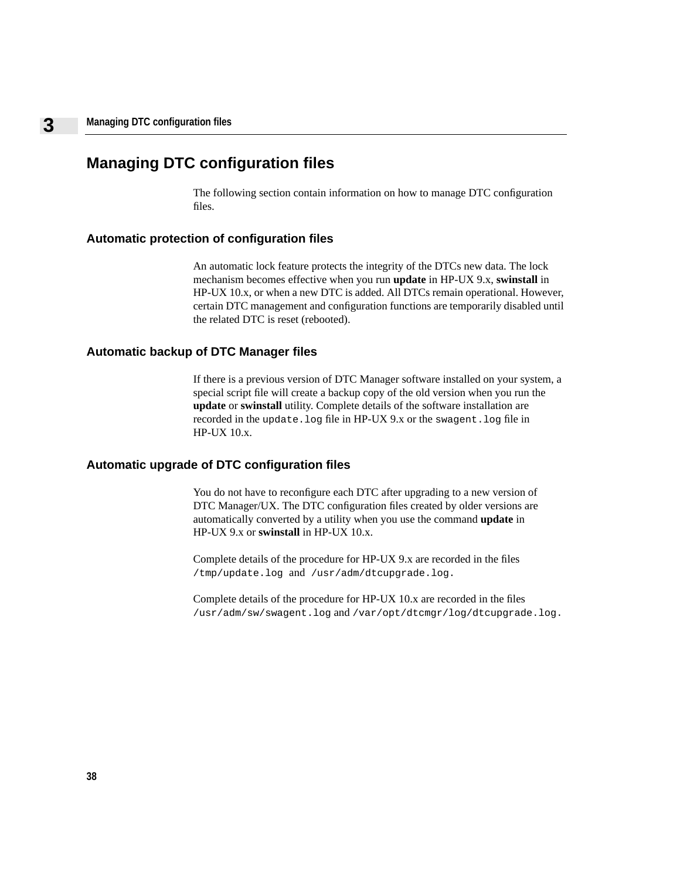## **Managing DTC configuration files**

The following section contain information on how to manage DTC configuration files.

#### **Automatic protection of configuration files**

An automatic lock feature protects the integrity of the DTCs new data. The lock mechanism becomes effective when you run **update** in HP-UX 9.x, **swinstall** in HP-UX 10.x, or when a new DTC is added. All DTCs remain operational. However, certain DTC management and configuration functions are temporarily disabled until the related DTC is reset (rebooted).

#### **Automatic backup of DTC Manager files**

If there is a previous version of DTC Manager software installed on your system, a special script file will create a backup copy of the old version when you run the **update** or **swinstall** utility. Complete details of the software installation are recorded in the update.log file in HP-UX 9.x or the swagent.log file in HP-UX 10.x.

#### **Automatic upgrade of DTC configuration files**

You do not have to reconfigure each DTC after upgrading to a new version of DTC Manager/UX. The DTC configuration files created by older versions are automatically converted by a utility when you use the command **update** in HP-UX 9.x or **swinstall** in HP-UX 10.x.

Complete details of the procedure for HP-UX 9.x are recorded in the files /tmp/update.log and /usr/adm/dtcupgrade.log.

Complete details of the procedure for HP-UX 10.x are recorded in the files /usr/adm/sw/swagent.log and /var/opt/dtcmgr/log/dtcupgrade.log.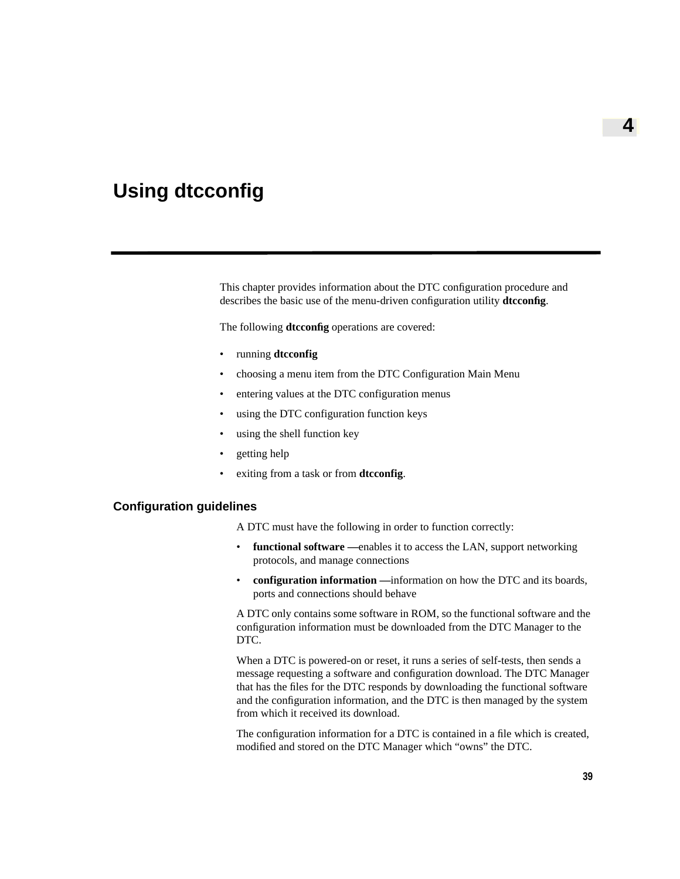# **Using dtcconfig**

This chapter provides information about the DTC configuration procedure and describes the basic use of the menu-driven configuration utility **dtcconfig**.

The following **dtcconfig** operations are covered:

- running **dtcconfig**
- choosing a menu item from the DTC Configuration Main Menu
- entering values at the DTC configuration menus
- using the DTC configuration function keys
- using the shell function key
- getting help
- exiting from a task or from **dtcconfig**.

#### **Configuration guidelines**

A DTC must have the following in order to function correctly:

- **functional software —**enables it to access the LAN, support networking protocols, and manage connections
- **configuration information —**information on how the DTC and its boards, ports and connections should behave

A DTC only contains some software in ROM, so the functional software and the configuration information must be downloaded from the DTC Manager to the DTC.

When a DTC is powered-on or reset, it runs a series of self-tests, then sends a message requesting a software and configuration download. The DTC Manager that has the files for the DTC responds by downloading the functional software and the configuration information, and the DTC is then managed by the system from which it received its download.

The configuration information for a DTC is contained in a file which is created, modified and stored on the DTC Manager which "owns" the DTC.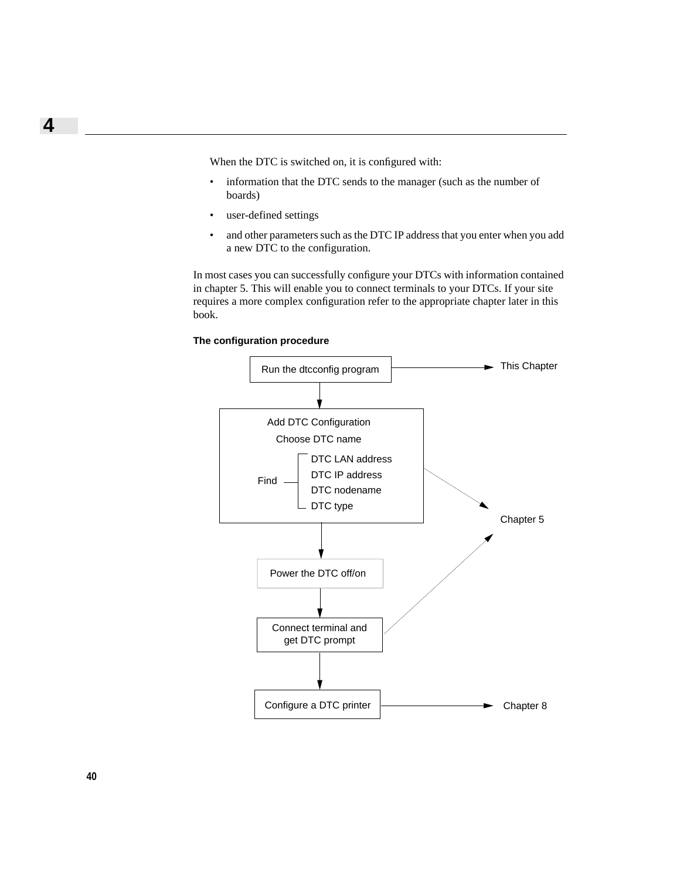When the DTC is switched on, it is configured with:

- information that the DTC sends to the manager (such as the number of boards)
- user-defined settings
- and other parameters such as the DTC IP address that you enter when you add a new DTC to the configuration.

In most cases you can successfully configure your DTCs with information contained in chapter 5. This will enable you to connect terminals to your DTCs. If your site requires a more complex configuration refer to the appropriate chapter later in this book.

#### **The configuration procedure**

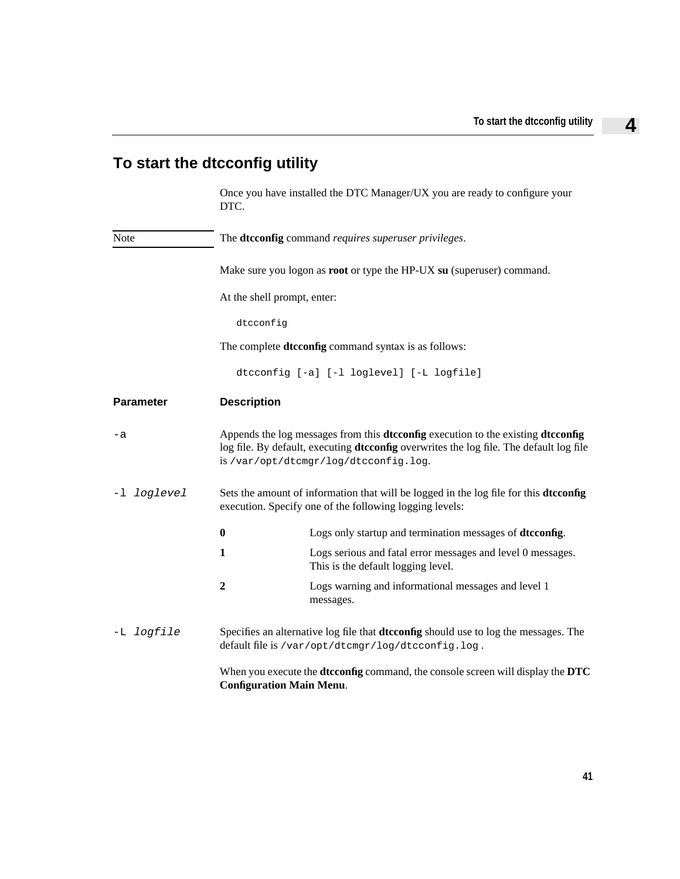# **To start the dtcconfig utility**

Once you have installed the DTC Manager/UX you are ready to configure your DTC.

| Note             |                                 | The dicconfig command requires superuser privileges.                                                                                                                                                                |
|------------------|---------------------------------|---------------------------------------------------------------------------------------------------------------------------------------------------------------------------------------------------------------------|
|                  |                                 | Make sure you logon as root or type the HP-UX su (superuser) command.                                                                                                                                               |
|                  | At the shell prompt, enter:     |                                                                                                                                                                                                                     |
|                  | dtcconfig                       |                                                                                                                                                                                                                     |
|                  |                                 | The complete <b>dtcconfig</b> command syntax is as follows:                                                                                                                                                         |
|                  |                                 | dtcconfig [-a] [-l loglevel] [-L logfile]                                                                                                                                                                           |
| <b>Parameter</b> | <b>Description</b>              |                                                                                                                                                                                                                     |
| $-a$             |                                 | Appends the log messages from this dtcconfig execution to the existing dtcconfig<br>log file. By default, executing dicconfig overwrites the log file. The default log file<br>is/var/opt/dtcmgr/log/dtcconfig.log. |
| -1 loglevel      |                                 | Sets the amount of information that will be logged in the log file for this disconfig<br>execution. Specify one of the following logging levels:                                                                    |
|                  | $\bf{0}$                        | Logs only startup and termination messages of dtcconfig.                                                                                                                                                            |
|                  | 1                               | Logs serious and fatal error messages and level 0 messages.<br>This is the default logging level.                                                                                                                   |
|                  | $\mathbf{2}$                    | Logs warning and informational messages and level 1<br>messages.                                                                                                                                                    |
| -L logfile       |                                 | Specifies an alternative log file that direconfig should use to log the messages. The<br>default file is /var/opt/dtcmgr/log/dtcconfig.log.                                                                         |
|                  | <b>Configuration Main Menu.</b> | When you execute the <b>dicconfig</b> command, the console screen will display the DTC                                                                                                                              |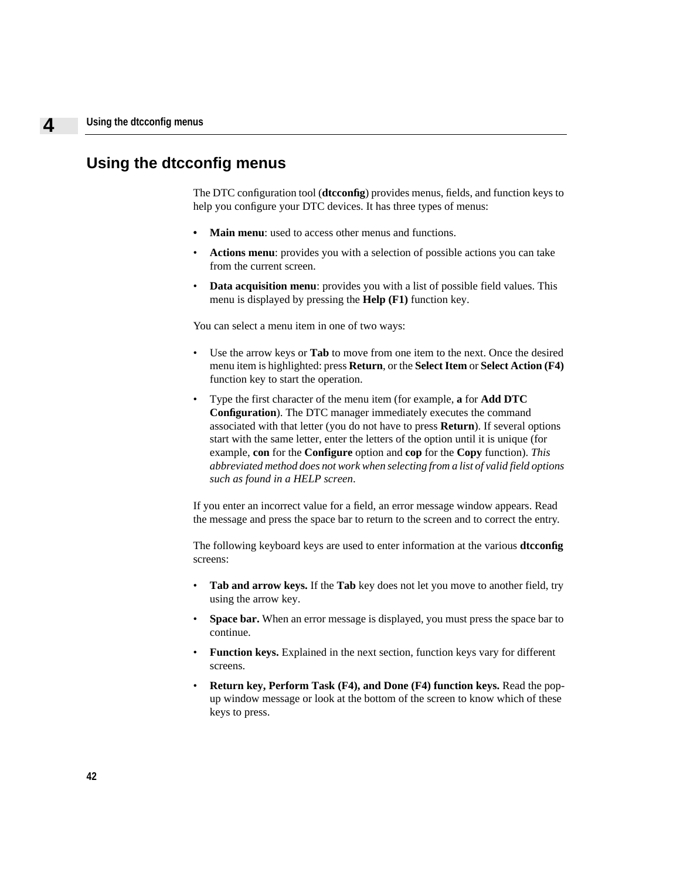## **Using the dtcconfig menus**

The DTC configuration tool (**dtcconfig**) provides menus, fields, and function keys to help you configure your DTC devices. It has three types of menus:

- **Main menu**: used to access other menus and functions.
- **Actions menu**: provides you with a selection of possible actions you can take from the current screen.
- **Data acquisition menu**: provides you with a list of possible field values. This menu is displayed by pressing the **Help (F1)** function key.

You can select a menu item in one of two ways:

- Use the arrow keys or **Tab** to move from one item to the next. Once the desired menu item is highlighted: press **Return**, or the **Select Item** or **Select Action (F4)** function key to start the operation.
- Type the first character of the menu item (for example, **a** for **Add DTC Configuration**). The DTC manager immediately executes the command associated with that letter (you do not have to press **Return**). If several options start with the same letter, enter the letters of the option until it is unique (for example, **con** for the **Configure** option and **cop** for the **Copy** function). *This abbreviated method does not work when selecting from a list of valid field options such as found in a HELP screen*.

If you enter an incorrect value for a field, an error message window appears. Read the message and press the space bar to return to the screen and to correct the entry.

The following keyboard keys are used to enter information at the various **dtcconfig** screens:

- **Tab and arrow keys.** If the **Tab** key does not let you move to another field, try using the arrow key.
- **Space bar.** When an error message is displayed, you must press the space bar to continue.
- **Function keys.** Explained in the next section, function keys vary for different screens.
- **Return key, Perform Task (F4), and Done (F4) function keys.** Read the popup window message or look at the bottom of the screen to know which of these keys to press.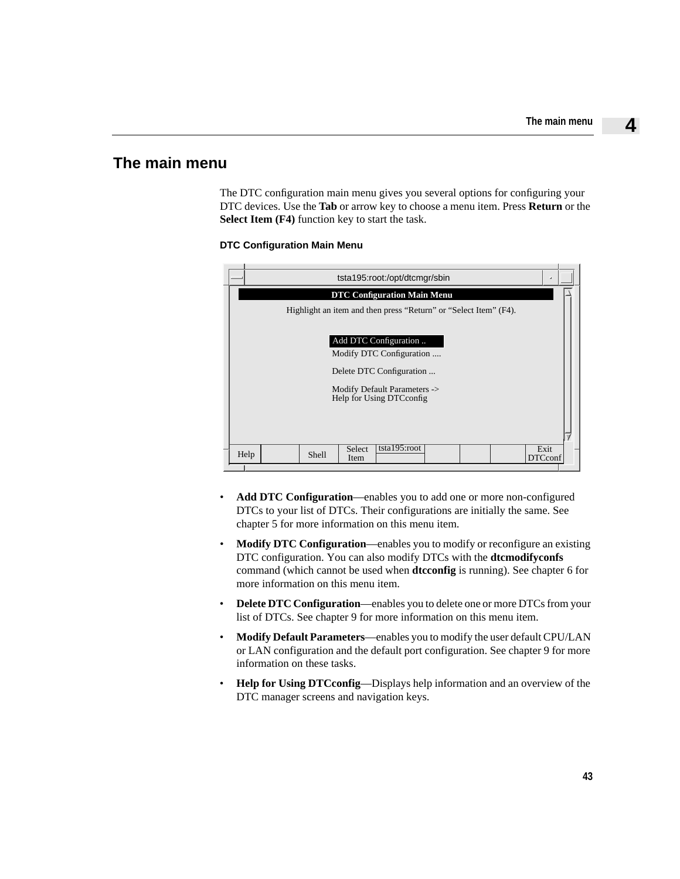## **The main menu**

The DTC configuration main menu gives you several options for configuring your DTC devices. Use the **Tab** or arrow key to choose a menu item. Press **Return** or the **Select Item (F4)** function key to start the task.

#### **DTC Configuration Main Menu**

|                                        | tsta195:root:/opt/dtcmgr/sbin<br>ы                               |  |
|----------------------------------------|------------------------------------------------------------------|--|
|                                        | <b>DTC Configuration Main Menu</b>                               |  |
|                                        | Highlight an item and then press "Return" or "Select Item" (F4). |  |
|                                        |                                                                  |  |
| Add DTC Configuration                  |                                                                  |  |
|                                        | Modify DTC Configuration                                         |  |
|                                        | Delete DTC Configuration                                         |  |
|                                        | Modify Default Parameters ->                                     |  |
| Help for Using DTCconfig               |                                                                  |  |
|                                        |                                                                  |  |
|                                        |                                                                  |  |
|                                        | tsta195:root                                                     |  |
| <b>Select</b><br>Help<br>Shell<br>Item | Exit<br><b>DTCconf</b>                                           |  |

- **Add DTC Configuration**—enables you to add one or more non-configured DTCs to your list of DTCs. Their configurations are initially the same. See chapter 5 for more information on this menu item.
- **Modify DTC Configuration—enables you to modify or reconfigure an existing** DTC configuration. You can also modify DTCs with the **dtcmodifyconfs** command (which cannot be used when **dtcconfig** is running). See chapter 6 for more information on this menu item.
- **Delete DTC Configuration**—enables you to delete one or more DTCs from your list of DTCs. See chapter 9 for more information on this menu item.
- **Modify Default Parameters**—enables you to modify the user default CPU/LAN or LAN configuration and the default port configuration. See chapter 9 for more information on these tasks.
- **Help for Using DTCconfig**—Displays help information and an overview of the DTC manager screens and navigation keys.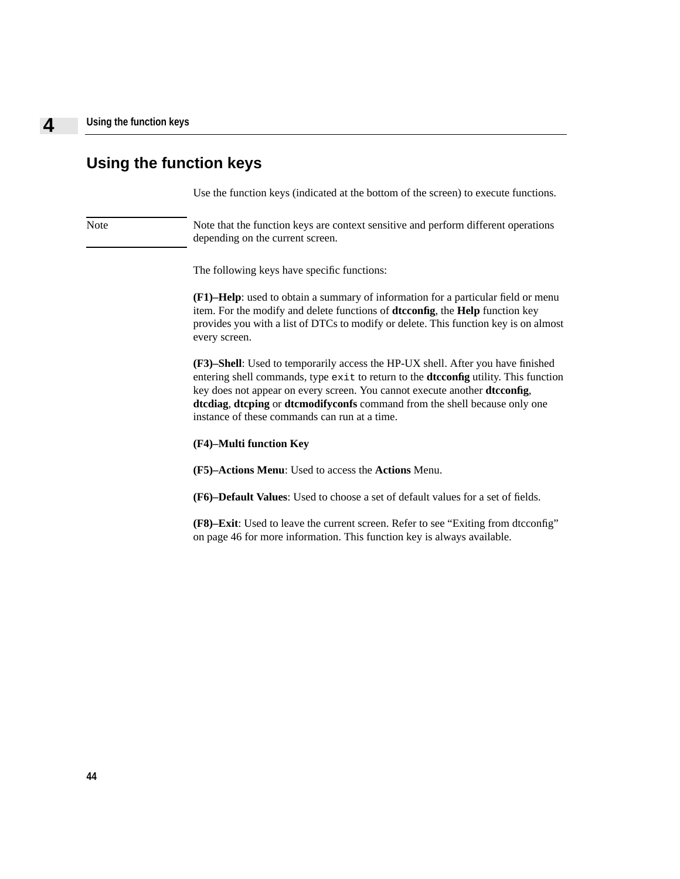## **Using the function keys**

Use the function keys (indicated at the bottom of the screen) to execute functions.

Note Note that the function keys are context sensitive and perform different operations depending on the current screen.

The following keys have specific functions:

**(F1)–Help**: used to obtain a summary of information for a particular field or menu item. For the modify and delete functions of **dtcconfig**, the **Help** function key provides you with a list of DTCs to modify or delete. This function key is on almost every screen.

**(F3)–Shell**: Used to temporarily access the HP-UX shell. After you have finished entering shell commands, type exit to return to the **dtcconfig** utility. This function key does not appear on every screen. You cannot execute another **dtcconfig**, **dtcdiag**, **dtcping** or **dtcmodifyconfs** command from the shell because only one instance of these commands can run at a time.

**(F4)–Multi function Key**

**(F5)–Actions Menu**: Used to access the **Actions** Menu.

**(F6)–Default Values**: Used to choose a set of default values for a set of fields.

**(F8)–Exit**: Used to leave the current screen. Refer to see "Exiting from dtcconfig" on page 46 for more information. This function key is always available.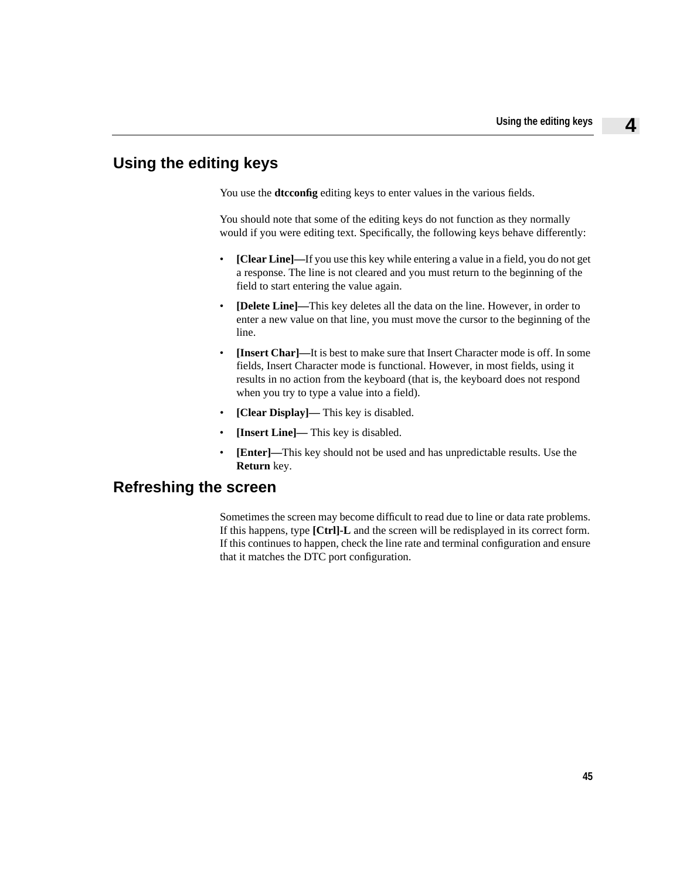## **Using the editing keys**

You use the **dtcconfig** editing keys to enter values in the various fields.

You should note that some of the editing keys do not function as they normally would if you were editing text. Specifically, the following keys behave differently:

- **[Clear Line]—**If you use this key while entering a value in a field, you do not get a response. The line is not cleared and you must return to the beginning of the field to start entering the value again.
- **[Delete Line]—**This key deletes all the data on the line. However, in order to enter a new value on that line, you must move the cursor to the beginning of the line.
- **[Insert Char]—**It is best to make sure that Insert Character mode is off. In some fields, Insert Character mode is functional. However, in most fields, using it results in no action from the keyboard (that is, the keyboard does not respond when you try to type a value into a field).
- **[Clear Display]—** This key is disabled.
- [Insert Line]— This key is disabled.
- **[Enter]—**This key should not be used and has unpredictable results. Use the **Return** key.

## **Refreshing the screen**

Sometimes the screen may become difficult to read due to line or data rate problems. If this happens, type **[Ctrl]-L** and the screen will be redisplayed in its correct form. If this continues to happen, check the line rate and terminal configuration and ensure that it matches the DTC port configuration.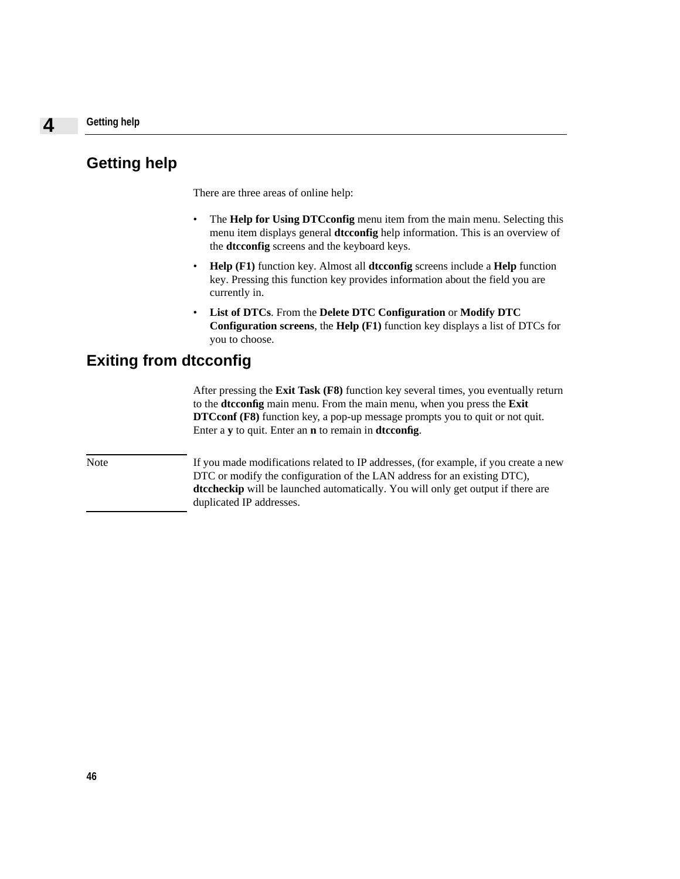## **Getting help**

There are three areas of online help:

- The **Help for Using DTCconfig** menu item from the main menu. Selecting this menu item displays general **dtcconfig** help information. This is an overview of the **dtcconfig** screens and the keyboard keys.
- **Help (F1)** function key. Almost all **dtcconfig** screens include a **Help** function key. Pressing this function key provides information about the field you are currently in.
- **List of DTCs**. From the **Delete DTC Configuration** or **Modify DTC Configuration screens**, the **Help (F1)** function key displays a list of DTCs for you to choose.

## **Exiting from dtcconfig**

After pressing the **Exit Task (F8)** function key several times, you eventually return to the **dtcconfig** main menu. From the main menu, when you press the **Exit DTCconf (F8)** function key, a pop-up message prompts you to quit or not quit. Enter a **y** to quit. Enter an **n** to remain in **dtcconfig**.

Note If you made modifications related to IP addresses, (for example, if you create a new DTC or modify the configuration of the LAN address for an existing DTC), **dtccheckip** will be launched automatically. You will only get output if there are duplicated IP addresses.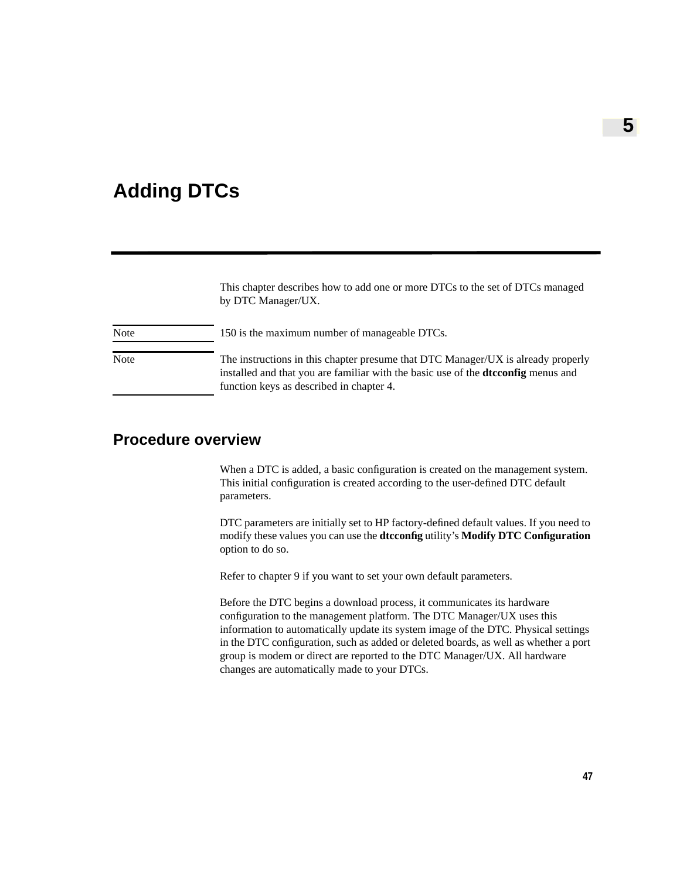# **Adding DTCs**

|      | This chapter describes how to add one or more DTCs to the set of DTCs managed<br>by DTC Manager/UX.                                                                                                                     |
|------|-------------------------------------------------------------------------------------------------------------------------------------------------------------------------------------------------------------------------|
| Note | 150 is the maximum number of manageable DTCs.                                                                                                                                                                           |
| Note | The instructions in this chapter presume that DTC Manager/UX is already properly<br>installed and that you are familiar with the basic use of the <b>deconfig</b> menus and<br>function keys as described in chapter 4. |

## **Procedure overview**

When a DTC is added, a basic configuration is created on the management system. This initial configuration is created according to the user-defined DTC default parameters.

DTC parameters are initially set to HP factory-defined default values. If you need to modify these values you can use the **dtcconfig** utility's **Modify DTC Configuration** option to do so.

Refer to chapter 9 if you want to set your own default parameters.

Before the DTC begins a download process, it communicates its hardware configuration to the management platform. The DTC Manager/UX uses this information to automatically update its system image of the DTC. Physical settings in the DTC configuration, such as added or deleted boards, as well as whether a port group is modem or direct are reported to the DTC Manager/UX. All hardware changes are automatically made to your DTCs.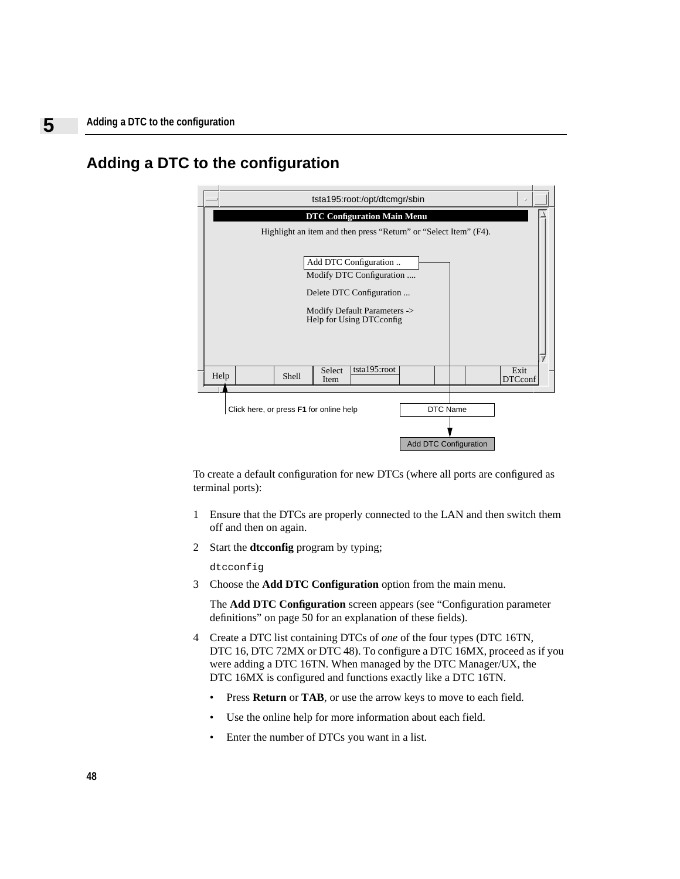## **Adding a DTC to the configuration**



To create a default configuration for new DTCs (where all ports are configured as terminal ports):

- 1 Ensure that the DTCs are properly connected to the LAN and then switch them off and then on again.
- 2 Start the **dtcconfig** program by typing;

dtcconfig

3 Choose the **Add DTC Configuration** option from the main menu.

The **Add DTC Configuration** screen appears (see "Configuration parameter definitions" on page 50 for an explanation of these fields).

- 4 Create a DTC list containing DTCs of *one* of the four types (DTC 16TN, DTC 16, DTC 72MX or DTC 48). To configure a DTC 16MX, proceed as if you were adding a DTC 16TN. When managed by the DTC Manager/UX, the DTC 16MX is configured and functions exactly like a DTC 16TN.
	- Press **Return** or **TAB**, or use the arrow keys to move to each field.
	- Use the online help for more information about each field.
	- Enter the number of DTCs you want in a list.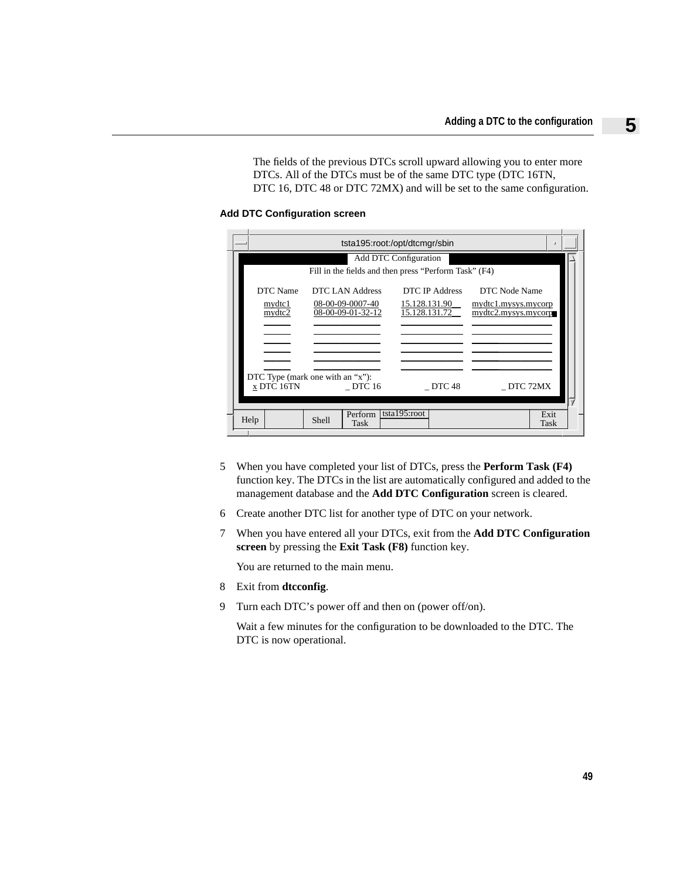$\mathbf{1}$  and  $\mathbf{1}$ 

The fields of the previous DTCs scroll upward allowing you to enter more DTCs. All of the DTCs must be of the same DTC type (DTC 16TN, DTC 16, DTC 48 or DTC 72MX) and will be set to the same configuration.

#### **Add DTC Configuration screen**

 $\mathbf{r}$ 

|                  |                                                       | tsta195:root:/opt/dtcmgr/sbin  | a.                                         |  |  |  |  |  |  |  |  |
|------------------|-------------------------------------------------------|--------------------------------|--------------------------------------------|--|--|--|--|--|--|--|--|
|                  | <b>Add DTC Configuration</b>                          |                                |                                            |  |  |  |  |  |  |  |  |
|                  | Fill in the fields and then press "Perform Task" (F4) |                                |                                            |  |  |  |  |  |  |  |  |
| DTC Name         | DTC LAN Address                                       | DTC IP Address                 | DTC Node Name                              |  |  |  |  |  |  |  |  |
| mydtc1<br>mydtc2 | 08-00-09-0007-40<br>08-00-09-01-32-12                 | 15.128.131.90<br>15.128.131.72 | mydtc1.mysys.mycorp<br>mydtc2.mysys.mycorp |  |  |  |  |  |  |  |  |
|                  |                                                       |                                |                                            |  |  |  |  |  |  |  |  |
|                  |                                                       |                                |                                            |  |  |  |  |  |  |  |  |
|                  |                                                       |                                |                                            |  |  |  |  |  |  |  |  |
| x DTC 16TN       | DTC Type (mark one with an "x"):<br>DTC 16            | DTC 48                         | DTC 72MX                                   |  |  |  |  |  |  |  |  |
|                  |                                                       |                                |                                            |  |  |  |  |  |  |  |  |
| Help             | Perform<br><b>Shell</b><br><b>Task</b>                | tsta195:root                   | Exit<br><b>Task</b>                        |  |  |  |  |  |  |  |  |

- 5 When you have completed your list of DTCs, press the **Perform Task (F4)** function key. The DTCs in the list are automatically configured and added to the management database and the **Add DTC Configuration** screen is cleared.
- 6 Create another DTC list for another type of DTC on your network.
- 7 When you have entered all your DTCs, exit from the **Add DTC Configuration screen** by pressing the **Exit Task (F8)** function key.

You are returned to the main menu.

- 8 Exit from **dtcconfig**.
- 9 Turn each DTC's power off and then on (power off/on).

Wait a few minutes for the configuration to be downloaded to the DTC. The DTC is now operational.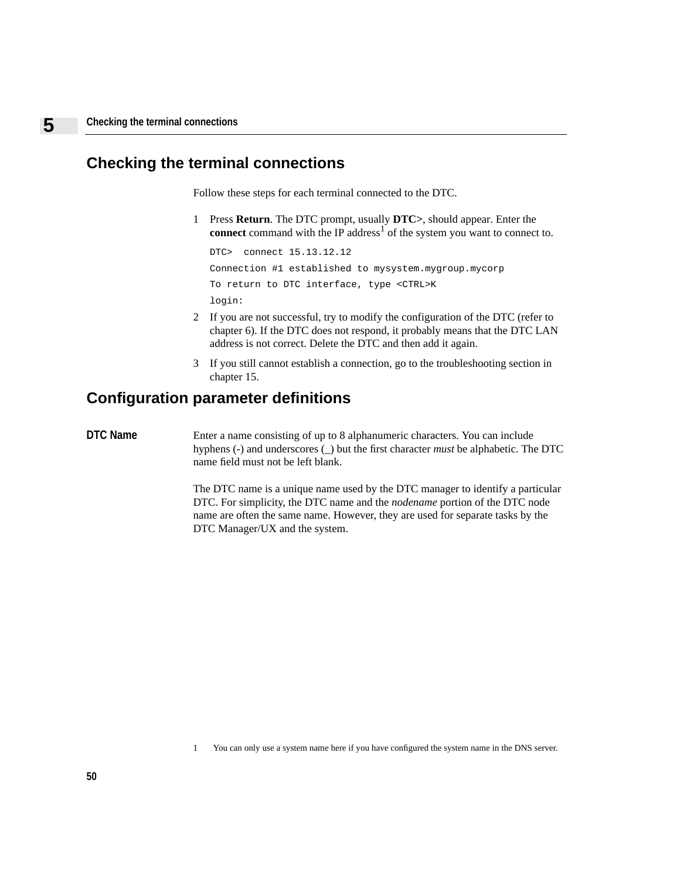## **Checking the terminal connections**

Follow these steps for each terminal connected to the DTC.

1 Press **Return**. The DTC prompt, usually **DTC>**, should appear. Enter the connect command with the IP address<sup>1</sup> of the system you want to connect to.

```
DTC> connect 15.13.12.12
Connection #1 established to mysystem.mygroup.mycorp
To return to DTC interface, type <CTRL>K
login:
```
- 2 If you are not successful, try to modify the configuration of the DTC (refer to chapter 6). If the DTC does not respond, it probably means that the DTC LAN address is not correct. Delete the DTC and then add it again.
- 3 If you still cannot establish a connection, go to the troubleshooting section in chapter 15.

## **Configuration parameter definitions**

**DTC Name** Enter a name consisting of up to 8 alphanumeric characters. You can include hyphens (-) and underscores (\_) but the first character *must* be alphabetic. The DTC name field must not be left blank.

> The DTC name is a unique name used by the DTC manager to identify a particular DTC. For simplicity, the DTC name and the *nodename* portion of the DTC node name are often the same name. However, they are used for separate tasks by the DTC Manager/UX and the system.

1 You can only use a system name here if you have configured the system name in the DNS server.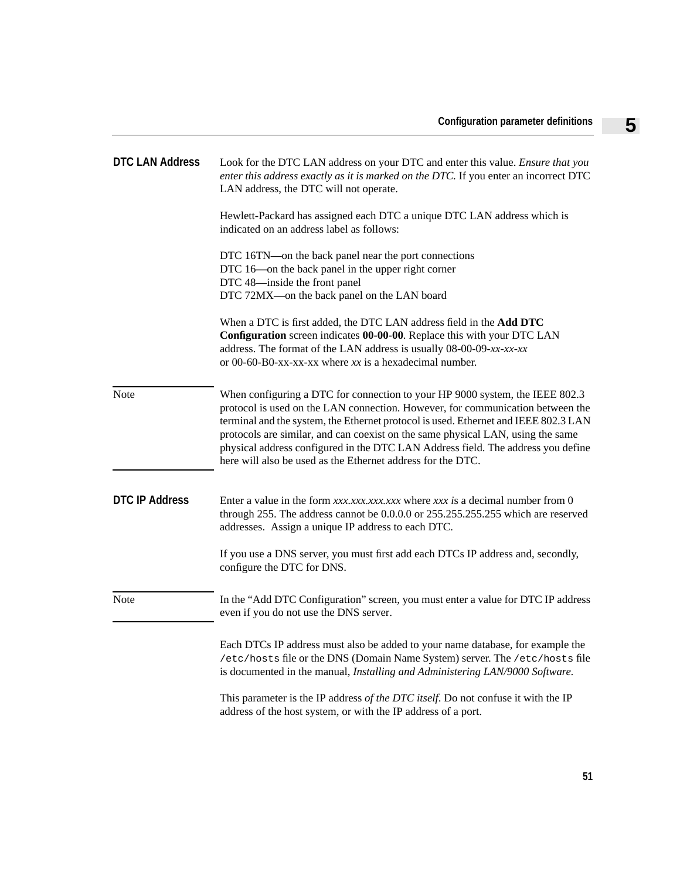| <b>DTC LAN Address</b> | Look for the DTC LAN address on your DTC and enter this value. Ensure that you<br>enter this address exactly as it is marked on the DTC. If you enter an incorrect DTC<br>LAN address, the DTC will not operate.                                                                                                                                                                                                                                                                            |
|------------------------|---------------------------------------------------------------------------------------------------------------------------------------------------------------------------------------------------------------------------------------------------------------------------------------------------------------------------------------------------------------------------------------------------------------------------------------------------------------------------------------------|
|                        | Hewlett-Packard has assigned each DTC a unique DTC LAN address which is<br>indicated on an address label as follows:                                                                                                                                                                                                                                                                                                                                                                        |
|                        | DTC 16TN-on the back panel near the port connections<br>DTC 16-on the back panel in the upper right corner<br>DTC 48-inside the front panel<br>DTC 72MX-on the back panel on the LAN board                                                                                                                                                                                                                                                                                                  |
|                        | When a DTC is first added, the DTC LAN address field in the Add DTC<br>Configuration screen indicates 00-00-00. Replace this with your DTC LAN<br>address. The format of the LAN address is usually 08-00-09-xx-xx-xx<br>or 00-60-B0-xx-xx-xx where $xx$ is a hexadecimal number.                                                                                                                                                                                                           |
| Note                   | When configuring a DTC for connection to your HP 9000 system, the IEEE 802.3<br>protocol is used on the LAN connection. However, for communication between the<br>terminal and the system, the Ethernet protocol is used. Ethernet and IEEE 802.3 LAN<br>protocols are similar, and can coexist on the same physical LAN, using the same<br>physical address configured in the DTC LAN Address field. The address you define<br>here will also be used as the Ethernet address for the DTC. |
| <b>DTC IP Address</b>  | Enter a value in the form xxx.xxx.xxx.xxx where xxx is a decimal number from 0<br>through 255. The address cannot be 0.0.0.0 or 255.255.255.255 which are reserved<br>addresses. Assign a unique IP address to each DTC.                                                                                                                                                                                                                                                                    |
|                        | If you use a DNS server, you must first add each DTCs IP address and, secondly,<br>configure the DTC for DNS.                                                                                                                                                                                                                                                                                                                                                                               |
| Note                   | In the "Add DTC Configuration" screen, you must enter a value for DTC IP address<br>even if you do not use the DNS server.                                                                                                                                                                                                                                                                                                                                                                  |
|                        | Each DTCs IP address must also be added to your name database, for example the<br>/etc/hosts file or the DNS (Domain Name System) server. The /etc/hosts file<br>is documented in the manual, Installing and Administering LAN/9000 Software.                                                                                                                                                                                                                                               |
|                        | This parameter is the IP address of the DTC itself. Do not confuse it with the IP<br>address of the host system, or with the IP address of a port.                                                                                                                                                                                                                                                                                                                                          |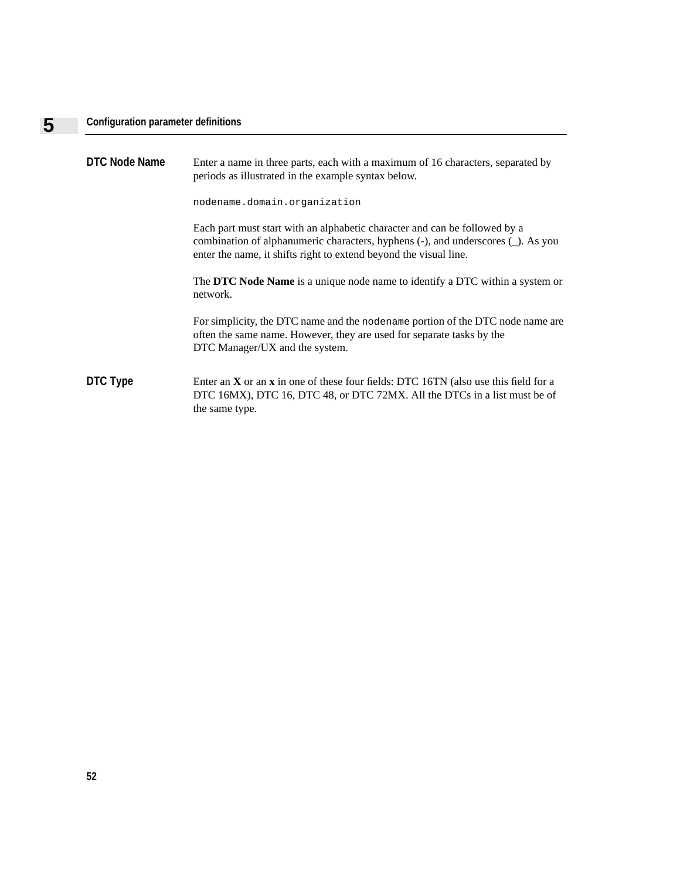## **Configuration parameter definitions 5**

**DTC Node Name** Enter a name in three parts, each with a maximum of 16 characters, separated by periods as illustrated in the example syntax below. nodename.domain.organization Each part must start with an alphabetic character and can be followed by a combination of alphanumeric characters, hyphens (-), and underscores (\_). As you enter the name, it shifts right to extend beyond the visual line. The **DTC Node Name** is a unique node name to identify a DTC within a system or network. For simplicity, the DTC name and the nodename portion of the DTC node name are often the same name. However, they are used for separate tasks by the DTC Manager/UX and the system. **DTC Type** Enter an **X** or an **x** in one of these four fields: DTC 16TN (also use this field for a DTC 16MX), DTC 16, DTC 48, or DTC 72MX. All the DTCs in a list must be of the same type.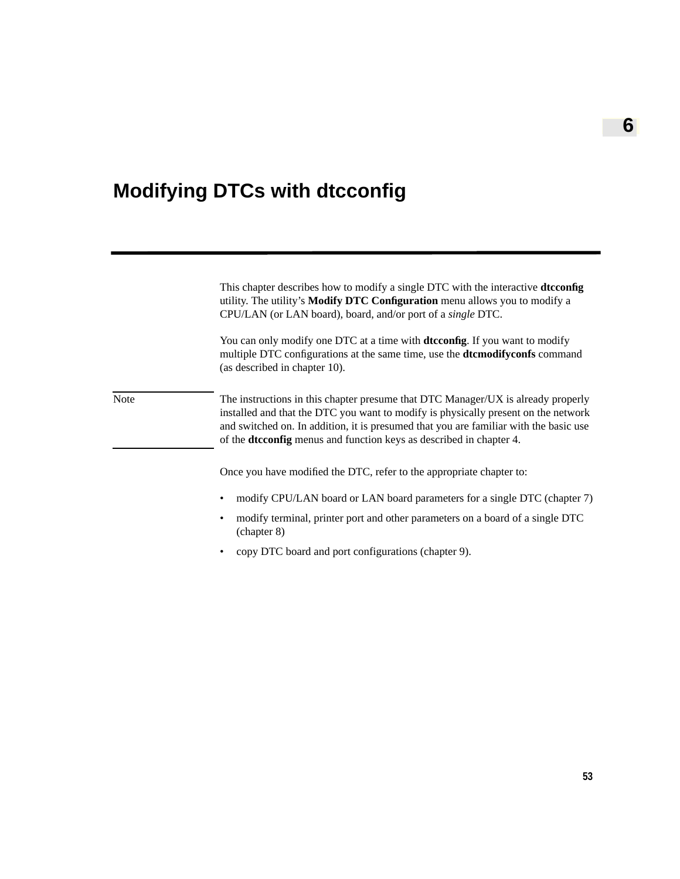## **Modifying DTCs with dtcconfig**

This chapter describes how to modify a single DTC with the interactive **dtcconfig** utility. The utility's **Modify DTC Configuration** menu allows you to modify a CPU/LAN (or LAN board), board, and/or port of a *single* DTC.

You can only modify one DTC at a time with **dtcconfig**. If you want to modify multiple DTC configurations at the same time, use the **dtcmodifyconfs** command (as described in chapter 10).

Note The instructions in this chapter presume that DTC Manager/UX is already properly installed and that the DTC you want to modify is physically present on the network and switched on. In addition, it is presumed that you are familiar with the basic use of the **dtcconfig** menus and function keys as described in chapter 4.

Once you have modified the DTC, refer to the appropriate chapter to:

- modify CPU/LAN board or LAN board parameters for a single DTC (chapter 7)
- modify terminal, printer port and other parameters on a board of a single DTC (chapter 8)
- copy DTC board and port configurations (chapter 9).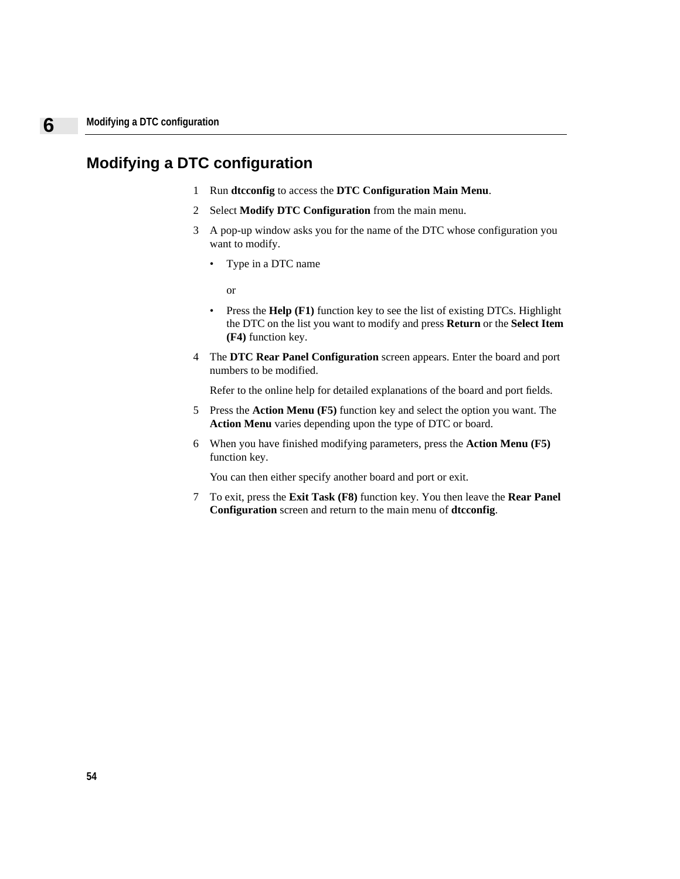## **Modifying a DTC configuration**

- 1 Run **dtcconfig** to access the **DTC Configuration Main Menu**.
- 2 Select **Modify DTC Configuration** from the main menu.
- 3 A pop-up window asks you for the name of the DTC whose configuration you want to modify.
	- Type in a DTC name

or

- Press the **Help (F1)** function key to see the list of existing DTCs. Highlight the DTC on the list you want to modify and press **Return** or the **Select Item (F4)** function key.
- 4 The **DTC Rear Panel Configuration** screen appears. Enter the board and port numbers to be modified.

Refer to the online help for detailed explanations of the board and port fields.

- 5 Press the **Action Menu (F5)** function key and select the option you want. The **Action Menu** varies depending upon the type of DTC or board.
- 6 When you have finished modifying parameters, press the **Action Menu (F5)** function key.

You can then either specify another board and port or exit.

7 To exit, press the **Exit Task (F8)** function key. You then leave the **Rear Panel Configuration** screen and return to the main menu of **dtcconfig**.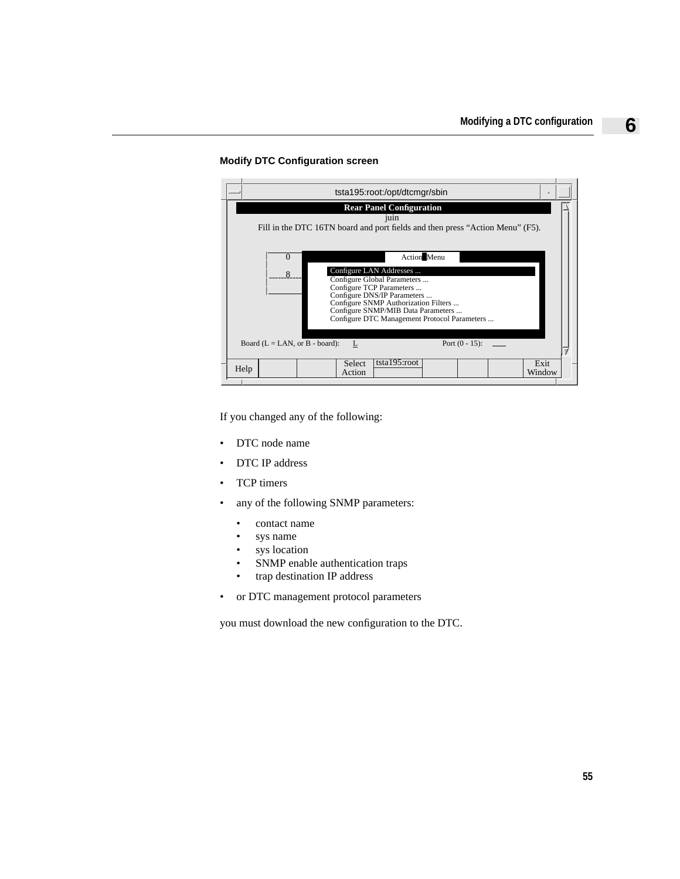|      | tsta195:root:/opt/dtcmgr/sbin                                                 |        |  |
|------|-------------------------------------------------------------------------------|--------|--|
|      | <b>Rear Panel Configuration</b>                                               |        |  |
|      | juin                                                                          |        |  |
|      | Fill in the DTC 16TN board and port fields and then press "Action Menu" (F5). |        |  |
|      |                                                                               |        |  |
|      |                                                                               |        |  |
|      | Action Menu                                                                   |        |  |
|      | Configure LAN Addresses<br>8                                                  |        |  |
|      | Configure Global Parameters                                                   |        |  |
|      | Configure TCP Parameters<br>Configure DNS/IP Parameters                       |        |  |
|      | Configure SNMP Authorization Filters                                          |        |  |
|      | Configure SNMP/MIB Data Parameters                                            |        |  |
|      | Configure DTC Management Protocol Parameters                                  |        |  |
|      |                                                                               |        |  |
|      | Board $(L = LAN, or B - board)$ :                                             |        |  |
|      |                                                                               |        |  |
| Help | tsta195:root<br><b>Select</b>                                                 | Exit   |  |
|      | Action                                                                        | Window |  |

#### **Modify DTC Configuration screen**

If you changed any of the following:

- DTC node name
- DTC IP address
- TCP timers
- any of the following SNMP parameters:
	- contact name
	- sys name
	- sys location
	- SNMP enable authentication traps
	- trap destination IP address
- or DTC management protocol parameters

you must download the new configuration to the DTC.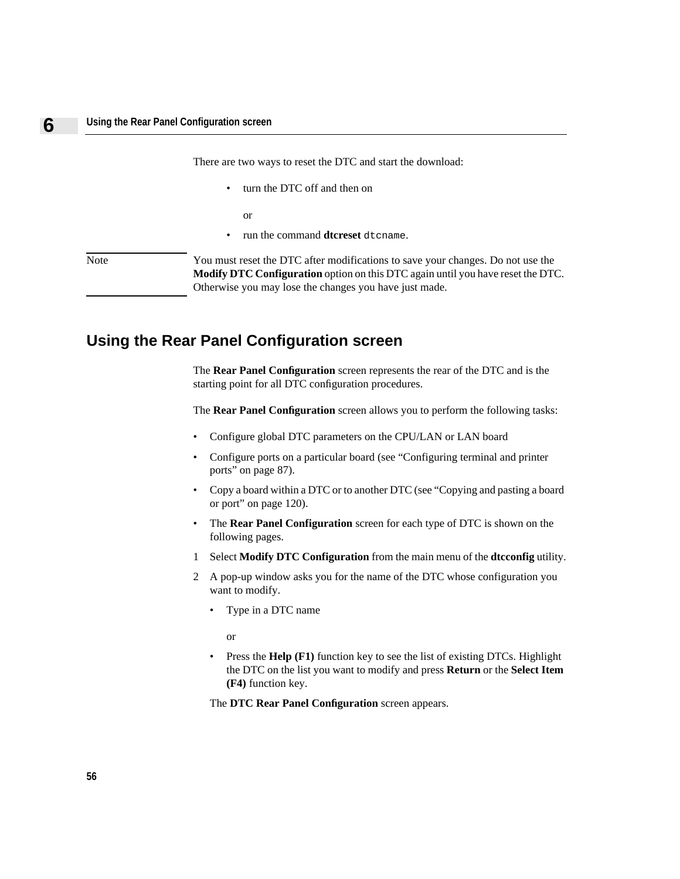There are two ways to reset the DTC and start the download:

turn the DTC off and then on

or

• run the command **dtcreset** dtcname.

Note You must reset the DTC after modifications to save your changes. Do not use the **Modify DTC Configuration** option on this DTC again until you have reset the DTC. Otherwise you may lose the changes you have just made.

## **Using the Rear Panel Configuration screen**

The **Rear Panel Configuration** screen represents the rear of the DTC and is the starting point for all DTC configuration procedures.

The **Rear Panel Configuration** screen allows you to perform the following tasks:

- Configure global DTC parameters on the CPU/LAN or LAN board
- Configure ports on a particular board (see "Configuring terminal and printer ports" on page 87).
- Copy a board within a DTC or to another DTC (see "Copying and pasting a board or port" on page 120).
- The **Rear Panel Configuration** screen for each type of DTC is shown on the following pages.
- 1 Select **Modify DTC Configuration** from the main menu of the **dtcconfig** utility.
- 2 A pop-up window asks you for the name of the DTC whose configuration you want to modify.
	- Type in a DTC name

or

• Press the **Help (F1)** function key to see the list of existing DTCs. Highlight the DTC on the list you want to modify and press **Return** or the **Select Item (F4)** function key.

The **DTC Rear Panel Configuration** screen appears.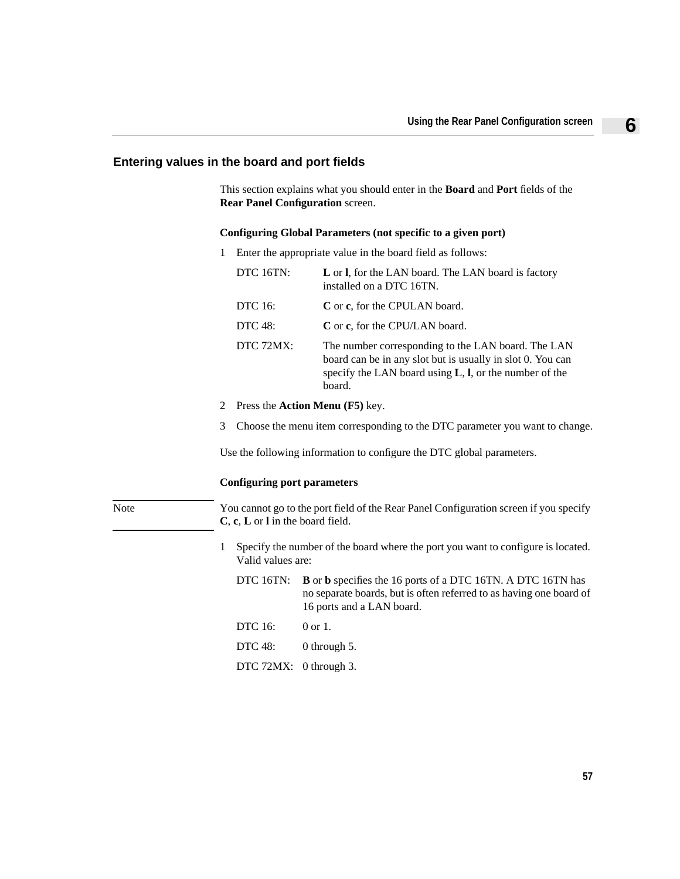#### **Entering values in the board and port fields**

This section explains what you should enter in the **Board** and **Port** fields of the **Rear Panel Configuration** screen.

#### **Configuring Global Parameters (not specific to a given port)**

- 1 Enter the appropriate value in the board field as follows: DTC 16TN: L or **l**, for the LAN board. The LAN board is factory installed on a DTC 16TN. DTC 16: **C** or **c**, for the CPULAN board. DTC 48: **C** or **c**, for the CPU/LAN board. DTC 72MX: The number corresponding to the LAN board. The LAN board can be in any slot but is usually in slot 0. You can specify the LAN board using **L**, **l**, or the number of the board.
- 2 Press the **Action Menu (F5)** key.
- 3 Choose the menu item corresponding to the DTC parameter you want to change.

Use the following information to configure the DTC global parameters.

#### **Configuring port parameters**

Note You cannot go to the port field of the Rear Panel Configuration screen if you specify **C**, **c**, **L** or **l** in the board field.

- 1 Specify the number of the board where the port you want to configure is located. Valid values are:
	- DTC 16TN: **B** or **b** specifies the 16 ports of a DTC 16TN. A DTC 16TN has no separate boards, but is often referred to as having one board of 16 ports and a LAN board.
	- DTC 16: 0 or 1.
	- DTC 48: 0 through 5.
	- DTC 72MX: 0 through 3.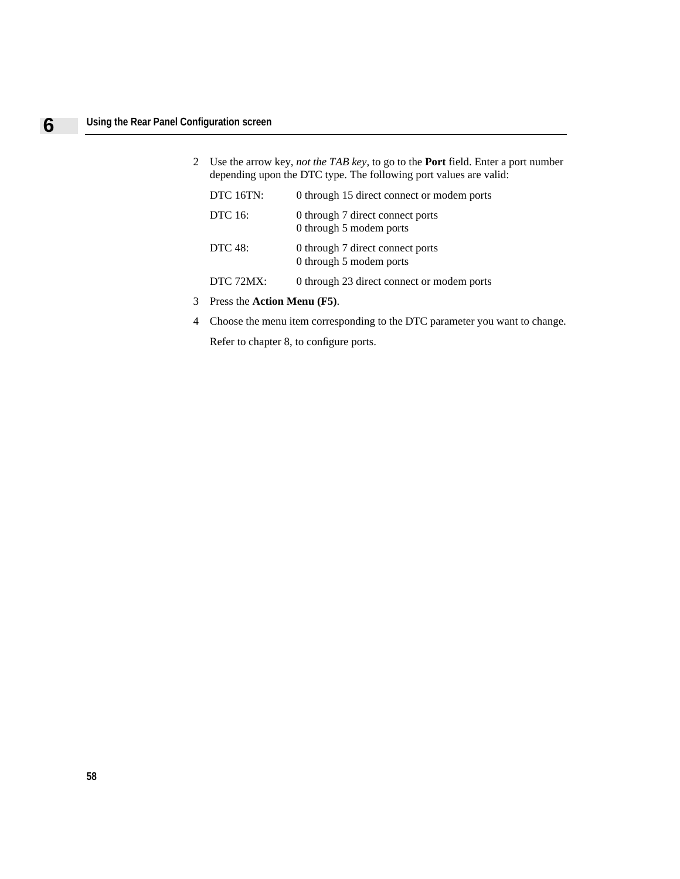2 Use the arrow key, *not the TAB key*, to go to the **Port** field. Enter a port number depending upon the DTC type. The following port values are valid:

| DTC 16TN:      | 0 through 15 direct connect or modem ports                  |
|----------------|-------------------------------------------------------------|
| <b>DTC</b> 16: | 0 through 7 direct connect ports<br>0 through 5 modem ports |
| <b>DTC</b> 48: | 0 through 7 direct connect ports<br>0 through 5 modem ports |
| DTC 72MX:      | 0 through 23 direct connect or modem ports                  |

- 3 Press the **Action Menu (F5)**.
- 4 Choose the menu item corresponding to the DTC parameter you want to change.

Refer to chapter 8, to configure ports.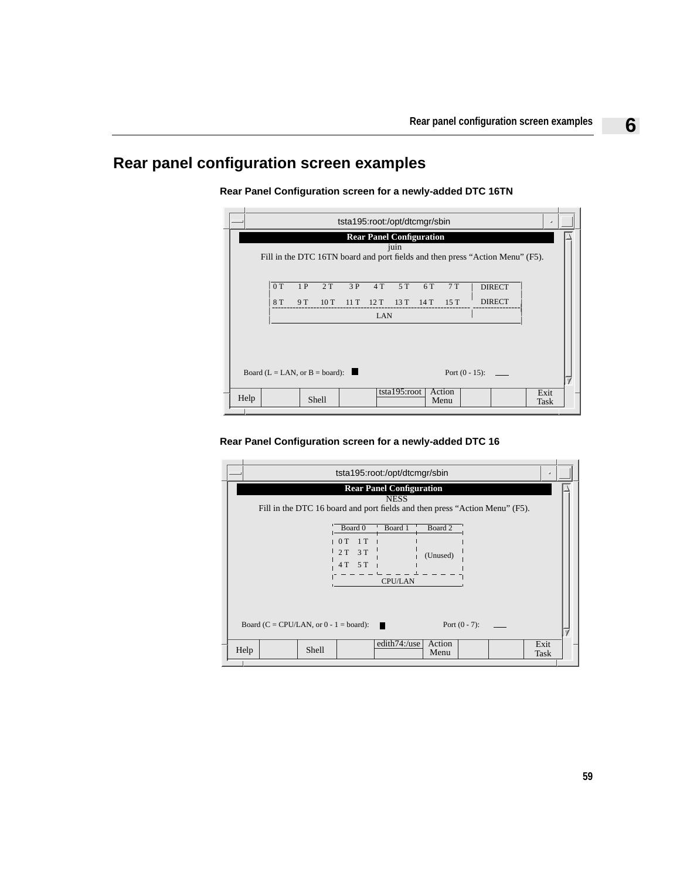# **Rear panel configuration screen examples**

÷.

#### **Rear Panel Configuration screen for a newly-added DTC 16TN**

|                                                                                       |      |                                               |     |       |    |                   | tsta195:root:/opt/dtcmgr/sbin   |            |                |                           |              | a. |  |
|---------------------------------------------------------------------------------------|------|-----------------------------------------------|-----|-------|----|-------------------|---------------------------------|------------|----------------|---------------------------|--------------|----|--|
|                                                                                       |      |                                               |     |       |    |                   | <b>Rear Panel Configuration</b> |            |                |                           |              |    |  |
| juin<br>Fill in the DTC 16TN board and port fields and then press "Action Menu" (F5). |      |                                               |     |       |    |                   |                                 |            |                |                           |              |    |  |
|                                                                                       |      | 0T                                            | 1P  | 2T    | 3P | 4T                | 5T                              | 6 T        | 7T             | <b>DIRECT</b>             |              |    |  |
|                                                                                       |      | 8 T                                           | 9 T | 10T   |    | $11T$ $12T$ $13T$ |                                 | $14T$ 15 T |                | <b>DIRECT</b>             |              |    |  |
|                                                                                       |      |                                               |     |       |    | LAN               |                                 |            |                |                           |              |    |  |
|                                                                                       |      | Board (L = LAN, or B = board): $\blacksquare$ |     |       |    |                   |                                 |            |                | Port $(0 - 15)$ : _______ |              |    |  |
|                                                                                       | Help |                                               |     | Shell |    |                   | tsta195:root                    |            | Action<br>Menu |                           | Exit<br>Task |    |  |

#### **Rear Panel Configuration screen for a newly-added DTC 16**

| tsta195:root:/opt/dtcmgr/sbin                                                                                                              | a. |  |
|--------------------------------------------------------------------------------------------------------------------------------------------|----|--|
| <b>Rear Panel Configuration</b><br><b>NESS</b><br>Fill in the DTC 16 board and port fields and then press "Action Menu" (F5).              |    |  |
| Board 0<br>Board 1<br>Board 2<br>0T <sub>1</sub> T<br>$2T \quad 3T$<br>(Unused)<br>$4T \quad 5T$<br>CPU/LAN                                |    |  |
| Board (C = CPU/LAN, or $0 - 1 =$ board):<br>Port $(0 - 7)$ :<br>edith $74$ :/use<br>Action<br>Exit<br>Help<br><b>Shell</b><br>Menu<br>Task |    |  |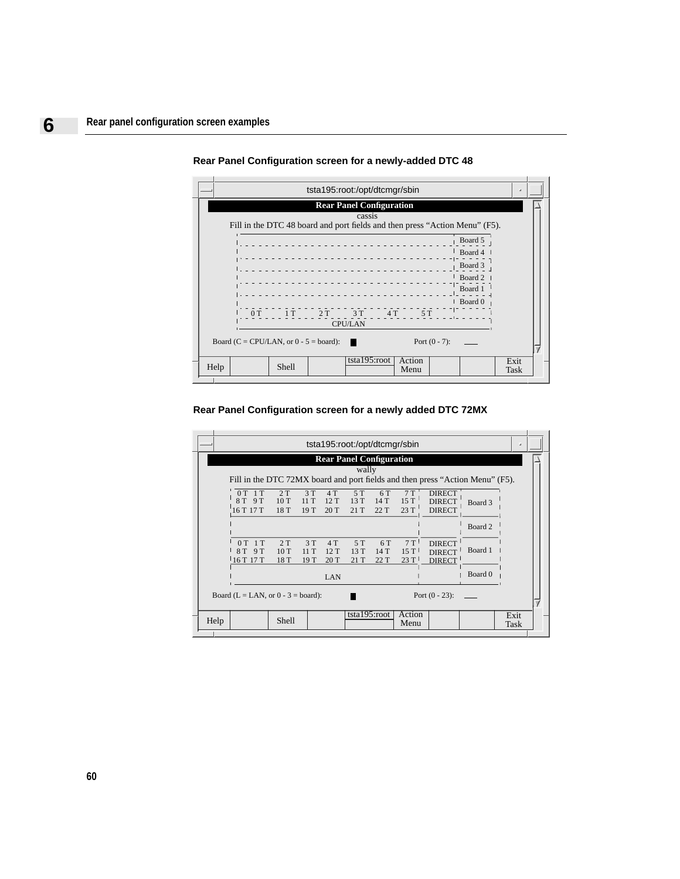

#### **Rear Panel Configuration screen for a newly-added DTC 48**

#### **Rear Panel Configuration screen for a newly added DTC 72MX**

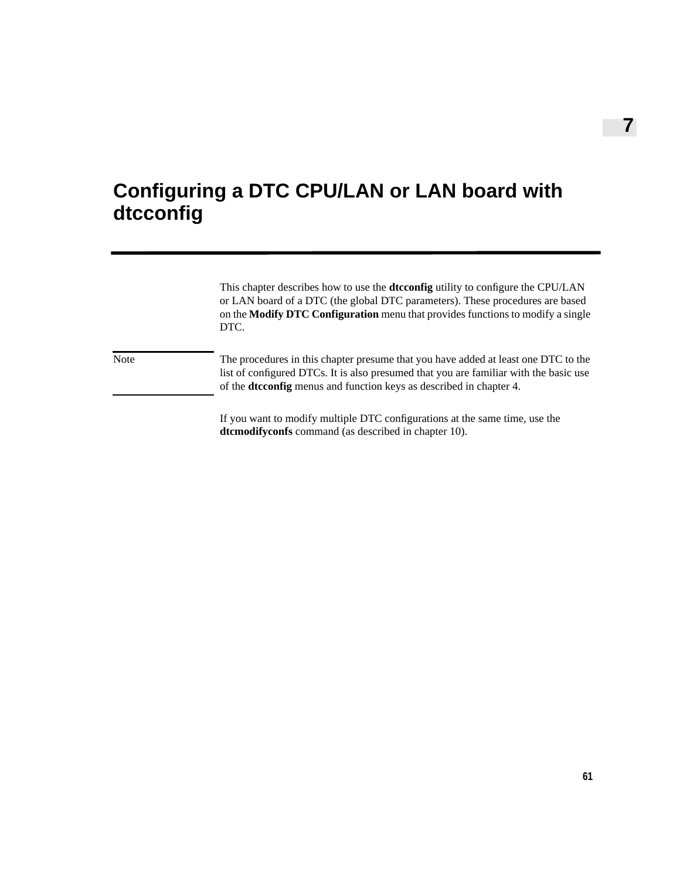# **Configuring a DTC CPU/LAN or LAN board with dtcconfig**

This chapter describes how to use the **dtcconfig** utility to configure the CPU/LAN or LAN board of a DTC (the global DTC parameters). These procedures are based on the **Modify DTC Configuration** menu that provides functions to modify a single DTC.

Note The procedures in this chapter presume that you have added at least one DTC to the list of configured DTCs. It is also presumed that you are familiar with the basic use of the **dtcconfig** menus and function keys as described in chapter 4.

> If you want to modify multiple DTC configurations at the same time, use the **dtcmodifyconfs** command (as described in chapter 10).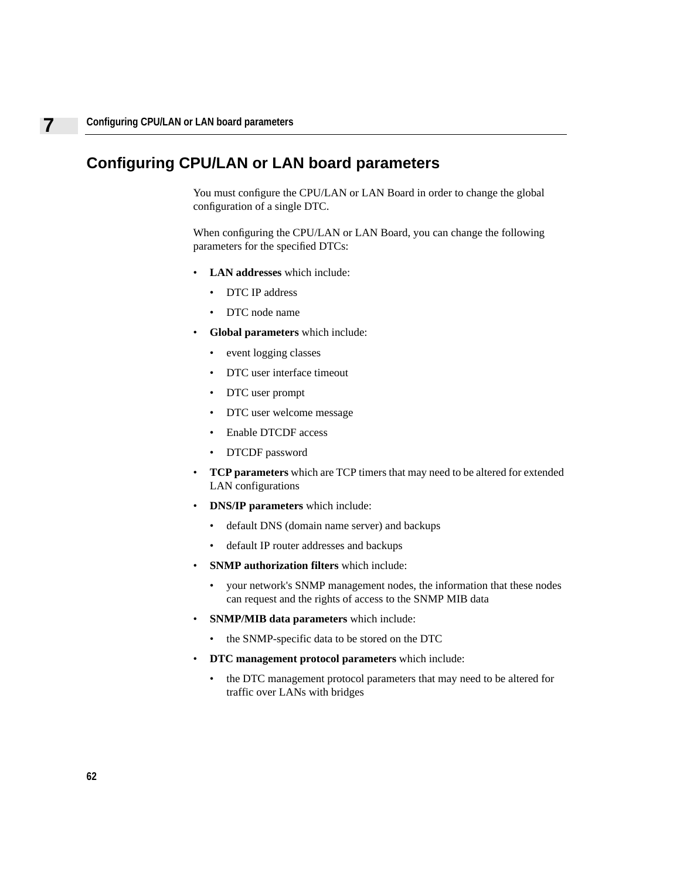## **Configuring CPU/LAN or LAN board parameters**

You must configure the CPU/LAN or LAN Board in order to change the global configuration of a single DTC.

When configuring the CPU/LAN or LAN Board, you can change the following parameters for the specified DTCs:

- **LAN addresses** which include:
	- DTC IP address
	- DTC node name
- **Global parameters** which include:
	- event logging classes
	- DTC user interface timeout
	- DTC user prompt
	- DTC user welcome message
	- Enable DTCDF access
	- DTCDF password
- **TCP parameters** which are TCP timers that may need to be altered for extended LAN configurations
- **DNS/IP parameters** which include:
	- default DNS (domain name server) and backups
	- default IP router addresses and backups
- **SNMP** authorization filters which include:
	- your network's SNMP management nodes, the information that these nodes can request and the rights of access to the SNMP MIB data
- **SNMP/MIB data parameters** which include:
	- the SNMP-specific data to be stored on the DTC
- **DTC management protocol parameters** which include:
	- the DTC management protocol parameters that may need to be altered for traffic over LANs with bridges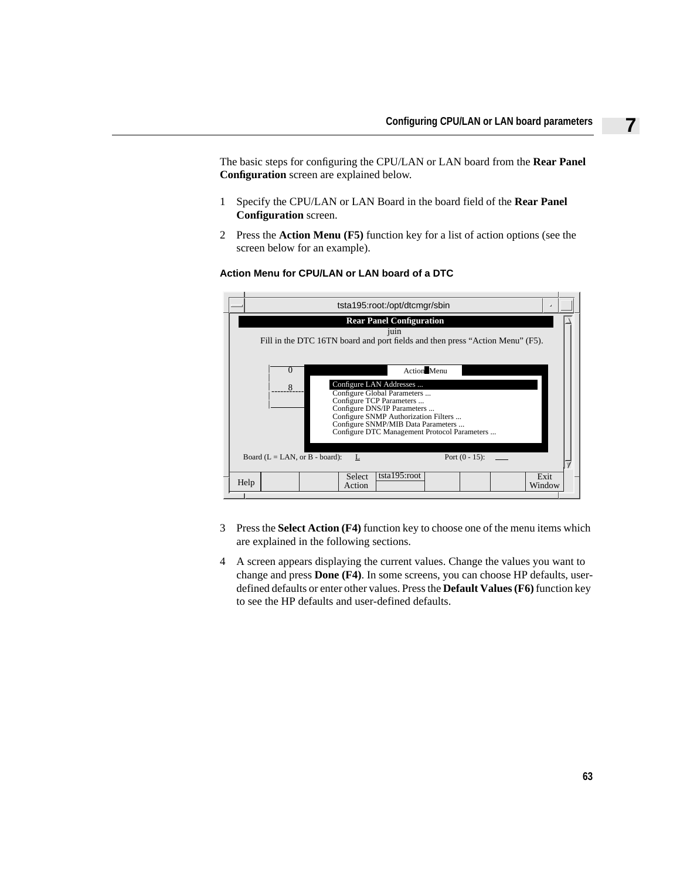The basic steps for configuring the CPU/LAN or LAN board from the **Rear Panel Configuration** screen are explained below.

- 1 Specify the CPU/LAN or LAN Board in the board field of the **Rear Panel Configuration** screen.
- 2 Press the **Action Menu (F5)** function key for a list of action options (see the screen below for an example).

#### **Action Menu for CPU/LAN or LAN board of a DTC**

| tsta195:root:/opt/dtcmgr/sbin                                                                                                                                                                                                                                            |  |
|--------------------------------------------------------------------------------------------------------------------------------------------------------------------------------------------------------------------------------------------------------------------------|--|
| <b>Rear Panel Configuration</b><br>juin<br>Fill in the DTC 16TN board and port fields and then press "Action Menu" (F5).                                                                                                                                                 |  |
| Action Menu<br>0<br>Configure LAN Addresses<br>8<br>Configure Global Parameters<br>Configure TCP Parameters<br>Configure DNS/IP Parameters<br>Configure SNMP Authorization Filters<br>Configure SNMP/MIB Data Parameters<br>Configure DTC Management Protocol Parameters |  |
| Port $(0 - 15)$ :<br>Board $(L = LAN, or B - board)$ :                                                                                                                                                                                                                   |  |
| tsta195:root<br>Select<br>Exit<br>Help<br>Window<br>Action                                                                                                                                                                                                               |  |

- 3 Press the **Select Action (F4)** function key to choose one of the menu items which are explained in the following sections.
- 4 A screen appears displaying the current values. Change the values you want to change and press **Done (F4)**. In some screens, you can choose HP defaults, userdefined defaults or enter other values. Press the **Default Values (F6)** function key to see the HP defaults and user-defined defaults.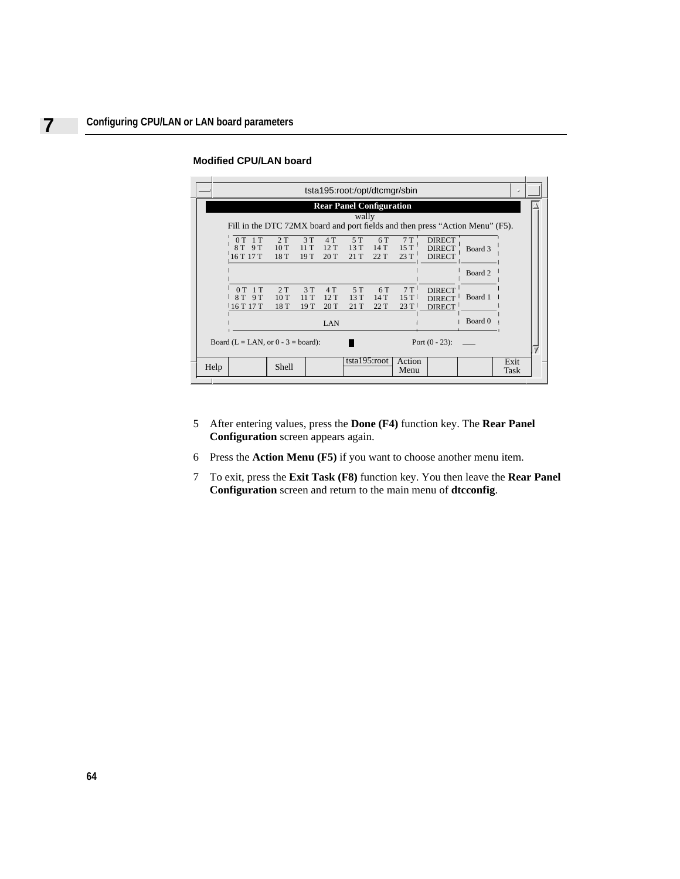|      |                                                                                                                           |                   |                  |                   | tsta195:root:/opt/dtcmgr/sbin |                   |                                                         |                                                 |         | a.           |  |
|------|---------------------------------------------------------------------------------------------------------------------------|-------------------|------------------|-------------------|-------------------------------|-------------------|---------------------------------------------------------|-------------------------------------------------|---------|--------------|--|
|      | <b>Rear Panel Configuration</b><br>wally<br>Fill in the DTC 72MX board and port fields and then press "Action Menu" (F5). |                   |                  |                   |                               |                   |                                                         |                                                 |         |              |  |
|      | 0T <sub>1</sub> T<br>8T 9T<br>16 T 17 T                                                                                   | 2T<br>10T<br>18 T | 3T<br>11T<br>19T | 4 T<br>12T<br>20T | 5T<br>13T<br>21T              | 6 T<br>14T<br>22T | 7T<br>15T<br>23T                                        | <b>DIRECT</b><br><b>DIRECT</b><br><b>DIRECT</b> | Board 3 |              |  |
|      |                                                                                                                           |                   |                  |                   |                               |                   |                                                         |                                                 | Board 2 |              |  |
|      | 0T<br>1T<br>8T9T<br>16T17T                                                                                                | 2T<br>10T<br>18T  | 3T<br>11T<br>19T | 4T<br>12T<br>20T  | 5T<br>13T<br>21T              | 6 T<br>14T<br>22T | 7T <sup>1</sup><br>15T <sup>1</sup><br>23T <sup>1</sup> | <b>DIRECT</b><br><b>DIRECT</b><br><b>DIRECT</b> | Board 1 |              |  |
|      |                                                                                                                           |                   |                  | <b>LAN</b>        |                               |                   |                                                         |                                                 | Board 0 |              |  |
|      | Board ( $L = LAN$ , or $0 - 3 = board$ ):                                                                                 |                   |                  |                   |                               |                   |                                                         |                                                 |         |              |  |
| Help |                                                                                                                           | Shell             |                  |                   | tsta195:root                  |                   | Action<br>Menu                                          |                                                 |         | Exit<br>Task |  |

#### **Modified CPU/LAN board**

- 5 After entering values, press the **Done (F4)** function key. The **Rear Panel Configuration** screen appears again.
- 6 Press the **Action Menu (F5)** if you want to choose another menu item.
- 7 To exit, press the **Exit Task (F8)** function key. You then leave the **Rear Panel Configuration** screen and return to the main menu of **dtcconfig**.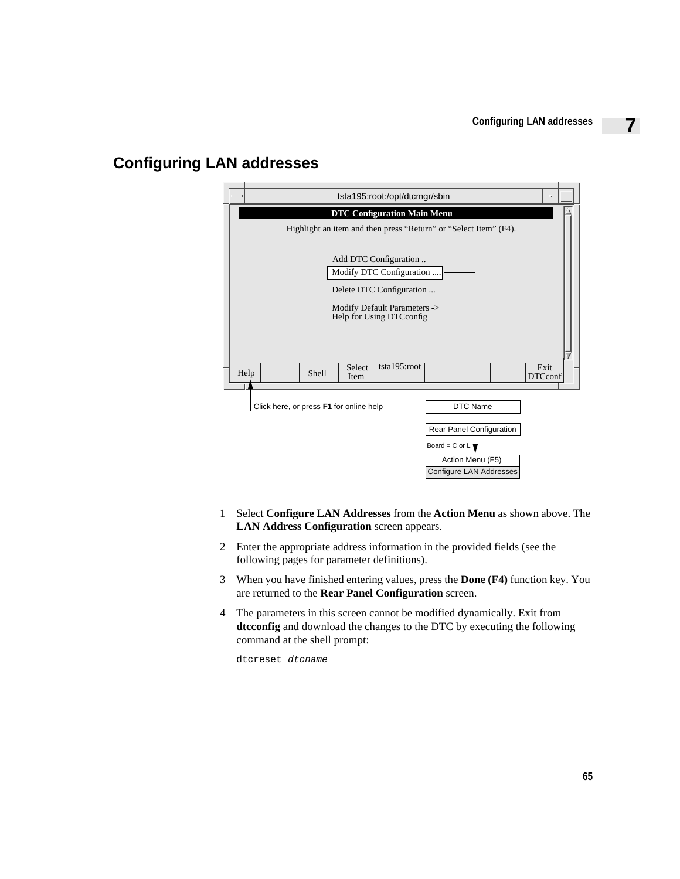## **Configuring LAN addresses**

| tsta195:root:/opt/dtcmgr/sbin<br>a.                                                                                                       |  |
|-------------------------------------------------------------------------------------------------------------------------------------------|--|
| <b>DTC Configuration Main Menu</b>                                                                                                        |  |
| Highlight an item and then press "Return" or "Select Item" (F4).                                                                          |  |
| Add DTC Configuration<br>Modify DTC Configuration<br>Delete DTC Configuration<br>Modify Default Parameters -><br>Help for Using DTCconfig |  |
| tsta195:root<br><b>Select</b><br>Exit<br>Help<br><b>Shell</b><br><b>DTCconf</b><br>Item                                                   |  |
|                                                                                                                                           |  |
| DTC Name<br>Click here, or press F1 for online help                                                                                       |  |
| Rear Panel Configuration                                                                                                                  |  |
| Board = $C$ or $L \nightharpoonup$                                                                                                        |  |
| Action Menu (F5)<br>Configure LAN Addresses                                                                                               |  |

- 1 Select **Configure LAN Addresses** from the **Action Menu** as shown above. The **LAN Address Configuration** screen appears.
- 2 Enter the appropriate address information in the provided fields (see the following pages for parameter definitions).
- 3 When you have finished entering values, press the **Done (F4)** function key. You are returned to the **Rear Panel Configuration** screen.
- 4 The parameters in this screen cannot be modified dynamically. Exit from **dtcconfig** and download the changes to the DTC by executing the following command at the shell prompt:

dtcreset dtcname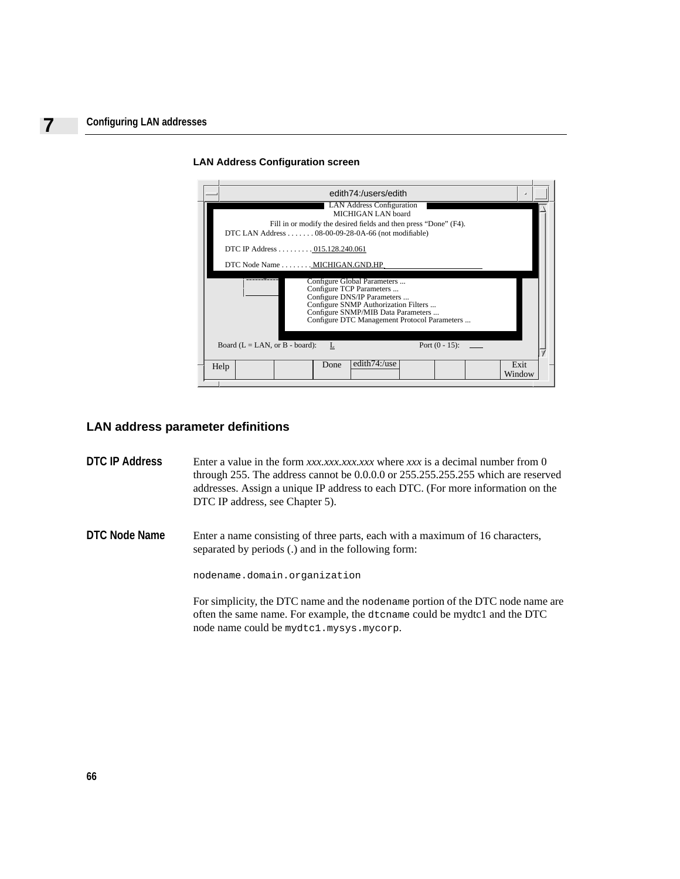#### **LAN Address Configuration screen**



#### **LAN address parameter definitions**

| <b>DTC IP Address</b> | Enter a value in the form xxx, xxx, xxx, xxx where xxx is a decimal number from 0<br>through 255. The address cannot be $0.0.00$ or $255.255.255.255$ which are reserved<br>addresses. Assign a unique IP address to each DTC. (For more information on the<br>DTC IP address, see Chapter 5). |
|-----------------------|------------------------------------------------------------------------------------------------------------------------------------------------------------------------------------------------------------------------------------------------------------------------------------------------|
| <b>DTC Node Name</b>  | Enter a name consisting of three parts, each with a maximum of 16 characters,<br>separated by periods (.) and in the following form:                                                                                                                                                           |
|                       | nodename.domain.organization                                                                                                                                                                                                                                                                   |
|                       | For simplicity, the DTC name and the nodename portion of the DTC node name are<br>often the same name. For example, the dt chame could be mydtc1 and the DTC<br>node name could be mydtc1.mysys.mycorp.                                                                                        |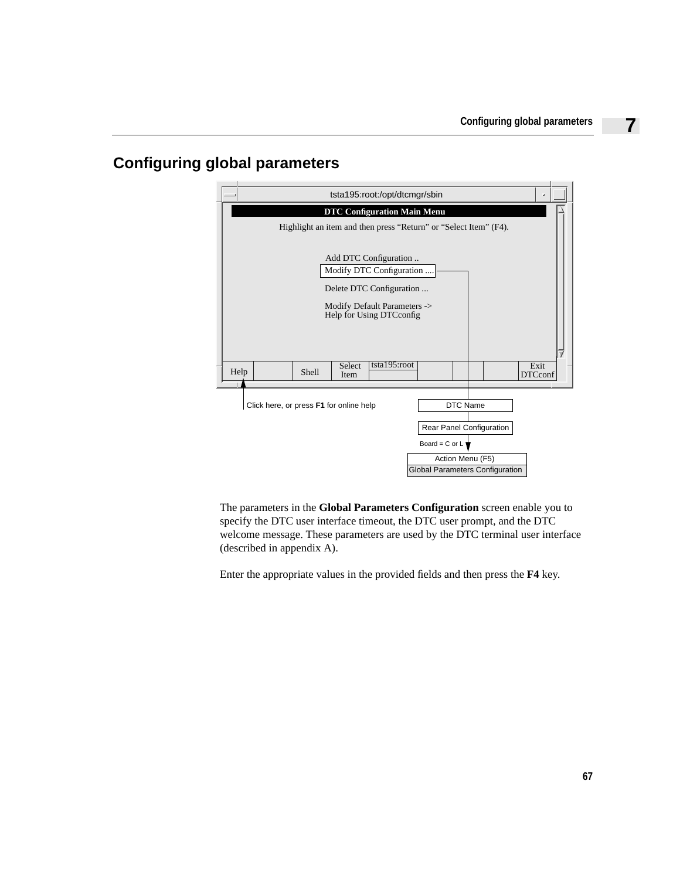## **Configuring global parameters**



The parameters in the **Global Parameters Configuration** screen enable you to specify the DTC user interface timeout, the DTC user prompt, and the DTC welcome message. These parameters are used by the DTC terminal user interface (described in appendix A).

Enter the appropriate values in the provided fields and then press the **F4** key.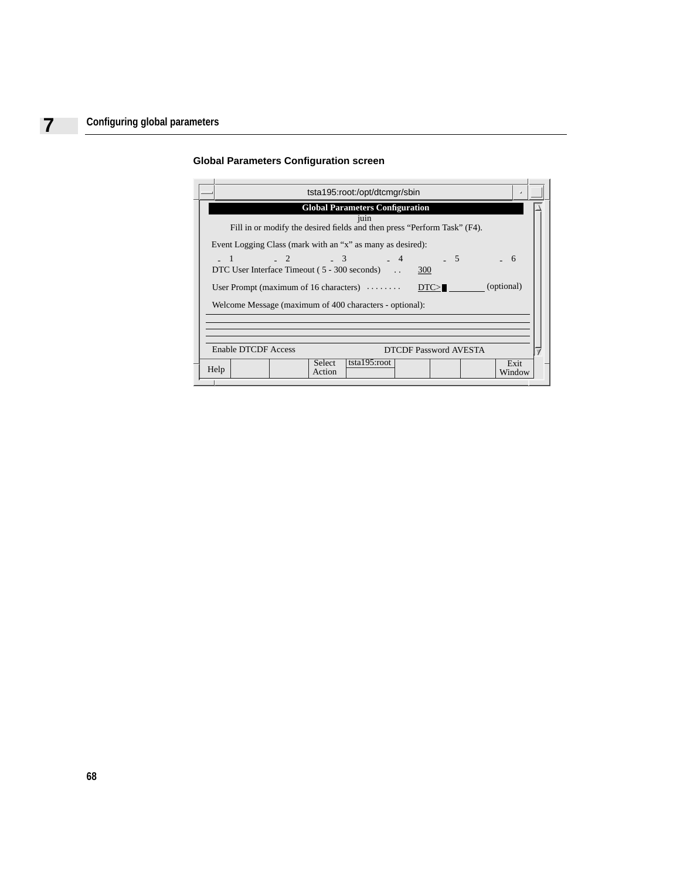## **Global Parameters Configuration screen**

|                                                                                  |  |                |                  | tsta195:root:/opt/dtcmgr/sbin                              |  |      |                |
|----------------------------------------------------------------------------------|--|----------------|------------------|------------------------------------------------------------|--|------|----------------|
| <b>Global Parameters Configuration</b>                                           |  |                |                  |                                                            |  |      |                |
| juin<br>Fill in or modify the desired fields and then press "Perform Task" (F4). |  |                |                  |                                                            |  |      |                |
|                                                                                  |  |                |                  | Event Logging Class (mark with an "x" as many as desired): |  |      |                |
|                                                                                  |  | $\overline{2}$ | $-3$             |                                                            |  | $-5$ | 6              |
| DTC User Interface Timeout (5 - 300 seconds).<br>300                             |  |                |                  |                                                            |  |      |                |
| (optional)<br>User Prompt (maximum of 16 characters) $\cdots$ DTC>               |  |                |                  |                                                            |  |      |                |
| Welcome Message (maximum of 400 characters - optional):                          |  |                |                  |                                                            |  |      |                |
|                                                                                  |  |                |                  |                                                            |  |      |                |
|                                                                                  |  |                |                  |                                                            |  |      |                |
| <b>Enable DTCDF Access</b><br><b>DTCDF Password AVESTA</b>                       |  |                |                  |                                                            |  |      |                |
| Help                                                                             |  |                | Select<br>Action | tsta195:root                                               |  |      | Exit<br>Window |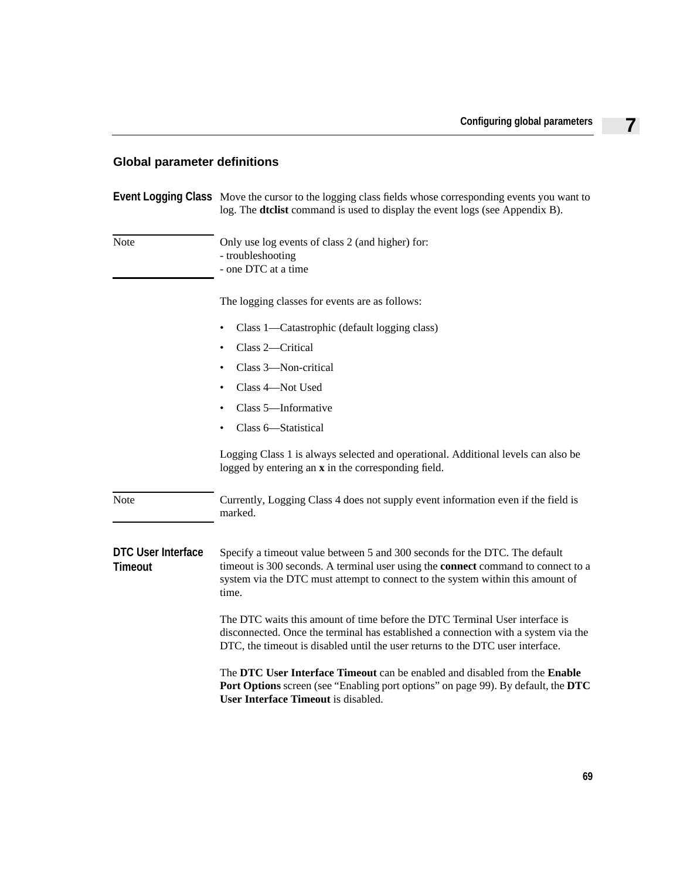## **Global parameter definitions**

|                                             | <b>Event Logging Class</b> Move the cursor to the logging class fields whose corresponding events you want to<br>log. The dtclist command is used to display the event logs (see Appendix B).                                                                     |  |  |  |  |  |  |
|---------------------------------------------|-------------------------------------------------------------------------------------------------------------------------------------------------------------------------------------------------------------------------------------------------------------------|--|--|--|--|--|--|
| Note                                        | Only use log events of class 2 (and higher) for:<br>- troubleshooting<br>- one DTC at a time<br>The logging classes for events are as follows:                                                                                                                    |  |  |  |  |  |  |
|                                             |                                                                                                                                                                                                                                                                   |  |  |  |  |  |  |
|                                             | Class 1—Catastrophic (default logging class)                                                                                                                                                                                                                      |  |  |  |  |  |  |
|                                             | Class 2-Critical                                                                                                                                                                                                                                                  |  |  |  |  |  |  |
|                                             | Class 3-Non-critical                                                                                                                                                                                                                                              |  |  |  |  |  |  |
|                                             | Class 4-Not Used                                                                                                                                                                                                                                                  |  |  |  |  |  |  |
|                                             | Class 5-Informative                                                                                                                                                                                                                                               |  |  |  |  |  |  |
|                                             | Class 6-Statistical                                                                                                                                                                                                                                               |  |  |  |  |  |  |
|                                             | Logging Class 1 is always selected and operational. Additional levels can also be<br>logged by entering an x in the corresponding field.                                                                                                                          |  |  |  |  |  |  |
| Note                                        | Currently, Logging Class 4 does not supply event information even if the field is<br>marked.                                                                                                                                                                      |  |  |  |  |  |  |
| <b>DTC User Interface</b><br><b>Timeout</b> | Specify a timeout value between 5 and 300 seconds for the DTC. The default<br>timeout is 300 seconds. A terminal user using the <b>connect</b> command to connect to a<br>system via the DTC must attempt to connect to the system within this amount of<br>time. |  |  |  |  |  |  |
|                                             | The DTC waits this amount of time before the DTC Terminal User interface is<br>disconnected. Once the terminal has established a connection with a system via the<br>DTC, the timeout is disabled until the user returns to the DTC user interface.               |  |  |  |  |  |  |
|                                             | The DTC User Interface Timeout can be enabled and disabled from the Enable<br>Port Options screen (see "Enabling port options" on page 99). By default, the DTC<br>User Interface Timeout is disabled.                                                            |  |  |  |  |  |  |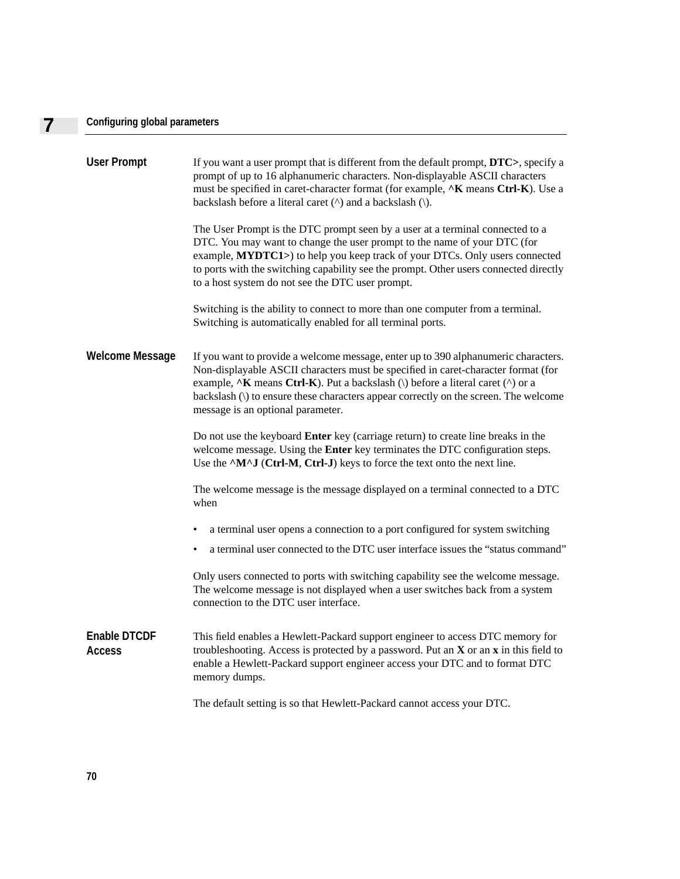| <b>User Prompt</b>                   | If you want a user prompt that is different from the default prompt, DTC>, specify a<br>prompt of up to 16 alphanumeric characters. Non-displayable ASCII characters<br>must be specified in caret-character format (for example, ^K means Ctrl-K). Use a<br>backslash before a literal caret $(^{\wedge})$ and a backslash $($ $\rangle$ .<br>The User Prompt is the DTC prompt seen by a user at a terminal connected to a<br>DTC. You may want to change the user prompt to the name of your DTC (for<br>example, MYDTC1>) to help you keep track of your DTCs. Only users connected<br>to ports with the switching capability see the prompt. Other users connected directly<br>to a host system do not see the DTC user prompt.<br>Switching is the ability to connect to more than one computer from a terminal.<br>Switching is automatically enabled for all terminal ports. |  |  |  |  |
|--------------------------------------|--------------------------------------------------------------------------------------------------------------------------------------------------------------------------------------------------------------------------------------------------------------------------------------------------------------------------------------------------------------------------------------------------------------------------------------------------------------------------------------------------------------------------------------------------------------------------------------------------------------------------------------------------------------------------------------------------------------------------------------------------------------------------------------------------------------------------------------------------------------------------------------|--|--|--|--|
| <b>Welcome Message</b>               | If you want to provide a welcome message, enter up to 390 alphanumeric characters.<br>Non-displayable ASCII characters must be specified in caret-character format (for<br>example, $\Lambda$ K means Ctrl-K). Put a backslash () before a literal caret ( $\Lambda$ ) or a<br>backslash () to ensure these characters appear correctly on the screen. The welcome<br>message is an optional parameter.<br>Do not use the keyboard Enter key (carriage return) to create line breaks in the<br>welcome message. Using the Enter key terminates the DTC configuration steps.<br>Use the $^{\wedge}M^{\wedge}J$ (Ctrl-M, Ctrl-J) keys to force the text onto the next line.                                                                                                                                                                                                            |  |  |  |  |
|                                      | The welcome message is the message displayed on a terminal connected to a DTC<br>when                                                                                                                                                                                                                                                                                                                                                                                                                                                                                                                                                                                                                                                                                                                                                                                                |  |  |  |  |
|                                      | a terminal user opens a connection to a port configured for system switching<br>٠<br>a terminal user connected to the DTC user interface issues the "status command"<br>$\bullet$                                                                                                                                                                                                                                                                                                                                                                                                                                                                                                                                                                                                                                                                                                    |  |  |  |  |
|                                      | Only users connected to ports with switching capability see the welcome message.<br>The welcome message is not displayed when a user switches back from a system<br>connection to the DTC user interface.                                                                                                                                                                                                                                                                                                                                                                                                                                                                                                                                                                                                                                                                            |  |  |  |  |
| <b>Enable DTCDF</b><br><b>Access</b> | This field enables a Hewlett-Packard support engineer to access DTC memory for<br>troubleshooting. Access is protected by a password. Put an $X$ or an $x$ in this field to<br>enable a Hewlett-Packard support engineer access your DTC and to format DTC<br>memory dumps.                                                                                                                                                                                                                                                                                                                                                                                                                                                                                                                                                                                                          |  |  |  |  |
|                                      | The default setting is so that Hewlett-Packard cannot access your DTC.                                                                                                                                                                                                                                                                                                                                                                                                                                                                                                                                                                                                                                                                                                                                                                                                               |  |  |  |  |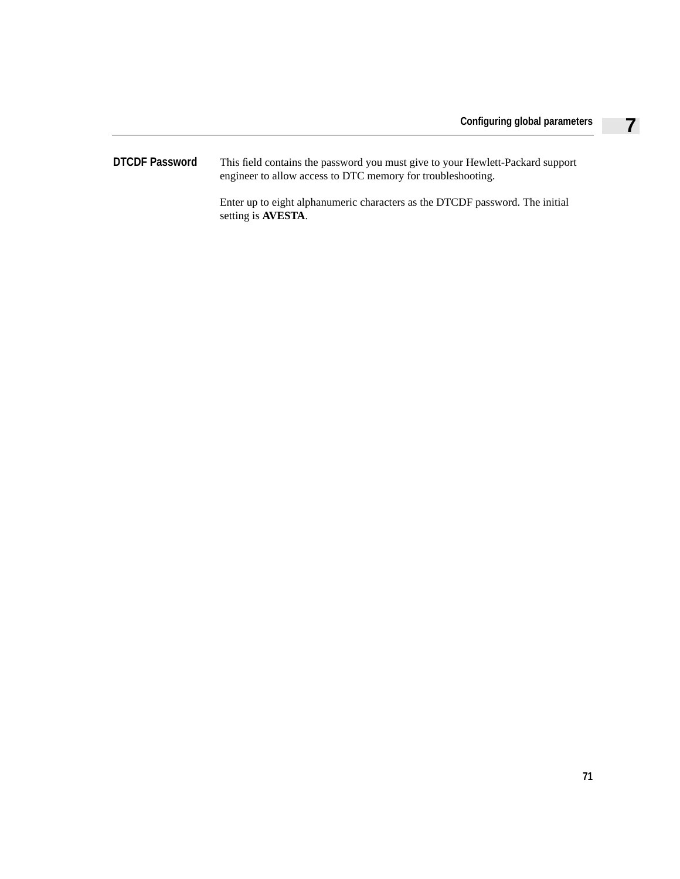**DTCDF Password** This field contains the password you must give to your Hewlett-Packard support engineer to allow access to DTC memory for troubleshooting. Enter up to eight alphanumeric characters as the DTCDF password. The initial setting is **AVESTA**.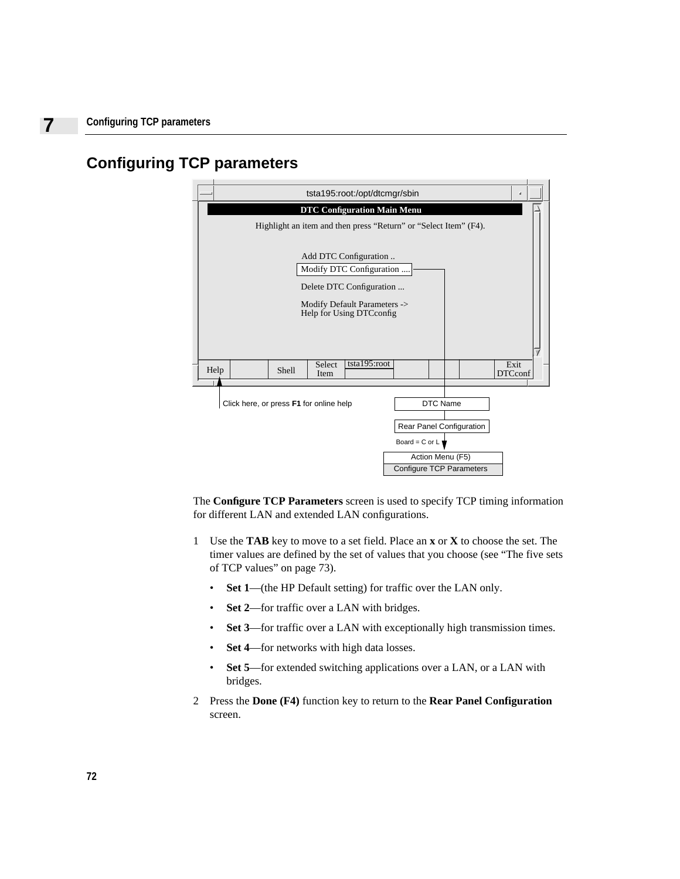# **Configuring TCP parameters** tsta195:root:/opt/dtcmgr/sbin



The **Configure TCP Parameters** screen is used to specify TCP timing information for different LAN and extended LAN configurations.

- 1 Use the **TAB** key to move to a set field. Place an **x** or **X** to choose the set. The timer values are defined by the set of values that you choose (see "The five sets of TCP values" on page 73).
	- **Set 1**—(the HP Default setting) for traffic over the LAN only.
	- **Set 2**—for traffic over a LAN with bridges.
	- **Set 3**—for traffic over a LAN with exceptionally high transmission times.
	- **Set 4**—for networks with high data losses.
	- **Set 5**—for extended switching applications over a LAN, or a LAN with bridges.
- 2 Press the **Done (F4)** function key to return to the **Rear Panel Configuration** screen.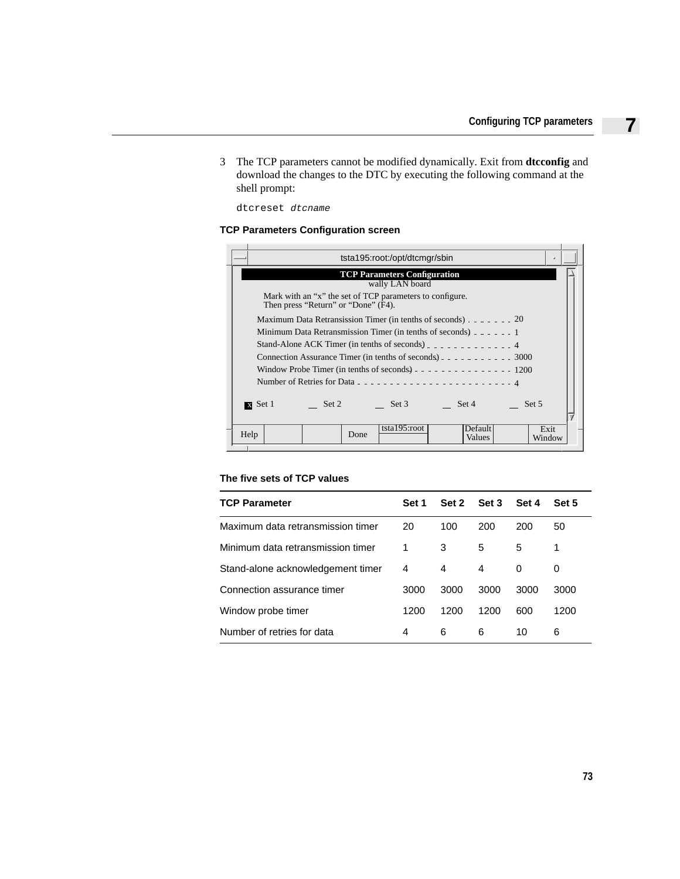3 The TCP parameters cannot be modified dynamically. Exit from **dtcconfig** and download the changes to the DTC by executing the following command at the shell prompt:

dtcreset dtcname

#### **TCP Parameters Configuration screen**

| tsta195:root:/opt/dtcmgr/sbin                                                                                                                                                                                                                                                                          |  |
|--------------------------------------------------------------------------------------------------------------------------------------------------------------------------------------------------------------------------------------------------------------------------------------------------------|--|
| <b>TCP Parameters Configuration</b>                                                                                                                                                                                                                                                                    |  |
| wally LAN board                                                                                                                                                                                                                                                                                        |  |
| Mark with an "x" the set of TCP parameters to configure.<br>Then press "Return" or "Done" (F4).                                                                                                                                                                                                        |  |
| Maximum Data Retransission Timer (in tenths of seconds) 20                                                                                                                                                                                                                                             |  |
| Minimum Data Retransmission Timer (in tenths of seconds) - - - - - - 1                                                                                                                                                                                                                                 |  |
| Stand-Alone ACK Timer (in tenths of seconds) $\frac{1}{2}$ $\frac{1}{2}$ $\frac{1}{2}$ $\frac{1}{2}$ $\frac{1}{2}$ $\frac{1}{2}$ $\frac{1}{2}$ $\frac{1}{2}$ $\frac{1}{2}$ $\frac{1}{2}$ $\frac{1}{2}$ $\frac{1}{2}$ $\frac{1}{2}$ $\frac{1}{2}$ $\frac{1}{2}$ $\frac{1}{2}$ $\frac{1}{2}$ $\frac{1}{$ |  |
| Connection Assurance Timer (in tenths of seconds) - - - - - - - - - - - 3000                                                                                                                                                                                                                           |  |
| Window Probe Timer (in tenths of seconds) - - - - - - - - - - - - - - 1200                                                                                                                                                                                                                             |  |
|                                                                                                                                                                                                                                                                                                        |  |
| $\mathbf{\Sigma}$ Set 1<br>Set 2<br>Set 4<br>Set 3<br>Set 5                                                                                                                                                                                                                                            |  |
| tsta195:root<br>Default<br>Exit<br>Done<br>Help<br>Values<br>Window                                                                                                                                                                                                                                    |  |

#### **The five sets of TCP values**

| <b>TCP Parameter</b>              | Set 1 | Set 2 | Set 3 | Set 4 | Set 5 |
|-----------------------------------|-------|-------|-------|-------|-------|
| Maximum data retransmission timer | 20    | 100   | 200   | 200   | 50    |
| Minimum data retransmission timer | 1     | 3     | 5     | 5     | 1     |
| Stand-alone acknowledgement timer | 4     | 4     | 4     | 0     | 0     |
| Connection assurance timer        | 3000  | 3000  | 3000  | 3000  | 3000  |
| Window probe timer                | 1200  | 1200  | 1200  | 600   | 1200  |
| Number of retries for data        | 4     | 6     | 6     | 10    | 6     |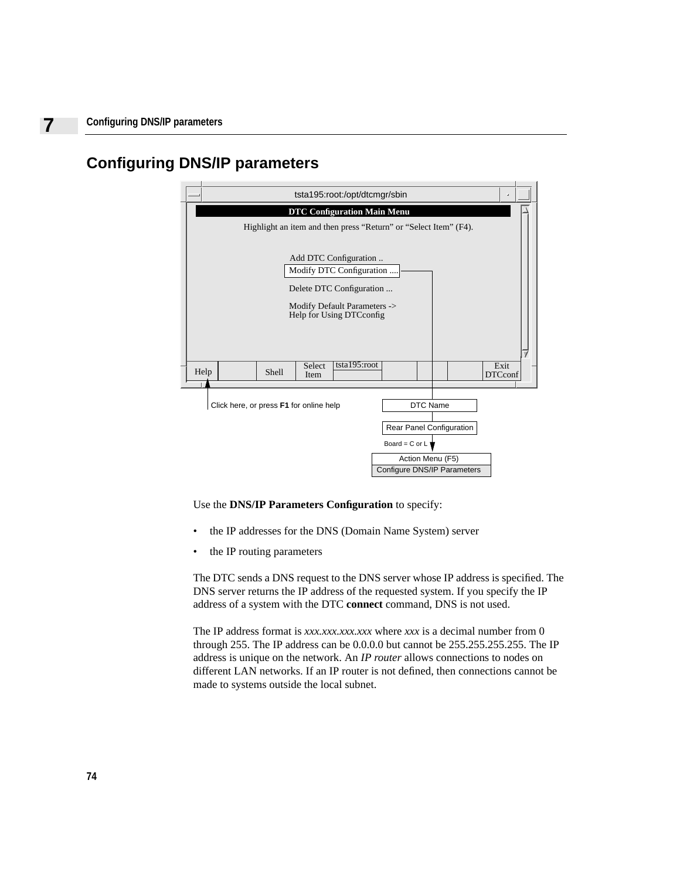## tsta195:root:/opt/dtcmgr/sbin **DTC Configuration Main Menu** Highlight an item and then press "Return" or "Select Item" (F4). Add DTC Configuration .. Modify DTC Configuration ... Delete DTC Configuration ... Modify Default Parameters -> Help for Using DTCconfig Help Shell Select Item tsta195:root Exit DTCconf Click here, or press **F1** for online help DTC Name Rear Panel Configuration Action Menu (F5) Configure DNS/IP Parameters Board = C or  $L \blacktriangleright$

## **Configuring DNS/IP parameters**

Use the **DNS/IP Parameters Configuration** to specify:

- the IP addresses for the DNS (Domain Name System) server
- the IP routing parameters

The DTC sends a DNS request to the DNS server whose IP address is specified. The DNS server returns the IP address of the requested system. If you specify the IP address of a system with the DTC **connect** command, DNS is not used.

The IP address format is *xxx.xxx.xxx.xxx* where *xxx* is a decimal number from 0 through 255. The IP address can be 0.0.0.0 but cannot be 255.255.255.255. The IP address is unique on the network. An *IP router* allows connections to nodes on different LAN networks. If an IP router is not defined, then connections cannot be made to systems outside the local subnet.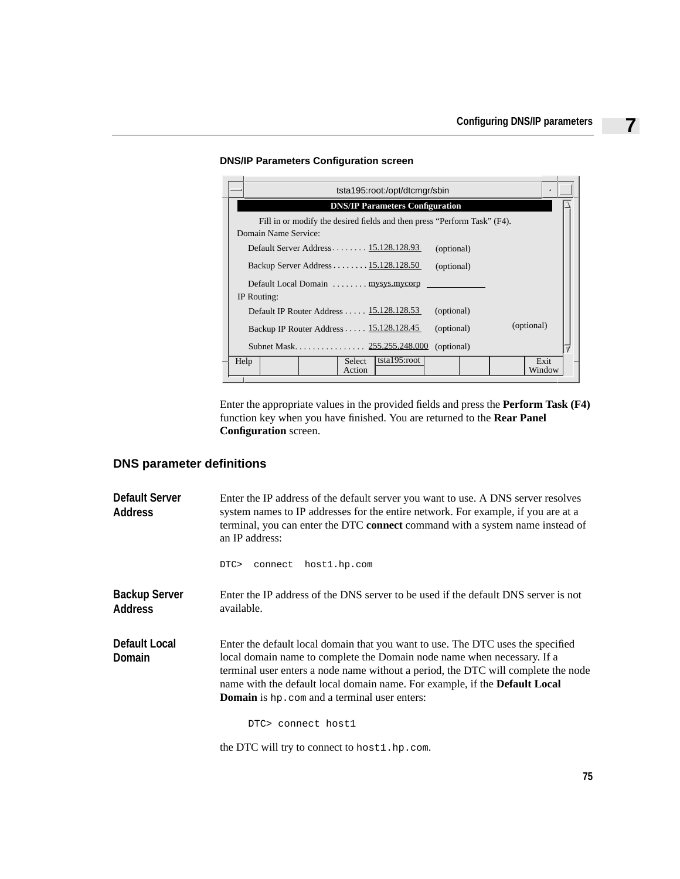#### **DNS/IP Parameters Configuration screen**

|      | tsta195:root:/opt/dtcmgr/sbin                                            | a.             |  |
|------|--------------------------------------------------------------------------|----------------|--|
|      | <b>DNS/IP Parameters Configuration</b>                                   |                |  |
|      | Fill in or modify the desired fields and then press "Perform Task" (F4). |                |  |
|      | Domain Name Service:                                                     |                |  |
|      | Default Server Address 15.128.128.93<br>(optional)                       |                |  |
|      | Backup Server Address 15.128.128.50<br>(optional)                        |                |  |
|      | Default Local Domain  mysys.mycorp                                       |                |  |
|      | IP Routing:                                                              |                |  |
|      | Default IP Router Address 15.128.128.53<br>(optional)                    |                |  |
|      | (optional)<br>Backup IP Router Address 15.128.128.45<br>(optional)       |                |  |
|      | (optional)                                                               |                |  |
| Help | tsta195:root<br>Select<br>Action                                         | Exit<br>Window |  |
|      |                                                                          |                |  |

Enter the appropriate values in the provided fields and press the **Perform Task (F4)** function key when you have finished. You are returned to the **Rear Panel Configuration** screen.

### **DNS parameter definitions**

| <b>Default Server</b><br><b>Address</b> | Enter the IP address of the default server you want to use. A DNS server resolves<br>system names to IP addresses for the entire network. For example, if you are at a<br>terminal, you can enter the DTC connect command with a system name instead of<br>an IP address:                                                                                                                    |
|-----------------------------------------|----------------------------------------------------------------------------------------------------------------------------------------------------------------------------------------------------------------------------------------------------------------------------------------------------------------------------------------------------------------------------------------------|
|                                         | host1.hp.com<br>DTC<br>connect                                                                                                                                                                                                                                                                                                                                                               |
| <b>Backup Server</b><br><b>Address</b>  | Enter the IP address of the DNS server to be used if the default DNS server is not<br>available.                                                                                                                                                                                                                                                                                             |
| Default Local<br>Domain                 | Enter the default local domain that you want to use. The DTC uses the specified<br>local domain name to complete the Domain node name when necessary. If a<br>terminal user enters a node name without a period, the DTC will complete the node<br>name with the default local domain name. For example, if the <b>Default Local</b><br><b>Domain</b> is hp. com and a terminal user enters: |
|                                         | DTC> connect host1                                                                                                                                                                                                                                                                                                                                                                           |
|                                         | the DTC will try to connect to host 1. hp. com.                                                                                                                                                                                                                                                                                                                                              |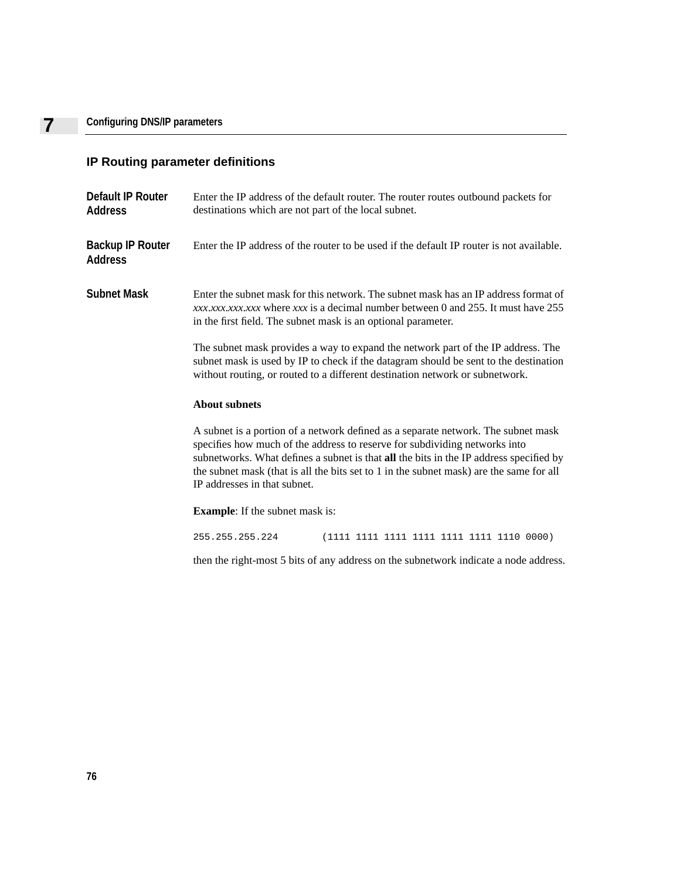# **Configuring DNS/IP parameters 7**

# **IP Routing parameter definitions**

| <b>Default IP Router</b><br><b>Address</b> | Enter the IP address of the default router. The router routes outbound packets for<br>destinations which are not part of the local subnet.                                                                                                                                                                                                                                           |
|--------------------------------------------|--------------------------------------------------------------------------------------------------------------------------------------------------------------------------------------------------------------------------------------------------------------------------------------------------------------------------------------------------------------------------------------|
| <b>Backup IP Router</b><br><b>Address</b>  | Enter the IP address of the router to be used if the default IP router is not available.                                                                                                                                                                                                                                                                                             |
| <b>Subnet Mask</b>                         | Enter the subnet mask for this network. The subnet mask has an IP address format of<br><i>xxx.xxx.xxx.xxx</i> where <i>xxx</i> is a decimal number between 0 and 255. It must have 255<br>in the first field. The subnet mask is an optional parameter.                                                                                                                              |
|                                            | The subnet mask provides a way to expand the network part of the IP address. The<br>subnet mask is used by IP to check if the datagram should be sent to the destination<br>without routing, or routed to a different destination network or subnetwork.                                                                                                                             |
|                                            | <b>About subnets</b>                                                                                                                                                                                                                                                                                                                                                                 |
|                                            | A subnet is a portion of a network defined as a separate network. The subnet mask<br>specifies how much of the address to reserve for subdividing networks into<br>subnetworks. What defines a subnet is that all the bits in the IP address specified by<br>the subnet mask (that is all the bits set to 1 in the subnet mask) are the same for all<br>IP addresses in that subnet. |
|                                            | <b>Example:</b> If the subnet mask is:                                                                                                                                                                                                                                                                                                                                               |
|                                            | 255.255.255.224<br>(1111 1111 1111 1111 1111 1111 1110 0000)                                                                                                                                                                                                                                                                                                                         |

then the right-most 5 bits of any address on the subnetwork indicate a node address.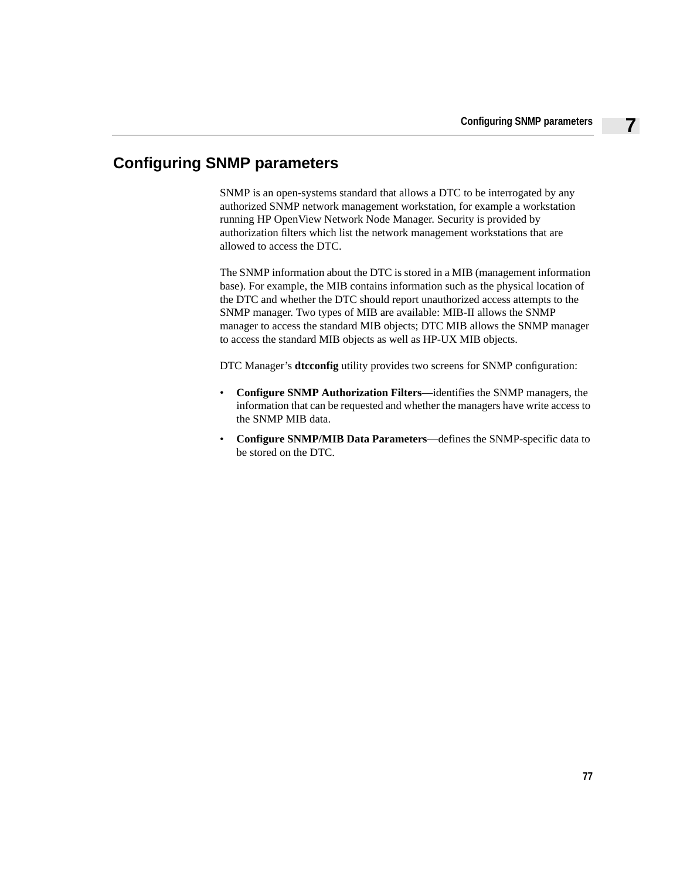# **Configuring SNMP parameters**

SNMP is an open-systems standard that allows a DTC to be interrogated by any authorized SNMP network management workstation, for example a workstation running HP OpenView Network Node Manager. Security is provided by authorization filters which list the network management workstations that are allowed to access the DTC.

The SNMP information about the DTC is stored in a MIB (management information base). For example, the MIB contains information such as the physical location of the DTC and whether the DTC should report unauthorized access attempts to the SNMP manager. Two types of MIB are available: MIB-II allows the SNMP manager to access the standard MIB objects; DTC MIB allows the SNMP manager to access the standard MIB objects as well as HP-UX MIB objects.

DTC Manager's **dtcconfig** utility provides two screens for SNMP configuration:

- **Configure SNMP Authorization Filters**—identifies the SNMP managers, the information that can be requested and whether the managers have write access to the SNMP MIB data.
- **Configure SNMP/MIB Data Parameters**—defines the SNMP-specific data to be stored on the DTC.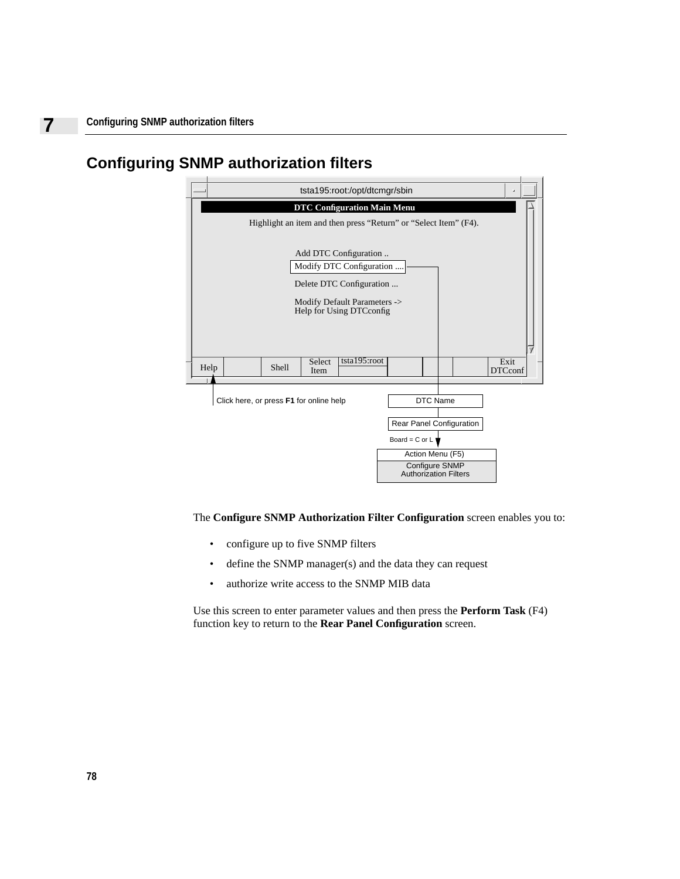

# **Configuring SNMP authorization filters**

The **Configure SNMP Authorization Filter Configuration** screen enables you to:

- configure up to five SNMP filters
- define the SNMP manager(s) and the data they can request
- authorize write access to the SNMP MIB data

Use this screen to enter parameter values and then press the **Perform Task** (F4) function key to return to the **Rear Panel Configuration** screen.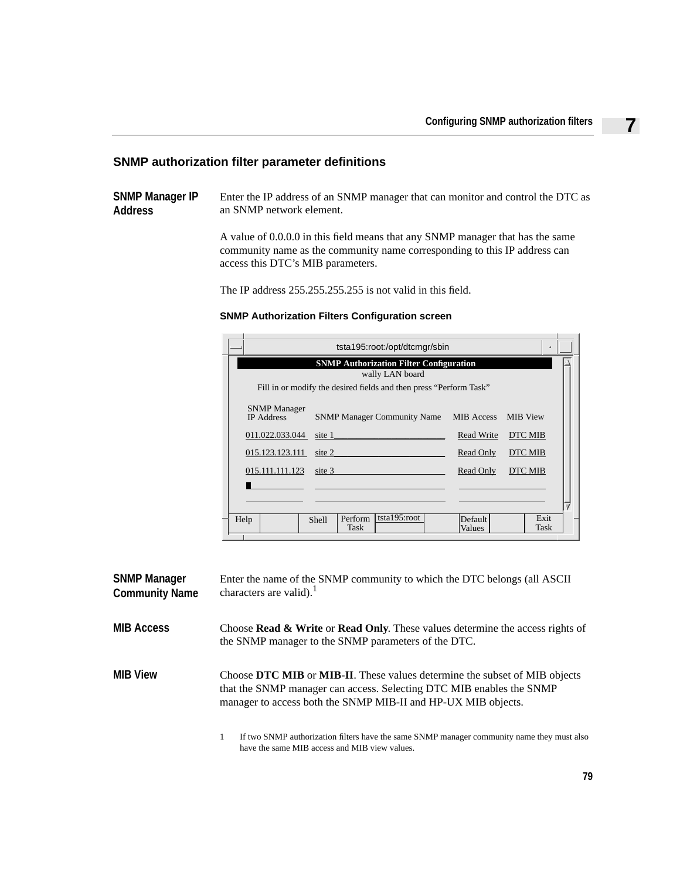#### **SNMP authorization filter parameter definitions**

**SNMP Manager IP Address**

Enter the IP address of an SNMP manager that can monitor and control the DTC as an SNMP network element.

A value of 0.0.0.0 in this field means that any SNMP manager that has the same community name as the community name corresponding to this IP address can access this DTC's MIB parameters.

The IP address 255.255.255.255 is not valid in this field.

#### **SNMP Authorization Filters Configuration screen**

|      |                                                                                                                |                  |                 | tsta195:root:/opt/dtcmgr/sbin                                     |                         |                    |                     |  |
|------|----------------------------------------------------------------------------------------------------------------|------------------|-----------------|-------------------------------------------------------------------|-------------------------|--------------------|---------------------|--|
|      |                                                                                                                |                  |                 | <b>SNMP Authorization Filter Configuration</b><br>wally LAN board |                         |                    |                     |  |
|      | Fill in or modify the desired fields and then press "Perform Task"<br><b>SNMP</b> Manager<br><b>IP</b> Address |                  |                 | <b>SNMP Manager Community Name</b>                                | MIB Access              | <b>MIB</b> View    |                     |  |
|      | 011.022.033.044<br>015.123.123.111                                                                             | site 1<br>site 2 |                 |                                                                   | Read Write<br>Read Only | DTC MIB<br>DTC MIB |                     |  |
|      | 015.111.111.123                                                                                                | site 3           |                 |                                                                   | Read Only               | DTC MIB            |                     |  |
|      |                                                                                                                |                  |                 |                                                                   |                         |                    |                     |  |
| Help |                                                                                                                | <b>Shell</b>     | Perform<br>Task | tsta195:root                                                      | Default<br>Values       |                    | Exit<br><b>Task</b> |  |

| <b>SNMP Manager</b><br><b>Community Name</b> | Enter the name of the SNMP community to which the DTC belongs (all ASCII<br>characters are valid). <sup>1</sup>                                                                                                     |
|----------------------------------------------|---------------------------------------------------------------------------------------------------------------------------------------------------------------------------------------------------------------------|
| <b>MIB Access</b>                            | Choose <b>Read &amp; Write</b> or <b>Read Only</b> . These values determine the access rights of<br>the SNMP manager to the SNMP parameters of the DTC.                                                             |
| <b>MIB View</b>                              | Choose DTC MIB or MIB-II. These values determine the subset of MIB objects<br>that the SNMP manager can access. Selecting DTC MIB enables the SNMP<br>manager to access both the SNMP MIB-II and HP-UX MIB objects. |
|                                              | If two SNMP authorization filters have the same SNMP manager community name they must also<br>1<br>have the same MIB access and MIB view values.                                                                    |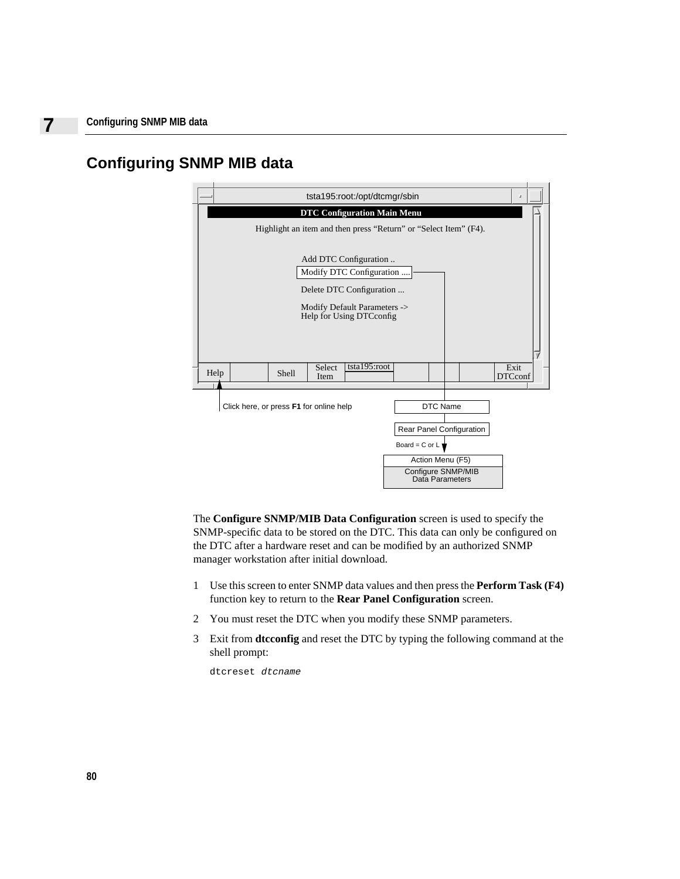## **Configuring SNMP MIB data**



The **Configure SNMP/MIB Data Configuration** screen is used to specify the SNMP-specific data to be stored on the DTC. This data can only be configured on the DTC after a hardware reset and can be modified by an authorized SNMP manager workstation after initial download.

- 1 Use this screen to enter SNMP data values and then press the **Perform Task (F4)** function key to return to the **Rear Panel Configuration** screen.
- 2 You must reset the DTC when you modify these SNMP parameters.
- 3 Exit from **dtcconfig** and reset the DTC by typing the following command at the shell prompt:

dtcreset dtcname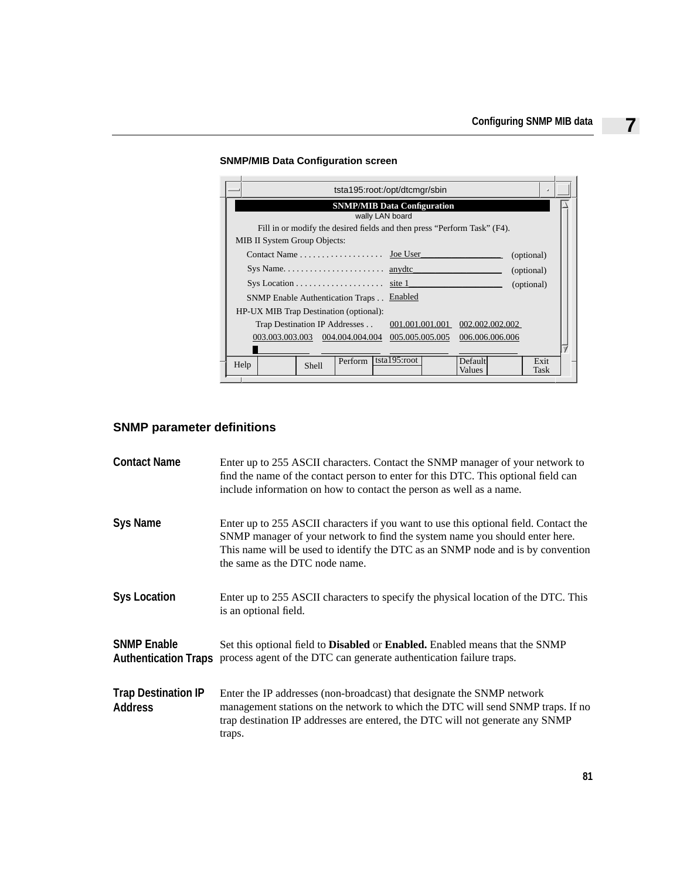### **SNMP/MIB Data Configuration screen**

|      |  |                              | tsta195:root:/opt/dtcmgr/sbin                                            |                 |                 |                   |            | л            |  |
|------|--|------------------------------|--------------------------------------------------------------------------|-----------------|-----------------|-------------------|------------|--------------|--|
|      |  |                              | <b>SNMP/MIB Data Configuration</b>                                       |                 |                 |                   |            |              |  |
|      |  |                              |                                                                          | wally LAN board |                 |                   |            |              |  |
|      |  |                              | Fill in or modify the desired fields and then press "Perform Task" (F4). |                 |                 |                   |            |              |  |
|      |  | MIB II System Group Objects: |                                                                          |                 |                 |                   |            |              |  |
|      |  |                              | Contact Name                                                             | Joe User        |                 |                   | (optional) |              |  |
|      |  |                              |                                                                          |                 |                 |                   | (optional) |              |  |
|      |  |                              |                                                                          |                 |                 |                   | (optional) |              |  |
|      |  |                              | <b>SNMP Enable Authentication Traps</b>                                  | Enabled         |                 |                   |            |              |  |
|      |  |                              | HP-UX MIB Trap Destination (optional):                                   |                 |                 |                   |            |              |  |
|      |  |                              | Trap Destination IP Addresses                                            |                 | 001.001.001.001 | 002.002.002.002   |            |              |  |
|      |  |                              | 003.003.003.003 004.004.004.004                                          | 005.005.005.005 |                 | 006.006.006.006   |            |              |  |
|      |  |                              |                                                                          |                 |                 |                   |            |              |  |
| Help |  | <b>Shell</b>                 | Perform                                                                  | tsta195:root    |                 | Default<br>Values |            | Exit<br>Task |  |
|      |  |                              |                                                                          |                 |                 |                   |            |              |  |

## **SNMP parameter definitions**

| <b>Contact Name</b>                               | Enter up to 255 ASCII characters. Contact the SNMP manager of your network to<br>find the name of the contact person to enter for this DTC. This optional field can<br>include information on how to contact the person as well as a name.                                               |
|---------------------------------------------------|------------------------------------------------------------------------------------------------------------------------------------------------------------------------------------------------------------------------------------------------------------------------------------------|
| <b>Sys Name</b>                                   | Enter up to 255 ASCII characters if you want to use this optional field. Contact the<br>SNMP manager of your network to find the system name you should enter here.<br>This name will be used to identify the DTC as an SNMP node and is by convention<br>the same as the DTC node name. |
| <b>Sys Location</b>                               | Enter up to 255 ASCII characters to specify the physical location of the DTC. This<br>is an optional field.                                                                                                                                                                              |
| <b>SNMP Enable</b><br><b>Authentication Traps</b> | Set this optional field to Disabled or Enabled. Enabled means that the SNMP<br>process agent of the DTC can generate authentication failure traps.                                                                                                                                       |
| <b>Trap Destination IP</b><br><b>Address</b>      | Enter the IP addresses (non-broadcast) that designate the SNMP network<br>management stations on the network to which the DTC will send SNMP traps. If no<br>trap destination IP addresses are entered, the DTC will not generate any SNMP<br>traps.                                     |

**81**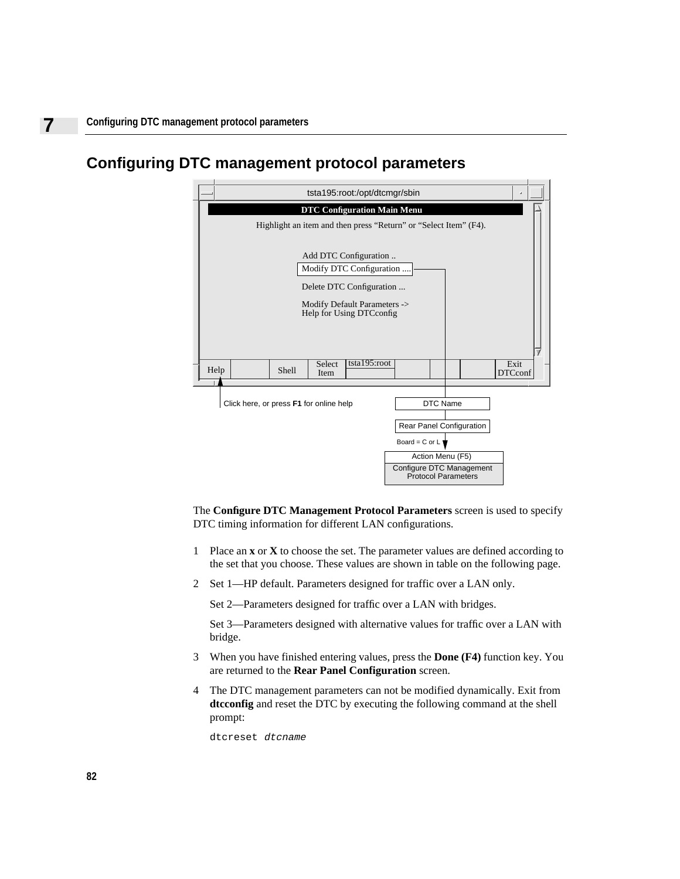## tsta195:root:/opt/dtcmgr/sbin **DTC Configuration Main Menu** Highlight an item and then press "Return" or "Select Item" (F4). Add DTC Configuration .. Modify DTC Configuration . Delete DTC Configuration ... Modify Default Parameters -> Help for Using DTCconfig  $\left| \begin{array}{c} \text{He} \\ \text{He} \end{array} \right| \quad \text{Shell} \quad \left| \begin{array}{c} \text{Select} \\ \text{Item} \end{array} \right|$ Item tsta195:root Exit DTCconf Click here, or press **F1** for online help DTC Name Rear Panel Configuration Action Menu (F5) Configure DTC Management Board =  $C$  or  $L$ Protocol Parameters

## **Configuring DTC management protocol parameters**

The **Configure DTC Management Protocol Parameters** screen is used to specify DTC timing information for different LAN configurations.

- 1 Place an **x** or **X** to choose the set. The parameter values are defined according to the set that you choose. These values are shown in table on the following page.
- 2 Set 1—HP default. Parameters designed for traffic over a LAN only.

Set 2—Parameters designed for traffic over a LAN with bridges.

Set 3—Parameters designed with alternative values for traffic over a LAN with bridge.

- 3 When you have finished entering values, press the **Done (F4)** function key. You are returned to the **Rear Panel Configuration** screen.
- 4 The DTC management parameters can not be modified dynamically. Exit from **dtcconfig** and reset the DTC by executing the following command at the shell prompt:

dtcreset dtcname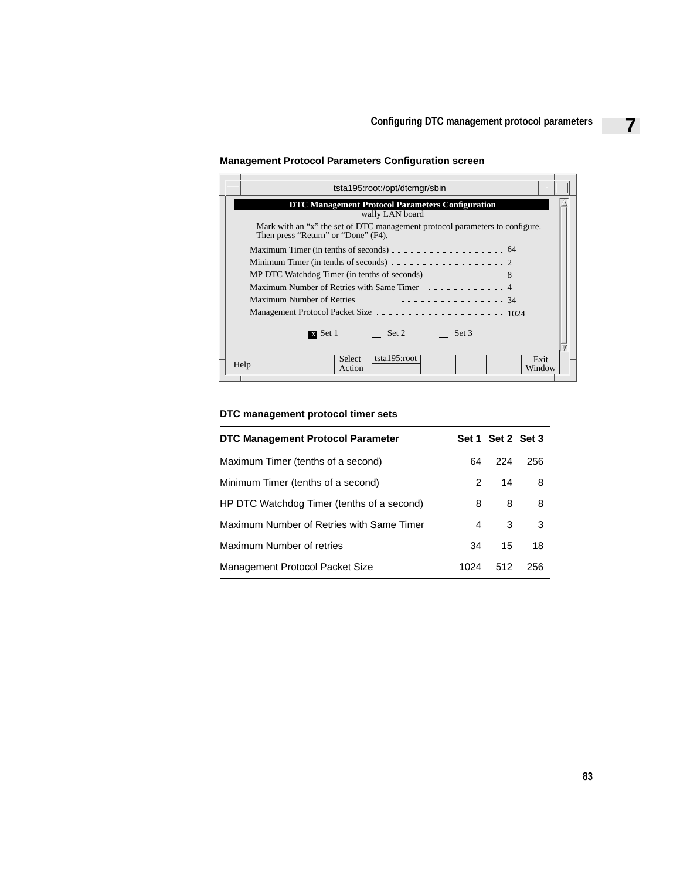|      |                                     |                         | tsta195:root:/opt/dtcmgr/sbin                                                               |       | a.             |  |
|------|-------------------------------------|-------------------------|---------------------------------------------------------------------------------------------|-------|----------------|--|
|      |                                     |                         | <b>DTC Management Protocol Parameters Configuration</b><br>wally LAN board                  |       |                |  |
|      |                                     |                         |                                                                                             |       |                |  |
|      | Then press "Return" or "Done" (F4). |                         | Mark with an "x" the set of DTC management protocol parameters to configure.                |       |                |  |
|      |                                     |                         |                                                                                             |       |                |  |
|      |                                     |                         |                                                                                             |       |                |  |
|      |                                     |                         | MP DTC Watchdog Timer (in tenths of seconds) $\ldots$ $\ldots$ $\ldots$ $\ldots$ $\ldots$ 8 |       |                |  |
|      |                                     |                         | Maximum Number of Retries with Same Timer 4                                                 |       |                |  |
|      | Maximum Number of Retries           |                         | . 34                                                                                        |       |                |  |
|      |                                     |                         |                                                                                             |       |                |  |
|      | $\blacksquare$ Set 1                |                         | Set 2                                                                                       | Set 3 |                |  |
|      |                                     |                         |                                                                                             |       |                |  |
| Help |                                     | <b>Select</b><br>Action | tsta195:root                                                                                |       | Exit<br>Window |  |

### **Management Protocol Parameters Configuration screen**

### **DTC management protocol timer sets**

| <b>DTC Management Protocol Parameter</b>   |      | Set 1 Set 2 Set 3 |     |
|--------------------------------------------|------|-------------------|-----|
| Maximum Timer (tenths of a second)         | 64   | 224               | 256 |
| Minimum Timer (tenths of a second)         | 2    | 14                | -8  |
| HP DTC Watchdog Timer (tenths of a second) | 8    | 8                 | 8   |
| Maximum Number of Retries with Same Timer  | 4    | 3                 | 3   |
| Maximum Number of retries                  | 34   | 15                | 18  |
| Management Protocol Packet Size            | 1024 | 512               | 256 |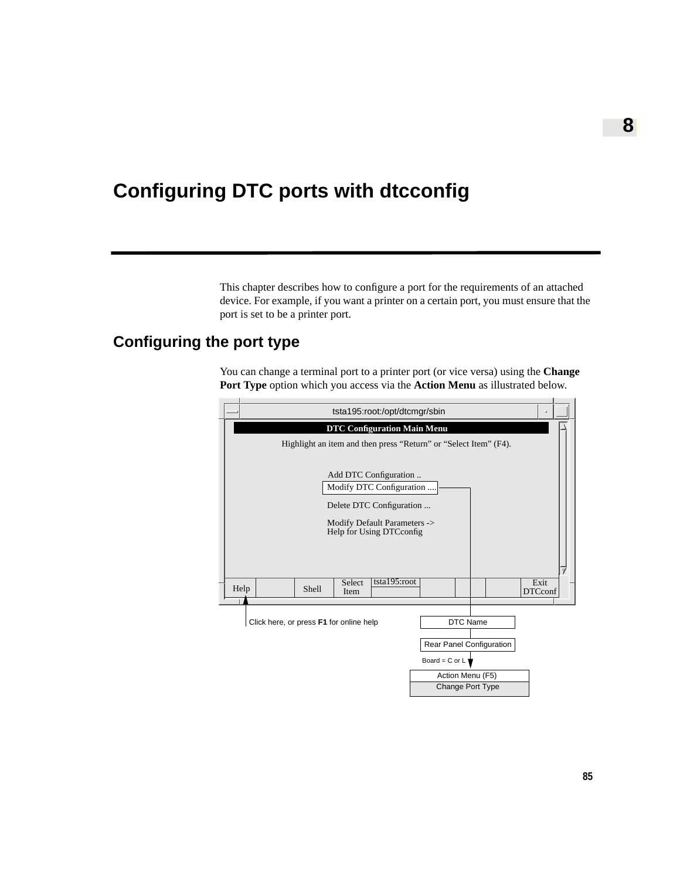# **Configuring DTC ports with dtcconfig**

This chapter describes how to configure a port for the requirements of an attached device. For example, if you want a printer on a certain port, you must ensure that the port is set to be a printer port.

# **Configuring the port type**

You can change a terminal port to a printer port (or vice versa) using the **Change Port Type** option which you access via the **Action Menu** as illustrated below.

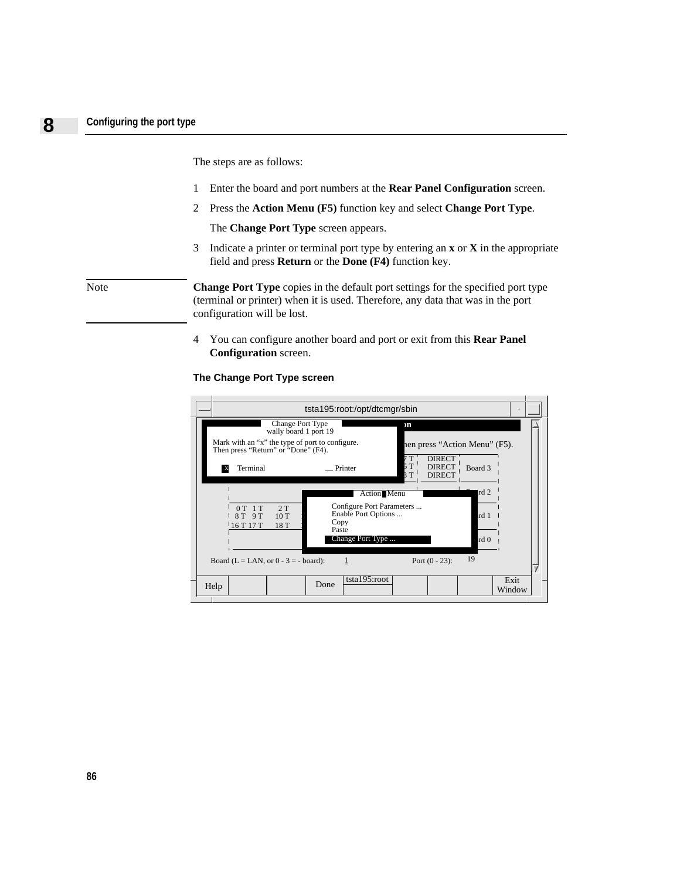The steps are as follows:

- 1 Enter the board and port numbers at the **Rear Panel Configuration** screen.
- 2 Press the **Action Menu (F5)** function key and select **Change Port Type**.

The **Change Port Type** screen appears.

3 Indicate a printer or terminal port type by entering an **x** or **X** in the appropriate field and press **Return** or the **Done (F4)** function key.

**Change Port Type** copies in the default port settings for the specified port type (terminal or printer) when it is used. Therefore, any data that was in the port configuration will be lost.

> 4 You can configure another board and port or exit from this **Rear Panel Configuration** screen.

#### **The Change Port Type screen**

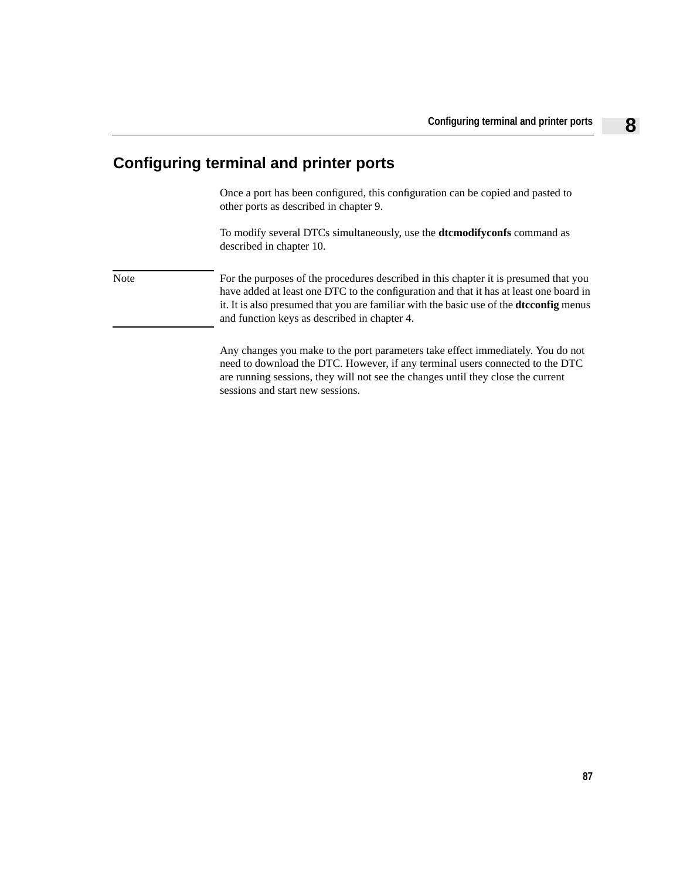# **Configuring terminal and printer ports**

Once a port has been configured, this configuration can be copied and pasted to other ports as described in chapter 9.

To modify several DTCs simultaneously, use the **dtcmodifyconfs** command as described in chapter 10.

Note For the purposes of the procedures described in this chapter it is presumed that you have added at least one DTC to the configuration and that it has at least one board in it. It is also presumed that you are familiar with the basic use of the **dtcconfig** menus and function keys as described in chapter 4.

> Any changes you make to the port parameters take effect immediately. You do not need to download the DTC. However, if any terminal users connected to the DTC are running sessions, they will not see the changes until they close the current sessions and start new sessions.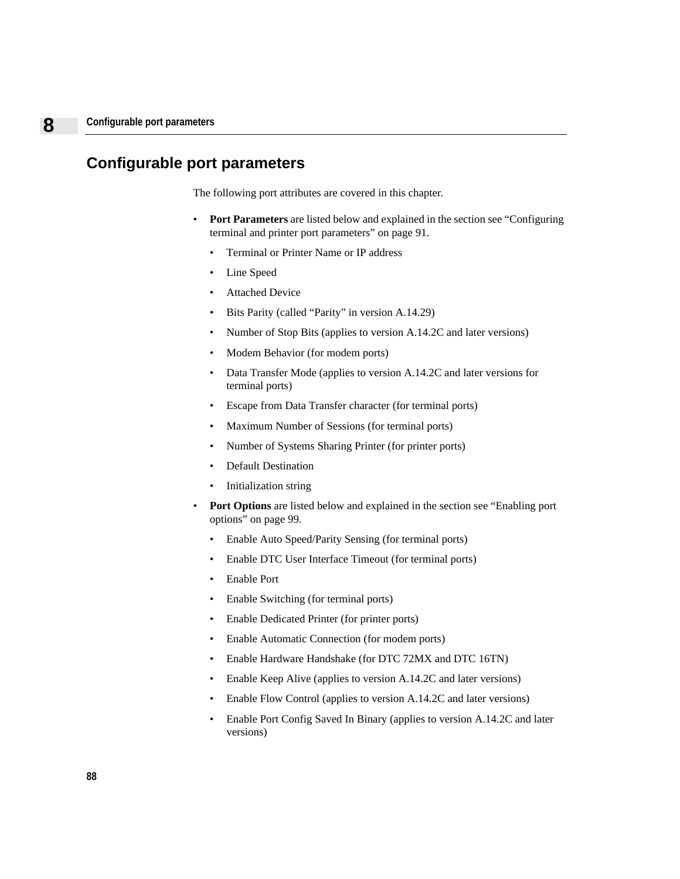## **Configurable port parameters**

The following port attributes are covered in this chapter.

- **Port Parameters** are listed below and explained in the section see "Configuring terminal and printer port parameters" on page 91.
	- Terminal or Printer Name or IP address
	- Line Speed
	- Attached Device
	- Bits Parity (called "Parity" in version A.14.29)
	- Number of Stop Bits (applies to version A.14.2C and later versions)
	- Modem Behavior (for modem ports)
	- Data Transfer Mode (applies to version A.14.2C and later versions for terminal ports)
	- Escape from Data Transfer character (for terminal ports)
	- Maximum Number of Sessions (for terminal ports)
	- Number of Systems Sharing Printer (for printer ports)
	- Default Destination
	- Initialization string
- **Port Options** are listed below and explained in the section see "Enabling port" options" on page 99.
	- Enable Auto Speed/Parity Sensing (for terminal ports)
	- Enable DTC User Interface Timeout (for terminal ports)
	- Enable Port
	- Enable Switching (for terminal ports)
	- Enable Dedicated Printer (for printer ports)
	- Enable Automatic Connection (for modem ports)
	- Enable Hardware Handshake (for DTC 72MX and DTC 16TN)
	- Enable Keep Alive (applies to version A.14.2C and later versions)
	- Enable Flow Control (applies to version A.14.2C and later versions)
	- Enable Port Config Saved In Binary (applies to version A.14.2C and later versions)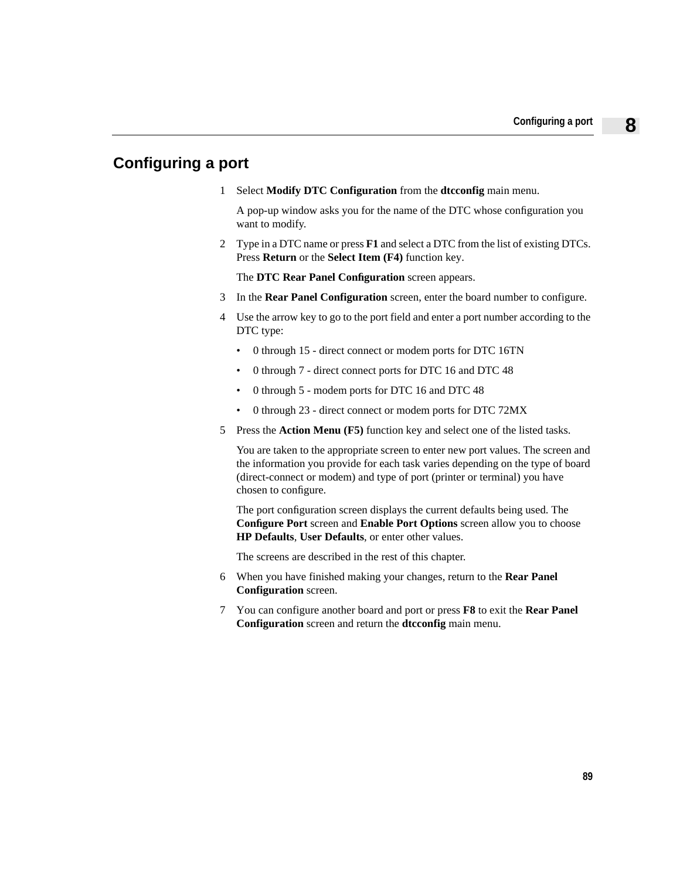## **Configuring a port**

1 Select **Modify DTC Configuration** from the **dtcconfig** main menu.

A pop-up window asks you for the name of the DTC whose configuration you want to modify.

2 Type in a DTC name or press **F1** and select a DTC from the list of existing DTCs. Press **Return** or the **Select Item (F4)** function key.

The **DTC Rear Panel Configuration** screen appears.

- 3 In the **Rear Panel Configuration** screen, enter the board number to configure.
- 4 Use the arrow key to go to the port field and enter a port number according to the DTC type:
	- 0 through 15 direct connect or modem ports for DTC 16TN
	- 0 through 7 direct connect ports for DTC 16 and DTC 48
	- 0 through 5 modem ports for DTC 16 and DTC 48
	- 0 through 23 direct connect or modem ports for DTC 72MX
- 5 Press the **Action Menu (F5)** function key and select one of the listed tasks.

You are taken to the appropriate screen to enter new port values. The screen and the information you provide for each task varies depending on the type of board (direct-connect or modem) and type of port (printer or terminal) you have chosen to configure.

The port configuration screen displays the current defaults being used. The **Configure Port** screen and **Enable Port Options** screen allow you to choose **HP Defaults**, **User Defaults**, or enter other values.

The screens are described in the rest of this chapter.

- 6 When you have finished making your changes, return to the **Rear Panel Configuration** screen.
- 7 You can configure another board and port or press **F8** to exit the **Rear Panel Configuration** screen and return the **dtcconfig** main menu.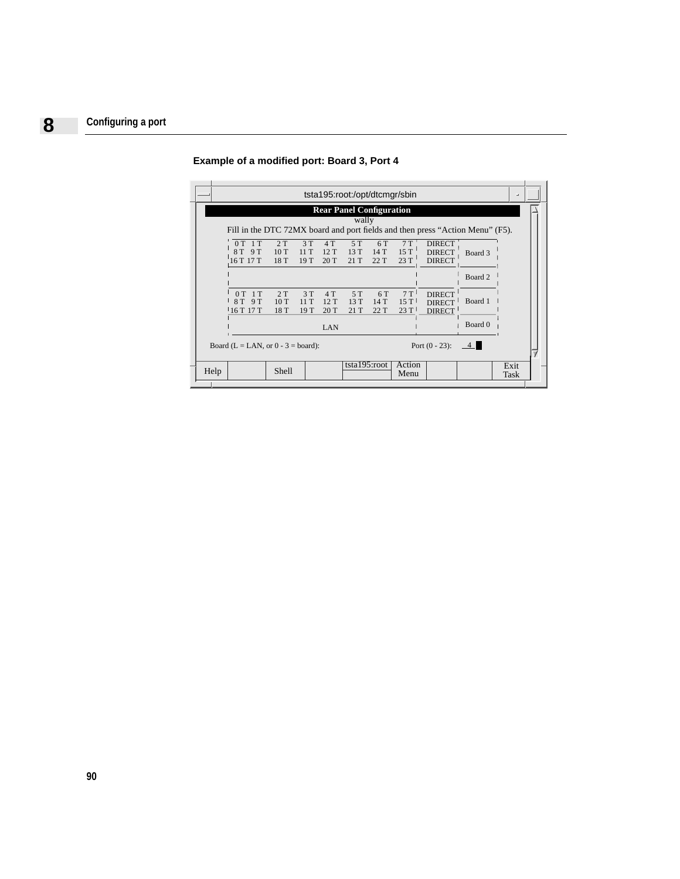|      |                                                                                        |                  |                   |                   | tsta195:root:/opt/dtcmgr/sbin |                   |                                                         |                                                 |         | H.           |  |  |
|------|----------------------------------------------------------------------------------------|------------------|-------------------|-------------------|-------------------------------|-------------------|---------------------------------------------------------|-------------------------------------------------|---------|--------------|--|--|
|      | <b>Rear Panel Configuration</b>                                                        |                  |                   |                   |                               |                   |                                                         |                                                 |         |              |  |  |
|      | wally<br>Fill in the DTC 72MX board and port fields and then press "Action Menu" (F5). |                  |                   |                   |                               |                   |                                                         |                                                 |         |              |  |  |
|      | 0T<br>8T9T<br>16 T 17 T                                                                | 2T<br>10T<br>18T | 3T<br>11T<br>19T  | 4 T<br>12T<br>20T | 5T<br>13T<br>21T              | 6 T<br>14T<br>22T | 7T<br>15T<br>23T                                        | <b>DIRECT</b><br><b>DIRECT</b><br><b>DIRECT</b> | Board 3 |              |  |  |
|      |                                                                                        |                  |                   |                   |                               |                   |                                                         |                                                 | Board 2 |              |  |  |
|      | 0T <sub>1</sub> T<br>8T 9T<br>16T17T                                                   | 2T<br>10T<br>18T | 3T<br>11T<br>19 T | 4 T<br>12T<br>20T | 5T<br>13T<br>21T              | 6 T<br>14T<br>22T | 7T <sup>1</sup><br>15T <sup>1</sup><br>23T <sup>1</sup> | <b>DIRECT</b><br><b>DIRECT</b><br><b>DIRECT</b> | Board 1 |              |  |  |
|      |                                                                                        |                  |                   | LAN               |                               |                   |                                                         |                                                 | Board 0 |              |  |  |
|      | Board ( $L = LAN$ , or $0 - 3 = board$ ):                                              |                  |                   |                   |                               |                   |                                                         | Port $(0 - 23)$ : $4$                           |         |              |  |  |
| Help |                                                                                        | Shell            |                   |                   |                               | tsta195:root      | Action<br>Menu                                          |                                                 |         | Exit<br>Task |  |  |

**Example of a modified port: Board 3, Port 4**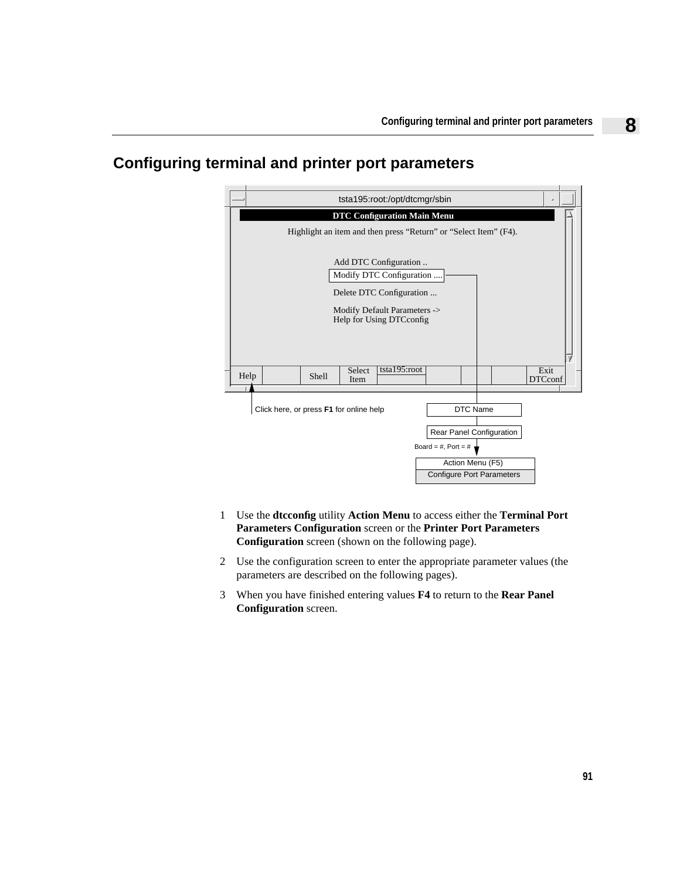# **Configuring terminal and printer port parameters**

|      |                                                                  |                       | tsta195:root:/opt/dtcmgr/sbin                                                                                                             |                                                                                     |                              |  | a.              |  |
|------|------------------------------------------------------------------|-----------------------|-------------------------------------------------------------------------------------------------------------------------------------------|-------------------------------------------------------------------------------------|------------------------------|--|-----------------|--|
|      |                                                                  |                       | <b>DTC Configuration Main Menu</b>                                                                                                        |                                                                                     |                              |  |                 |  |
|      | Highlight an item and then press "Return" or "Select Item" (F4). |                       |                                                                                                                                           |                                                                                     |                              |  |                 |  |
|      |                                                                  |                       | Add DTC Configuration<br>Modify DTC Configuration<br>Delete DTC Configuration<br>Modify Default Parameters -><br>Help for Using DTCconfig |                                                                                     |                              |  |                 |  |
| Help | <b>Shell</b>                                                     | <b>Select</b><br>Item | tsta195:root                                                                                                                              |                                                                                     |                              |  | Exit<br>DTCconf |  |
|      | Click here, or press F1 for online help                          |                       |                                                                                                                                           | Rear Panel Configuration<br>Board = #, Port = #<br><b>Configure Port Parameters</b> | DTC Name<br>Action Menu (F5) |  |                 |  |

- 1 Use the **dtcconfig** utility **Action Menu** to access either the **Terminal Port Parameters Configuration** screen or the **Printer Port Parameters Configuration** screen (shown on the following page).
- 2 Use the configuration screen to enter the appropriate parameter values (the parameters are described on the following pages).
- 3 When you have finished entering values **F4** to return to the **Rear Panel Configuration** screen.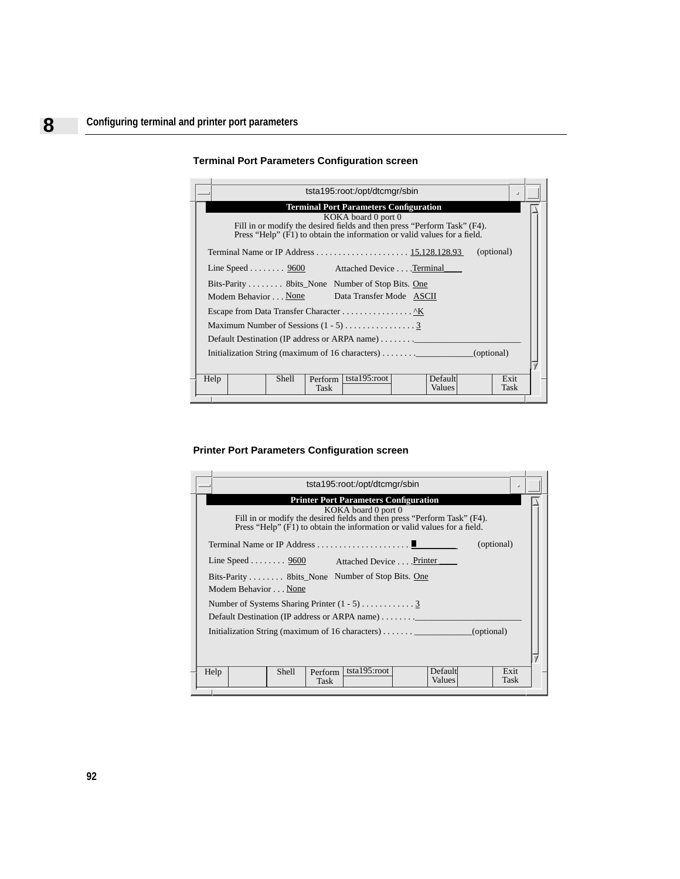# **Configuring terminal and printer port parameters 8**

|                                                                                                                                                                                                                              |  |                     |                 | tsta195:root:/opt/dtcmgr/sbin                    |  |                   |  |              |  |
|------------------------------------------------------------------------------------------------------------------------------------------------------------------------------------------------------------------------------|--|---------------------|-----------------|--------------------------------------------------|--|-------------------|--|--------------|--|
| <b>Terminal Port Parameters Configuration</b><br>KOKA board 0 port 0<br>Fill in or modify the desired fields and then press "Perform Task" (F4).<br>Press "Help" (F1) to obtain the information or valid values for a field. |  |                     |                 |                                                  |  |                   |  |              |  |
| (optional)                                                                                                                                                                                                                   |  |                     |                 |                                                  |  |                   |  |              |  |
| Line Speed 9600 Attached Device Terminal                                                                                                                                                                                     |  |                     |                 |                                                  |  |                   |  |              |  |
|                                                                                                                                                                                                                              |  |                     |                 | Bits-Parity  8bits_None Number of Stop Bits. One |  |                   |  |              |  |
|                                                                                                                                                                                                                              |  | Modem Behavior None |                 | Data Transfer Mode ASCII                         |  |                   |  |              |  |
|                                                                                                                                                                                                                              |  |                     |                 |                                                  |  |                   |  |              |  |
|                                                                                                                                                                                                                              |  |                     |                 |                                                  |  |                   |  |              |  |
| Default Destination (IP address or ARPA name)                                                                                                                                                                                |  |                     |                 |                                                  |  |                   |  |              |  |
|                                                                                                                                                                                                                              |  |                     |                 |                                                  |  |                   |  |              |  |
|                                                                                                                                                                                                                              |  |                     |                 |                                                  |  |                   |  |              |  |
| Help                                                                                                                                                                                                                         |  | <b>Shell</b>        | Perform<br>Task | tsta195:root                                     |  | Default<br>Values |  | Exit<br>Task |  |
|                                                                                                                                                                                                                              |  |                     |                 |                                                  |  |                   |  |              |  |

### **Terminal Port Parameters Configuration screen**

**Printer Port Parameters Configuration screen**

|                                                                          |                     |       |         | tsta195:root:/opt/dtcmgr/sbin                   |  |         |  |      |  |
|--------------------------------------------------------------------------|---------------------|-------|---------|-------------------------------------------------|--|---------|--|------|--|
|                                                                          |                     |       |         | <b>Printer Port Parameters Configuration</b>    |  |         |  |      |  |
|                                                                          | KOKA board 0 port 0 |       |         |                                                 |  |         |  |      |  |
| Fill in or modify the desired fields and then press "Perform Task" (F4). |                     |       |         |                                                 |  |         |  |      |  |
| Press "Help" (F1) to obtain the information or valid values for a field. |                     |       |         |                                                 |  |         |  |      |  |
| (optional)                                                               |                     |       |         |                                                 |  |         |  |      |  |
| Line Speed 9600 Attached Device Printer                                  |                     |       |         |                                                 |  |         |  |      |  |
|                                                                          |                     |       |         | Bits-Parity 8bits_None Number of Stop Bits. One |  |         |  |      |  |
|                                                                          | Modem Behavior None |       |         |                                                 |  |         |  |      |  |
|                                                                          |                     |       |         |                                                 |  |         |  |      |  |
|                                                                          |                     |       |         | Default Destination (IP address or ARPA name)   |  |         |  |      |  |
|                                                                          |                     |       |         |                                                 |  |         |  |      |  |
|                                                                          |                     |       |         |                                                 |  |         |  |      |  |
|                                                                          |                     |       |         |                                                 |  |         |  |      |  |
|                                                                          |                     |       |         |                                                 |  |         |  |      |  |
| Help                                                                     |                     | Shell | Perform | tsta195:root                                    |  | Default |  | Exit |  |
|                                                                          |                     |       | Task    |                                                 |  | Values  |  | Task |  |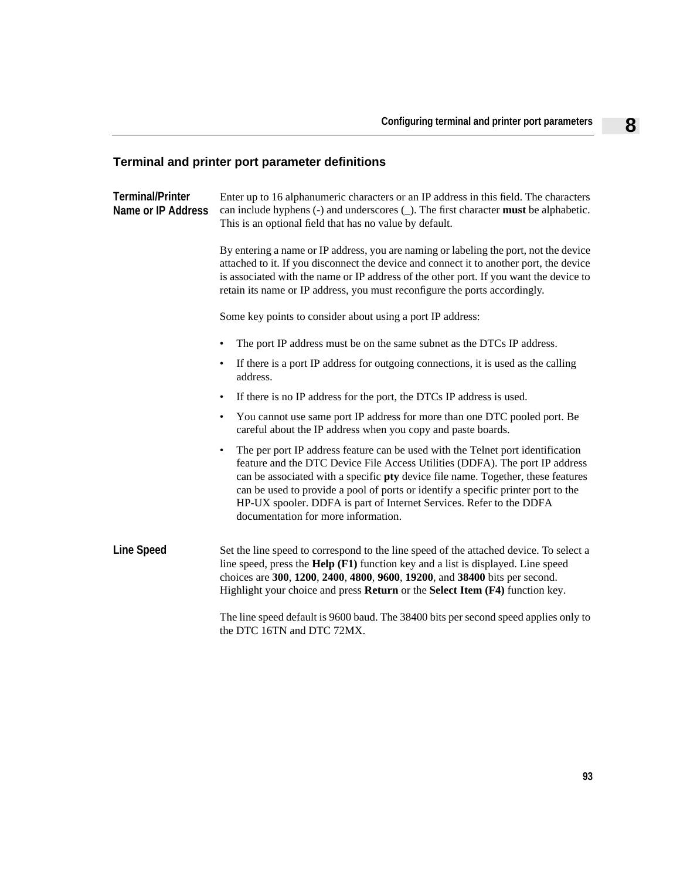#### **Terminal and printer port parameter definitions**

**Terminal/Printer Name or IP Address** Enter up to 16 alphanumeric characters or an IP address in this field. The characters can include hyphens (-) and underscores (\_). The first character **must** be alphabetic. This is an optional field that has no value by default.

> By entering a name or IP address, you are naming or labeling the port, not the device attached to it. If you disconnect the device and connect it to another port, the device is associated with the name or IP address of the other port. If you want the device to retain its name or IP address, you must reconfigure the ports accordingly.

Some key points to consider about using a port IP address:

- The port IP address must be on the same subnet as the DTCs IP address.
- If there is a port IP address for outgoing connections, it is used as the calling address.
- If there is no IP address for the port, the DTCs IP address is used.
- You cannot use same port IP address for more than one DTC pooled port. Be careful about the IP address when you copy and paste boards.
- The per port IP address feature can be used with the Telnet port identification feature and the DTC Device File Access Utilities (DDFA). The port IP address can be associated with a specific **pty** device file name. Together, these features can be used to provide a pool of ports or identify a specific printer port to the HP-UX spooler. DDFA is part of Internet Services. Refer to the DDFA documentation for more information.
- **Line Speed** Set the line speed to correspond to the line speed of the attached device. To select a line speed, press the **Help (F1)** function key and a list is displayed. Line speed choices are **300**, **1200**, **2400**, **4800**, **9600**, **19200**, and **38400** bits per second. Highlight your choice and press **Return** or the **Select Item (F4)** function key.

The line speed default is 9600 baud. The 38400 bits per second speed applies only to the DTC 16TN and DTC 72MX.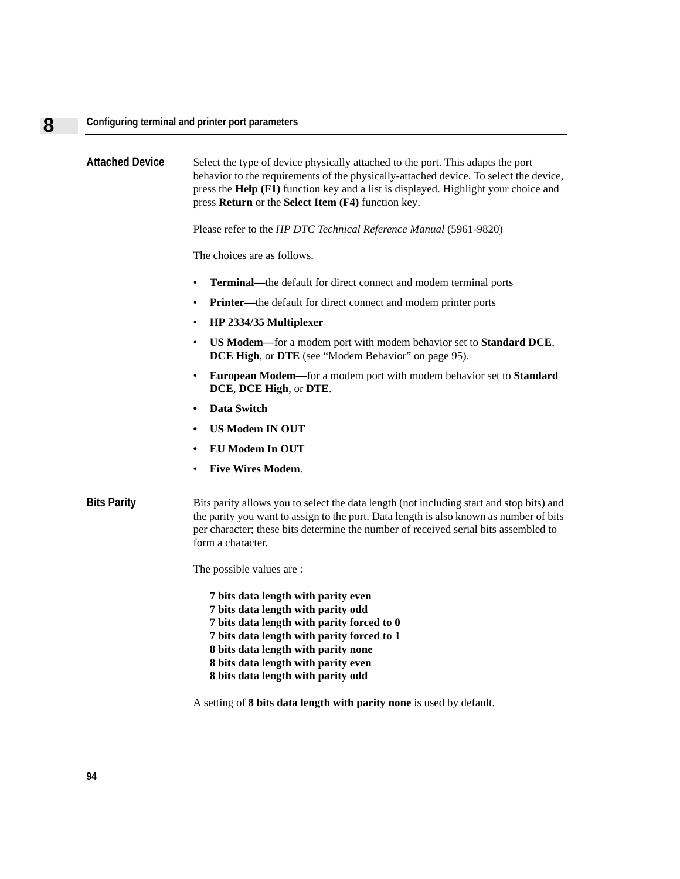# **Configuring terminal and printer port parameters 8**

| <b>Attached Device</b> | Select the type of device physically attached to the port. This adapts the port<br>behavior to the requirements of the physically-attached device. To select the device,<br>press the Help (F1) function key and a list is displayed. Highlight your choice and<br>press Return or the Select Item (F4) function key. |  |  |  |  |  |
|------------------------|-----------------------------------------------------------------------------------------------------------------------------------------------------------------------------------------------------------------------------------------------------------------------------------------------------------------------|--|--|--|--|--|
|                        | Please refer to the HP DTC Technical Reference Manual (5961-9820)                                                                                                                                                                                                                                                     |  |  |  |  |  |
|                        | The choices are as follows.                                                                                                                                                                                                                                                                                           |  |  |  |  |  |
|                        | Terminal—the default for direct connect and modem terminal ports<br>$\bullet$                                                                                                                                                                                                                                         |  |  |  |  |  |
|                        | <b>Printer—the default for direct connect and modem printer ports</b><br>$\bullet$                                                                                                                                                                                                                                    |  |  |  |  |  |
|                        | HP 2334/35 Multiplexer<br>$\bullet$                                                                                                                                                                                                                                                                                   |  |  |  |  |  |
|                        | US Modem—for a modem port with modem behavior set to Standard DCE,<br>$\bullet$<br><b>DCE High, or DTE</b> (see "Modem Behavior" on page 95).                                                                                                                                                                         |  |  |  |  |  |
|                        | European Modem—for a modem port with modem behavior set to Standard<br>$\bullet$<br>DCE, DCE High, or DTE.                                                                                                                                                                                                            |  |  |  |  |  |
|                        | <b>Data Switch</b><br>٠                                                                                                                                                                                                                                                                                               |  |  |  |  |  |
|                        | <b>US Modem IN OUT</b><br>$\bullet$                                                                                                                                                                                                                                                                                   |  |  |  |  |  |
|                        | <b>EU Modem In OUT</b><br>$\bullet$                                                                                                                                                                                                                                                                                   |  |  |  |  |  |
|                        | <b>Five Wires Modem.</b><br>٠                                                                                                                                                                                                                                                                                         |  |  |  |  |  |
| <b>Bits Parity</b>     | Bits parity allows you to select the data length (not including start and stop bits) and<br>the parity you want to assign to the port. Data length is also known as number of bits<br>per character; these bits determine the number of received serial bits assembled to<br>form a character.                        |  |  |  |  |  |
|                        | The possible values are :                                                                                                                                                                                                                                                                                             |  |  |  |  |  |
|                        | 7 bits data length with parity even<br>7 bits data length with parity odd<br>7 bits data length with parity forced to 0<br>7 bits data length with parity forced to 1<br>8 bits data length with parity none<br>8 bits data length with parity even<br>8 bits data length with parity odd                             |  |  |  |  |  |

A setting of **8 bits data length with parity none** is used by default.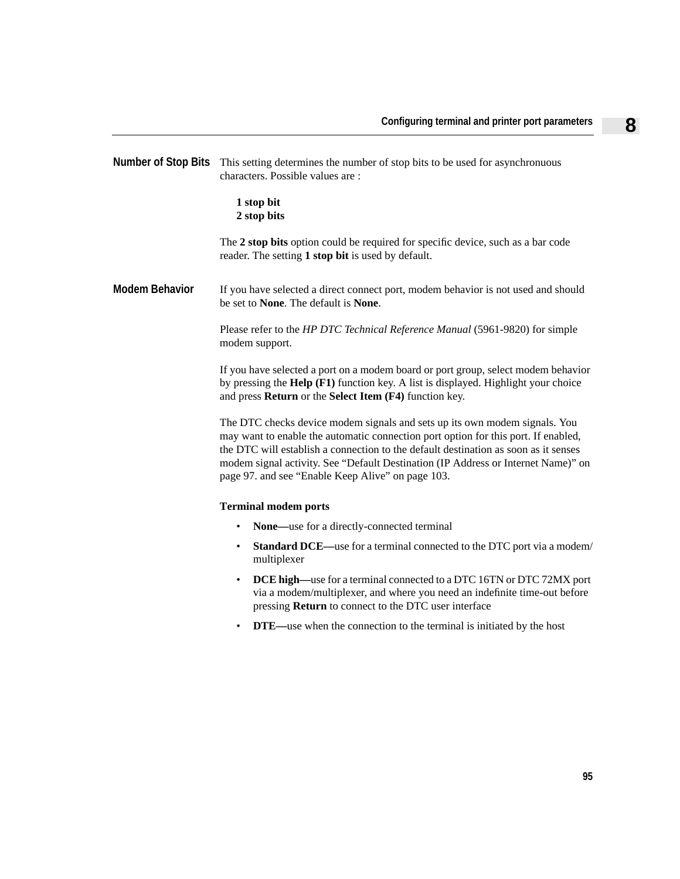|                       | <b>Number of Stop Bits</b> This setting determines the number of stop bits to be used for asynchronuous<br>characters. Possible values are:                                                                                                                                                                                                                                                       |  |  |  |  |
|-----------------------|---------------------------------------------------------------------------------------------------------------------------------------------------------------------------------------------------------------------------------------------------------------------------------------------------------------------------------------------------------------------------------------------------|--|--|--|--|
|                       | 1 stop bit<br>2 stop bits                                                                                                                                                                                                                                                                                                                                                                         |  |  |  |  |
|                       | The 2 stop bits option could be required for specific device, such as a bar code<br>reader. The setting 1 stop bit is used by default.                                                                                                                                                                                                                                                            |  |  |  |  |
| <b>Modem Behavior</b> | If you have selected a direct connect port, modem behavior is not used and should<br>be set to None. The default is None.                                                                                                                                                                                                                                                                         |  |  |  |  |
|                       | Please refer to the HP DTC Technical Reference Manual (5961-9820) for simple<br>modem support.                                                                                                                                                                                                                                                                                                    |  |  |  |  |
|                       | If you have selected a port on a modem board or port group, select modem behavior<br>by pressing the <b>Help</b> (F1) function key. A list is displayed. Highlight your choice<br>and press Return or the Select Item (F4) function key.                                                                                                                                                          |  |  |  |  |
|                       | The DTC checks device modem signals and sets up its own modem signals. You<br>may want to enable the automatic connection port option for this port. If enabled,<br>the DTC will establish a connection to the default destination as soon as it senses<br>modem signal activity. See "Default Destination (IP Address or Internet Name)" on<br>page 97. and see "Enable Keep Alive" on page 103. |  |  |  |  |
|                       | <b>Terminal modem ports</b>                                                                                                                                                                                                                                                                                                                                                                       |  |  |  |  |
|                       | None—use for a directly-connected terminal                                                                                                                                                                                                                                                                                                                                                        |  |  |  |  |
|                       | <b>Standard DCE</b> —use for a terminal connected to the DTC port via a modem/<br>$\bullet$<br>multiplexer                                                                                                                                                                                                                                                                                        |  |  |  |  |
|                       | DCE high—use for a terminal connected to a DTC 16TN or DTC 72MX port<br>٠<br>via a modem/multiplexer, and where you need an indefinite time-out before<br>pressing Return to connect to the DTC user interface                                                                                                                                                                                    |  |  |  |  |
|                       | <b>DTE—use</b> when the connection to the terminal is initiated by the host<br>$\bullet$                                                                                                                                                                                                                                                                                                          |  |  |  |  |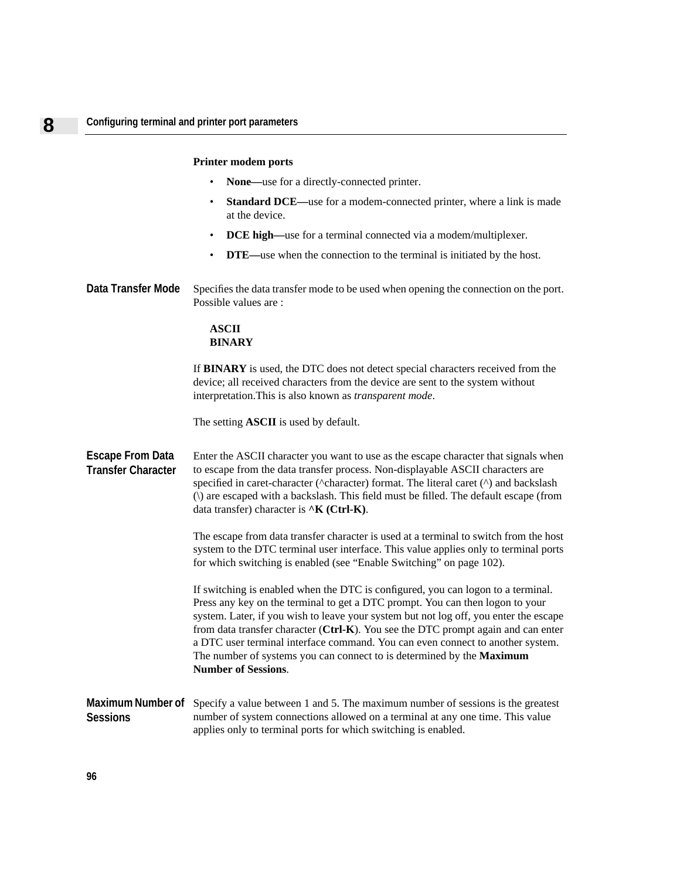#### **Printer modem ports**

- **None—**use for a directly-connected printer.
- **Standard DCE—use for a modem-connected printer, where a link is made** at the device.
- **DCE high—**use for a terminal connected via a modem/multiplexer.
- **DTE—**use when the connection to the terminal is initiated by the host.

**Data Transfer Mode** Specifies the data transfer mode to be used when opening the connection on the port. Possible values are :

#### **ASCII BINARY**

If **BINARY** is used, the DTC does not detect special characters received from the device; all received characters from the device are sent to the system without interpretation.This is also known as *transparent mode*.

The setting **ASCII** is used by default.

**Escape From Data Transfer Character** Enter the ASCII character you want to use as the escape character that signals when to escape from the data transfer process. Non-displayable ASCII characters are specified in caret-character (^character) format. The literal caret (^) and backslash (\) are escaped with a backslash. This field must be filled. The default escape (from data transfer) character is **^K (Ctrl-K)**.

> The escape from data transfer character is used at a terminal to switch from the host system to the DTC terminal user interface. This value applies only to terminal ports for which switching is enabled (see "Enable Switching" on page 102).

> If switching is enabled when the DTC is configured, you can logon to a terminal. Press any key on the terminal to get a DTC prompt. You can then logon to your system. Later, if you wish to leave your system but not log off, you enter the escape from data transfer character (**Ctrl-K**). You see the DTC prompt again and can enter a DTC user terminal interface command. You can even connect to another system. The number of systems you can connect to is determined by the **Maximum Number of Sessions**.

#### **Maximum Number of** Specify a value between 1 and 5. The maximum number of sessions is the greatest **Sessions** number of system connections allowed on a terminal at any one time. This value applies only to terminal ports for which switching is enabled.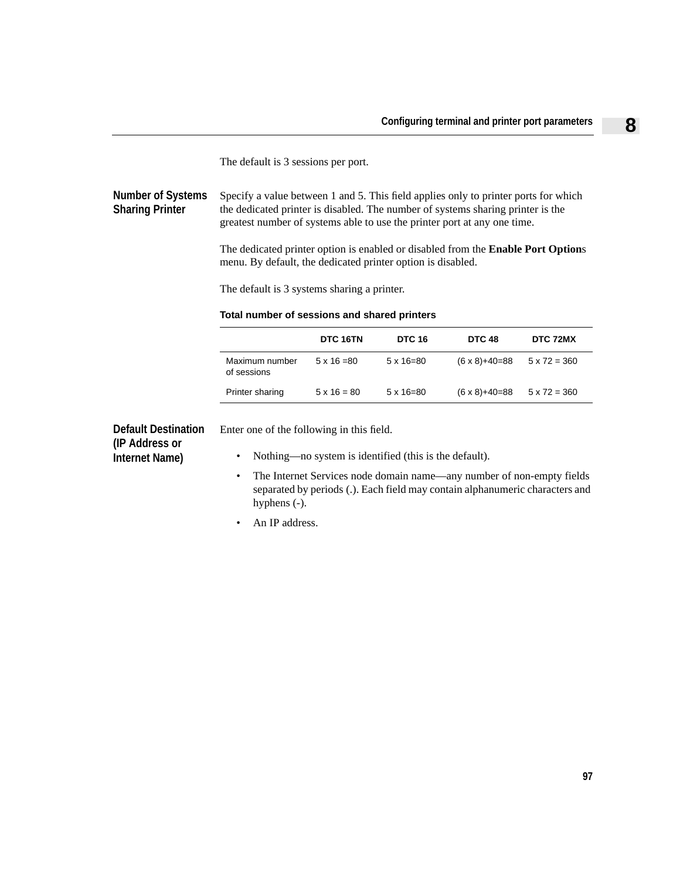The default is 3 sessions per port.

**Number of Systems Sharing Printer** Specify a value between 1 and 5. This field applies only to printer ports for which the dedicated printer is disabled. The number of systems sharing printer is the greatest number of systems able to use the printer port at any one time.

> The dedicated printer option is enabled or disabled from the **Enable Port Option**s menu. By default, the dedicated printer option is disabled.

The default is 3 systems sharing a printer.

#### **Total number of sessions and shared printers**

|                               | DTC 16TN           | <b>DTC 16</b>      | <b>DTC 48</b>            | DTC 72MX            |
|-------------------------------|--------------------|--------------------|--------------------------|---------------------|
| Maximum number<br>of sessions | $5 \times 16 = 80$ | $5 \times 16 = 80$ | $(6 \times 8) + 40 = 88$ | $5 \times 72 = 360$ |
| Printer sharing               | $5 \times 16 = 80$ | $5 \times 16 = 80$ | $(6 \times 8) + 40 = 88$ | $5 \times 72 = 360$ |

**Default Destination (IP Address or Internet Name)**

Enter one of the following in this field.

- Nothing—no system is identified (this is the default).
- The Internet Services node domain name—any number of non-empty fields separated by periods (.). Each field may contain alphanumeric characters and hyphens (-).
- An IP address.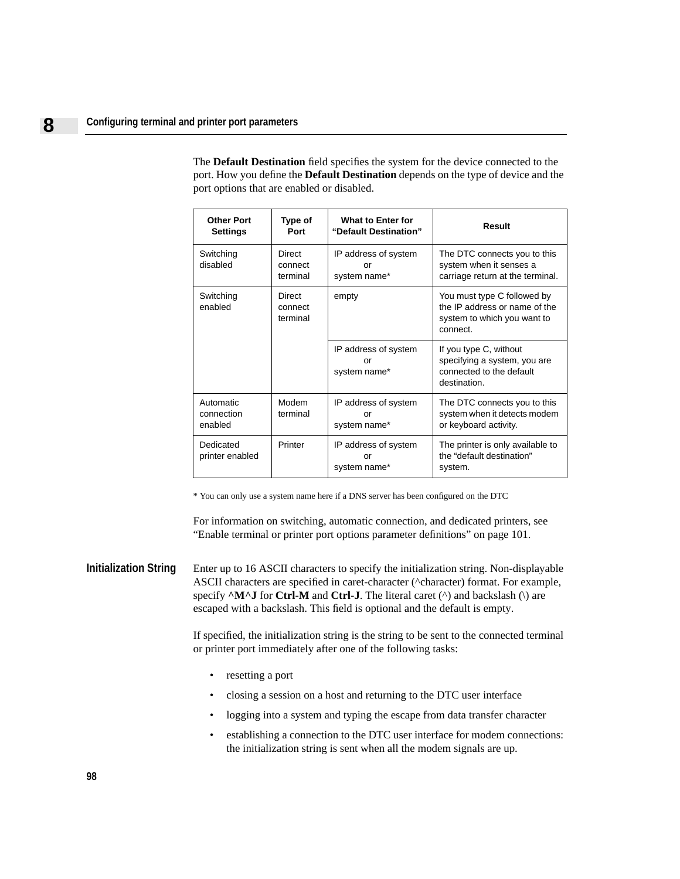| <b>Other Port</b><br><b>Settings</b> | Type of<br>Port                      | What to Enter for<br>"Default Destination" | <b>Result</b>                                                                                           |
|--------------------------------------|--------------------------------------|--------------------------------------------|---------------------------------------------------------------------------------------------------------|
| Switching<br>disabled                | <b>Direct</b><br>connect<br>terminal | IP address of system<br>or<br>system name* | The DTC connects you to this<br>system when it senses a<br>carriage return at the terminal.             |
| Switching<br>enabled                 | <b>Direct</b><br>connect<br>terminal | empty                                      | You must type C followed by<br>the IP address or name of the<br>system to which you want to<br>connect. |
|                                      |                                      | IP address of system<br>or<br>system name* | If you type C, without<br>specifying a system, you are<br>connected to the default<br>destination.      |
| Automatic<br>connection<br>enabled   | Modem<br>terminal                    | IP address of system<br>or<br>system name* | The DTC connects you to this<br>system when it detects modem<br>or keyboard activity.                   |
| Dedicated<br>printer enabled         | Printer                              | IP address of system<br>or<br>system name* | The printer is only available to<br>the "default destination"<br>system.                                |

The **Default Destination** field specifies the system for the device connected to the port. How you define the **Default Destination** depends on the type of device and the port options that are enabled or disabled.

\* You can only use a system name here if a DNS server has been configured on the DTC

For information on switching, automatic connection, and dedicated printers, see "Enable terminal or printer port options parameter definitions" on page 101.

**Initialization String** Enter up to 16 ASCII characters to specify the initialization string. Non-displayable ASCII characters are specified in caret-character ( $\land$ character) format. For example, specify **^M^J** for **Ctrl-M** and **Ctrl-J**. The literal caret (^) and backslash (\) are escaped with a backslash. This field is optional and the default is empty.

> If specified, the initialization string is the string to be sent to the connected terminal or printer port immediately after one of the following tasks:

- resetting a port
- closing a session on a host and returning to the DTC user interface
- logging into a system and typing the escape from data transfer character
- establishing a connection to the DTC user interface for modem connections: the initialization string is sent when all the modem signals are up.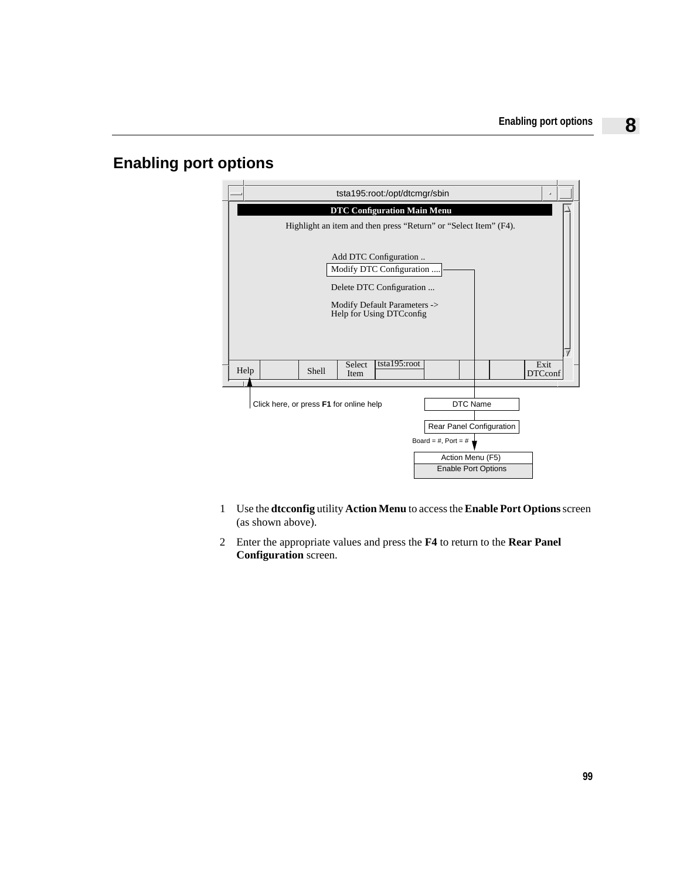# **Enabling port options**



- 1 Use the **dtcconfig** utility **Action Menu** to access the **Enable Port Options** screen (as shown above).
- 2 Enter the appropriate values and press the **F4** to return to the **Rear Panel Configuration** screen.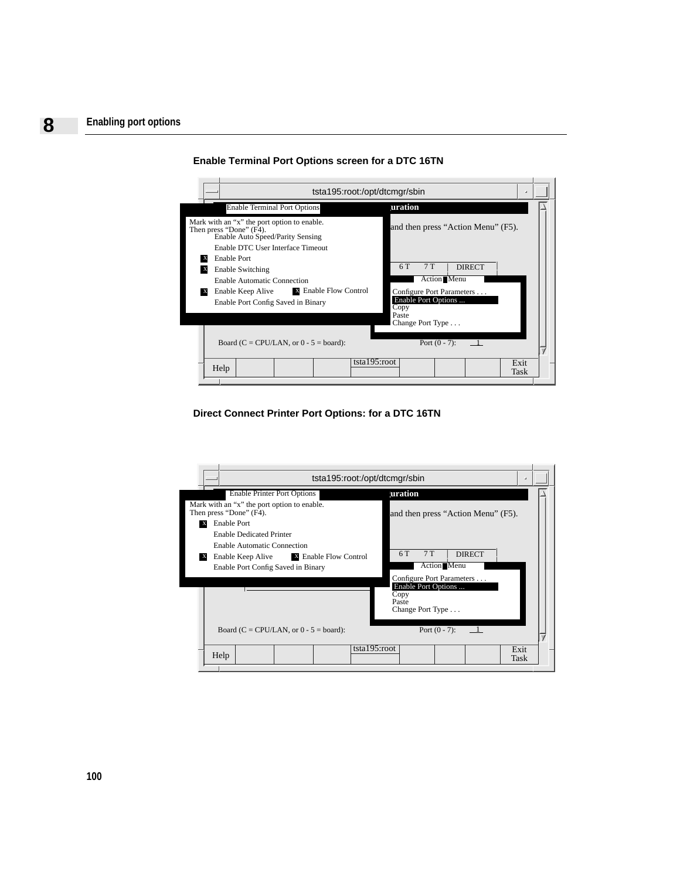**Enable Terminal Port Options screen for a DTC 16TN**



**Direct Connect Printer Port Options: for a DTC 16TN**

|                                                                        | tsta195:root:/opt/dtcmgr/sbin      |
|------------------------------------------------------------------------|------------------------------------|
| <b>Enable Printer Port Options</b>                                     | uration                            |
| Mark with an "x" the port option to enable.<br>Then press "Done" (F4). | and then press "Action Menu" (F5). |
| <b>Enable Port</b>                                                     |                                    |
| <b>Enable Dedicated Printer</b>                                        |                                    |
| Enable Automatic Connection                                            |                                    |
| Enable Keep Alive <b>N</b> Enable Flow Control<br>$\mathbf x$          | 6 T<br>7T<br><b>DIRECT</b>         |
| Enable Port Config Saved in Binary                                     | Action Menu                        |
|                                                                        | Configure Port Parameters          |
|                                                                        | Enable Port Options                |
|                                                                        | Copy<br>Paste                      |
|                                                                        | Change Port Type                   |
|                                                                        |                                    |
| Board (C = CPU/LAN, or $0 - 5$ = board):                               | Port $(0 - 7)$ :                   |
|                                                                        |                                    |
| Help                                                                   | tsta195:root<br>Exit<br>Task       |
|                                                                        |                                    |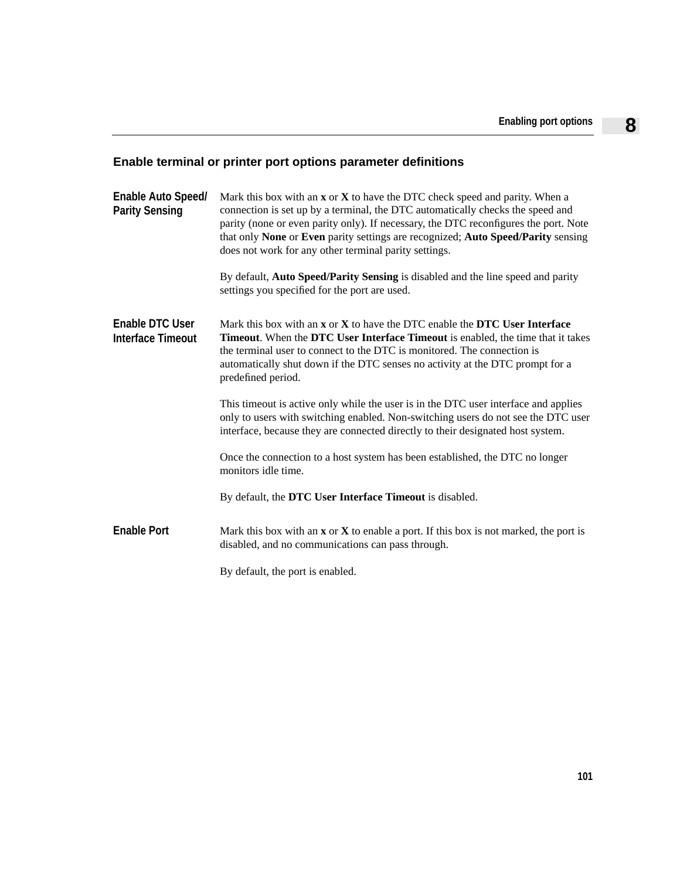# **Enable terminal or printer port options parameter definitions**

| <b>Enable Auto Speed/</b><br><b>Parity Sensing</b> | Mark this box with an $x$ or $\overline{X}$ to have the DTC check speed and parity. When a<br>connection is set up by a terminal, the DTC automatically checks the speed and<br>parity (none or even parity only). If necessary, the DTC reconfigures the port. Note<br>that only None or Even parity settings are recognized; Auto Speed/Parity sensing<br>does not work for any other terminal parity settings. |
|----------------------------------------------------|-------------------------------------------------------------------------------------------------------------------------------------------------------------------------------------------------------------------------------------------------------------------------------------------------------------------------------------------------------------------------------------------------------------------|
|                                                    | By default, <b>Auto Speed/Parity Sensing</b> is disabled and the line speed and parity<br>settings you specified for the port are used.                                                                                                                                                                                                                                                                           |
| <b>Enable DTC User</b><br><b>Interface Timeout</b> | Mark this box with an x or X to have the DTC enable the DTC User Interface<br>Timeout. When the DTC User Interface Timeout is enabled, the time that it takes<br>the terminal user to connect to the DTC is monitored. The connection is<br>automatically shut down if the DTC senses no activity at the DTC prompt for a<br>predefined period.                                                                   |
|                                                    | This time out is active only while the user is in the DTC user interface and applies<br>only to users with switching enabled. Non-switching users do not see the DTC user<br>interface, because they are connected directly to their designated host system.                                                                                                                                                      |
|                                                    | Once the connection to a host system has been established, the DTC no longer<br>monitors idle time.                                                                                                                                                                                                                                                                                                               |
|                                                    | By default, the DTC User Interface Timeout is disabled.                                                                                                                                                                                                                                                                                                                                                           |
| <b>Enable Port</b>                                 | Mark this box with an $x$ or $x$ to enable a port. If this box is not marked, the port is<br>disabled, and no communications can pass through.                                                                                                                                                                                                                                                                    |
|                                                    | By default, the port is enabled.                                                                                                                                                                                                                                                                                                                                                                                  |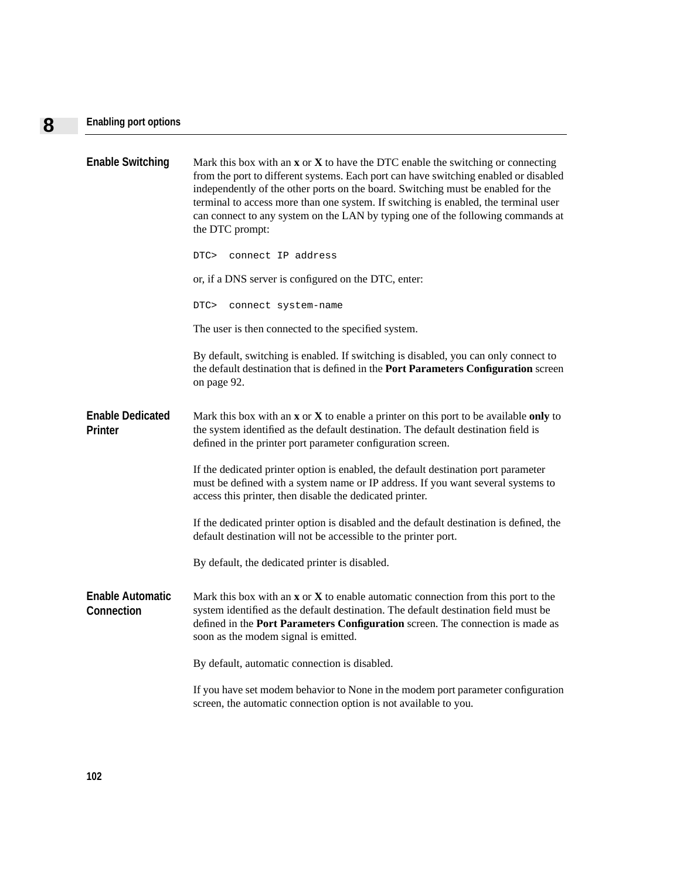| <b>Enable Switching</b>                   | Mark this box with an $x$ or $X$ to have the DTC enable the switching or connecting<br>from the port to different systems. Each port can have switching enabled or disabled<br>independently of the other ports on the board. Switching must be enabled for the<br>terminal to access more than one system. If switching is enabled, the terminal user<br>can connect to any system on the LAN by typing one of the following commands at<br>the DTC prompt: |
|-------------------------------------------|--------------------------------------------------------------------------------------------------------------------------------------------------------------------------------------------------------------------------------------------------------------------------------------------------------------------------------------------------------------------------------------------------------------------------------------------------------------|
|                                           | DTC<br>connect IP address                                                                                                                                                                                                                                                                                                                                                                                                                                    |
|                                           | or, if a DNS server is configured on the DTC, enter:                                                                                                                                                                                                                                                                                                                                                                                                         |
|                                           | DTC<br>connect system-name                                                                                                                                                                                                                                                                                                                                                                                                                                   |
|                                           | The user is then connected to the specified system.                                                                                                                                                                                                                                                                                                                                                                                                          |
|                                           | By default, switching is enabled. If switching is disabled, you can only connect to<br>the default destination that is defined in the Port Parameters Configuration screen<br>on page 92.                                                                                                                                                                                                                                                                    |
| <b>Enable Dedicated</b><br><b>Printer</b> | Mark this box with an $x$ or $X$ to enable a printer on this port to be available only to<br>the system identified as the default destination. The default destination field is<br>defined in the printer port parameter configuration screen.                                                                                                                                                                                                               |
|                                           | If the dedicated printer option is enabled, the default destination port parameter<br>must be defined with a system name or IP address. If you want several systems to<br>access this printer, then disable the dedicated printer.                                                                                                                                                                                                                           |
|                                           | If the dedicated printer option is disabled and the default destination is defined, the<br>default destination will not be accessible to the printer port.                                                                                                                                                                                                                                                                                                   |
|                                           | By default, the dedicated printer is disabled.                                                                                                                                                                                                                                                                                                                                                                                                               |
| <b>Enable Automatic</b><br>Connection     | Mark this box with an $x$ or $X$ to enable automatic connection from this port to the<br>system identified as the default destination. The default destination field must be<br>defined in the Port Parameters Configuration screen. The connection is made as<br>soon as the modem signal is emitted.                                                                                                                                                       |
|                                           | By default, automatic connection is disabled.                                                                                                                                                                                                                                                                                                                                                                                                                |
|                                           | If you have set modem behavior to None in the modem port parameter configuration<br>screen, the automatic connection option is not available to you.                                                                                                                                                                                                                                                                                                         |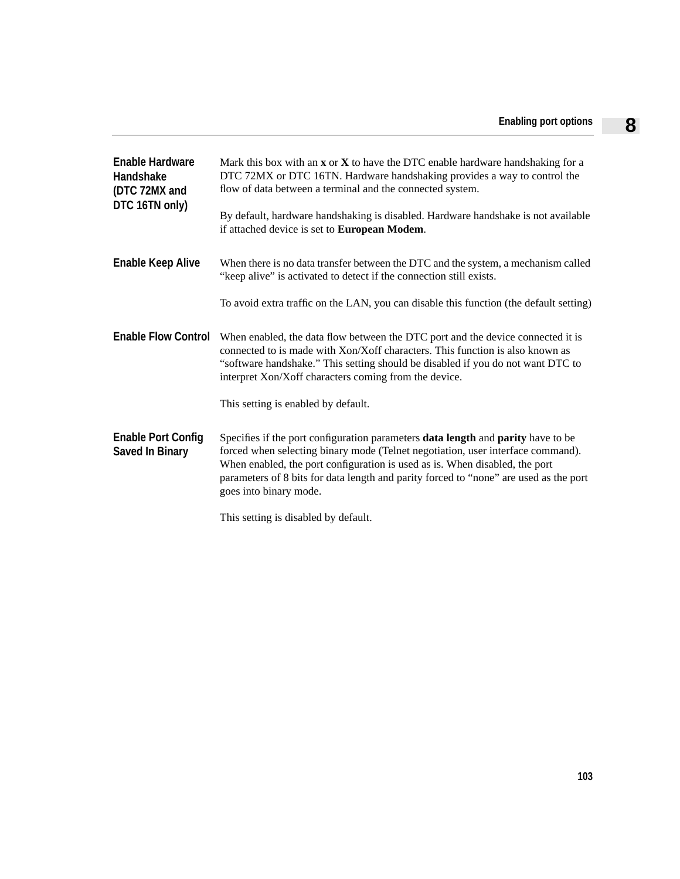| <b>Enable Hardware</b><br>Handshake<br>(DTC 72MX and<br>DTC 16TN only) | Mark this box with an $x$ or $X$ to have the DTC enable hardware handshaking for a<br>DTC 72MX or DTC 16TN. Hardware handshaking provides a way to control the<br>flow of data between a terminal and the connected system.<br>By default, hardware handshaking is disabled. Hardware handshake is not available<br>if attached device is set to European Modem.                    |  |  |  |  |
|------------------------------------------------------------------------|-------------------------------------------------------------------------------------------------------------------------------------------------------------------------------------------------------------------------------------------------------------------------------------------------------------------------------------------------------------------------------------|--|--|--|--|
| <b>Enable Keep Alive</b>                                               | When there is no data transfer between the DTC and the system, a mechanism called<br>"keep alive" is activated to detect if the connection still exists.                                                                                                                                                                                                                            |  |  |  |  |
|                                                                        | To avoid extra traffic on the LAN, you can disable this function (the default setting)                                                                                                                                                                                                                                                                                              |  |  |  |  |
| <b>Enable Flow Control</b>                                             | When enabled, the data flow between the DTC port and the device connected it is<br>connected to is made with Xon/Xoff characters. This function is also known as<br>"software handshake." This setting should be disabled if you do not want DTC to<br>interpret Xon/Xoff characters coming from the device.                                                                        |  |  |  |  |
|                                                                        | This setting is enabled by default.                                                                                                                                                                                                                                                                                                                                                 |  |  |  |  |
| <b>Enable Port Config</b><br><b>Saved In Binary</b>                    | Specifies if the port configuration parameters <b>data length</b> and <b>parity</b> have to be<br>forced when selecting binary mode (Telnet negotiation, user interface command).<br>When enabled, the port configuration is used as is. When disabled, the port<br>parameters of 8 bits for data length and parity forced to "none" are used as the port<br>goes into binary mode. |  |  |  |  |
|                                                                        | This setting is disabled by default.                                                                                                                                                                                                                                                                                                                                                |  |  |  |  |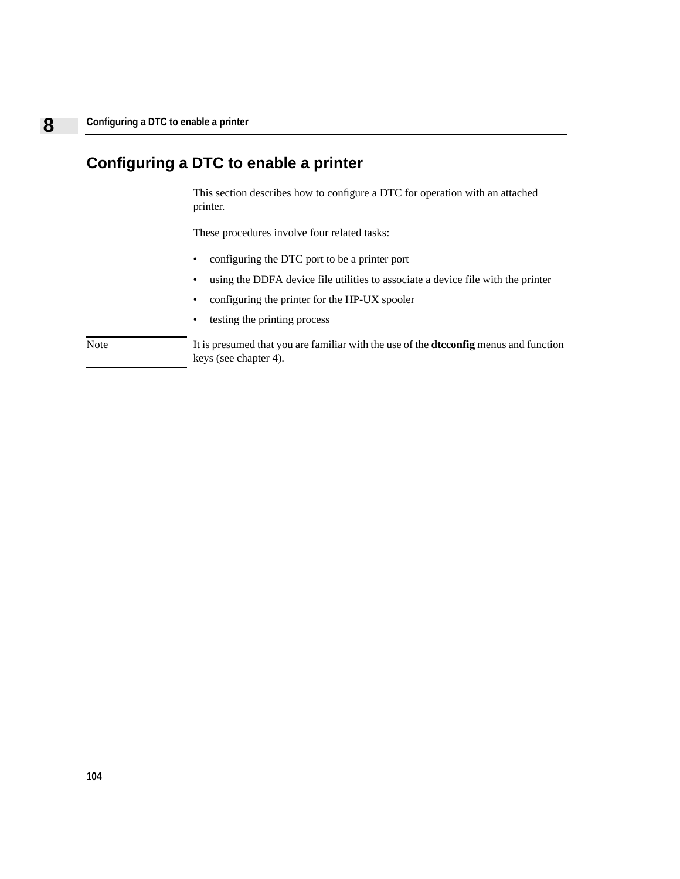# **Configuring a DTC to enable a printer**

This section describes how to configure a DTC for operation with an attached printer.

These procedures involve four related tasks:

- configuring the DTC port to be a printer port
- using the DDFA device file utilities to associate a device file with the printer
- configuring the printer for the HP-UX spooler
- testing the printing process

Note It is presumed that you are familiar with the use of the **dtcconfig** menus and function keys (see chapter 4).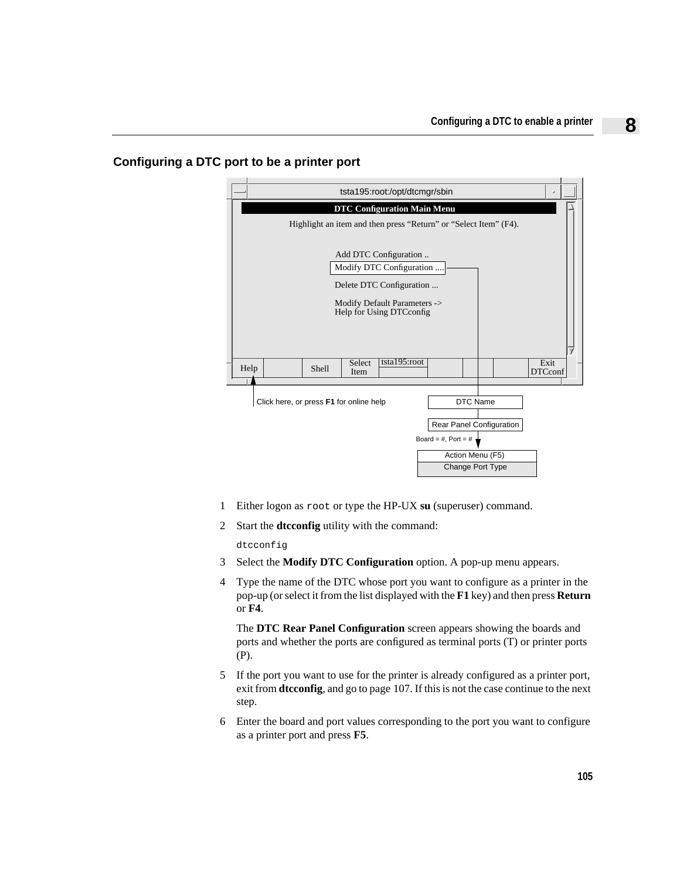$\mathbf{I}$   $\mathbf{I}$ 

|      |                                                                  |              |                | tsta195:root:/opt/dtcmgr/sbin                                                                                                             |                     |                                                  |                          |                        |  |
|------|------------------------------------------------------------------|--------------|----------------|-------------------------------------------------------------------------------------------------------------------------------------------|---------------------|--------------------------------------------------|--------------------------|------------------------|--|
|      |                                                                  |              |                | <b>DTC Configuration Main Menu</b>                                                                                                        |                     |                                                  |                          |                        |  |
|      | Highlight an item and then press "Return" or "Select Item" (F4). |              |                |                                                                                                                                           |                     |                                                  |                          |                        |  |
|      |                                                                  |              |                | Add DTC Configuration<br>Modify DTC Configuration<br>Delete DTC Configuration<br>Modify Default Parameters -><br>Help for Using DTCconfig |                     |                                                  |                          |                        |  |
| Help |                                                                  | <b>Shell</b> | Select<br>Item | tsta195:root                                                                                                                              |                     |                                                  |                          | Exit<br><b>DTCconf</b> |  |
|      | Click here, or press F1 for online help                          |              |                |                                                                                                                                           | Board = #, Port = # | DTC Name<br>Action Menu (F5)<br>Change Port Type | Rear Panel Configuration |                        |  |

#### **Configuring a DTC port to be a printer port**

- 1 Either logon as root or type the HP-UX **su** (superuser) command.
- 2 Start the **dtcconfig** utility with the command:

#### dtcconfig

- 3 Select the **Modify DTC Configuration** option. A pop-up menu appears.
- 4 Type the name of the DTC whose port you want to configure as a printer in the pop-up (or select it from the list displayed with the **F1** key) and then press **Return** or **F4**.

The **DTC Rear Panel Configuration** screen appears showing the boards and ports and whether the ports are configured as terminal ports (T) or printer ports (P).

- 5 If the port you want to use for the printer is already configured as a printer port, exit from **dtcconfig**, and go to page 107. If this is not the case continue to the next step.
- 6 Enter the board and port values corresponding to the port you want to configure as a printer port and press **F5**.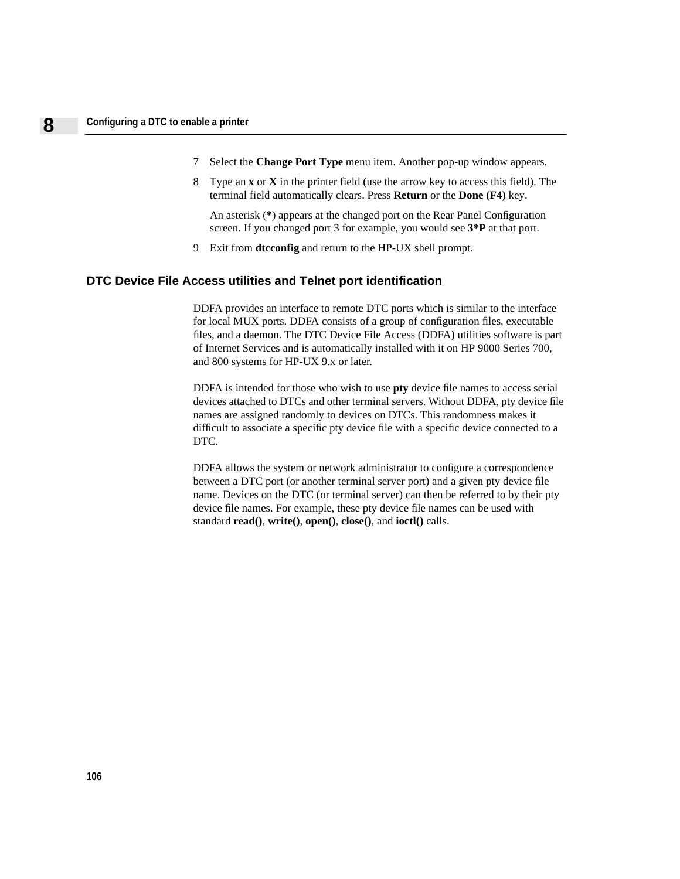- 7 Select the **Change Port Type** menu item. Another pop-up window appears.
- 8 Type an **x** or **X** in the printer field (use the arrow key to access this field). The terminal field automatically clears. Press **Return** or the **Done (F4)** key.

An asterisk (**\***) appears at the changed port on the Rear Panel Configuration screen. If you changed port 3 for example, you would see **3\*P** at that port.

9 Exit from **dtcconfig** and return to the HP-UX shell prompt.

#### **DTC Device File Access utilities and Telnet port identification**

DDFA provides an interface to remote DTC ports which is similar to the interface for local MUX ports. DDFA consists of a group of configuration files, executable files, and a daemon. The DTC Device File Access (DDFA) utilities software is part of Internet Services and is automatically installed with it on HP 9000 Series 700, and 800 systems for HP-UX 9.x or later.

DDFA is intended for those who wish to use **pty** device file names to access serial devices attached to DTCs and other terminal servers. Without DDFA, pty device file names are assigned randomly to devices on DTCs. This randomness makes it difficult to associate a specific pty device file with a specific device connected to a DTC.

DDFA allows the system or network administrator to configure a correspondence between a DTC port (or another terminal server port) and a given pty device file name. Devices on the DTC (or terminal server) can then be referred to by their pty device file names. For example, these pty device file names can be used with standard **read()**, **write()**, **open()**, **close()**, and **ioctl()** calls.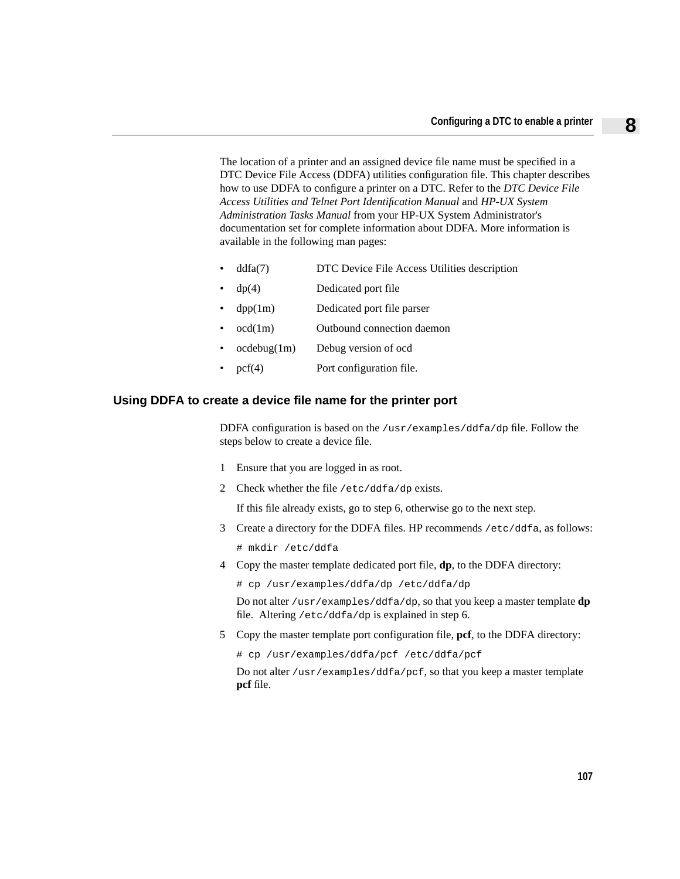The location of a printer and an assigned device file name must be specified in a DTC Device File Access (DDFA) utilities configuration file. This chapter describes how to use DDFA to configure a printer on a DTC. Refer to the *DTC Device File Access Utilities and Telnet Port Identification Manual* and *HP-UX System Administration Tasks Manual* from your HP-UX System Administrator's documentation set for complete information about DDFA. More information is available in the following man pages:

- ddfa(7) DTC Device File Access Utilities description
- dp(4) Dedicated port file
- dpp(1m) Dedicated port file parser
- ocd(1m) Outbound connection daemon
- ocdebug(1m) Debug version of ocd
- pcf(4) Port configuration file.

#### **Using DDFA to create a device file name for the printer port**

DDFA configuration is based on the /usr/examples/ddfa/dp file. Follow the steps below to create a device file.

- 1 Ensure that you are logged in as root.
- 2 Check whether the file /etc/ddfa/dp exists.

If this file already exists, go to step 6, otherwise go to the next step.

3 Create a directory for the DDFA files. HP recommends /etc/ddfa, as follows:

# mkdir /etc/ddfa

4 Copy the master template dedicated port file, **dp**, to the DDFA directory:

# cp /usr/examples/ddfa/dp /etc/ddfa/dp

Do not alter /usr/examples/ddfa/dp, so that you keep a master template **dp** file. Altering /etc/ddfa/dp is explained in step 6.

5 Copy the master template port configuration file, **pcf**, to the DDFA directory:

# cp /usr/examples/ddfa/pcf /etc/ddfa/pcf

Do not alter /usr/examples/ddfa/pcf, so that you keep a master template **pcf** file.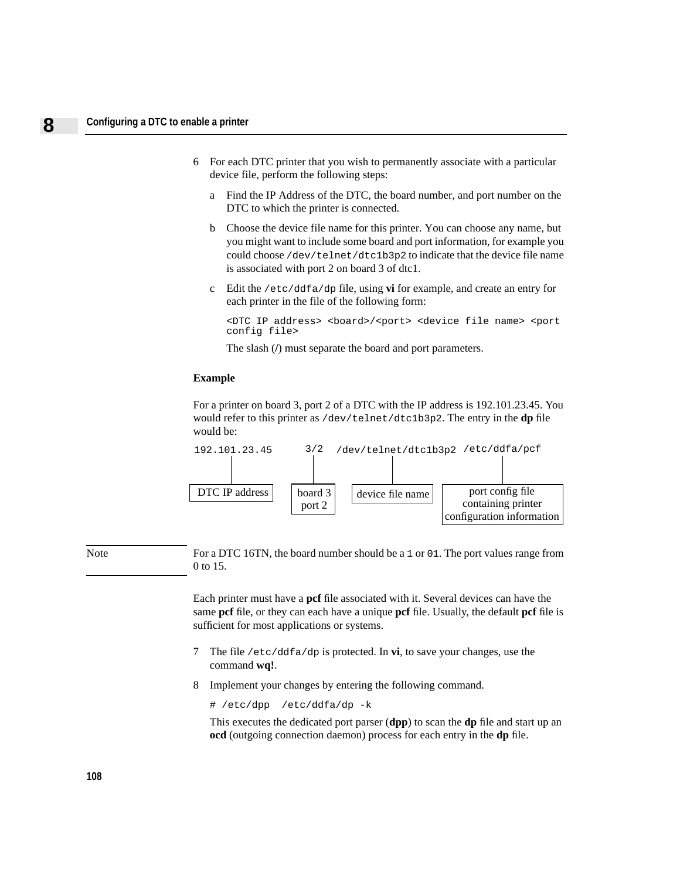- 6 For each DTC printer that you wish to permanently associate with a particular device file, perform the following steps:
	- a Find the IP Address of the DTC, the board number, and port number on the DTC to which the printer is connected.
	- b Choose the device file name for this printer. You can choose any name, but you might want to include some board and port information, for example you could choose /dev/telnet/dtc1b3p2 to indicate that the device file name is associated with port 2 on board 3 of dtc1.
	- c Edit the /etc/ddfa/dp file, using **vi** for example, and create an entry for each printer in the file of the following form:

<DTC IP address> <board>/<port> <device file name> <port config file>

The slash (**/**) must separate the board and port parameters.

#### **Example**

For a printer on board 3, port 2 of a DTC with the IP address is 192.101.23.45. You would refer to this printer as /dev/telnet/dtc1b3p2. The entry in the **dp** file would be:



Note For a DTC 16TN, the board number should be a 1 or 01. The port values range from 0 to 15.

> Each printer must have a **pcf** file associated with it. Several devices can have the same **pcf** file, or they can each have a unique **pcf** file. Usually, the default **pcf** file is sufficient for most applications or systems.

- 7 The file /etc/ddfa/dp is protected. In **vi**, to save your changes, use the command **wq!**.
- 8 Implement your changes by entering the following command.

# /etc/dpp /etc/ddfa/dp -k

This executes the dedicated port parser (**dpp**) to scan the **dp** file and start up an **ocd** (outgoing connection daemon) process for each entry in the **dp** file.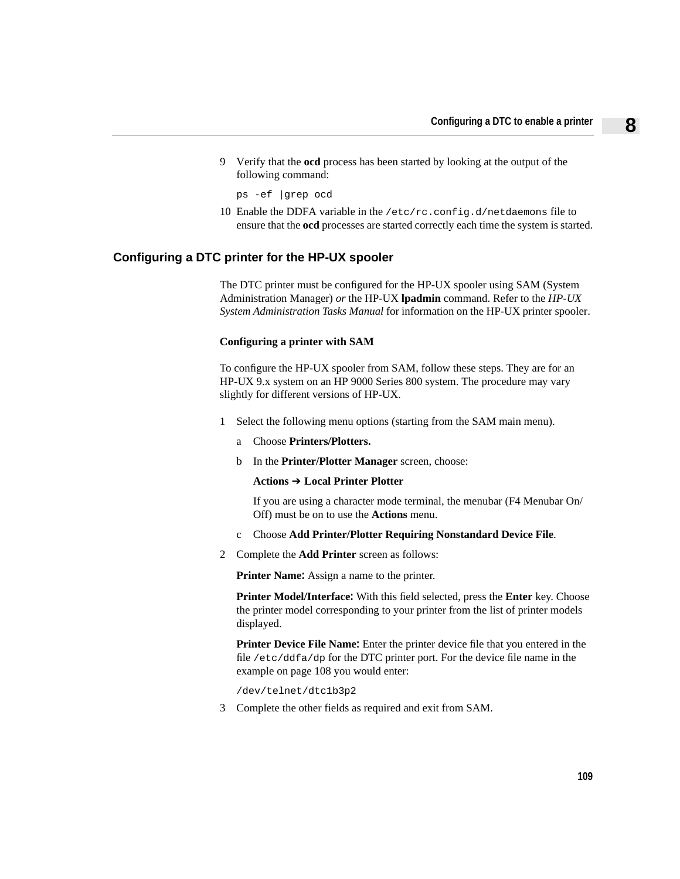9 Verify that the **ocd** process has been started by looking at the output of the following command:

ps -ef |grep ocd

10 Enable the DDFA variable in the /etc/rc.config.d/netdaemons file to ensure that the **ocd** processes are started correctly each time the system is started.

#### **Configuring a DTC printer for the HP-UX spooler**

The DTC printer must be configured for the HP-UX spooler using SAM (System Administration Manager) *or* the HP-UX **lpadmin** command. Refer to the *HP-UX System Administration Tasks Manual* for information on the HP-UX printer spooler.

#### **Configuring a printer with SAM**

To configure the HP-UX spooler from SAM, follow these steps. They are for an HP-UX 9.x system on an HP 9000 Series 800 system. The procedure may vary slightly for different versions of HP-UX.

- 1 Select the following menu options (starting from the SAM main menu).
	- a Choose **Printers/Plotters.**
	- b In the **Printer/Plotter Manager** screen, choose:

#### **Actions** ➔ **Local Printer Plotter**

If you are using a character mode terminal, the menubar (F4 Menubar On/ Off) must be on to use the **Actions** menu.

- c Choose **Add Printer/Plotter Requiring Nonstandard Device File**.
- 2 Complete the **Add Printer** screen as follows:

**Printer Name:** Assign a name to the printer.

**Printer Model/Interface:** With this field selected, press the **Enter** key. Choose the printer model corresponding to your printer from the list of printer models displayed.

**Printer Device File Name:** Enter the printer device file that you entered in the file /etc/ddfa/dp for the DTC printer port. For the device file name in the example on page 108 you would enter:

/dev/telnet/dtc1b3p2

3 Complete the other fields as required and exit from SAM.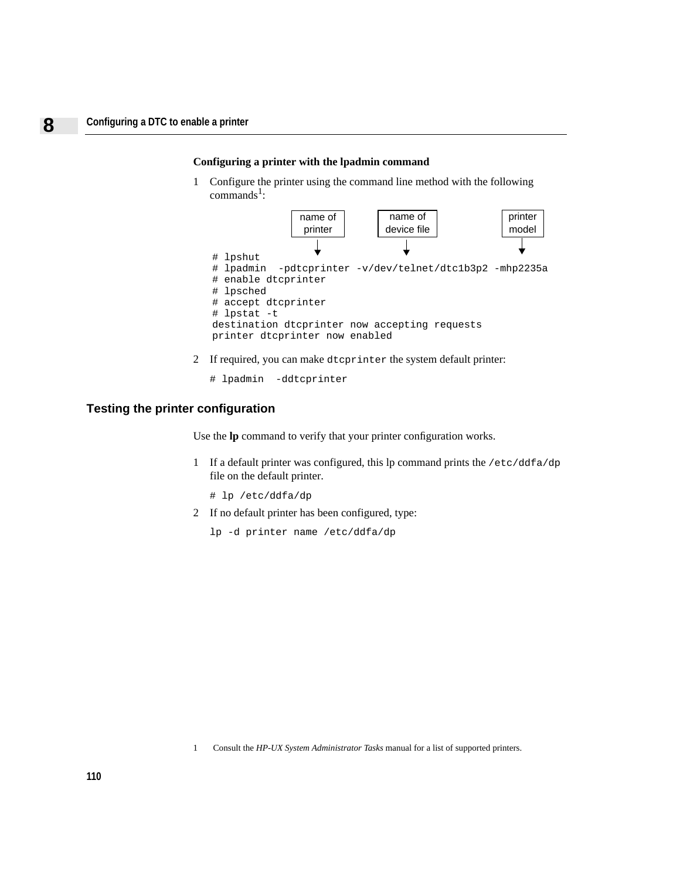#### **Configuring a printer with the lpadmin command**

1 Configure the printer using the command line method with the following  $commands<sup>1</sup>$ :



2 If required, you can make dtcprinter the system default printer:

```
# lpadmin -ddtcprinter
```
#### **Testing the printer configuration**

Use the **lp** command to verify that your printer configuration works.

1 If a default printer was configured, this lp command prints the /etc/ddfa/dp file on the default printer.

# lp /etc/ddfa/dp

2 If no default printer has been configured, type:

lp -d printer name /etc/ddfa/dp

1 Consult the *HP-UX System Administrator Tasks* manual for a list of supported printers.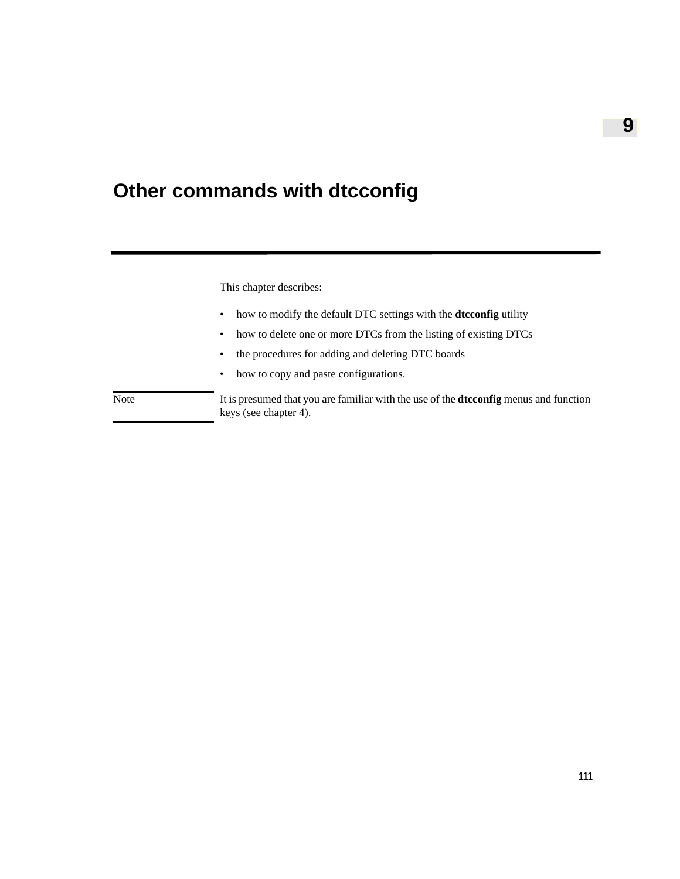# **Other commands with dtcconfig**

This chapter describes:

- how to modify the default DTC settings with the **dtcconfig** utility
- how to delete one or more DTCs from the listing of existing DTCs
- the procedures for adding and deleting DTC boards
- how to copy and paste configurations.

Note It is presumed that you are familiar with the use of the **dtcconfig** menus and function keys (see chapter 4).

**9**

**111**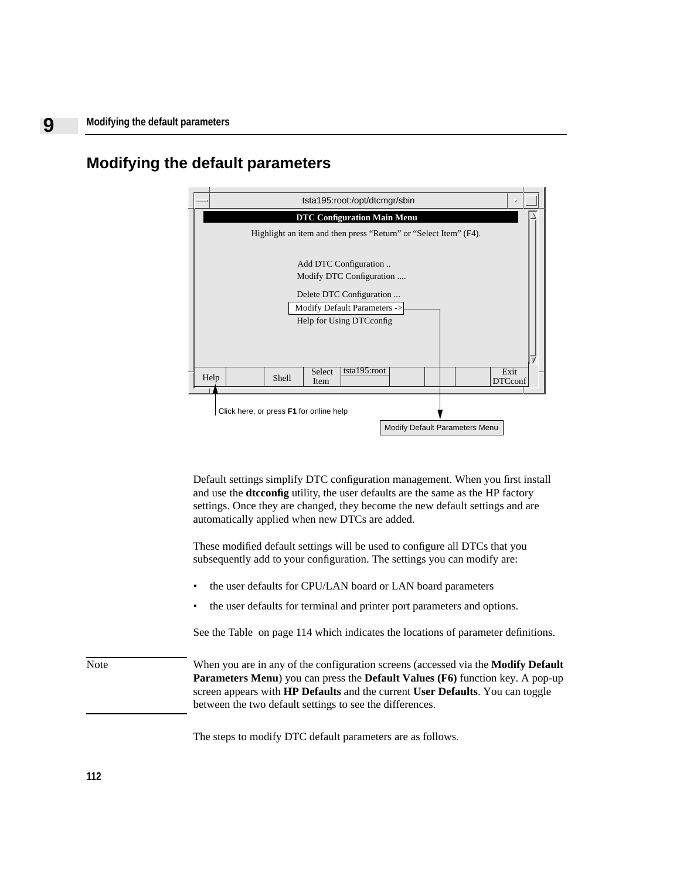

## **Modifying the default parameters**

Default settings simplify DTC configuration management. When you first install and use the **dtcconfig** utility, the user defaults are the same as the HP factory settings. Once they are changed, they become the new default settings and are automatically applied when new DTCs are added.

These modified default settings will be used to configure all DTCs that you subsequently add to your configuration. The settings you can modify are:

- the user defaults for CPU/LAN board or LAN board parameters
- the user defaults for terminal and printer port parameters and options.

See the Table on page 114 which indicates the locations of parameter definitions.

Note When you are in any of the configuration screens (accessed via the **Modify Default Parameters Menu**) you can press the **Default Values (F6)** function key. A pop-up screen appears with **HP Defaults** and the current **User Defaults**. You can toggle between the two default settings to see the differences.

The steps to modify DTC default parameters are as follows.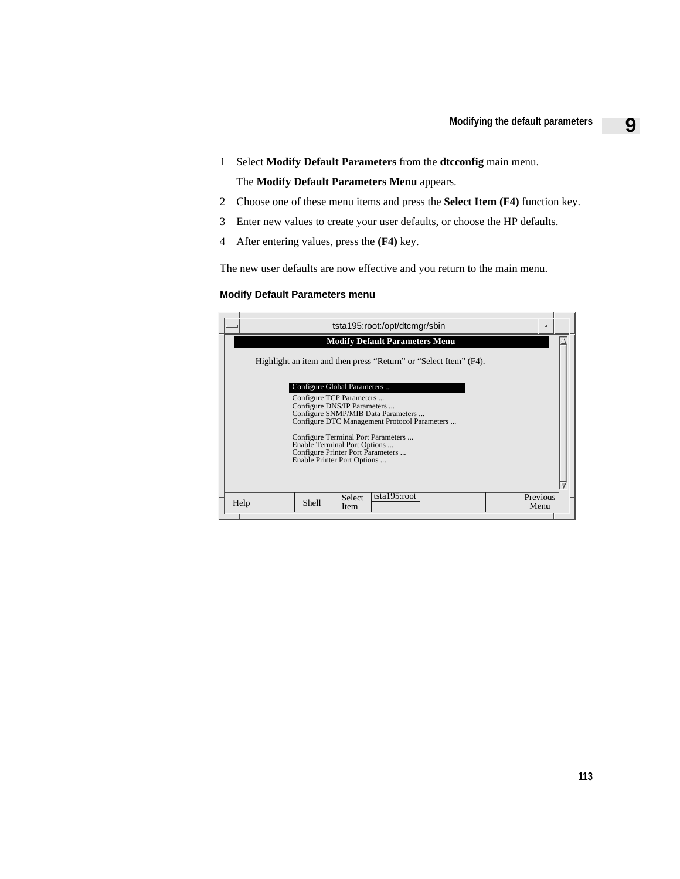- 1 Select **Modify Default Parameters** from the **dtcconfig** main menu. The **Modify Default Parameters Menu** appears.
- 2 Choose one of these menu items and press the **Select Item (F4)** function key.
- 3 Enter new values to create your user defaults, or choose the HP defaults.
- 4 After entering values, press the **(F4)** key.

The new user defaults are now effective and you return to the main menu.

#### **Modify Default Parameters menu**

|                                                                  |                                                                                                                                                                                            |                              | tsta195:root:/opt/dtcmgr/sbin                                                                                            |  |  |  | a.               |  |
|------------------------------------------------------------------|--------------------------------------------------------------------------------------------------------------------------------------------------------------------------------------------|------------------------------|--------------------------------------------------------------------------------------------------------------------------|--|--|--|------------------|--|
| <b>Modify Default Parameters Menu</b>                            |                                                                                                                                                                                            |                              |                                                                                                                          |  |  |  |                  |  |
| Highlight an item and then press "Return" or "Select Item" (F4). |                                                                                                                                                                                            |                              |                                                                                                                          |  |  |  |                  |  |
|                                                                  | Configure Global Parameters<br>Configure TCP Parameters<br>Configure DNS/IP Parameters<br>Enable Terminal Port Options<br>Configure Printer Port Parameters<br>Enable Printer Port Options |                              | Configure SNMP/MIB Data Parameters<br>Configure DTC Management Protocol Parameters<br>Configure Terminal Port Parameters |  |  |  |                  |  |
| Help                                                             | Shell                                                                                                                                                                                      | <b>Select</b><br><b>Item</b> | tsta195:root                                                                                                             |  |  |  | Previous<br>Menu |  |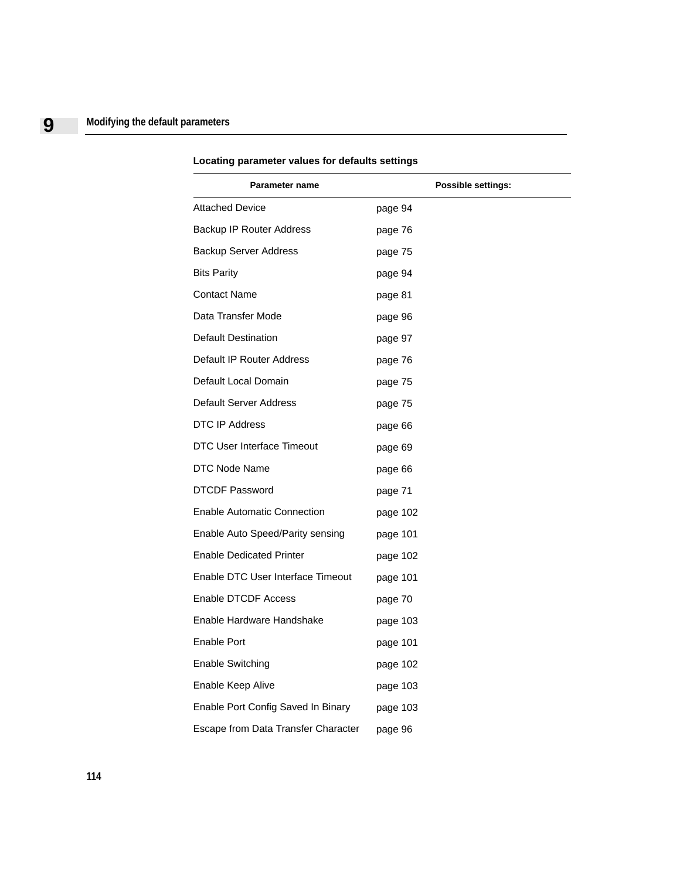# **Modifying the default parameters 9**

| Parameter name                      | <b>Possible settings:</b> |
|-------------------------------------|---------------------------|
| <b>Attached Device</b>              | page 94                   |
| <b>Backup IP Router Address</b>     | page 76                   |
| <b>Backup Server Address</b>        | page 75                   |
| <b>Bits Parity</b>                  | page 94                   |
| <b>Contact Name</b>                 | page 81                   |
| Data Transfer Mode                  | page 96                   |
| <b>Default Destination</b>          | page 97                   |
| Default IP Router Address           | page 76                   |
| Default Local Domain                | page 75                   |
| Default Server Address              | page 75                   |
| DTC IP Address                      | page 66                   |
| DTC User Interface Timeout          | page 69                   |
| DTC Node Name                       | page 66                   |
| <b>DTCDF Password</b>               | page 71                   |
| <b>Enable Automatic Connection</b>  | page 102                  |
| Enable Auto Speed/Parity sensing    | page 101                  |
| <b>Enable Dedicated Printer</b>     | page 102                  |
| Enable DTC User Interface Timeout   | page 101                  |
| Enable DTCDF Access                 | page 70                   |
| Enable Hardware Handshake           | page 103                  |
| Enable Port                         | page 101                  |
| <b>Enable Switching</b>             | page 102                  |
| Enable Keep Alive                   | page 103                  |
| Enable Port Config Saved In Binary  | page 103                  |
| Escape from Data Transfer Character | page 96                   |

#### **Locating parameter values for defaults settings**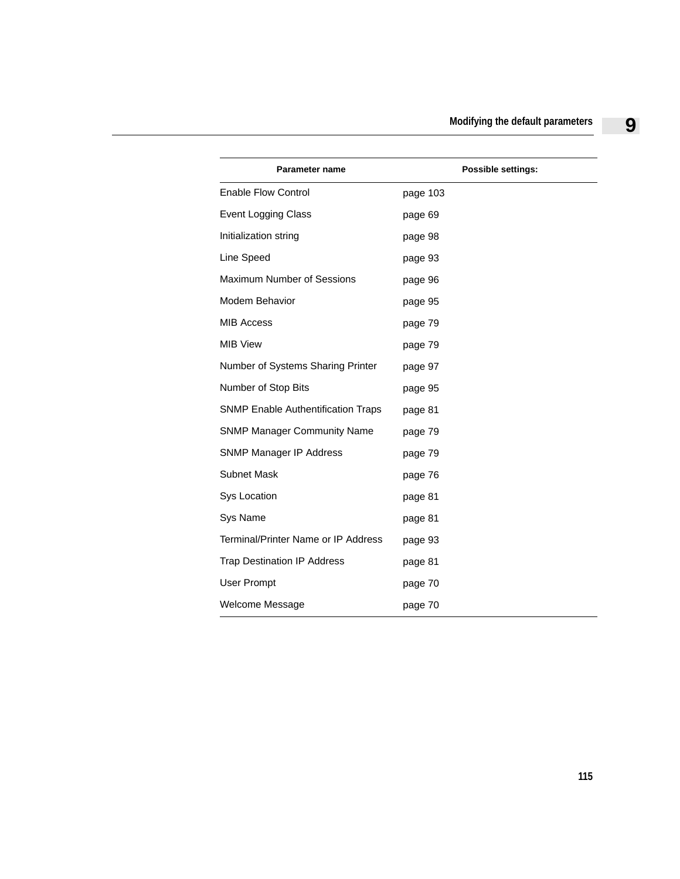| Parameter name                            | <b>Possible settings:</b> |  |
|-------------------------------------------|---------------------------|--|
| <b>Enable Flow Control</b>                | page 103                  |  |
| <b>Event Logging Class</b>                | page 69                   |  |
| Initialization string                     | page 98                   |  |
| Line Speed                                | page 93                   |  |
| <b>Maximum Number of Sessions</b>         | page 96                   |  |
| Modem Behavior                            | page 95                   |  |
| <b>MIB Access</b>                         | page 79                   |  |
| <b>MIB View</b>                           | page 79                   |  |
| Number of Systems Sharing Printer         | page 97                   |  |
| Number of Stop Bits                       | page 95                   |  |
| <b>SNMP Enable Authentification Traps</b> | page 81                   |  |
| <b>SNMP Manager Community Name</b>        | page 79                   |  |
| <b>SNMP Manager IP Address</b>            | page 79                   |  |
| Subnet Mask                               | page 76                   |  |
| Sys Location                              | page 81                   |  |
| Sys Name                                  | page 81                   |  |
| Terminal/Printer Name or IP Address       | page 93                   |  |
| <b>Trap Destination IP Address</b>        | page 81                   |  |
| User Prompt                               | page 70                   |  |
| <b>Welcome Message</b>                    | page 70                   |  |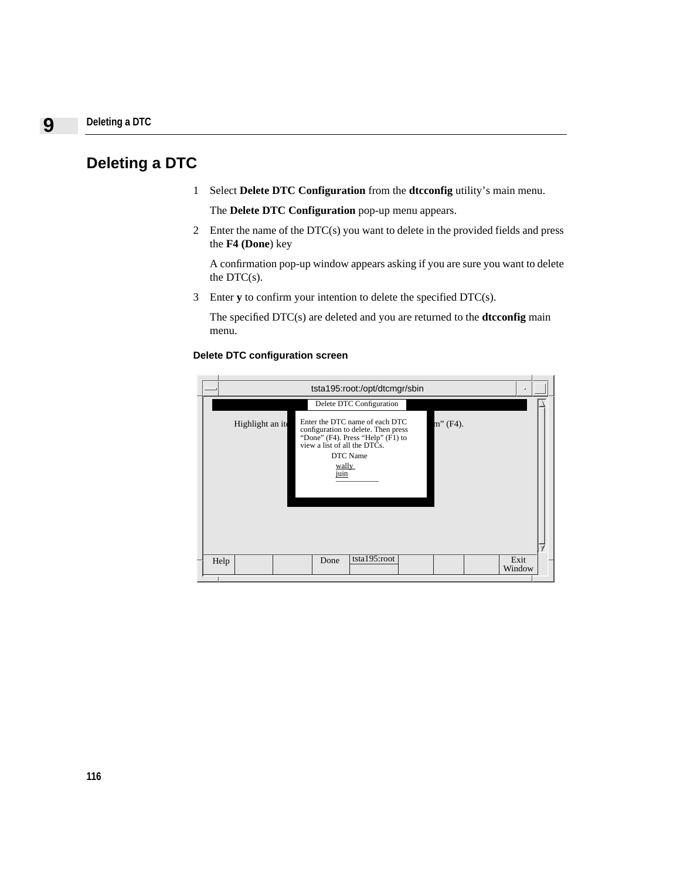## **Deleting a DTC**

1 Select **Delete DTC Configuration** from the **dtcconfig** utility's main menu.

The **Delete DTC Configuration** pop-up menu appears.

2 Enter the name of the DTC(s) you want to delete in the provided fields and press the **F4 (Done**) key

A confirmation pop-up window appears asking if you are sure you want to delete the  $DTC(s)$ .

3 Enter **y** to confirm your intention to delete the specified DTC(s).

The specified DTC(s) are deleted and you are returned to the **dtcconfig** main menu.

#### **Delete DTC configuration screen**

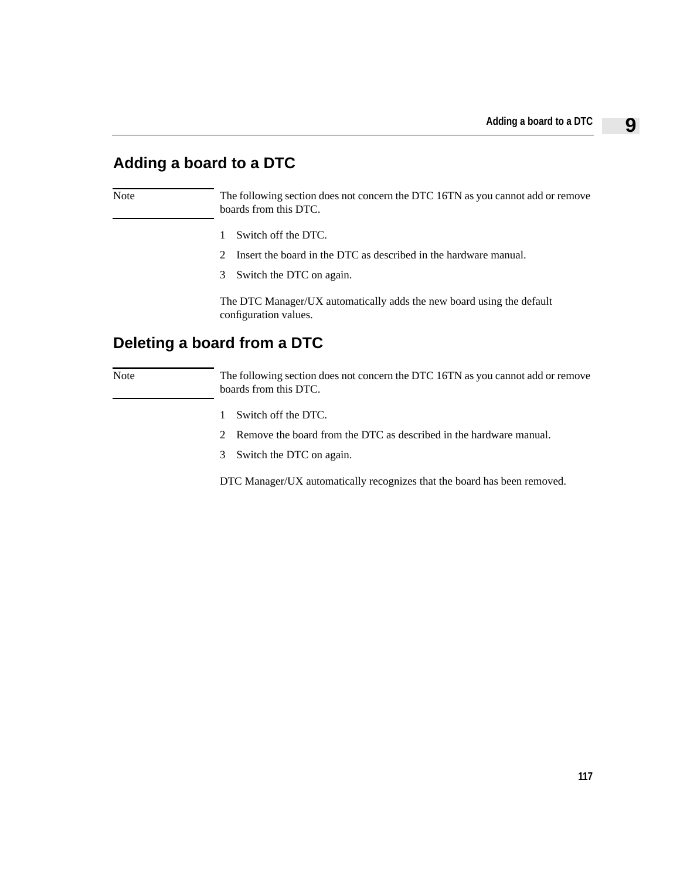# **Adding a board to a DTC**

Note The following section does not concern the DTC 16TN as you cannot add or remove boards from this DTC.

- 1 Switch off the DTC.
- 2 Insert the board in the DTC as described in the hardware manual.
- 3 Switch the DTC on again.

The DTC Manager/UX automatically adds the new board using the default configuration values.

# **Deleting a board from a DTC**

Note The following section does not concern the DTC 16TN as you cannot add or remove boards from this DTC.

- 1 Switch off the DTC.
- 2 Remove the board from the DTC as described in the hardware manual.
- 3 Switch the DTC on again.

DTC Manager/UX automatically recognizes that the board has been removed.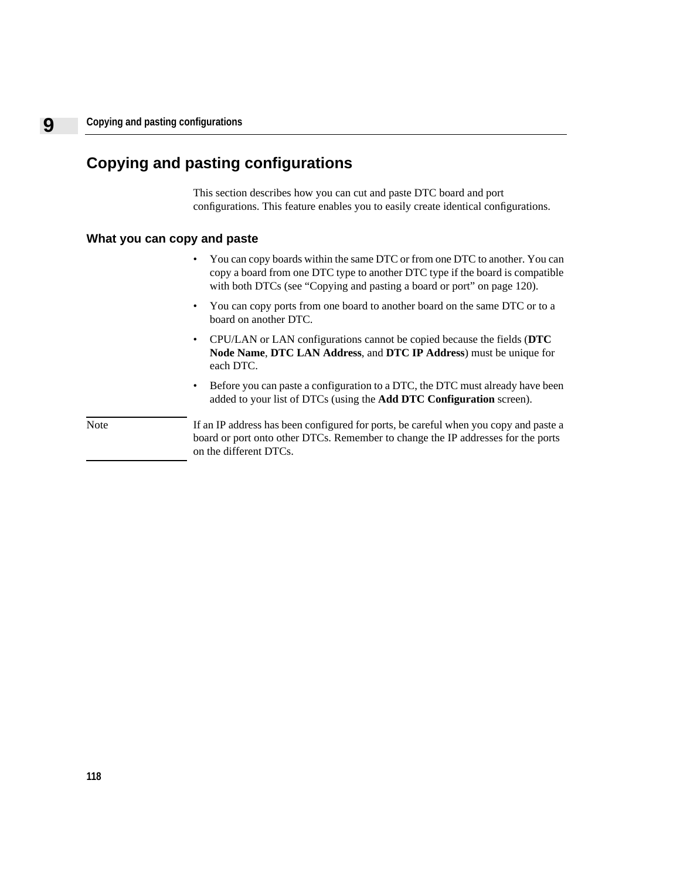# **Copying and pasting configurations**

This section describes how you can cut and paste DTC board and port configurations. This feature enables you to easily create identical configurations.

#### **What you can copy and paste**

- You can copy boards within the same DTC or from one DTC to another. You can copy a board from one DTC type to another DTC type if the board is compatible with both DTCs (see "Copying and pasting a board or port" on page 120).
- You can copy ports from one board to another board on the same DTC or to a board on another DTC.
- CPU/LAN or LAN configurations cannot be copied because the fields (**DTC Node Name**, **DTC LAN Address**, and **DTC IP Address**) must be unique for each DTC.
- Before you can paste a configuration to a DTC, the DTC must already have been added to your list of DTCs (using the **Add DTC Configuration** screen).

Note If an IP address has been configured for ports, be careful when you copy and paste a board or port onto other DTCs. Remember to change the IP addresses for the ports on the different DTCs.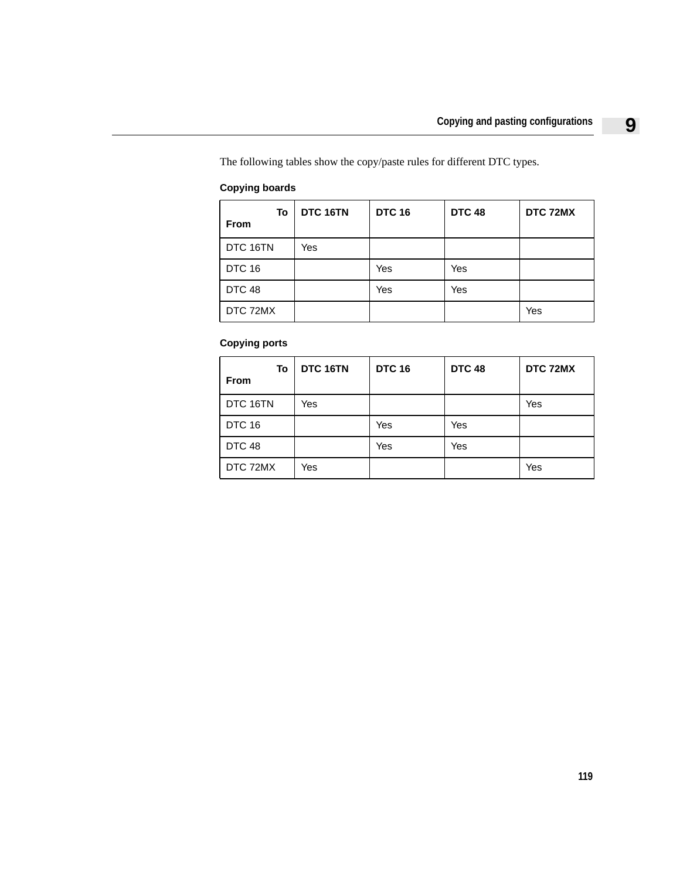The following tables show the copy/paste rules for different DTC types.

## **Copying boards**

| To<br><b>From</b> | DTC 16TN | <b>DTC 16</b> | <b>DTC 48</b> | DTC 72MX |
|-------------------|----------|---------------|---------------|----------|
| DTC 16TN          | Yes      |               |               |          |
| <b>DTC 16</b>     |          | Yes           | Yes           |          |
| DTC <sub>48</sub> |          | Yes           | Yes           |          |
| DTC 72MX          |          |               |               | Yes      |

### **Copying ports**

| To<br><b>From</b> | DTC 16TN | <b>DTC 16</b> | <b>DTC 48</b> | DTC 72MX |
|-------------------|----------|---------------|---------------|----------|
| DTC 16TN          | Yes      |               |               | Yes      |
| DTC 16            |          | Yes           | Yes           |          |
| DTC 48            |          | Yes           | Yes           |          |
| DTC 72MX          | Yes      |               |               | Yes      |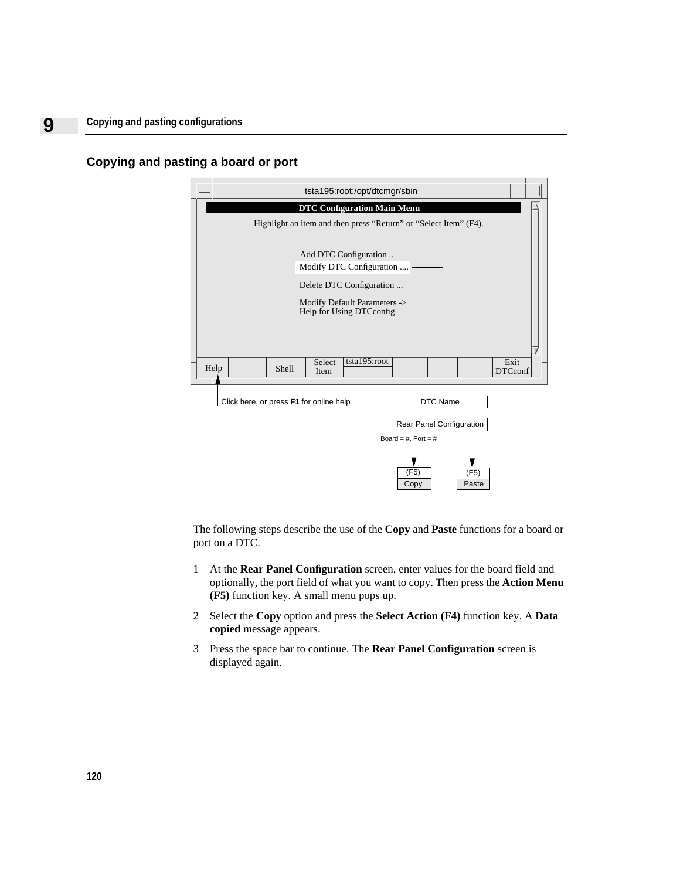

#### **Copying and pasting a board or port**

The following steps describe the use of the **Copy** and **Paste** functions for a board or port on a DTC.

- 1 At the **Rear Panel Configuration** screen, enter values for the board field and optionally, the port field of what you want to copy. Then press the **Action Menu (F5)** function key. A small menu pops up.
- 2 Select the **Copy** option and press the **Select Action (F4)** function key. A **Data copied** message appears.
- 3 Press the space bar to continue. The **Rear Panel Configuration** screen is displayed again.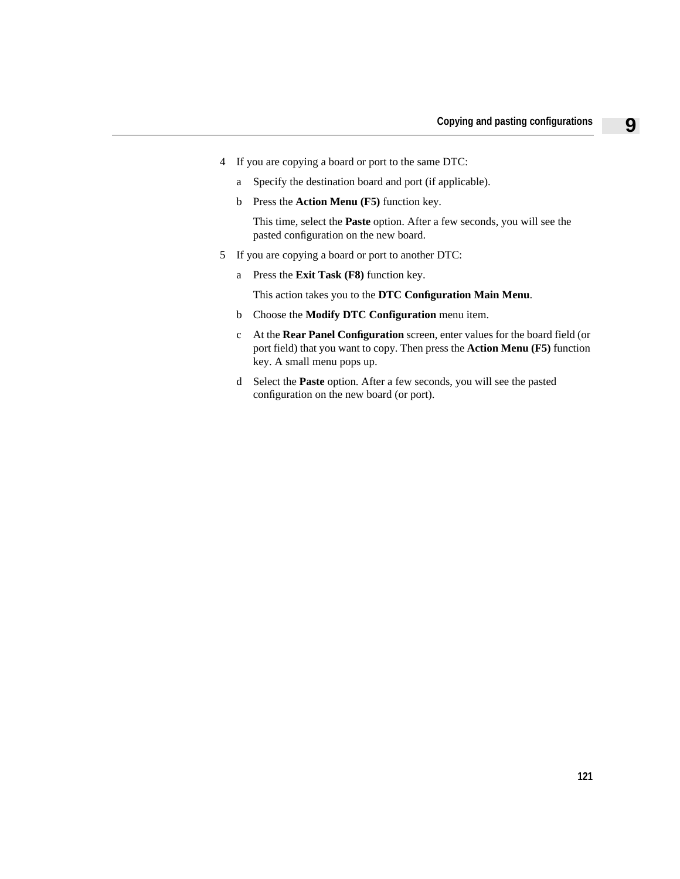- 4 If you are copying a board or port to the same DTC:
	- a Specify the destination board and port (if applicable).
	- b Press the **Action Menu (F5)** function key.

This time, select the **Paste** option. After a few seconds, you will see the pasted configuration on the new board.

- 5 If you are copying a board or port to another DTC:
	- a Press the **Exit Task (F8)** function key.

This action takes you to the **DTC Configuration Main Menu**.

- b Choose the **Modify DTC Configuration** menu item.
- c At the **Rear Panel Configuration** screen, enter values for the board field (or port field) that you want to copy. Then press the **Action Menu (F5)** function key. A small menu pops up.
- d Select the **Paste** option. After a few seconds, you will see the pasted configuration on the new board (or port).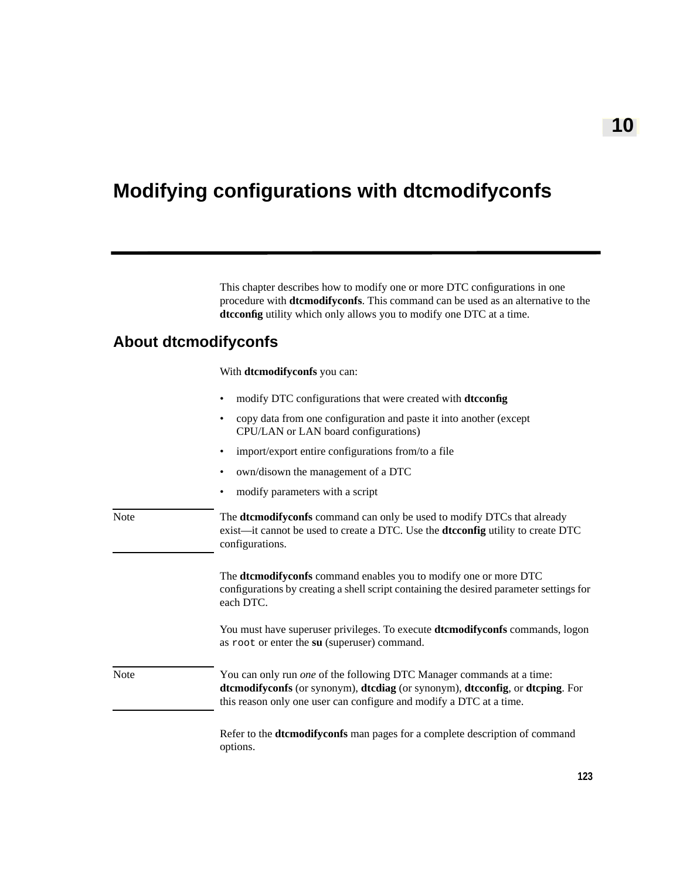# **Modifying configurations with dtcmodifyconfs**

This chapter describes how to modify one or more DTC configurations in one procedure with **dtcmodifyconfs**. This command can be used as an alternative to the **dtcconfig** utility which only allows you to modify one DTC at a time.

# **About dtcmodifyconfs**

With **dtcmodifyconfs** you can:

|             | modify DTC configurations that were created with dtcconfig                                                                                                                                                                    |
|-------------|-------------------------------------------------------------------------------------------------------------------------------------------------------------------------------------------------------------------------------|
|             | copy data from one configuration and paste it into another (except<br>$\bullet$<br>CPU/LAN or LAN board configurations)                                                                                                       |
|             | import/export entire configurations from/to a file<br>٠                                                                                                                                                                       |
|             | own/disown the management of a DTC<br>٠                                                                                                                                                                                       |
|             | modify parameters with a script                                                                                                                                                                                               |
| <b>Note</b> | The dtcmodifyconfs command can only be used to modify DTCs that already<br>exist—it cannot be used to create a DTC. Use the <b>dtcconfig</b> utility to create DTC<br>configurations.                                         |
|             | The dtcmodifyconfs command enables you to modify one or more DTC<br>configurations by creating a shell script containing the desired parameter settings for<br>each DTC.                                                      |
|             | You must have superuser privileges. To execute dtcmodifyconfs commands, logon<br>as root or enter the su (superuser) command.                                                                                                 |
| <b>Note</b> | You can only run one of the following DTC Manager commands at a time:<br>dtcmodifyconfs (or synonym), dtcdiag (or synonym), dtcconfig, or dtcping. For<br>this reason only one user can configure and modify a DTC at a time. |
|             | Refer to the <b>dtcmodifyconfs</b> man pages for a complete description of command<br>options.                                                                                                                                |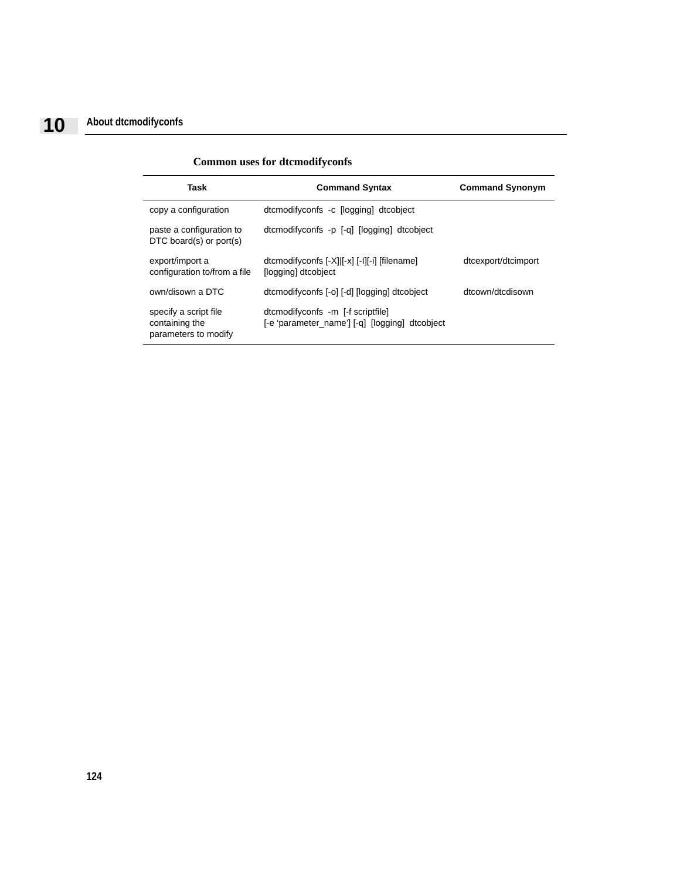# **About dtcmodifyconfs 10**

### **Common uses for dtcmodifyconfs**

| Task                                                            | <b>Command Syntax</b>                                                               | <b>Command Synonym</b> |
|-----------------------------------------------------------------|-------------------------------------------------------------------------------------|------------------------|
| copy a configuration                                            | dtcmodifyconfs -c [logging] dtcobject                                               |                        |
| paste a configuration to<br>DTC board(s) or port(s)             | dtcmodifyconfs -p [-q] [logging] dtcobject                                          |                        |
| export/import a<br>configuration to/from a file                 | dtcmodifyconfs [-X] [-x] [-I][-i] [filename]<br>[logging] dtcobject                 | dtcexport/dtcimport    |
| own/disown a DTC                                                | dtcmodifyconfs [-o] [-d] [logging] dtcobject                                        | dtcown/dtcdisown       |
| specify a script file<br>containing the<br>parameters to modify | dtcmodifyconfs -m [-f scriptfile]<br>[-e 'parameter_name'] [-q] [logging] dtcobject |                        |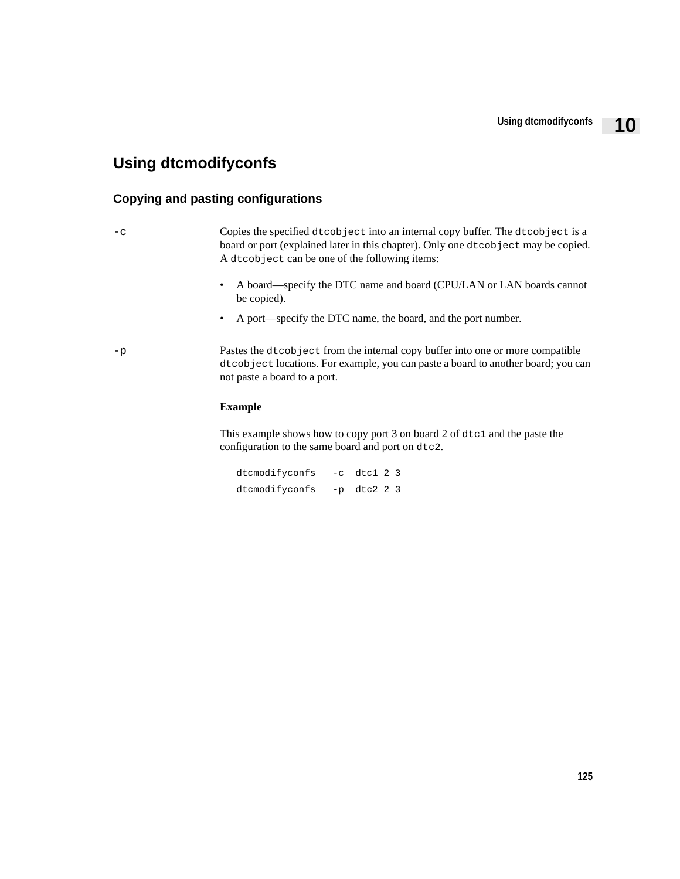# **Using dtcmodifyconfs**

### **Copying and pasting configurations**

-c Copies the specified dtcobject into an internal copy buffer. The dtcobject is a board or port (explained later in this chapter). Only one dtcobject may be copied. A dtcobject can be one of the following items:

- A board—specify the DTC name and board (CPU/LAN or LAN boards cannot be copied).
- A port—specify the DTC name, the board, and the port number.

-p Pastes the dtcobject from the internal copy buffer into one or more compatible dtcobject locations. For example, you can paste a board to another board; you can not paste a board to a port.

#### **Example**

This example shows how to copy port 3 on board 2 of dtc1 and the paste the configuration to the same board and port on dtc2.

dtcmodifyconfs -c dtc1 2 3 dtcmodifyconfs -p dtc2 2 3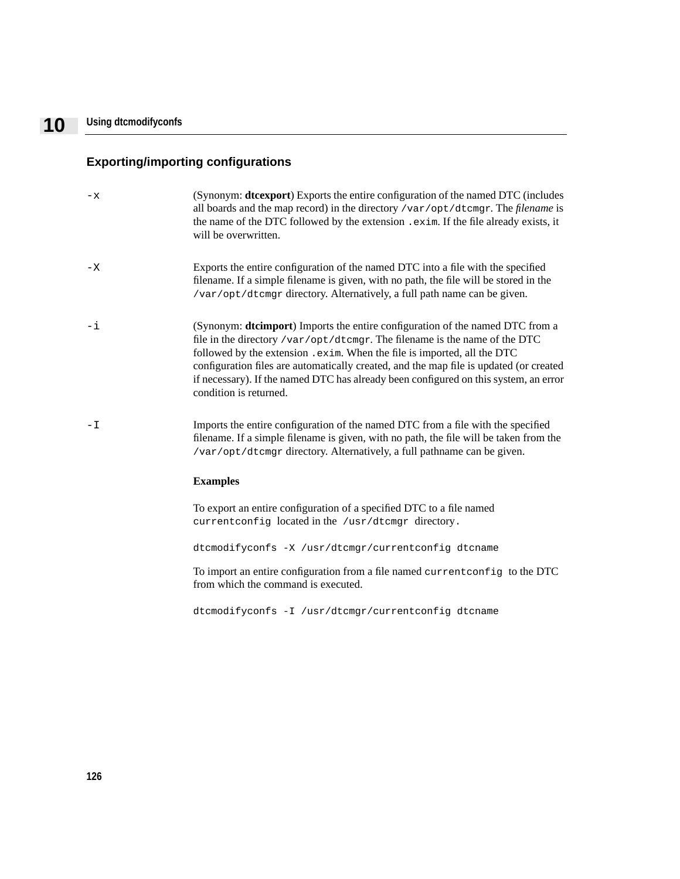### **Using dtcmodifyconfs 10**

#### **Exporting/importing configurations**

- -x (Synonym: **dtcexport**) Exports the entire configuration of the named DTC (includes all boards and the map record) in the directory /var/opt/dtcmgr. The *filename* is the name of the DTC followed by the extension .exim. If the file already exists, it will be overwritten.
- -X Exports the entire configuration of the named DTC into a file with the specified filename. If a simple filename is given, with no path, the file will be stored in the /var/opt/dtcmgr directory. Alternatively, a full path name can be given.
- -i (Synonym: **dtcimport**) Imports the entire configuration of the named DTC from a file in the directory /var/opt/dtcmgr. The filename is the name of the DTC followed by the extension .exim. When the file is imported, all the DTC configuration files are automatically created, and the map file is updated (or created if necessary). If the named DTC has already been configured on this system, an error condition is returned.
- -I Imports the entire configuration of the named DTC from a file with the specified filename. If a simple filename is given, with no path, the file will be taken from the /var/opt/dtcmgr directory. Alternatively, a full pathname can be given.

#### **Examples**

To export an entire configuration of a specified DTC to a file named currentconfig located in the /usr/dtcmgr directory.

dtcmodifyconfs -X /usr/dtcmgr/currentconfig dtcname

To import an entire configuration from a file named currentconfig to the DTC from which the command is executed.

dtcmodifyconfs -I /usr/dtcmgr/currentconfig dtcname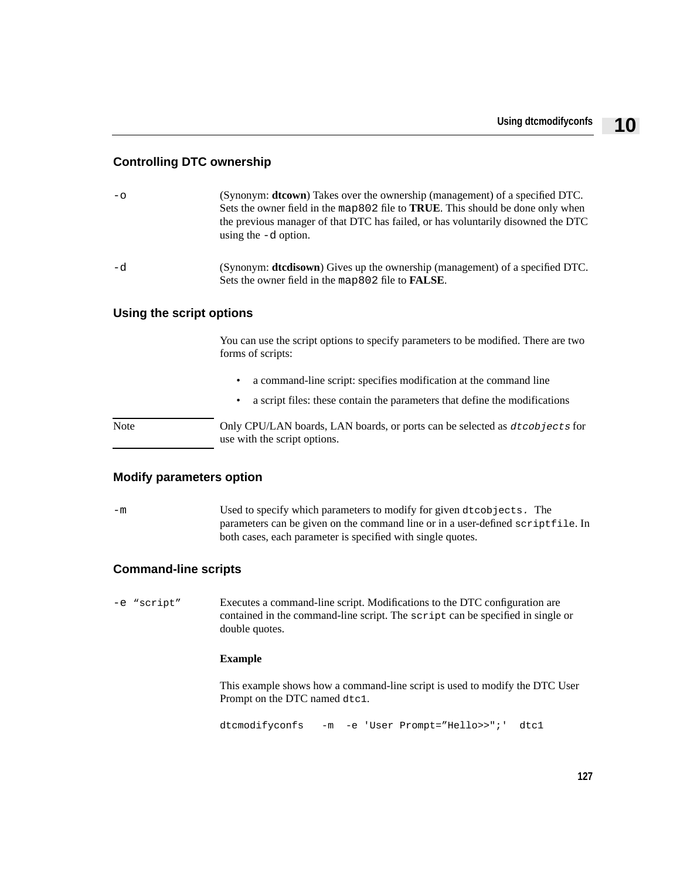#### **Controlling DTC ownership**

| $-\circ$ | (Synonym: <b>dtcown</b> ) Takes over the ownership (management) of a specified DTC.<br>Sets the owner field in the map 802 file to <b>TRUE</b> . This should be done only when<br>the previous manager of that DTC has failed, or has voluntarily disowned the DTC<br>using the $-d$ option. |
|----------|----------------------------------------------------------------------------------------------------------------------------------------------------------------------------------------------------------------------------------------------------------------------------------------------|
| $-d$     | (Synonym: <b>dtcdisown</b> ) Gives up the ownership (management) of a specified DTC.<br>Sets the owner field in the map802 file to <b>FALSE</b> .                                                                                                                                            |

#### **Using the script options**

You can use the script options to specify parameters to be modified. There are two forms of scripts:

- a command-line script: specifies modification at the command line
- a script files: these contain the parameters that define the modifications

Note Only CPU/LAN boards, LAN boards, or ports can be selected as  $dt \c{c}objects$  for use with the script options.

#### **Modify parameters option**

-m Used to specify which parameters to modify for given dtcobjects. The parameters can be given on the command line or in a user-defined scriptfile. In both cases, each parameter is specified with single quotes.

#### **Command-line scripts**

-e "script" Executes a command-line script. Modifications to the DTC configuration are contained in the command-line script. The script can be specified in single or double quotes.

#### **Example**

This example shows how a command-line script is used to modify the DTC User Prompt on the DTC named dtc1.

dtcmodifyconfs -m -e 'User Prompt="Hello>>";' dtc1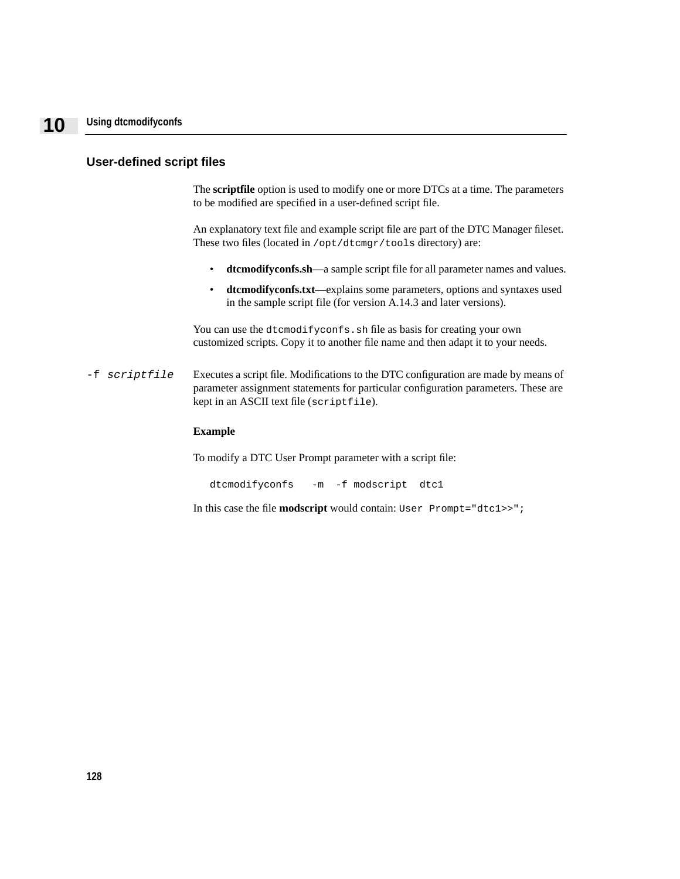#### **User-defined script files**

The **scriptfile** option is used to modify one or more DTCs at a time. The parameters to be modified are specified in a user-defined script file.

An explanatory text file and example script file are part of the DTC Manager fileset. These two files (located in /opt/dtcmgr/tools directory) are:

- **dtcmodifyconfs.sh**—a sample script file for all parameter names and values.
- **dtcmodifyconfs.txt**—explains some parameters, options and syntaxes used in the sample script file (for version A.14.3 and later versions).

You can use the dtcmodifyconfs.sh file as basis for creating your own customized scripts. Copy it to another file name and then adapt it to your needs.

-f scriptfile Executes a script file. Modifications to the DTC configuration are made by means of parameter assignment statements for particular configuration parameters. These are kept in an ASCII text file (scriptfile).

#### **Example**

To modify a DTC User Prompt parameter with a script file:

dtcmodifyconfs -m -f modscript dtc1

In this case the file **modscript** would contain: User Prompt="dtc1>>";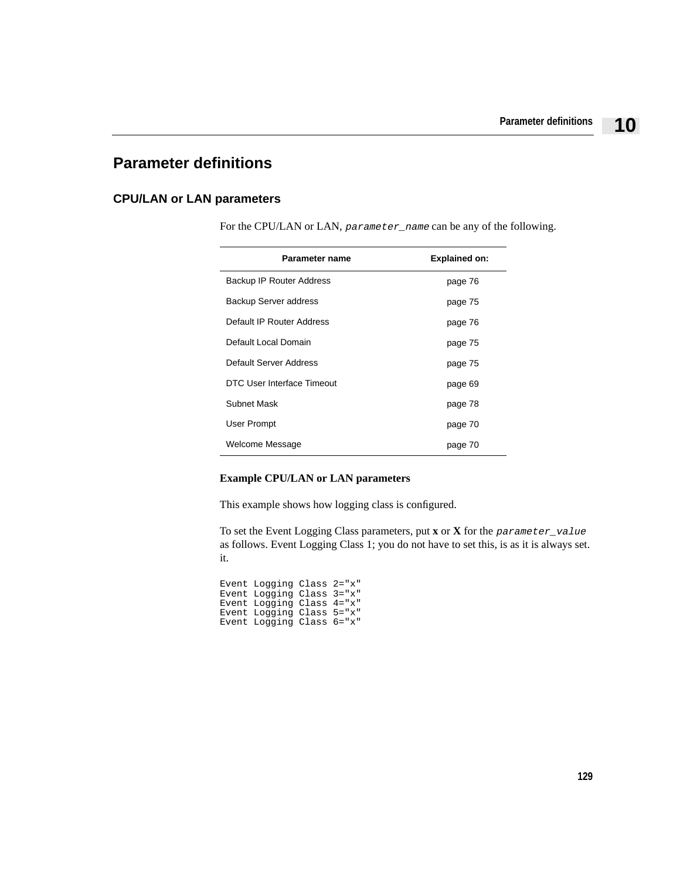# **Parameter definitions**

### **CPU/LAN or LAN parameters**

For the CPU/LAN or LAN, parameter\_name can be any of the following.

| Parameter name             | <b>Explained on:</b> |
|----------------------------|----------------------|
| Backup IP Router Address   | page 76              |
| Backup Server address      | page 75              |
| Default IP Router Address  | page 76              |
| Default Local Domain       | page 75              |
| Default Server Address     | page 75              |
| DTC User Interface Timeout | page 69              |
| Subnet Mask                | page 78              |
| User Prompt                | page 70              |
| Welcome Message            | page 70              |

#### **Example CPU/LAN or LAN parameters**

This example shows how logging class is configured.

To set the Event Logging Class parameters, put **x** or **X** for the parameter\_value as follows. Event Logging Class 1; you do not have to set this, is as it is always set. it.

| Event Logging Class 2="x" |  |
|---------------------------|--|
| Event Logging Class 3="x" |  |
| Event Logging Class 4="x" |  |
| Event Logging Class 5="x" |  |
| Event Logging Class 6="x" |  |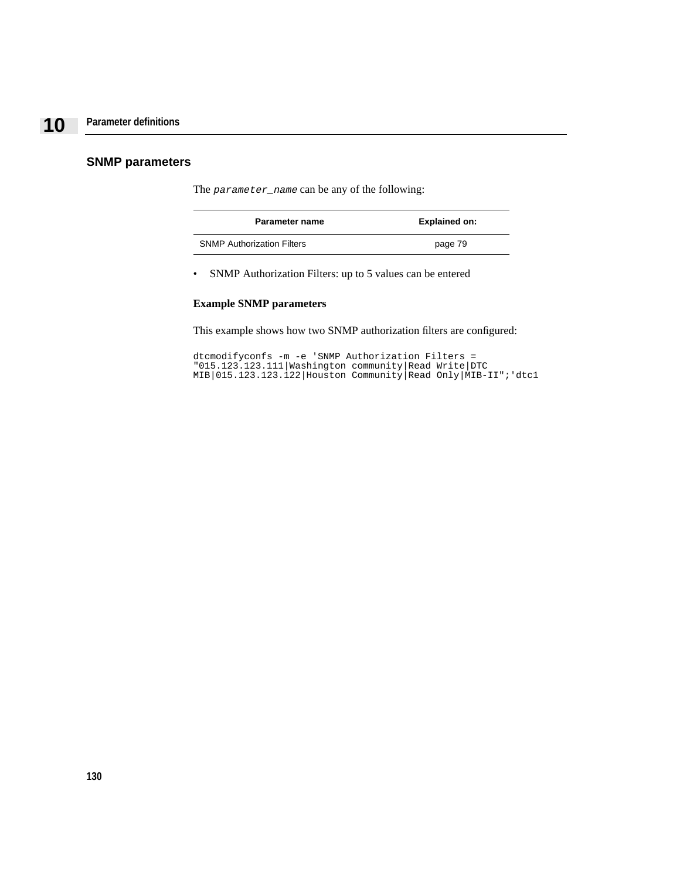#### **SNMP parameters**

The parameter\_name can be any of the following:

| Parameter name                    | <b>Explained on:</b> |
|-----------------------------------|----------------------|
| <b>SNMP Authorization Filters</b> | page 79              |

• SNMP Authorization Filters: up to 5 values can be entered

#### **Example SNMP parameters**

This example shows how two SNMP authorization filters are configured:

```
dtcmodifyconfs -m -e 'SNMP Authorization Filters =
"015.123.123.111|Washington community|Read Write|DTC
MIB|015.123.123.122|Houston Community|Read Only|MIB-II";'dtc1
```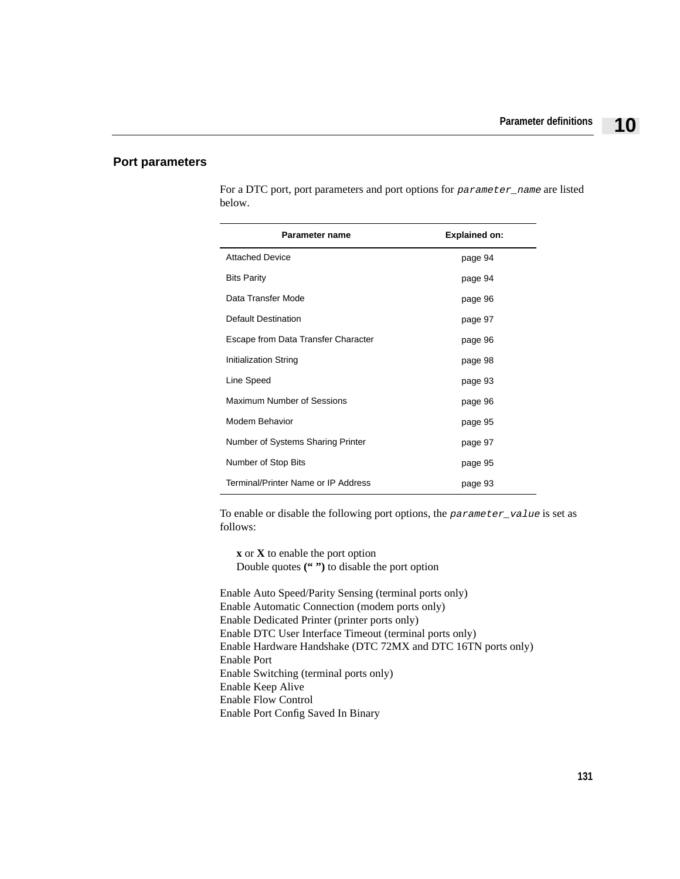#### **Port parameters**

For a DTC port, port parameters and port options for parameter\_name are listed below.

| Parameter name                      | <b>Explained on:</b> |
|-------------------------------------|----------------------|
| <b>Attached Device</b>              | page 94              |
| <b>Bits Parity</b>                  | page 94              |
| Data Transfer Mode                  | page 96              |
| Default Destination                 | page 97              |
| Escape from Data Transfer Character | page 96              |
| Initialization String               | page 98              |
| Line Speed                          | page 93              |
| Maximum Number of Sessions          | page 96              |
| Modem Behavior                      | page 95              |
| Number of Systems Sharing Printer   | page 97              |
| Number of Stop Bits                 | page 95              |
| Terminal/Printer Name or IP Address | page 93              |

To enable or disable the following port options, the parameter\_value is set as follows:

**x** or **X** to enable the port option Double quotes **(" ")** to disable the port option

Enable Auto Speed/Parity Sensing (terminal ports only) Enable Automatic Connection (modem ports only) Enable Dedicated Printer (printer ports only) Enable DTC User Interface Timeout (terminal ports only) Enable Hardware Handshake (DTC 72MX and DTC 16TN ports only) Enable Port Enable Switching (terminal ports only) Enable Keep Alive Enable Flow Control Enable Port Config Saved In Binary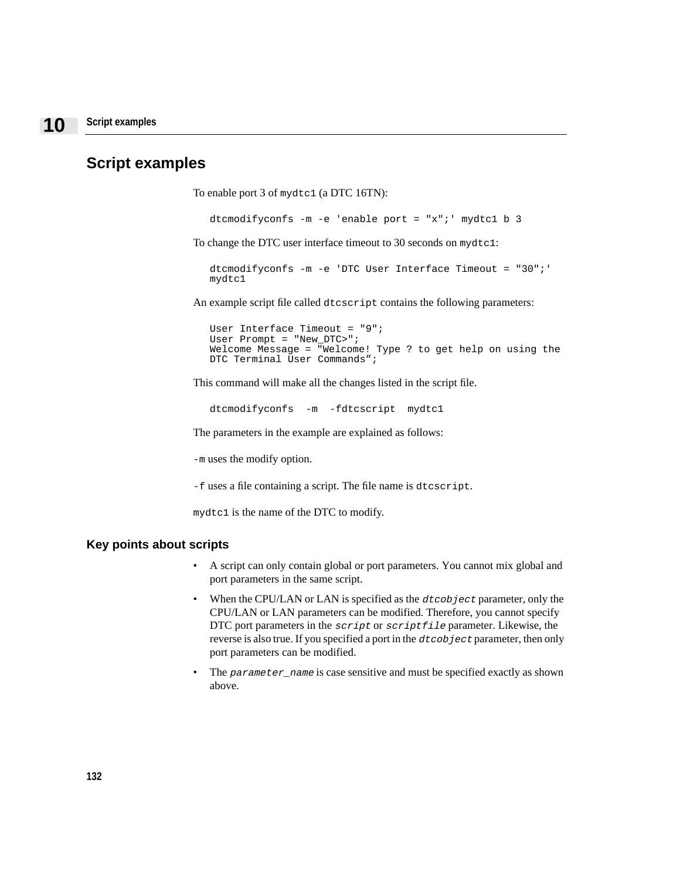### **Script examples**

To enable port 3 of mydtc1 (a DTC 16TN):

```
dtcmodifyconfs -m -e 'enable port = "x";' mydtc1 b 3
```
To change the DTC user interface timeout to 30 seconds on mydtc1:

```
dtcmodifyconfs -m -e 'DTC User Interface Timeout = "30";'
mydtc1
```
An example script file called dtcscript contains the following parameters:

```
User Interface Timeout = "9";
User Prompt = "New_DTC>";
Welcome Message = "Welcome! Type ? to get help on using the
DTC Terminal User Commands";
```
This command will make all the changes listed in the script file.

dtcmodifyconfs -m -fdtcscript mydtc1

The parameters in the example are explained as follows:

-m uses the modify option.

-f uses a file containing a script. The file name is dtcscript.

mydtc1 is the name of the DTC to modify.

#### **Key points about scripts**

- A script can only contain global or port parameters. You cannot mix global and port parameters in the same script.
- When the CPU/LAN or LAN is specified as the *dtcobject* parameter, only the CPU/LAN or LAN parameters can be modified. Therefore, you cannot specify DTC port parameters in the script or scriptfile parameter. Likewise, the reverse is also true. If you specified a port in the dtcobject parameter, then only port parameters can be modified.
- The parameter\_name is case sensitive and must be specified exactly as shown above.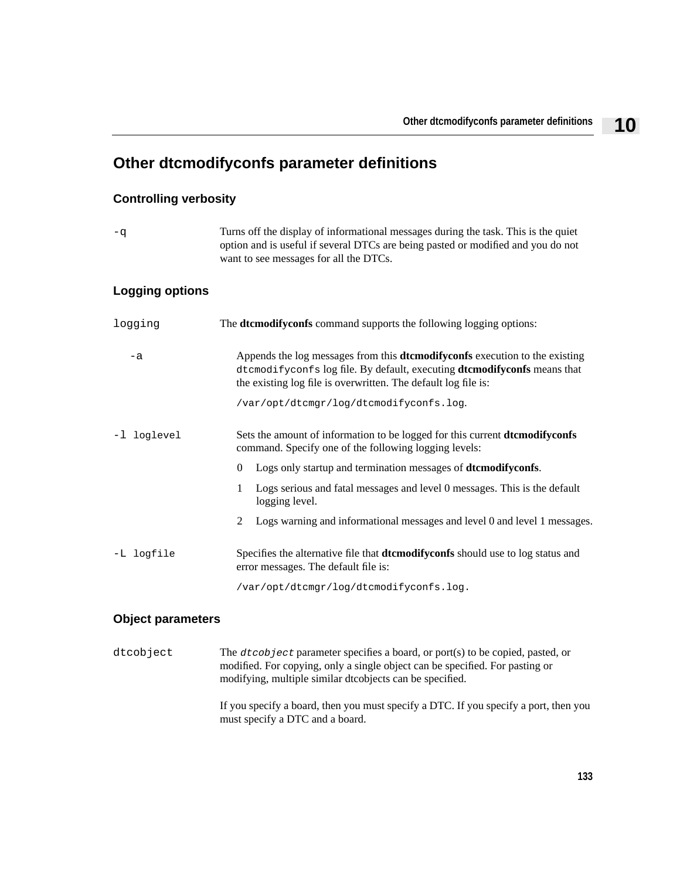# **Other dtcmodifyconfs parameter definitions**

### **Controlling verbosity**

| $-q$                   | Turns off the display of informational messages during the task. This is the quiet<br>option and is useful if several DTCs are being pasted or modified and you do not<br>want to see messages for all the DTCs.                |  |  |
|------------------------|---------------------------------------------------------------------------------------------------------------------------------------------------------------------------------------------------------------------------------|--|--|
| <b>Logging options</b> |                                                                                                                                                                                                                                 |  |  |
| logging                | The dtcmodifyconfs command supports the following logging options:                                                                                                                                                              |  |  |
| $-a$                   | Appends the log messages from this <b>demodifyconfs</b> execution to the existing<br>dtcmodifyconfs log file. By default, executing dtcmodifyconfs means that<br>the existing log file is overwritten. The default log file is: |  |  |
|                        | /var/opt/dtcmgr/log/dtcmodifyconfs.log.                                                                                                                                                                                         |  |  |
| -1 loglevel            | Sets the amount of information to be logged for this current dtcmodifyconfs<br>command. Specify one of the following logging levels:                                                                                            |  |  |
|                        | Logs only startup and termination messages of dtcmodifyconfs.<br>$\theta$                                                                                                                                                       |  |  |
|                        | Logs serious and fatal messages and level 0 messages. This is the default<br>1<br>logging level.                                                                                                                                |  |  |
|                        | Logs warning and informational messages and level 0 and level 1 messages.<br>2                                                                                                                                                  |  |  |
| -L logfile             | Specifies the alternative file that dtcmodifyconfs should use to log status and<br>error messages. The default file is:                                                                                                         |  |  |
|                        | /var/opt/dtcmgr/log/dtcmodifyconfs.log.                                                                                                                                                                                         |  |  |

#### **Object parameters**

dtcobject The dtcobject parameter specifies a board, or port(s) to be copied, pasted, or modified. For copying, only a single object can be specified. For pasting or modifying, multiple similar dtcobjects can be specified. If you specify a board, then you must specify a DTC. If you specify a port, then you must specify a DTC and a board.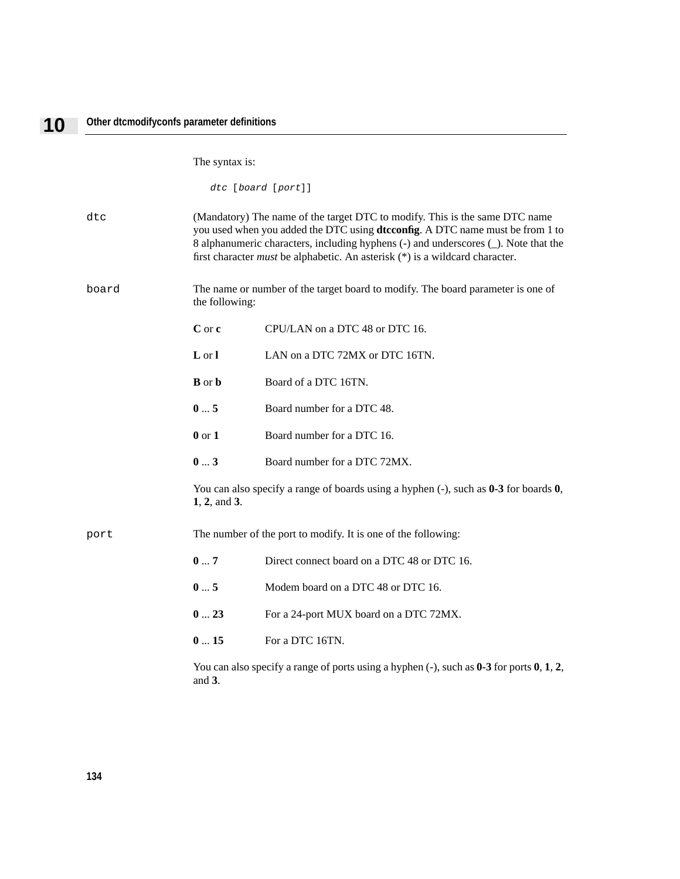The syntax is:

dtc [board [port]]

| dtc   | (Mandatory) The name of the target DTC to modify. This is the same DTC name<br>you used when you added the DTC using <b>dtcconfig</b> . A DTC name must be from 1 to<br>8 alphanumeric characters, including hyphens (-) and underscores (_). Note that the<br>first character <i>must</i> be alphabetic. An asterisk (*) is a wildcard character. |                                             |  |
|-------|----------------------------------------------------------------------------------------------------------------------------------------------------------------------------------------------------------------------------------------------------------------------------------------------------------------------------------------------------|---------------------------------------------|--|
| board | The name or number of the target board to modify. The board parameter is one of<br>the following:                                                                                                                                                                                                                                                  |                                             |  |
|       | $C$ or $c$                                                                                                                                                                                                                                                                                                                                         | CPU/LAN on a DTC 48 or DTC 16.              |  |
|       | L or l                                                                                                                                                                                                                                                                                                                                             | LAN on a DTC 72MX or DTC 16TN.              |  |
|       | <b>B</b> or <b>b</b>                                                                                                                                                                                                                                                                                                                               | Board of a DTC 16TN.                        |  |
|       | 05                                                                                                                                                                                                                                                                                                                                                 | Board number for a DTC 48.                  |  |
|       | $0$ or $1$                                                                                                                                                                                                                                                                                                                                         | Board number for a DTC 16.                  |  |
|       | 03                                                                                                                                                                                                                                                                                                                                                 | Board number for a DTC 72MX.                |  |
|       | You can also specify a range of boards using a hyphen $(-)$ , such as $0-3$ for boards $0$ ,<br>1, 2, and 3.                                                                                                                                                                                                                                       |                                             |  |
| port  | The number of the port to modify. It is one of the following:                                                                                                                                                                                                                                                                                      |                                             |  |
|       | 07                                                                                                                                                                                                                                                                                                                                                 | Direct connect board on a DTC 48 or DTC 16. |  |
|       | 05                                                                                                                                                                                                                                                                                                                                                 | Modem board on a DTC 48 or DTC 16.          |  |
|       | 023                                                                                                                                                                                                                                                                                                                                                | For a 24-port MUX board on a DTC 72MX.      |  |
|       | 015                                                                                                                                                                                                                                                                                                                                                | For a DTC 16TN.                             |  |
|       | You can also specify a range of ports using a hyphen (-), such as $0-3$ for ports $0, 1, 2$ ,<br>and $3$ .                                                                                                                                                                                                                                         |                                             |  |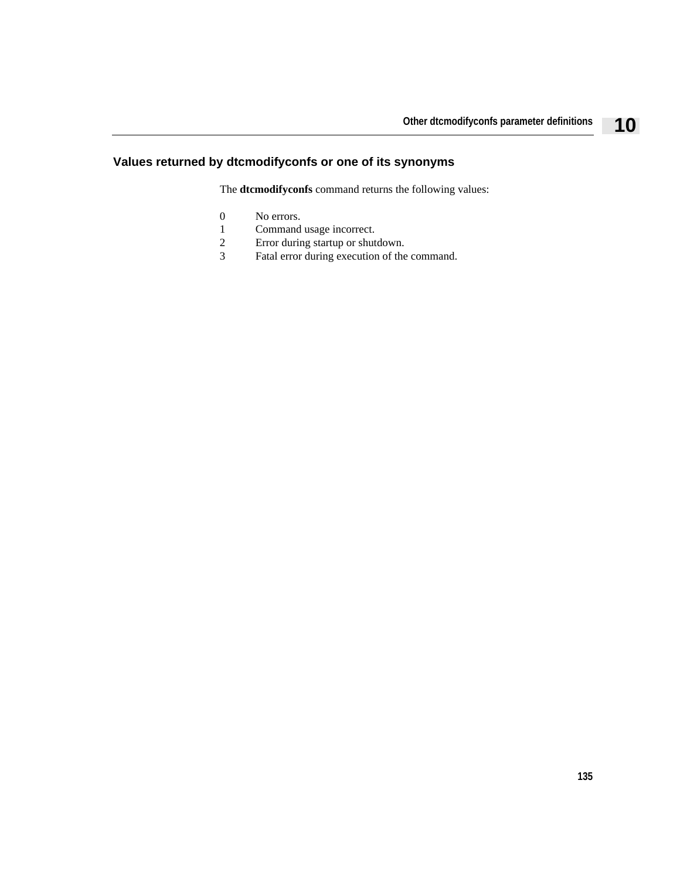## **Values returned by dtcmodifyconfs or one of its synonyms**

The **dtcmodifyconfs** command returns the following values:

- 0 No errors.
- 1 Command usage incorrect.
- 2 Error during startup or shutdown.
- 3 Fatal error during execution of the command.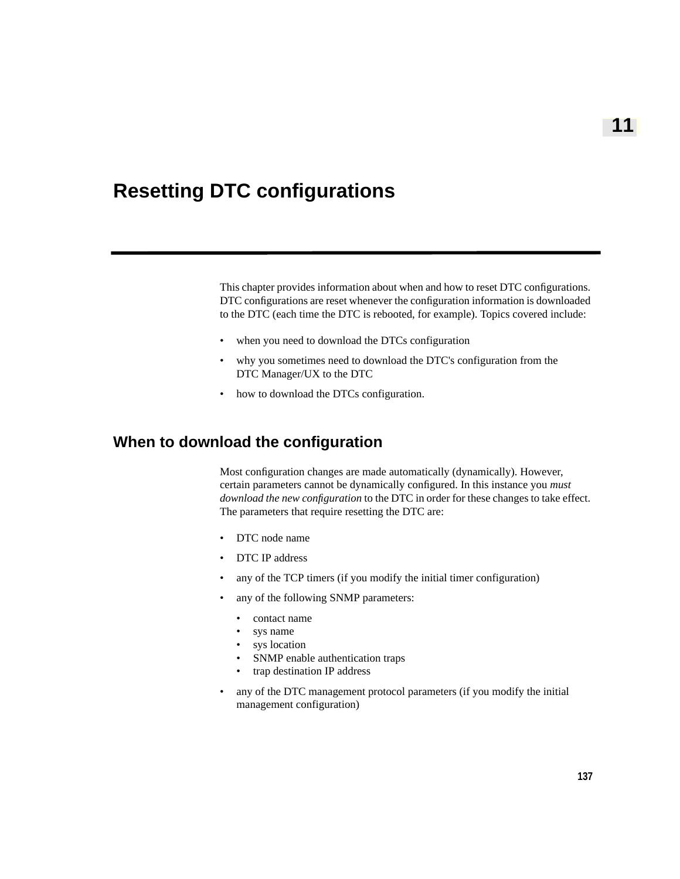# **Resetting DTC configurations**

This chapter provides information about when and how to reset DTC configurations. DTC configurations are reset whenever the configuration information is downloaded to the DTC (each time the DTC is rebooted, for example). Topics covered include:

- when you need to download the DTCs configuration
- why you sometimes need to download the DTC's configuration from the DTC Manager/UX to the DTC
- how to download the DTCs configuration.

# **When to download the configuration**

Most configuration changes are made automatically (dynamically). However, certain parameters cannot be dynamically configured. In this instance you *must download the new configuration* to the DTC in order for these changes to take effect. The parameters that require resetting the DTC are:

- DTC node name
- DTC IP address
- any of the TCP timers (if you modify the initial timer configuration)
- any of the following SNMP parameters:
	- contact name
	- sys name
	- sys location
	- SNMP enable authentication traps
	- trap destination IP address
- any of the DTC management protocol parameters (if you modify the initial management configuration)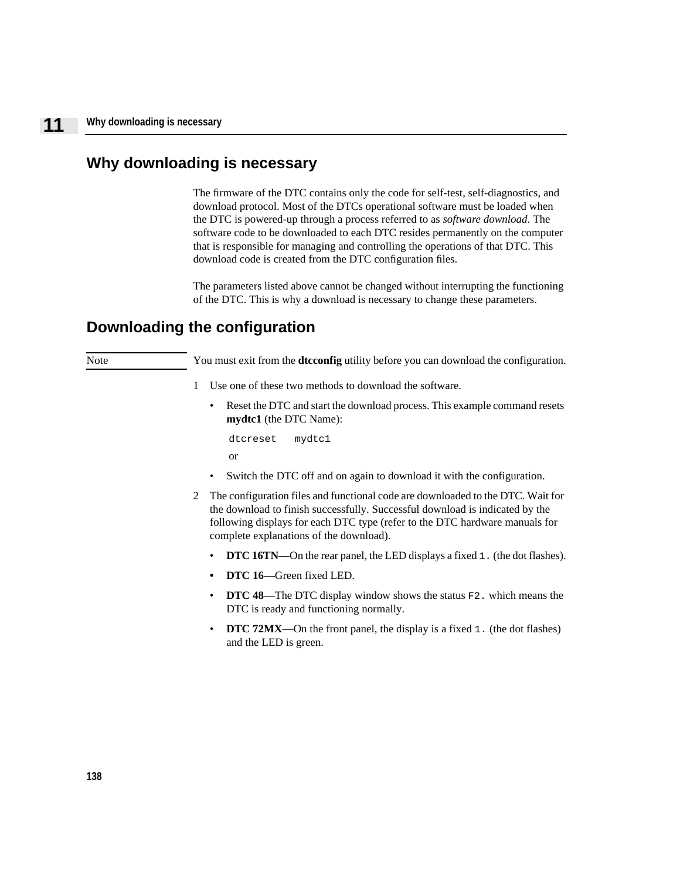# **Why downloading is necessary**

The firmware of the DTC contains only the code for self-test, self-diagnostics, and download protocol. Most of the DTCs operational software must be loaded when the DTC is powered-up through a process referred to as *software download*. The software code to be downloaded to each DTC resides permanently on the computer that is responsible for managing and controlling the operations of that DTC. This download code is created from the DTC configuration files.

The parameters listed above cannot be changed without interrupting the functioning of the DTC. This is why a download is necessary to change these parameters.

## **Downloading the configuration**

Note You must exit from the **dtcconfig** utility before you can download the configuration.

- 1 Use one of these two methods to download the software.
	- Reset the DTC and start the download process. This example command resets **mydtc1** (the DTC Name):

dtcreset mydtc1 or

- Switch the DTC off and on again to download it with the configuration.
- 2 The configuration files and functional code are downloaded to the DTC. Wait for the download to finish successfully. Successful download is indicated by the following displays for each DTC type (refer to the DTC hardware manuals for complete explanations of the download).
	- **DTC 16TN—On** the rear panel, the LED displays a fixed 1. (the dot flashes).
	- **DTC 16**—Green fixed LED.
	- **DTC 48**—The DTC display window shows the status F2. which means the DTC is ready and functioning normally.
	- **DTC 72MX**—On the front panel, the display is a fixed 1. (the dot flashes) and the LED is green.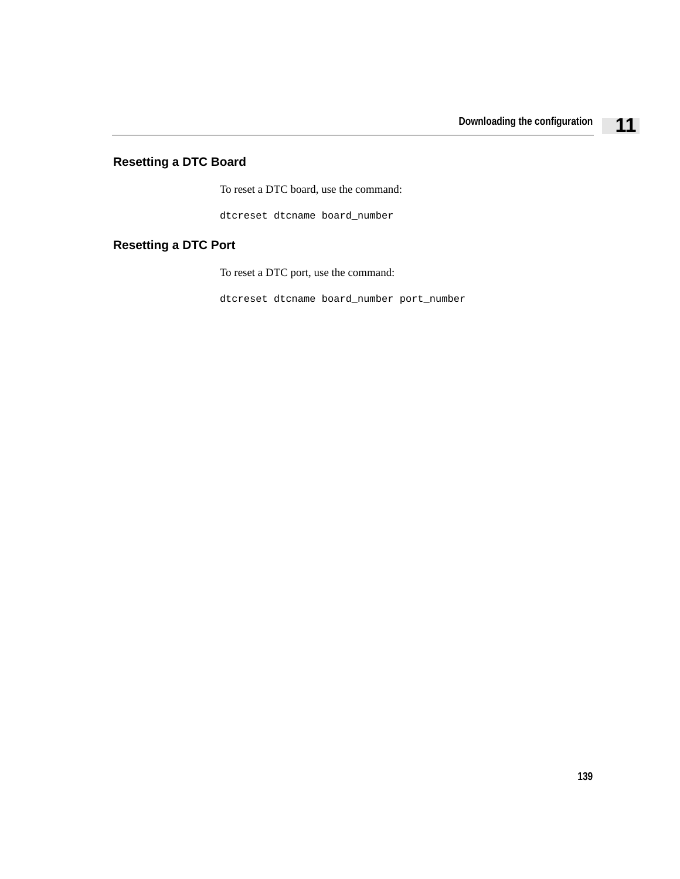## **Resetting a DTC Board**

To reset a DTC board, use the command:

dtcreset dtcname board\_number

## **Resetting a DTC Port**

To reset a DTC port, use the command:

dtcreset dtcname board\_number port\_number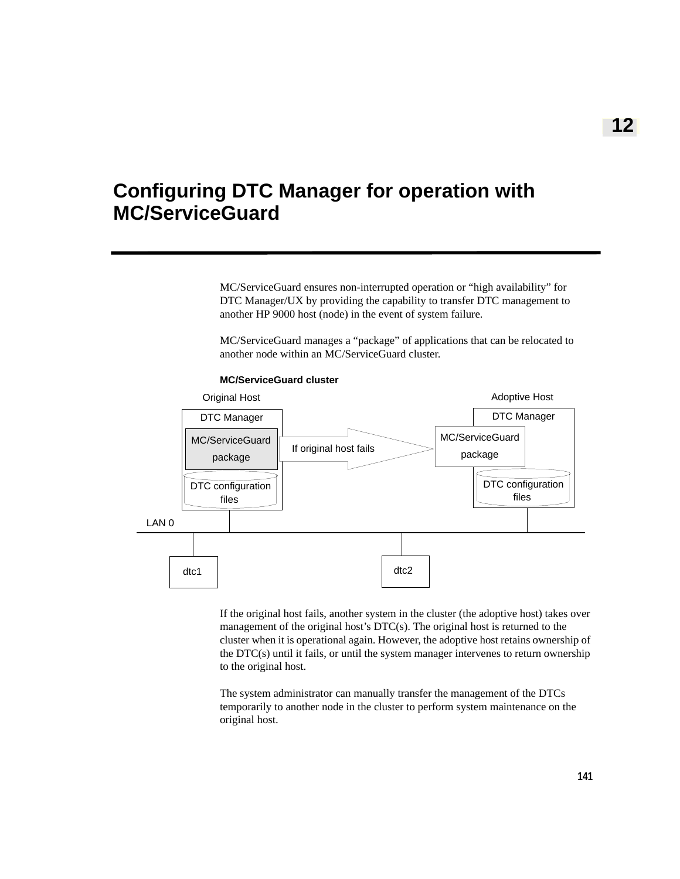# **Configuring DTC Manager for operation with MC/ServiceGuard**

MC/ServiceGuard ensures non-interrupted operation or "high availability" for DTC Manager/UX by providing the capability to transfer DTC management to another HP 9000 host (node) in the event of system failure.

MC/ServiceGuard manages a "package" of applications that can be relocated to another node within an MC/ServiceGuard cluster.



**MC/ServiceGuard cluster**

If the original host fails, another system in the cluster (the adoptive host) takes over management of the original host's DTC(s). The original host is returned to the cluster when it is operational again. However, the adoptive host retains ownership of the DTC(s) until it fails, or until the system manager intervenes to return ownership to the original host.

The system administrator can manually transfer the management of the DTCs temporarily to another node in the cluster to perform system maintenance on the original host.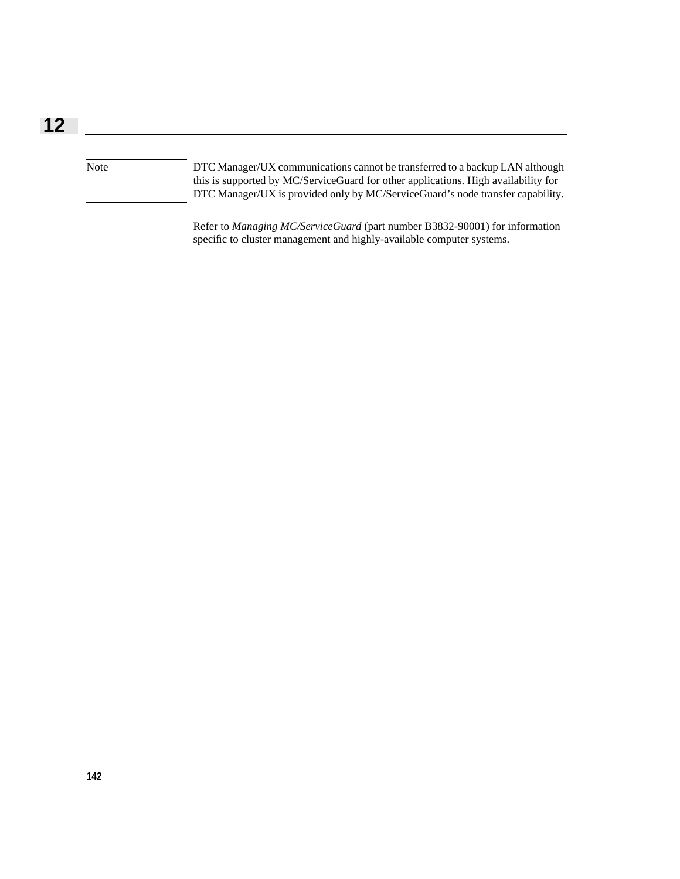**12**

Note DTC Manager/UX communications cannot be transferred to a backup LAN although this is supported by MC/ServiceGuard for other applications. High availability for DTC Manager/UX is provided only by MC/ServiceGuard's node transfer capability.

> Refer to *Managing MC/ServiceGuard* (part number B3832-90001) for information specific to cluster management and highly-available computer systems.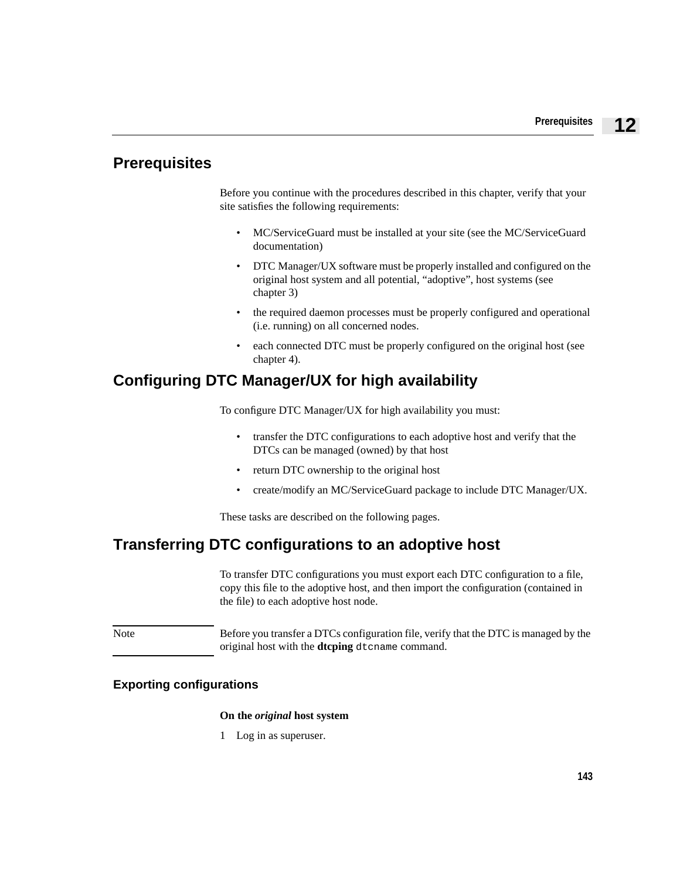## **Prerequisites**

Before you continue with the procedures described in this chapter, verify that your site satisfies the following requirements:

- MC/ServiceGuard must be installed at your site (see the MC/ServiceGuard documentation)
- DTC Manager/UX software must be properly installed and configured on the original host system and all potential, "adoptive", host systems (see chapter 3)
- the required daemon processes must be properly configured and operational (i.e. running) on all concerned nodes.
- each connected DTC must be properly configured on the original host (see chapter 4).

# **Configuring DTC Manager/UX for high availability**

To configure DTC Manager/UX for high availability you must:

- transfer the DTC configurations to each adoptive host and verify that the DTCs can be managed (owned) by that host
- return DTC ownership to the original host
- create/modify an MC/ServiceGuard package to include DTC Manager/UX.

These tasks are described on the following pages.

## **Transferring DTC configurations to an adoptive host**

To transfer DTC configurations you must export each DTC configuration to a file, copy this file to the adoptive host, and then import the configuration (contained in the file) to each adoptive host node.

Note Before you transfer a DTCs configuration file, verify that the DTC is managed by the original host with the **dtcping** dtcname command.

#### **Exporting configurations**

**On the** *original* **host system**

1 Log in as superuser.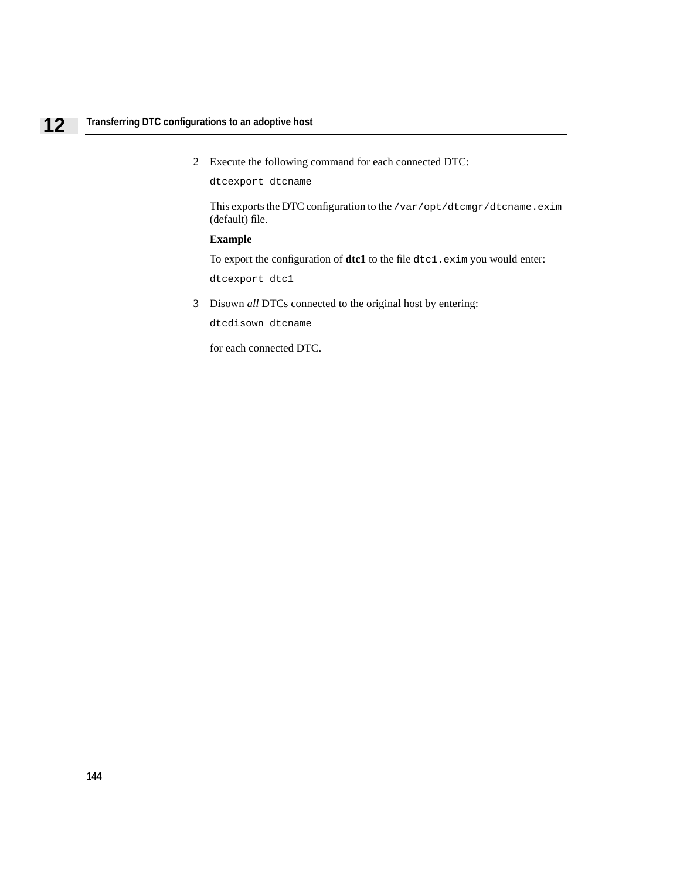2 Execute the following command for each connected DTC:

dtcexport dtcname

This exports the DTC configuration to the /var/opt/dtcmgr/dtcname.exim (default) file.

#### **Example**

To export the configuration of **dtc1** to the file dtc1.exim you would enter: dtcexport dtc1

3 Disown *all* DTCs connected to the original host by entering:

dtcdisown dtcname

for each connected DTC.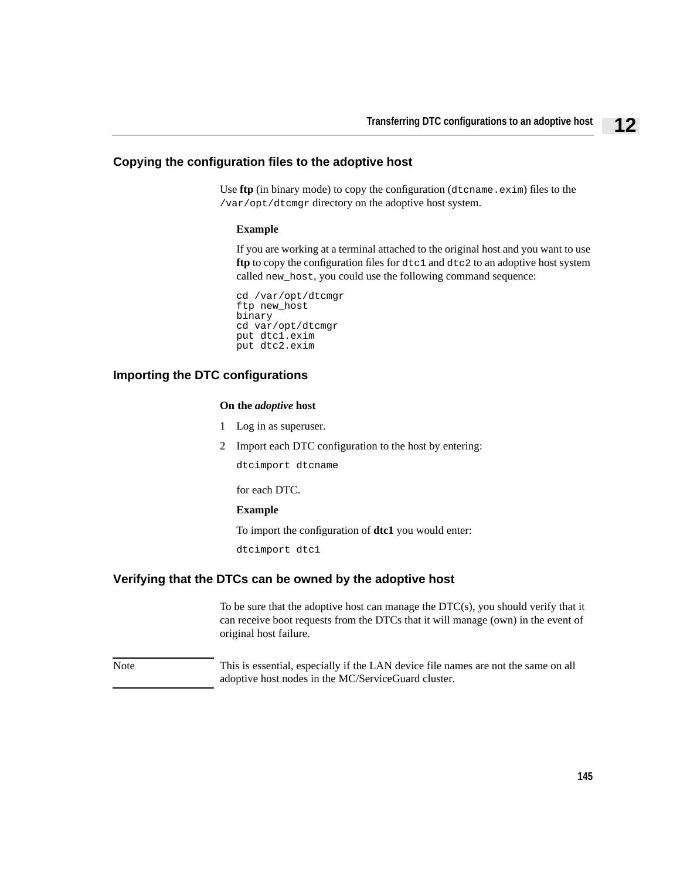#### **Copying the configuration files to the adoptive host**

Use ftp (in binary mode) to copy the configuration (dtcname.exim) files to the /var/opt/dtcmgr directory on the adoptive host system.

#### **Example**

If you are working at a terminal attached to the original host and you want to use **ftp** to copy the configuration files for dtc1 and dtc2 to an adoptive host system called new\_host, you could use the following command sequence:

```
cd /var/opt/dtcmgr
ftp new_host
binary
cd var/opt/dtcmgr
put dtc1.exim
put dtc2.exim
```
#### **Importing the DTC configurations**

#### **On the** *adoptive* **host**

- 1 Log in as superuser.
- 2 Import each DTC configuration to the host by entering:

dtcimport dtcname

for each DTC.

#### **Example**

To import the configuration of **dtc1** you would enter:

dtcimport dtc1

#### **Verifying that the DTCs can be owned by the adoptive host**

To be sure that the adoptive host can manage the  $\text{DTC}(s)$ , you should verify that it can receive boot requests from the DTCs that it will manage (own) in the event of original host failure.

Note This is essential, especially if the LAN device file names are not the same on all adoptive host nodes in the MC/ServiceGuard cluster.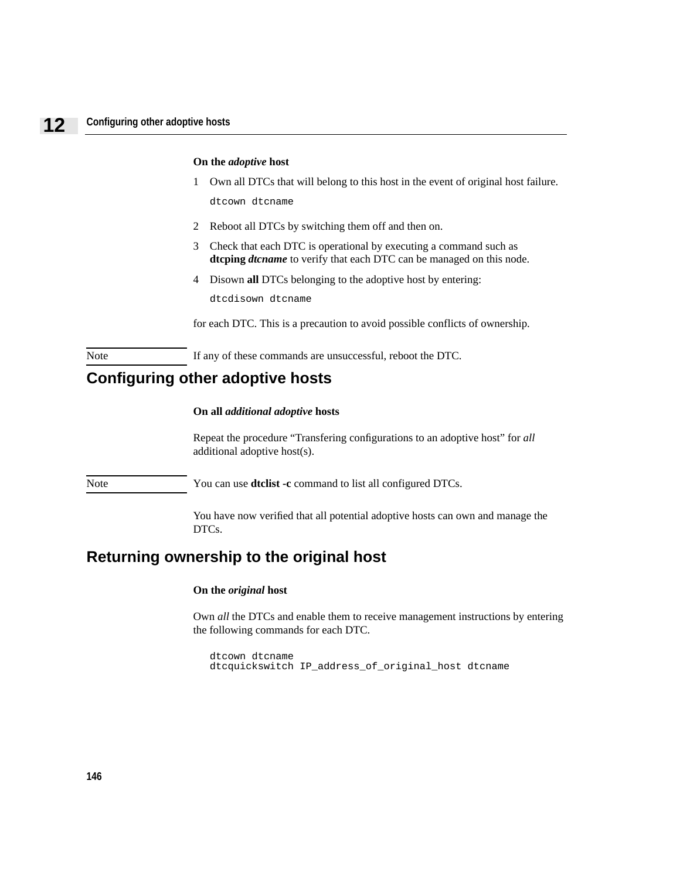#### **On the** *adoptive* **host**

- 1 Own all DTCs that will belong to this host in the event of original host failure. dtcown dtcname
- 2 Reboot all DTCs by switching them off and then on.
- 3 Check that each DTC is operational by executing a command such as **dtcping** *dtcname* to verify that each DTC can be managed on this node.
- 4 Disown **all** DTCs belonging to the adoptive host by entering:

dtcdisown dtcname

for each DTC. This is a precaution to avoid possible conflicts of ownership.

Note If any of these commands are unsuccessful, reboot the DTC.

### **Configuring other adoptive hosts**

#### **On all** *additional adoptive* **hosts**

Repeat the procedure "Transfering configurations to an adoptive host" for *all* additional adoptive host(s).

Note You can use **dtclist -c** command to list all configured DTCs.

You have now verified that all potential adoptive hosts can own and manage the DTCs.

### **Returning ownership to the original host**

#### **On the** *original* **host**

Own *all* the DTCs and enable them to receive management instructions by entering the following commands for each DTC.

```
dtcown dtcname
dtcquickswitch IP_address_of_original_host dtcname
```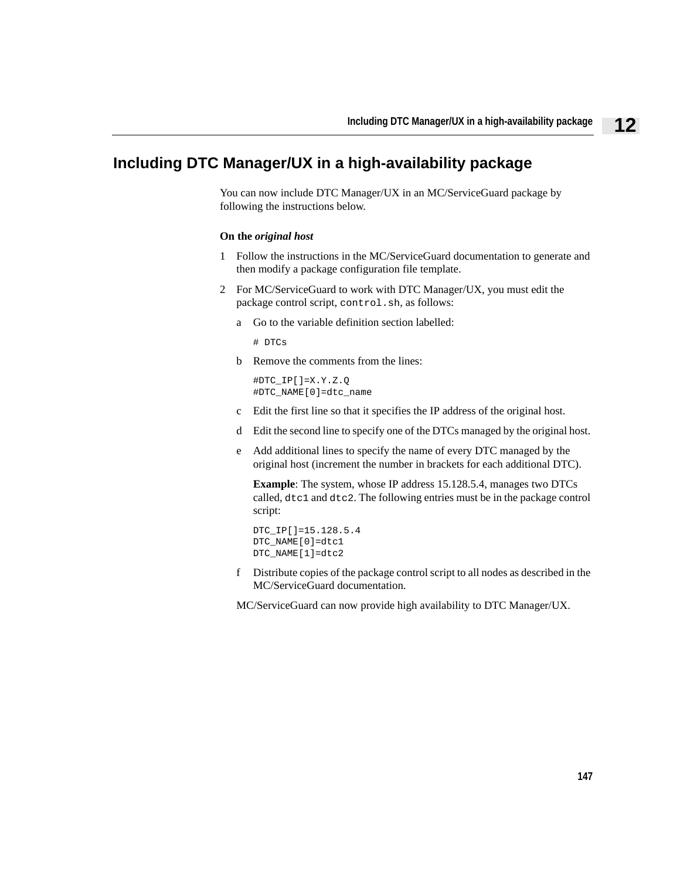### **Including DTC Manager/UX in a high-availability package**

You can now include DTC Manager/UX in an MC/ServiceGuard package by following the instructions below.

#### **On the** *original host*

- 1 Follow the instructions in the MC/ServiceGuard documentation to generate and then modify a package configuration file template.
- 2 For MC/ServiceGuard to work with DTC Manager/UX, you must edit the package control script, control.sh, as follows:
	- a Go to the variable definition section labelled:

# DTCs

b Remove the comments from the lines:

#DTC\_IP[]=X.Y.Z.Q #DTC\_NAME[0]=dtc\_name

- c Edit the first line so that it specifies the IP address of the original host.
- d Edit the second line to specify one of the DTCs managed by the original host.
- e Add additional lines to specify the name of every DTC managed by the original host (increment the number in brackets for each additional DTC).

**Example**: The system, whose IP address 15.128.5.4, manages two DTCs called, dtc1 and dtc2. The following entries must be in the package control script:

DTC\_IP[]=15.128.5.4 DTC\_NAME[0]=dtc1 DTC\_NAME[1]=dtc2

f Distribute copies of the package control script to all nodes as described in the MC/ServiceGuard documentation.

MC/ServiceGuard can now provide high availability to DTC Manager/UX.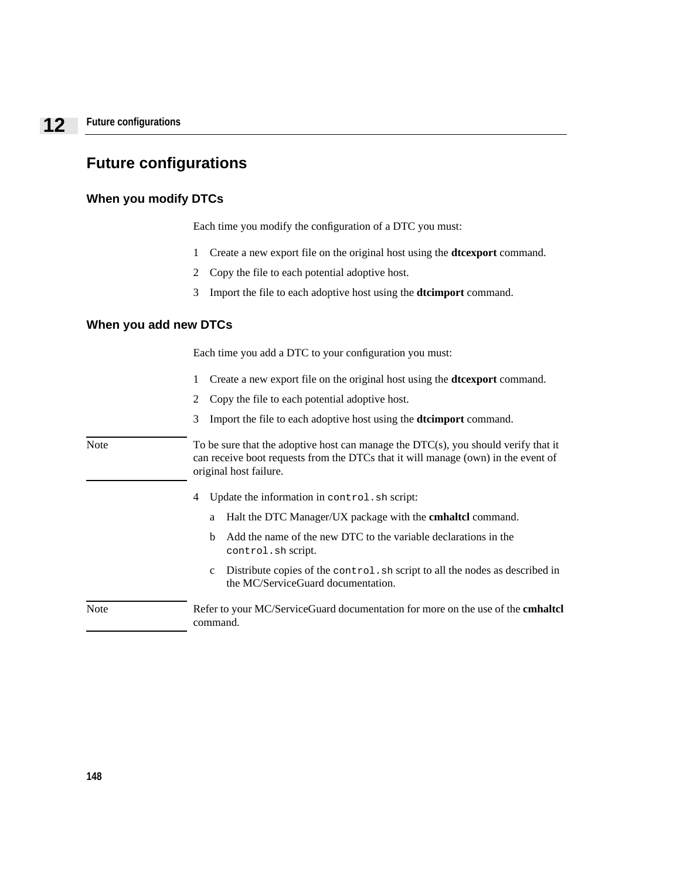### **Future configurations**

#### **When you modify DTCs**

Each time you modify the configuration of a DTC you must:

- 1 Create a new export file on the original host using the **dtcexport** command.
- 2 Copy the file to each potential adoptive host.
- 3 Import the file to each adoptive host using the **dtcimport** command.

#### **When you add new DTCs**

Each time you add a DTC to your configuration you must:

- 1 Create a new export file on the original host using the **dtcexport** command.
- 2 Copy the file to each potential adoptive host.
- 3 Import the file to each adoptive host using the **dtcimport** command.

Note To be sure that the adoptive host can manage the DTC(s), you should verify that it can receive boot requests from the DTCs that it will manage (own) in the event of original host failure.

- 4 Update the information in control.sh script:
	- a Halt the DTC Manager/UX package with the **cmhaltcl** command.
	- b Add the name of the new DTC to the variable declarations in the control.sh script.
	- c Distribute copies of the control.sh script to all the nodes as described in the MC/ServiceGuard documentation.

Note Refer to your MC/ServiceGuard documentation for more on the use of the **cmhaltcl** command.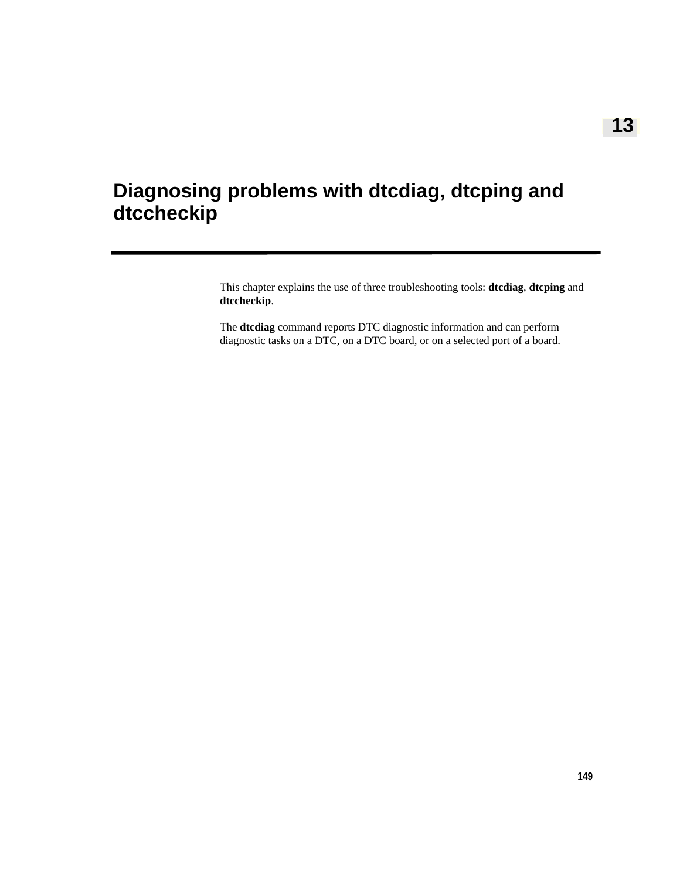## **Diagnosing problems with dtcdiag, dtcping and dtccheckip**

This chapter explains the use of three troubleshooting tools: **dtcdiag**, **dtcping** and **dtccheckip**.

The **dtcdiag** command reports DTC diagnostic information and can perform diagnostic tasks on a DTC, on a DTC board, or on a selected port of a board.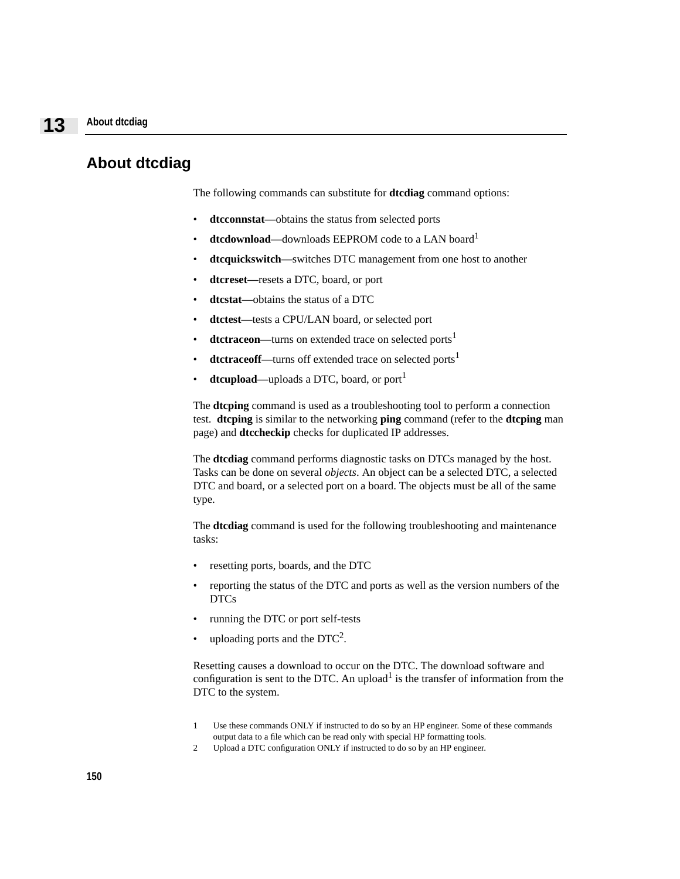### **About dtcdiag**

The following commands can substitute for **dtcdiag** command options:

- **dtcconnstat—**obtains the status from selected ports
- **dtcdownload—downloads EEPROM code to a LAN board<sup>1</sup>**
- **dtcquickswitch—**switches DTC management from one host to another
- **dtcreset—**resets a DTC, board, or port
- **dtcstat—**obtains the status of a DTC
- **dtctest—**tests a CPU/LAN board, or selected port
- **dtctraceon—turns on extended trace on selected ports<sup>1</sup>**
- **dtctraceoff—**turns off extended trace on selected ports<sup>1</sup>
- **dtcupload—uploads a DTC, board, or port<sup>1</sup>**

The **dtcping** command is used as a troubleshooting tool to perform a connection test. **dtcping** is similar to the networking **ping** command (refer to the **dtcping** man page) and **dtccheckip** checks for duplicated IP addresses.

The **dtcdiag** command performs diagnostic tasks on DTCs managed by the host. Tasks can be done on several *objects*. An object can be a selected DTC, a selected DTC and board, or a selected port on a board. The objects must be all of the same type.

The **dtcdiag** command is used for the following troubleshooting and maintenance tasks:

- resetting ports, boards, and the DTC
- reporting the status of the DTC and ports as well as the version numbers of the DTCs
- running the DTC or port self-tests
- uploading ports and the  $DTC^2$ .

Resetting causes a download to occur on the DTC. The download software and configuration is sent to the DTC. An upload<sup>1</sup> is the transfer of information from the DTC to the system.

- 1 Use these commands ONLY if instructed to do so by an HP engineer. Some of these commands output data to a file which can be read only with special HP formatting tools.
- 2 Upload a DTC configuration ONLY if instructed to do so by an HP engineer.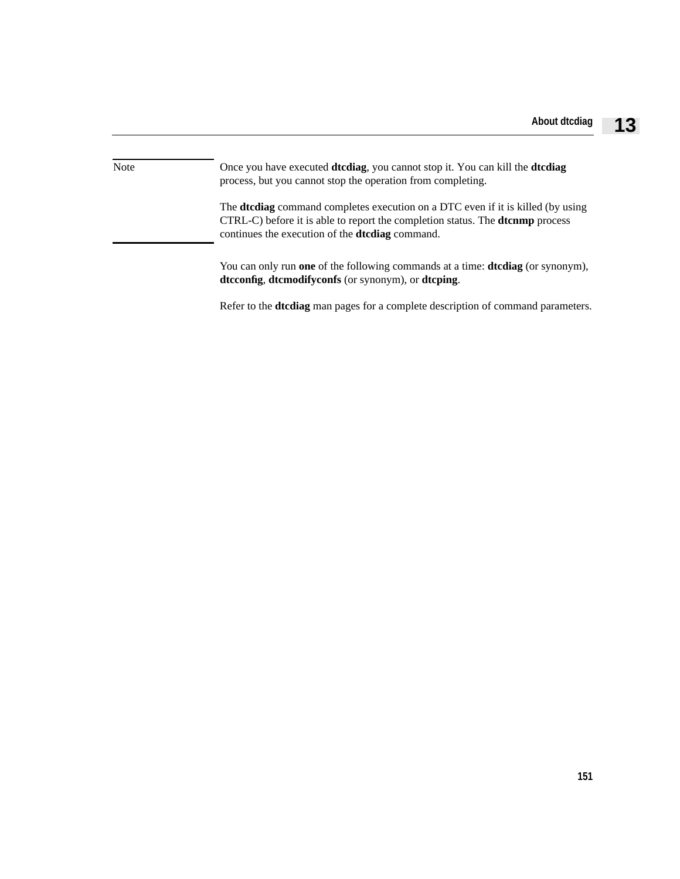Note Once you have executed **dtcdiag**, you cannot stop it. You can kill the **dtcdiag** process, but you cannot stop the operation from completing. The **dtcdiag** command completes execution on a DTC even if it is killed (by using CTRL-C) before it is able to report the completion status. The **dtcnmp** process continues the execution of the **dtcdiag** command. You can only run **one** of the following commands at a time: **dtcdiag** (or synonym), **dtcconfig**, **dtcmodifyconfs** (or synonym), or **dtcping**. Refer to the **dtcdiag** man pages for a complete description of command parameters.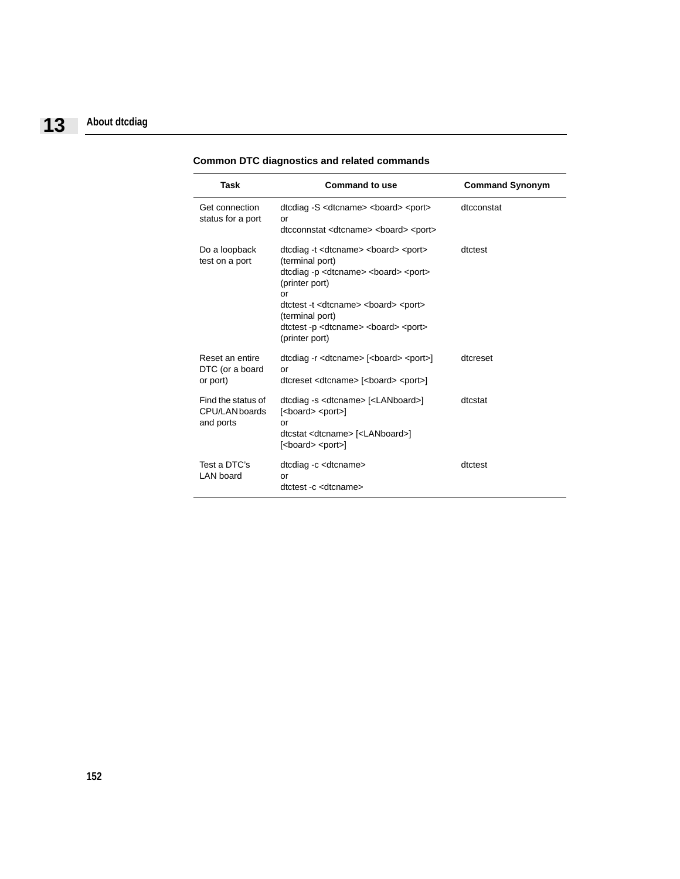### **Common DTC diagnostics and related commands**

| Task                                              | <b>Command to use</b>                                                                                                                                                                                                                                                                                                                                    | <b>Command Synonym</b> |
|---------------------------------------------------|----------------------------------------------------------------------------------------------------------------------------------------------------------------------------------------------------------------------------------------------------------------------------------------------------------------------------------------------------------|------------------------|
| Get connection<br>status for a port               | dtcdiag -S <dtcname> <board> <port><br/>or<br/>dtcconnstat <dtcname> <br/>board&gt; <port></port></dtcname></port></board></dtcname>                                                                                                                                                                                                                     | dtcconstat             |
| Do a loopback<br>test on a port                   | dtcdiag -t <dtcname> <board> <port><br/>(terminal port)<br/>dtcdiag-p <dtcname> <board> <port><br/>(printer port)<br/>or<br/>dtctest -t <dtcname> <br/> <br/>board&gt; <port><br/>(terminal port)<br/>dtctest -p <dtcname> <board> <port><br/>(printer port)</port></board></dtcname></port></dtcname></port></board></dtcname></port></board></dtcname> | dtctest                |
| Reset an entire<br>DTC (or a board<br>or port)    | dtcdiag - r < dtcname > [<br>board > <port> ]<br/>or<br/>dtcreset <dtcname> [<br>board&gt; <port>]</port></br></dtcname></port>                                                                                                                                                                                                                          | dtcreset               |
| Find the status of<br>CPU/LAN boards<br>and ports | dtcdiag -s <dtcname> [<lanboard>]<br/>[<board> <port>]<br/>or<br/>dtcstat <dtcname> [<lanboard>]<br/>[<board> <port>]</port></board></lanboard></dtcname></port></board></lanboard></dtcname>                                                                                                                                                            | dtcstat                |
| Test a DTC's<br><b>LAN</b> board                  | dtcdiag -c <dtcname><br/>or<br/>dtctest -c <dtcname></dtcname></dtcname>                                                                                                                                                                                                                                                                                 | dtctest                |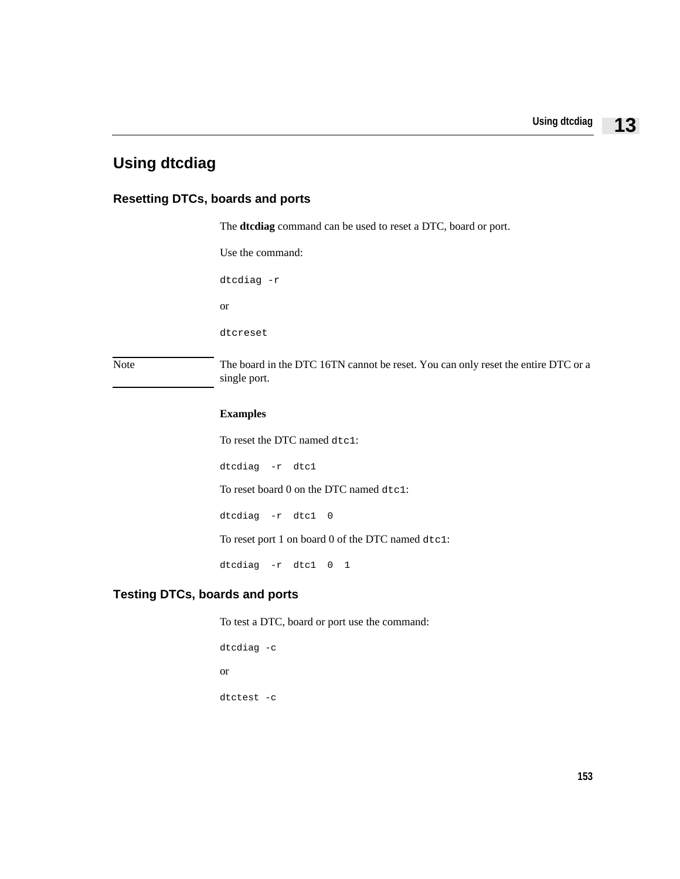## **Using dtcdiag**

### **Resetting DTCs, boards and ports**

The **dtcdiag** command can be used to reset a DTC, board or port.

Use the command:

dtcdiag -r

or

dtcreset

Note The board in the DTC 16TN cannot be reset. You can only reset the entire DTC or a single port.

#### **Examples**

To reset the DTC named dtc1: dtcdiag -r dtc1 To reset board 0 on the DTC named dtc1: dtcdiag -r dtc1 0 To reset port 1 on board 0 of the DTC named dtc1: dtcdiag -r dtc1 0 1

### **Testing DTCs, boards and ports**

To test a DTC, board or port use the command:

dtcdiag -c or dtctest -c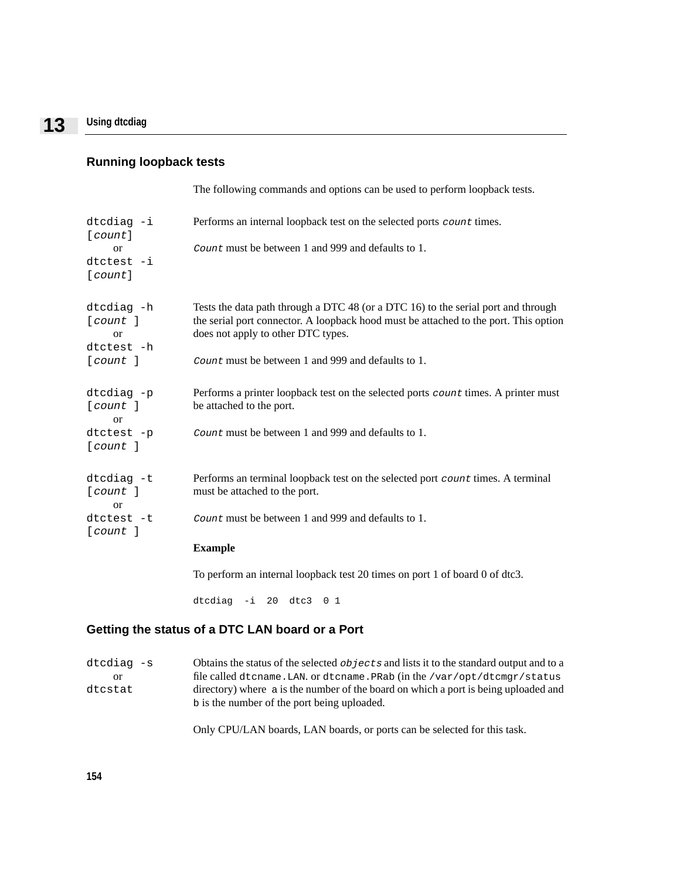### **Running loopback tests**

The following commands and options can be used to perform loopback tests.

| dtcdiag -i<br>[count]              | Performs an internal loopback test on the selected ports count times.                                                                                                                                           |  |  |
|------------------------------------|-----------------------------------------------------------------------------------------------------------------------------------------------------------------------------------------------------------------|--|--|
| <b>or</b><br>dtctest -i<br>[count] | Count must be between 1 and 999 and defaults to 1.                                                                                                                                                              |  |  |
| dtcdiag -h<br>[count]<br><b>or</b> | Tests the data path through a DTC 48 (or a DTC 16) to the serial port and through<br>the serial port connector. A loopback hood must be attached to the port. This option<br>does not apply to other DTC types. |  |  |
| dtctest -h<br>[count]              | Count must be between 1 and 999 and defaults to 1.                                                                                                                                                              |  |  |
| dtcdiag -p<br>[count]<br>$\alpha$  | Performs a printer loopback test on the selected ports count times. A printer must<br>be attached to the port.                                                                                                  |  |  |
| dtctest -p<br>[count]              | Count must be between 1 and 999 and defaults to 1.                                                                                                                                                              |  |  |
| dtcdiag -t<br>[count]<br><b>or</b> | Performs an terminal loopback test on the selected port <i>count</i> times. A terminal<br>must be attached to the port.                                                                                         |  |  |
| dtctest -t<br>[count ]             | Count must be between 1 and 999 and defaults to 1.                                                                                                                                                              |  |  |
|                                    | <b>Example</b>                                                                                                                                                                                                  |  |  |
|                                    | To perform an internal loopback test 20 times on port 1 of board 0 of dtc3.                                                                                                                                     |  |  |
|                                    | dtediag –i 20 dte3 01                                                                                                                                                                                           |  |  |

#### **Getting the status of a DTC LAN board or a Port**

dtcdiag -s or dtcstat Obtains the status of the selected objects and lists it to the standard output and to a file called dtcname.LAN. or dtcname.PRab (in the /var/opt/dtcmgr/status directory) where a is the number of the board on which a port is being uploaded and b is the number of the port being uploaded.

Only CPU/LAN boards, LAN boards, or ports can be selected for this task.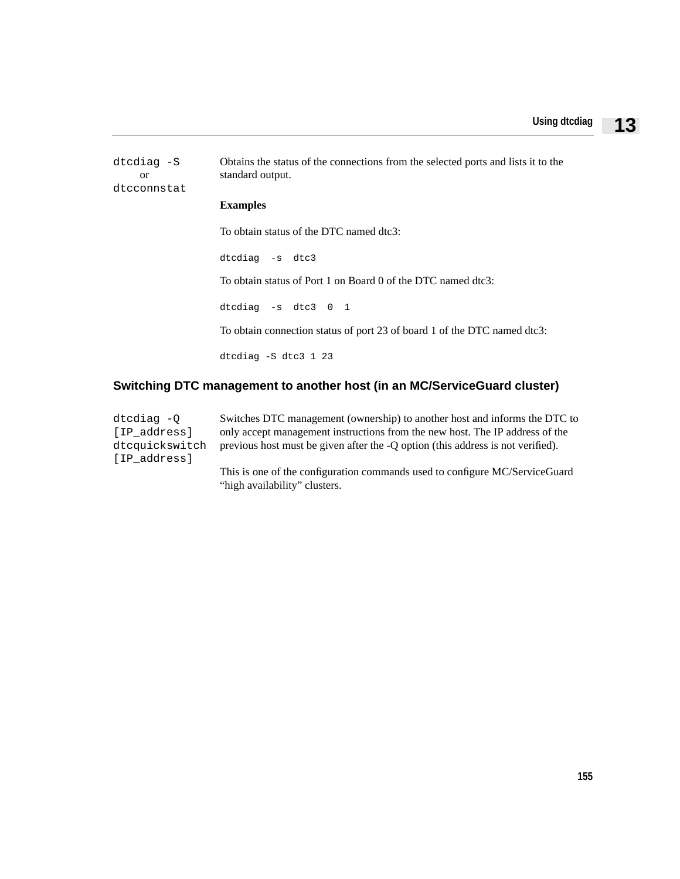dtcdiag -S or dtcconnstat Obtains the status of the connections from the selected ports and lists it to the standard output. **Examples** To obtain status of the DTC named dtc3: dtcdiag -s dtc3 To obtain status of Port 1 on Board 0 of the DTC named dtc3: dtcdiag -s dtc3 0 1 To obtain connection status of port 23 of board 1 of the DTC named dtc3: dtcdiag -S dtc3 1 23

### **Switching DTC management to another host (in an MC/ServiceGuard cluster)**

| dtcdiag -0                     | Switches DTC management (ownership) to another host and informs the DTC to                                   |
|--------------------------------|--------------------------------------------------------------------------------------------------------------|
| [IP address]                   | only accept management instructions from the new host. The IP address of the                                 |
| dtcquickswitch<br>[IP address] | previous host must be given after the -O option (this address is not verified).                              |
|                                | This is one of the configuration commands used to configure MC/ServiceGuard<br>"high availability" clusters. |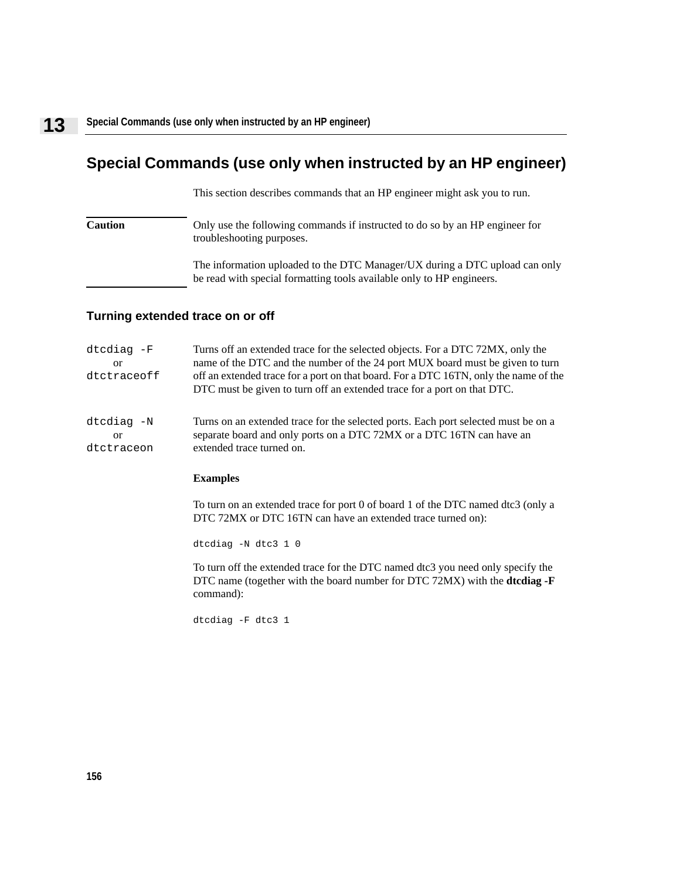### **Special Commands (use only when instructed by an HP engineer)**

This section describes commands that an HP engineer might ask you to run.

be read with special formatting tools available only to HP engineers.

**Caution** Only use the following commands if instructed to do so by an HP engineer for troubleshooting purposes. The information uploaded to the DTC Manager/UX during a DTC upload can only

### **Turning extended trace on or off**

| dtcdiag -F<br>$\alpha$<br>dtctraceoff | Turns off an extended trace for the selected objects. For a DTC 72MX, only the<br>name of the DTC and the number of the 24 port MUX board must be given to turn<br>off an extended trace for a port on that board. For a DTC 16TN, only the name of the<br>DTC must be given to turn off an extended trace for a port on that DTC. |  |  |  |
|---------------------------------------|------------------------------------------------------------------------------------------------------------------------------------------------------------------------------------------------------------------------------------------------------------------------------------------------------------------------------------|--|--|--|
| dtcdiag -N<br>or<br>dtctraceon        | Turns on an extended trace for the selected ports. Each port selected must be on a<br>separate board and only ports on a DTC 72MX or a DTC 16TN can have an<br>extended trace turned on.                                                                                                                                           |  |  |  |
|                                       | <b>Examples</b>                                                                                                                                                                                                                                                                                                                    |  |  |  |
|                                       | To turn on an extended trace for port 0 of board 1 of the DTC named dtc3 (only a<br>DTC 72MX or DTC 16TN can have an extended trace turned on):                                                                                                                                                                                    |  |  |  |
|                                       | dtcdiag -N dtc3 1 0                                                                                                                                                                                                                                                                                                                |  |  |  |
|                                       | To turn off the extended trace for the DTC named dtc3 you need only specify the<br>DTC name (together with the board number for DTC $72MX$ ) with the <b>dtcdiag</b> - <b>F</b><br>command):                                                                                                                                       |  |  |  |

| dtcdiag -F dtc3 1 |  |  |  |
|-------------------|--|--|--|
|-------------------|--|--|--|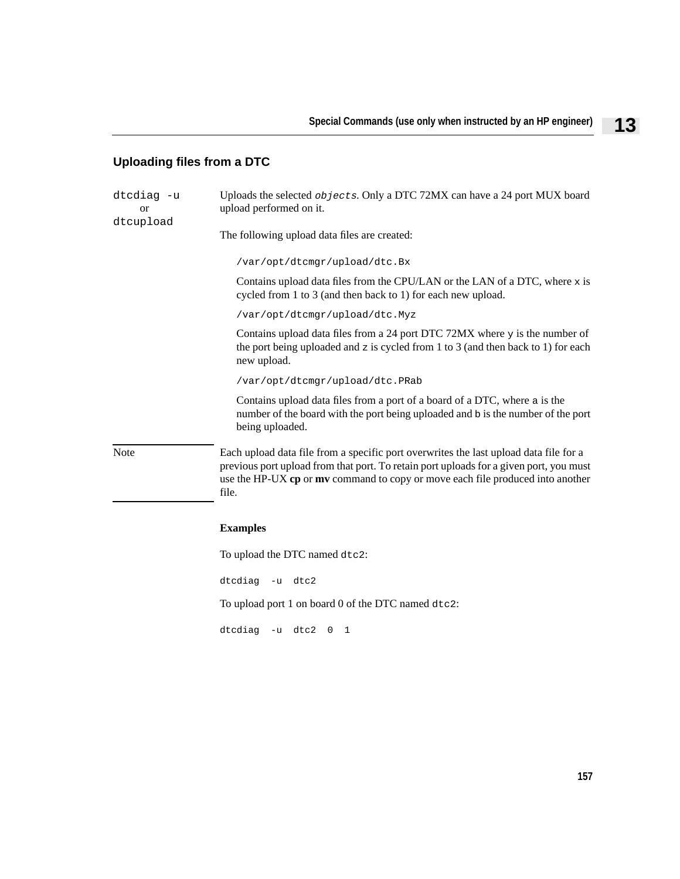### **Uploading files from a DTC**

dtcdiag -u or dtcupload Uploads the selected objects. Only a DTC 72MX can have a 24 port MUX board upload performed on it. The following upload data files are created: /var/opt/dtcmgr/upload/dtc.Bx Contains upload data files from the CPU/LAN or the LAN of a DTC, where x is cycled from 1 to 3 (and then back to 1) for each new upload. /var/opt/dtcmgr/upload/dtc.Myz Contains upload data files from a 24 port DTC 72MX where  $\gamma$  is the number of the port being uploaded and z is cycled from 1 to 3 (and then back to 1) for each new upload. /var/opt/dtcmgr/upload/dtc.PRab Contains upload data files from a port of a board of a DTC, where a is the number of the board with the port being uploaded and b is the number of the port being uploaded. Note Each upload data file from a specific port overwrites the last upload data file for a previous port upload from that port. To retain port uploads for a given port, you must use the HP-UX **cp** or **mv** command to copy or move each file produced into another file.

#### **Examples**

To upload the DTC named dtc2:

dtcdiag -u dtc2

To upload port 1 on board 0 of the DTC named dtc2:

dtcdiag -u dtc2 0 1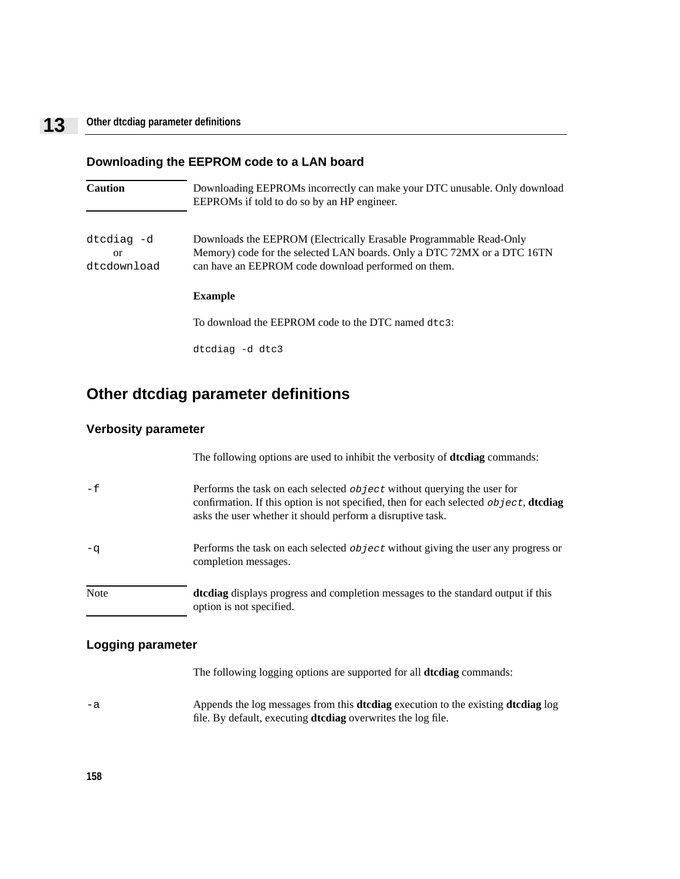### **13** Other dtcdiag parameter definitions

### **Downloading the EEPROM code to a LAN board**

| <b>Caution</b>                             | Downloading EEPROMs incorrectly can make your DTC unusable. Only download<br>EEPROMs if told to do so by an HP engineer.                                                                             |
|--------------------------------------------|------------------------------------------------------------------------------------------------------------------------------------------------------------------------------------------------------|
| dtcdiag –d<br><sub>or</sub><br>dtcdownload | Downloads the EEPROM (Electrically Erasable Programmable Read-Only<br>Memory) code for the selected LAN boards. Only a DTC 72MX or a DTC 16TN<br>can have an EEPROM code download performed on them. |
|                                            | <b>Example</b>                                                                                                                                                                                       |
|                                            | To download the EEPROM code to the DTC named dt.c3:                                                                                                                                                  |
|                                            | dtcdiag -d dtc3                                                                                                                                                                                      |

## **Other dtcdiag parameter definitions**

### **Verbosity parameter**

The following options are used to inhibit the verbosity of **dtcdiag** commands:

| $- f$       | Performs the task on each selected <i>object</i> without querying the user for<br>confirmation. If this option is not specified, then for each selected $object$ , dtcdiag<br>asks the user whether it should perform a disruptive task. |
|-------------|------------------------------------------------------------------------------------------------------------------------------------------------------------------------------------------------------------------------------------------|
| $-\sigma$   | Performs the task on each selected <i>object</i> without giving the user any progress or<br>completion messages.                                                                                                                         |
| <b>Note</b> | <b>dividend</b> displays progress and completion messages to the standard output if this<br>option is not specified.                                                                                                                     |

### **Logging parameter**

|      | The following logging options are supported for all <b>dtcdiag</b> commands:                                                                                              |
|------|---------------------------------------------------------------------------------------------------------------------------------------------------------------------------|
| $-a$ | Appends the log messages from this <b>dividends</b> execution to the existing <b>dividends</b> log<br>file. By default, executing <b>dicdiag</b> overwrites the log file. |

**158**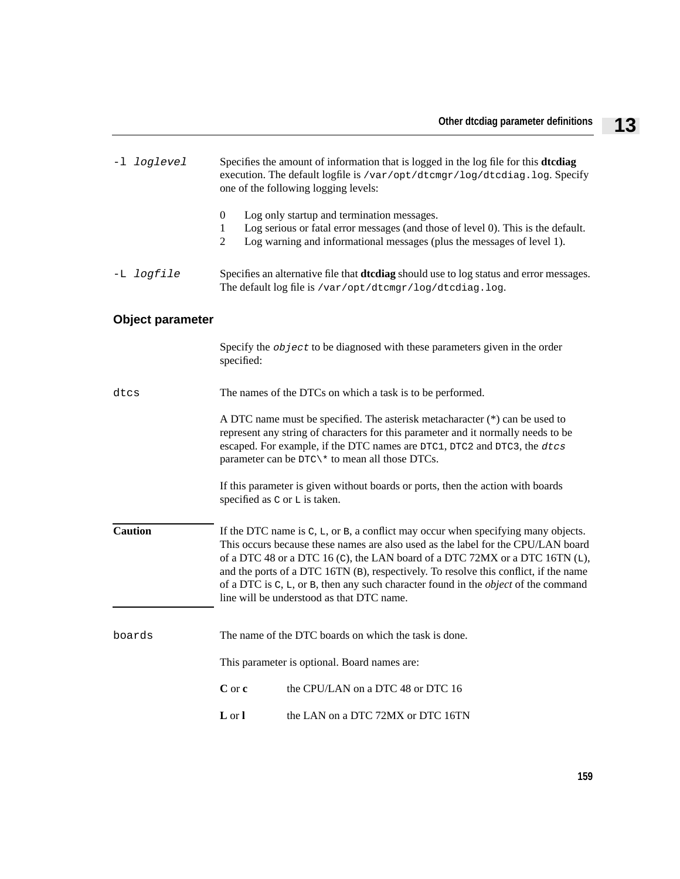| -1 <i>loglevel</i>      | Specifies the amount of information that is logged in the log file for this dtcdiag<br>execution. The default logfile is /var/opt/dtcmgr/log/dtcdiag.log. Specify<br>one of the following logging levels:                                                                                                                                                                                                                                                                              |                                                                                                                                                                                                          |  |
|-------------------------|----------------------------------------------------------------------------------------------------------------------------------------------------------------------------------------------------------------------------------------------------------------------------------------------------------------------------------------------------------------------------------------------------------------------------------------------------------------------------------------|----------------------------------------------------------------------------------------------------------------------------------------------------------------------------------------------------------|--|
|                         | $\boldsymbol{0}$<br>1<br>2                                                                                                                                                                                                                                                                                                                                                                                                                                                             | Log only startup and termination messages.<br>Log serious or fatal error messages (and those of level 0). This is the default.<br>Log warning and informational messages (plus the messages of level 1). |  |
| -L logfile              | Specifies an alternative file that dtcdiag should use to log status and error messages.<br>The default log file is /var/opt/dtcmgr/log/dtcdiag.log.                                                                                                                                                                                                                                                                                                                                    |                                                                                                                                                                                                          |  |
| <b>Object parameter</b> |                                                                                                                                                                                                                                                                                                                                                                                                                                                                                        |                                                                                                                                                                                                          |  |
|                         | specified:                                                                                                                                                                                                                                                                                                                                                                                                                                                                             | Specify the <i>object</i> to be diagnosed with these parameters given in the order                                                                                                                       |  |
| dtcs                    | The names of the DTCs on which a task is to be performed.<br>A DTC name must be specified. The asterisk metacharacter (*) can be used to<br>represent any string of characters for this parameter and it normally needs to be<br>escaped. For example, if the DTC names are DTC1, DTC2 and DTC3, the dtcs<br>parameter can be $DTC$ to mean all those DTCs.<br>If this parameter is given without boards or ports, then the action with boards<br>specified as C or L is taken.        |                                                                                                                                                                                                          |  |
|                         |                                                                                                                                                                                                                                                                                                                                                                                                                                                                                        |                                                                                                                                                                                                          |  |
|                         |                                                                                                                                                                                                                                                                                                                                                                                                                                                                                        |                                                                                                                                                                                                          |  |
| <b>Caution</b>          | If the DTC name is C, L, or B, a conflict may occur when specifying many objects.<br>This occurs because these names are also used as the label for the CPU/LAN board<br>of a DTC 48 or a DTC 16 (c), the LAN board of a DTC 72MX or a DTC 16TN (L),<br>and the ports of a DTC 16TN (B), respectively. To resolve this conflict, if the name<br>of a DTC is C, L, or B, then any such character found in the <i>object</i> of the command<br>line will be understood as that DTC name. |                                                                                                                                                                                                          |  |
| boards                  | The name of the DTC boards on which the task is done.                                                                                                                                                                                                                                                                                                                                                                                                                                  |                                                                                                                                                                                                          |  |
|                         | This parameter is optional. Board names are:                                                                                                                                                                                                                                                                                                                                                                                                                                           |                                                                                                                                                                                                          |  |
|                         | $C$ or $c$                                                                                                                                                                                                                                                                                                                                                                                                                                                                             | the CPU/LAN on a DTC 48 or DTC 16                                                                                                                                                                        |  |
|                         | L or 1                                                                                                                                                                                                                                                                                                                                                                                                                                                                                 | the LAN on a DTC 72MX or DTC 16TN                                                                                                                                                                        |  |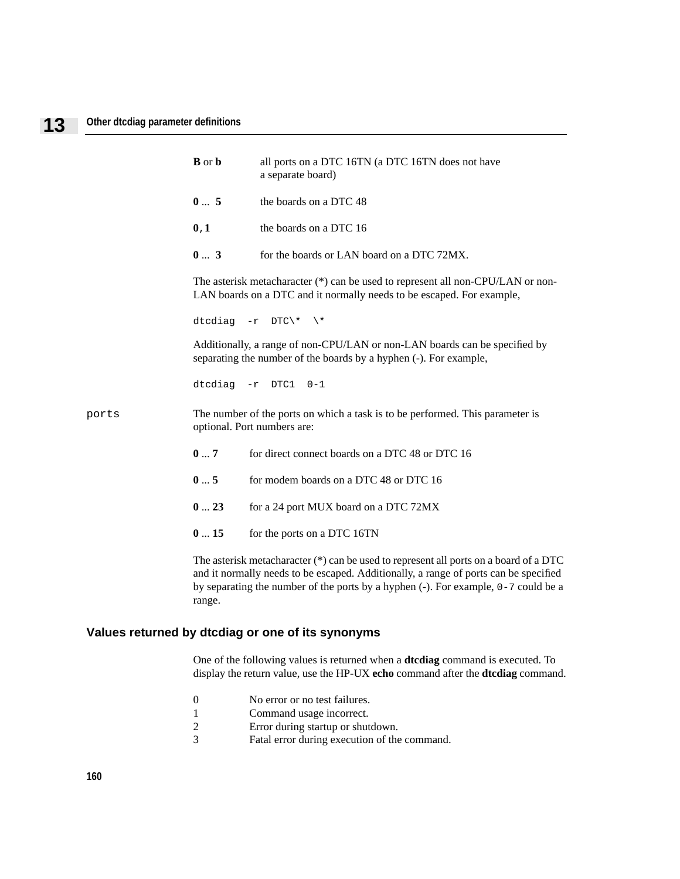|       | <b>B</b> or <b>b</b>                                                                                         | all ports on a DTC 16TN (a DTC 16TN does not have<br>a separate board)                                                                                                                                                                                              |  |
|-------|--------------------------------------------------------------------------------------------------------------|---------------------------------------------------------------------------------------------------------------------------------------------------------------------------------------------------------------------------------------------------------------------|--|
|       | 05                                                                                                           | the boards on a DTC 48                                                                                                                                                                                                                                              |  |
|       | 0,1                                                                                                          | the boards on a DTC 16                                                                                                                                                                                                                                              |  |
|       | $0 \ldots 3$                                                                                                 | for the boards or LAN board on a DTC 72MX.                                                                                                                                                                                                                          |  |
|       |                                                                                                              | The asterisk metacharacter (*) can be used to represent all non-CPU/LAN or non-<br>LAN boards on a DTC and it normally needs to be escaped. For example,                                                                                                            |  |
|       |                                                                                                              | dtcdiag -r $DTC$ <sup>*</sup> \*                                                                                                                                                                                                                                    |  |
|       |                                                                                                              | Additionally, a range of non-CPU/LAN or non-LAN boards can be specified by<br>separating the number of the boards by a hyphen (-). For example,                                                                                                                     |  |
|       |                                                                                                              | dtcdiag -r DTC1<br>$0 - 1$                                                                                                                                                                                                                                          |  |
| ports | The number of the ports on which a task is to be performed. This parameter is<br>optional. Port numbers are: |                                                                                                                                                                                                                                                                     |  |
|       | 07                                                                                                           | for direct connect boards on a DTC 48 or DTC 16                                                                                                                                                                                                                     |  |
|       | 05                                                                                                           | for modem boards on a DTC 48 or DTC 16                                                                                                                                                                                                                              |  |
|       | 023                                                                                                          | for a 24 port MUX board on a DTC 72MX                                                                                                                                                                                                                               |  |
|       | 015                                                                                                          | for the ports on a DTC 16TN                                                                                                                                                                                                                                         |  |
|       | range.                                                                                                       | The asterisk metacharacter (*) can be used to represent all ports on a board of a DTC<br>and it normally needs to be escaped. Additionally, a range of ports can be specified<br>by separating the number of the ports by a hyphen (-). For example, 0-7 could be a |  |
|       |                                                                                                              | Values returned by dtcdiag or one of its synonyms                                                                                                                                                                                                                   |  |
|       |                                                                                                              | One of the following values is returned when a <b>dtediag</b> command is executed. To                                                                                                                                                                               |  |

display the return value, use the HP-UX **echo** command after the **dtcdiag** command.

- 0 No error or no test failures.
- 1 Command usage incorrect.<br>2 Error during startup or shut
- 2 Error during startup or shutdown.<br>3 Fatal error during execution of the
- Fatal error during execution of the command.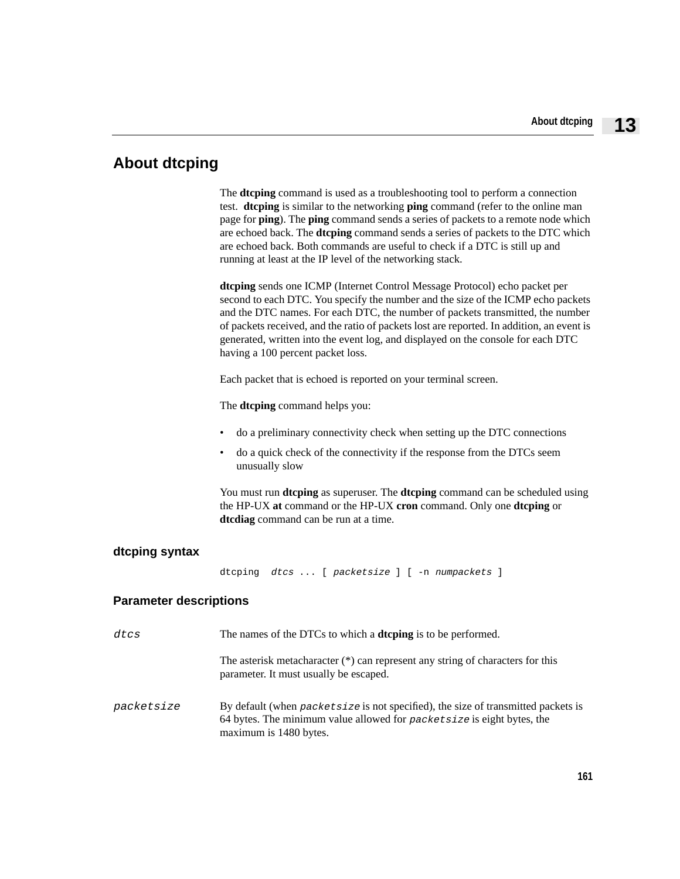# **About dtcping**

|                               | The dtcping command is used as a troubleshooting tool to perform a connection<br>test. dtcping is similar to the networking ping command (refer to the online man<br>page for ping). The ping command sends a series of packets to a remote node which<br>are echoed back. The dtcping command sends a series of packets to the DTC which<br>are echoed back. Both commands are useful to check if a DTC is still up and<br>running at least at the IP level of the networking stack. |  |  |
|-------------------------------|---------------------------------------------------------------------------------------------------------------------------------------------------------------------------------------------------------------------------------------------------------------------------------------------------------------------------------------------------------------------------------------------------------------------------------------------------------------------------------------|--|--|
|                               | dteping sends one ICMP (Internet Control Message Protocol) echo packet per<br>second to each DTC. You specify the number and the size of the ICMP echo packets<br>and the DTC names. For each DTC, the number of packets transmitted, the number<br>of packets received, and the ratio of packets lost are reported. In addition, an event is<br>generated, written into the event log, and displayed on the console for each DTC<br>having a 100 percent packet loss.                |  |  |
|                               | Each packet that is echoed is reported on your terminal screen.                                                                                                                                                                                                                                                                                                                                                                                                                       |  |  |
|                               | The dtcping command helps you:                                                                                                                                                                                                                                                                                                                                                                                                                                                        |  |  |
|                               | do a preliminary connectivity check when setting up the DTC connections                                                                                                                                                                                                                                                                                                                                                                                                               |  |  |
|                               | do a quick check of the connectivity if the response from the DTCs seem<br>unusually slow                                                                                                                                                                                                                                                                                                                                                                                             |  |  |
|                               | You must run dteping as superuser. The dteping command can be scheduled using<br>the HP-UX at command or the HP-UX cron command. Only one dtcping or<br>ditediag command can be run at a time.                                                                                                                                                                                                                                                                                        |  |  |
| dtcping syntax                |                                                                                                                                                                                                                                                                                                                                                                                                                                                                                       |  |  |
|                               | dtcping dtcs  [ packetsize ] [ -n numpackets ]                                                                                                                                                                                                                                                                                                                                                                                                                                        |  |  |
| <b>Parameter descriptions</b> |                                                                                                                                                                                                                                                                                                                                                                                                                                                                                       |  |  |
| dtcs                          | The names of the DTCs to which a <b>dteping</b> is to be performed.                                                                                                                                                                                                                                                                                                                                                                                                                   |  |  |
|                               | The asterisk metacharacter $(*)$ can represent any string of characters for this<br>parameter. It must usually be escaped.                                                                                                                                                                                                                                                                                                                                                            |  |  |
| packetsize                    | By default (when $packetsize$ is not specified), the size of transmitted packets is<br>64 bytes. The minimum value allowed for packetsize is eight bytes, the<br>maximum is 1480 bytes.                                                                                                                                                                                                                                                                                               |  |  |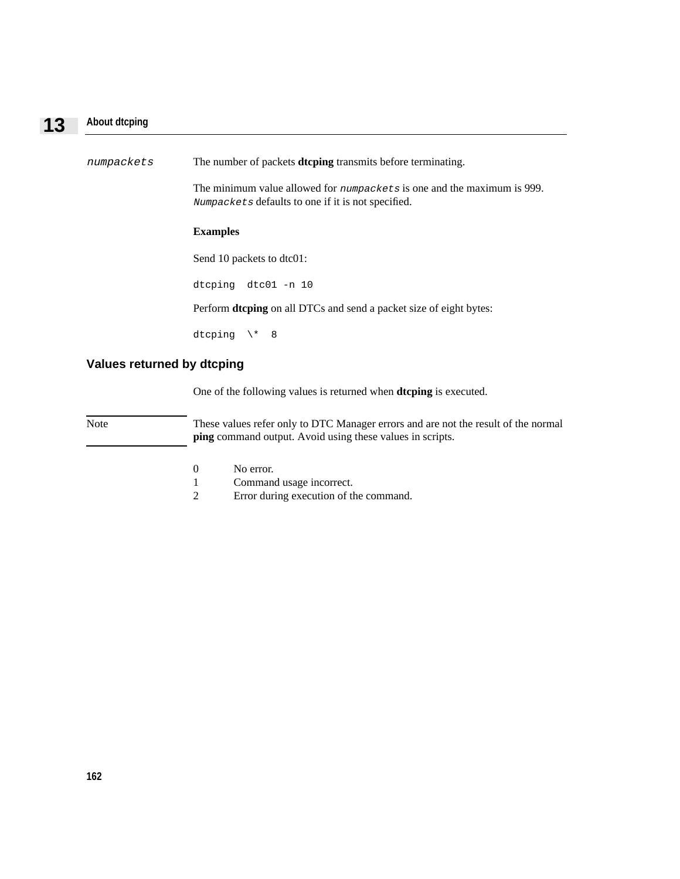numpackets The number of packets **dtcping** transmits before terminating.

The minimum value allowed for numpackets is one and the maximum is 999. Numpackets defaults to one if it is not specified.

#### **Examples**

Send 10 packets to dtc01:

dtcping dtc01 -n 10

Perform **dtcping** on all DTCs and send a packet size of eight bytes:

dtcping \\* 8

### **Values returned by dtcping**

One of the following values is returned when **dtcping** is executed.

Note These values refer only to DTC Manager errors and are not the result of the normal **ping** command output. Avoid using these values in scripts.

- 0 No error.
- 1 Command usage incorrect.
- 2 Error during execution of the command.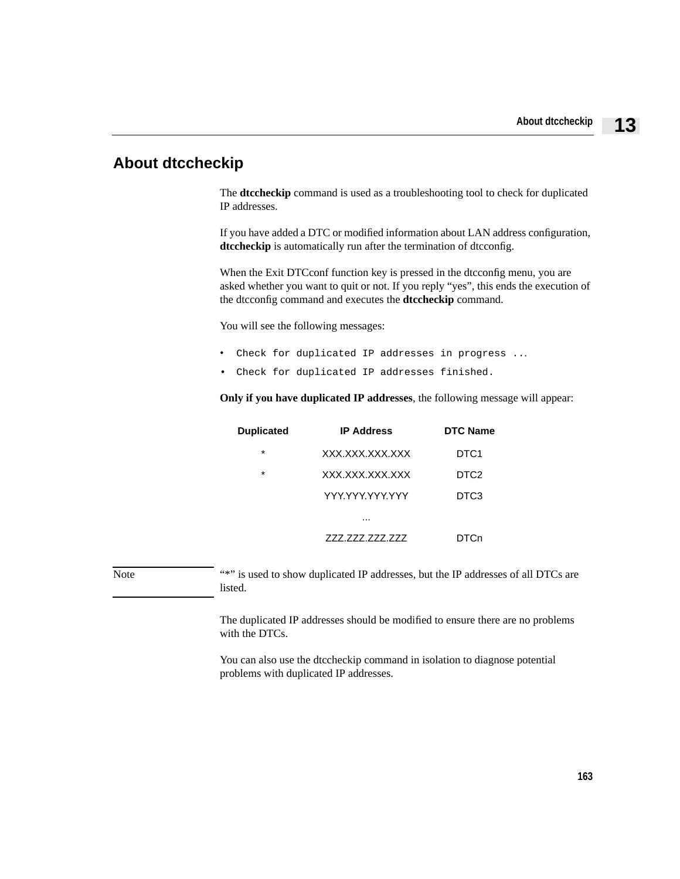### **About dtccheckip**

The **dtccheckip** command is used as a troubleshooting tool to check for duplicated IP addresses.

If you have added a DTC or modified information about LAN address configuration, dtccheckip is automatically run after the termination of dtcconfig.

When the Exit DTCconf function key is pressed in the dtcconfig menu, you are asked whether you want to quit or not. If you reply "yes", this ends the execution of the dtcconfig command and executes the **dtccheckip** command.

You will see the following messages:

- Check for duplicated IP addresses in progress ...
- Check for duplicated IP addresses finished.

**Only if you have duplicated IP addresses**, the following message will appear:

| <b>Duplicated</b> | <b>IP Address</b> | DTC Name |  |
|-------------------|-------------------|----------|--|
| $\star$           | XXX.XXX.XXX.XXX   | DTC1     |  |
| $\star$           | XXX.XXX.XXX.XXX   | DTC2     |  |
|                   | YYY.YYY.YYY.YYY   | DTC3     |  |
|                   |                   |          |  |
|                   | 777 777 777 777   | DTCn     |  |

Note "\*" is used to show duplicated IP addresses, but the IP addresses of all DTCs are listed.

> The duplicated IP addresses should be modified to ensure there are no problems with the DTCs.

You can also use the dtccheckip command in isolation to diagnose potential problems with duplicated IP addresses.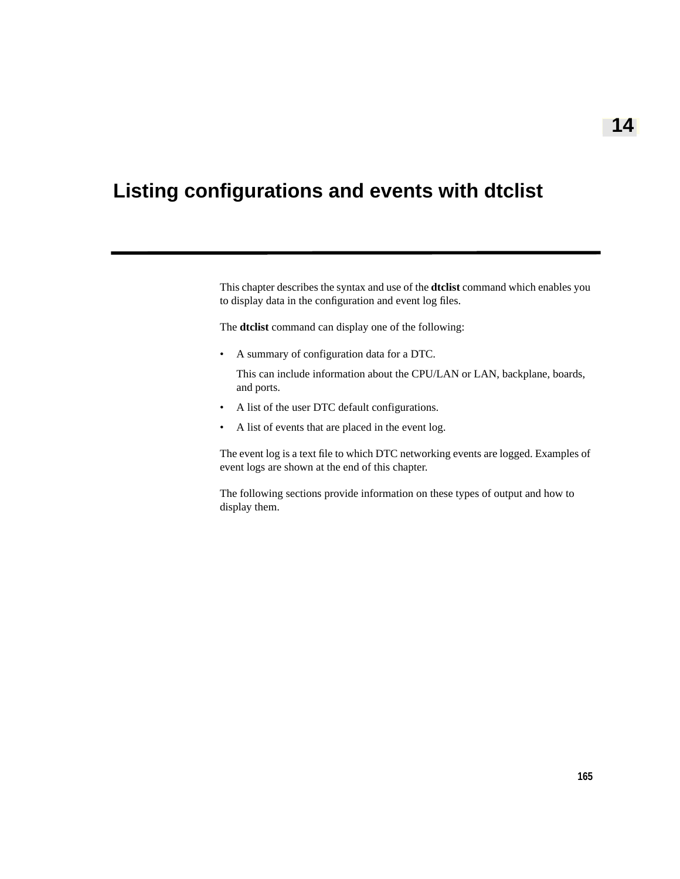## **Listing configurations and events with dtclist**

This chapter describes the syntax and use of the **dtclist** command which enables you to display data in the configuration and event log files.

The **dtclist** command can display one of the following:

• A summary of configuration data for a DTC.

This can include information about the CPU/LAN or LAN, backplane, boards, and ports.

- A list of the user DTC default configurations.
- A list of events that are placed in the event log.

The event log is a text file to which DTC networking events are logged. Examples of event logs are shown at the end of this chapter.

The following sections provide information on these types of output and how to display them.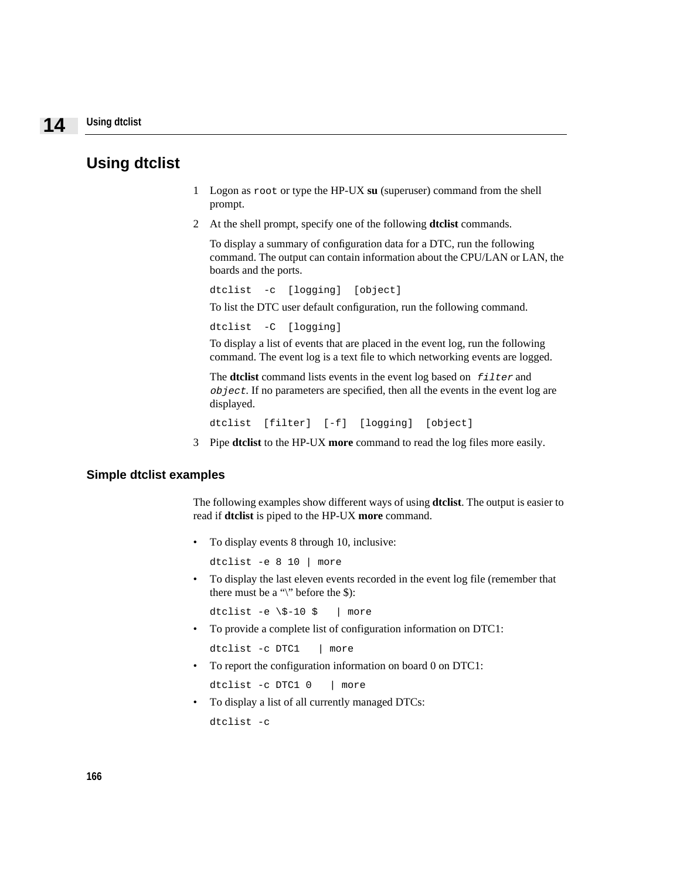### **Using dtclist**

- 1 Logon as root or type the HP-UX **su** (superuser) command from the shell prompt.
- 2 At the shell prompt, specify one of the following **dtclist** commands.

To display a summary of configuration data for a DTC, run the following command. The output can contain information about the CPU/LAN or LAN, the boards and the ports.

dtclist -c [logging] [object]

To list the DTC user default configuration, run the following command.

```
dtclist -C [logging]
```
To display a list of events that are placed in the event log, run the following command. The event log is a text file to which networking events are logged.

The **dtclist** command lists events in the event log based on filter and object. If no parameters are specified, then all the events in the event log are displayed.

```
dtclist [filter] [-f] [logging] [object]
```
3 Pipe **dtclist** to the HP-UX **more** command to read the log files more easily.

#### **Simple dtclist examples**

The following examples show different ways of using **dtclist**. The output is easier to read if **dtclist** is piped to the HP-UX **more** command.

• To display events 8 through 10, inclusive:

dtclist -e 8 10 | more

• To display the last eleven events recorded in the event log file (remember that there must be a " $\mathcal{N}$ " before the \$):

dtclist  $-e \setminus $-10 \$$  | more

• To provide a complete list of configuration information on DTC1:

dtclist -c DTC1 | more

• To report the configuration information on board 0 on DTC1:

dtclist -c DTC1 0 | more

• To display a list of all currently managed DTCs:

dtclist -c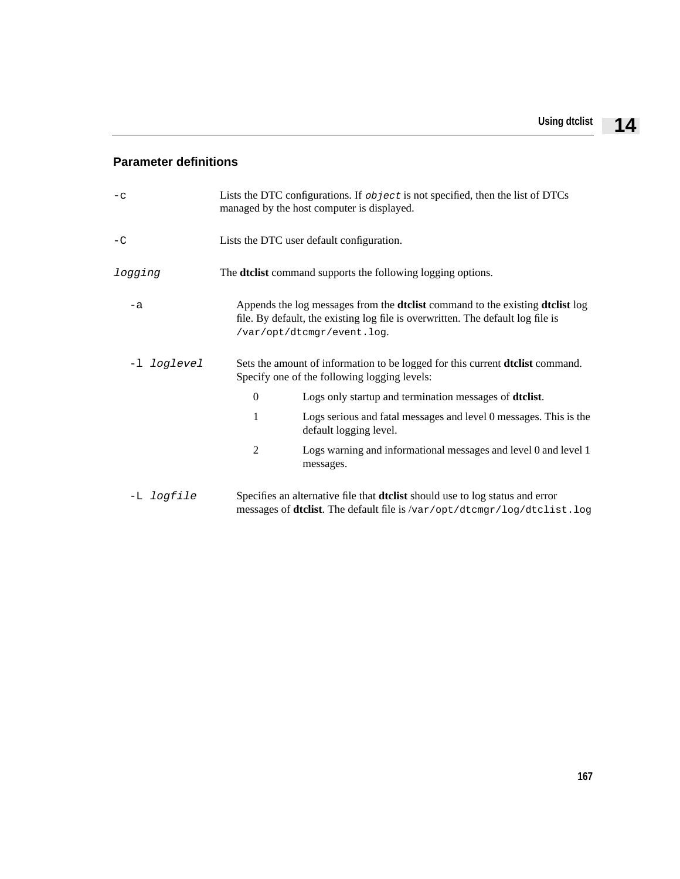**Using dtclist 14**

### **Parameter definitions**

| $-c$               | Lists the DTC configurations. If <i>object</i> is not specified, then the list of DTCs<br>managed by the host computer is displayed. |                                                                                                                                                                                                              |
|--------------------|--------------------------------------------------------------------------------------------------------------------------------------|--------------------------------------------------------------------------------------------------------------------------------------------------------------------------------------------------------------|
| $-C$               | Lists the DTC user default configuration.                                                                                            |                                                                                                                                                                                                              |
| logging            | The <b>dtclist</b> command supports the following logging options.                                                                   |                                                                                                                                                                                                              |
| $-a$               |                                                                                                                                      | Appends the log messages from the <b>dtclist</b> command to the existing <b>dtclist</b> log<br>file. By default, the existing log file is overwritten. The default log file is<br>/var/opt/dtcmgr/event.log. |
| -1 <i>loglevel</i> |                                                                                                                                      | Sets the amount of information to be logged for this current dtclist command.<br>Specify one of the following logging levels:                                                                                |
|                    | $\theta$                                                                                                                             | Logs only startup and termination messages of dtclist.                                                                                                                                                       |
|                    | 1                                                                                                                                    | Logs serious and fatal messages and level 0 messages. This is the<br>default logging level.                                                                                                                  |
|                    | 2                                                                                                                                    | Logs warning and informational messages and level 0 and level 1<br>messages.                                                                                                                                 |
| -L logfile         |                                                                                                                                      | Specifies an alternative file that <b>dtclist</b> should use to log status and error<br>messages of dtclist. The default file is /var/opt/dtcmgr/log/dtclist.log                                             |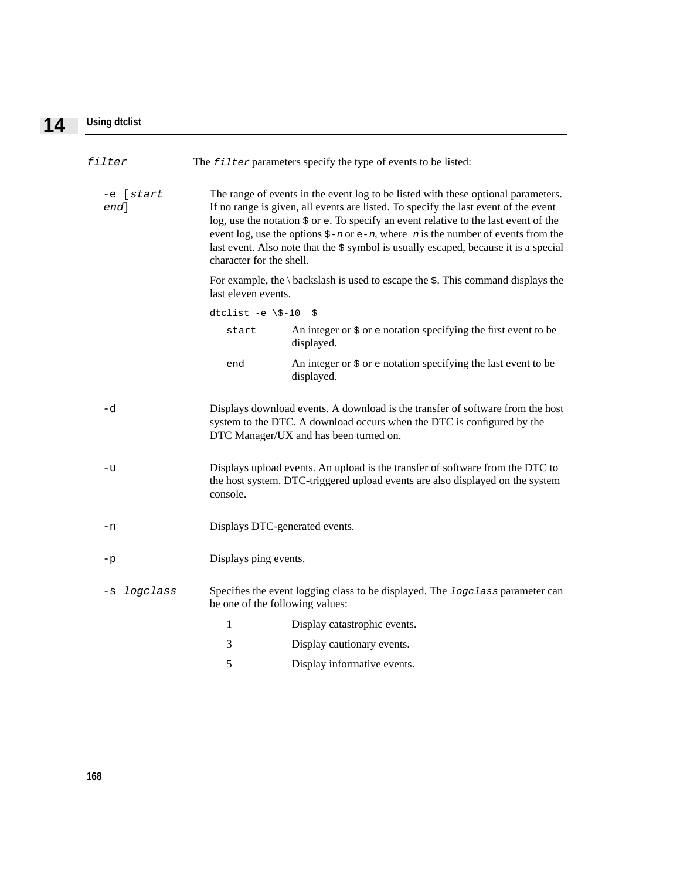#### **14 Using dtclist**

| <i>filter</i>             |                                                                                                                                                                                                                                                                                                                                                                                                                                                                                               | The <i>filter</i> parameters specify the type of events to be listed:                                                                                                                              |  |  |
|---------------------------|-----------------------------------------------------------------------------------------------------------------------------------------------------------------------------------------------------------------------------------------------------------------------------------------------------------------------------------------------------------------------------------------------------------------------------------------------------------------------------------------------|----------------------------------------------------------------------------------------------------------------------------------------------------------------------------------------------------|--|--|
| -e [ <i>start</i><br>end] | The range of events in the event log to be listed with these optional parameters.<br>If no range is given, all events are listed. To specify the last event of the event<br>log, use the notation $\sin$ or e. To specify an event relative to the last event of the<br>event log, use the options $\zeta$ -n or e-n, where n is the number of events from the<br>last event. Also note that the $\frac{1}{5}$ symbol is usually escaped, because it is a special<br>character for the shell. |                                                                                                                                                                                                    |  |  |
|                           | For example, the $\backslash$ backslash is used to escape the $\varsigma$ . This command displays the<br>last eleven events.                                                                                                                                                                                                                                                                                                                                                                  |                                                                                                                                                                                                    |  |  |
|                           | dtclist $-e \ S-10 \ S$                                                                                                                                                                                                                                                                                                                                                                                                                                                                       |                                                                                                                                                                                                    |  |  |
|                           | start                                                                                                                                                                                                                                                                                                                                                                                                                                                                                         | An integer or $\frac{1}{2}$ or $\frac{1}{2}$ notation specifying the first event to be<br>displayed.                                                                                               |  |  |
|                           | end                                                                                                                                                                                                                                                                                                                                                                                                                                                                                           | An integer or $\varsigma$ or $\epsilon$ notation specifying the last event to be<br>displayed.                                                                                                     |  |  |
| -d                        |                                                                                                                                                                                                                                                                                                                                                                                                                                                                                               | Displays download events. A download is the transfer of software from the host<br>system to the DTC. A download occurs when the DTC is configured by the<br>DTC Manager/UX and has been turned on. |  |  |
| -u                        | console.                                                                                                                                                                                                                                                                                                                                                                                                                                                                                      | Displays upload events. An upload is the transfer of software from the DTC to<br>the host system. DTC-triggered upload events are also displayed on the system                                     |  |  |
| -n                        |                                                                                                                                                                                                                                                                                                                                                                                                                                                                                               | Displays DTC-generated events.                                                                                                                                                                     |  |  |
| -p                        | Displays ping events.                                                                                                                                                                                                                                                                                                                                                                                                                                                                         |                                                                                                                                                                                                    |  |  |
| -s logclass               | Specifies the event logging class to be displayed. The logclass parameter can<br>be one of the following values:                                                                                                                                                                                                                                                                                                                                                                              |                                                                                                                                                                                                    |  |  |
|                           | 1                                                                                                                                                                                                                                                                                                                                                                                                                                                                                             | Display catastrophic events.                                                                                                                                                                       |  |  |
|                           | 3                                                                                                                                                                                                                                                                                                                                                                                                                                                                                             | Display cautionary events.                                                                                                                                                                         |  |  |
|                           | 5                                                                                                                                                                                                                                                                                                                                                                                                                                                                                             | Display informative events.                                                                                                                                                                        |  |  |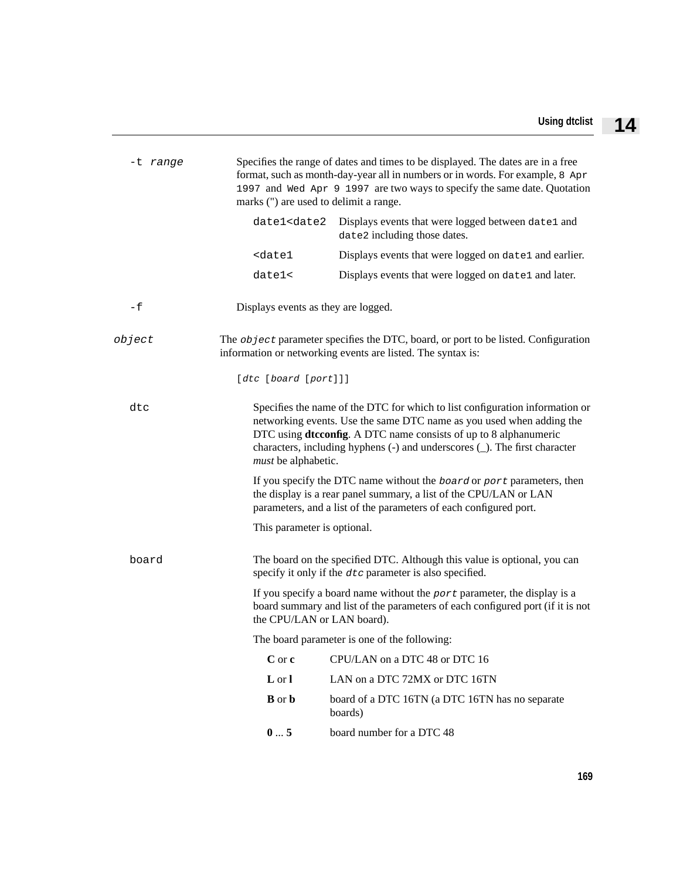| -t <i>range</i> | Specifies the range of dates and times to be displayed. The dates are in a free<br>format, such as month-day-year all in numbers or in words. For example, 8 Apr<br>1997 and Wed Apr 9 1997 are two ways to specify the same date. Quotation<br>marks (") are used to delimit a range.                                        |                                                                                                                                                                                                                  |  |  |  |
|-----------------|-------------------------------------------------------------------------------------------------------------------------------------------------------------------------------------------------------------------------------------------------------------------------------------------------------------------------------|------------------------------------------------------------------------------------------------------------------------------------------------------------------------------------------------------------------|--|--|--|
|                 | datel <date2< td=""><td>Displays events that were logged between date1 and<br/>date2 including those dates.</td></date2<>                                                                                                                                                                                                     | Displays events that were logged between date1 and<br>date2 including those dates.                                                                                                                               |  |  |  |
|                 | <date1< td=""><td>Displays events that were logged on date1 and earlier.</td></date1<>                                                                                                                                                                                                                                        | Displays events that were logged on date1 and earlier.                                                                                                                                                           |  |  |  |
|                 | date1<                                                                                                                                                                                                                                                                                                                        | Displays events that were logged on date1 and later.                                                                                                                                                             |  |  |  |
| – f             | Displays events as they are logged.                                                                                                                                                                                                                                                                                           |                                                                                                                                                                                                                  |  |  |  |
| object          |                                                                                                                                                                                                                                                                                                                               | The <i>object</i> parameter specifies the DTC, board, or port to be listed. Configuration<br>information or networking events are listed. The syntax is:                                                         |  |  |  |
|                 | [dtc [board [port]]]                                                                                                                                                                                                                                                                                                          |                                                                                                                                                                                                                  |  |  |  |
| dtc             | Specifies the name of the DTC for which to list configuration information or<br>networking events. Use the same DTC name as you used when adding the<br>DTC using dtcconfig. A DTC name consists of up to 8 alphanumeric<br>characters, including hyphens (-) and underscores (_). The first character<br>must be alphabetic. |                                                                                                                                                                                                                  |  |  |  |
|                 |                                                                                                                                                                                                                                                                                                                               | If you specify the DTC name without the board or port parameters, then<br>the display is a rear panel summary, a list of the CPU/LAN or LAN<br>parameters, and a list of the parameters of each configured port. |  |  |  |
|                 | This parameter is optional.                                                                                                                                                                                                                                                                                                   |                                                                                                                                                                                                                  |  |  |  |
| board           | The board on the specified DTC. Although this value is optional, you can<br>specify it only if the dtc parameter is also specified.                                                                                                                                                                                           |                                                                                                                                                                                                                  |  |  |  |
|                 | If you specify a board name without the <i>port</i> parameter, the display is a<br>board summary and list of the parameters of each configured port (if it is not<br>the CPU/LAN or LAN board).                                                                                                                               |                                                                                                                                                                                                                  |  |  |  |
|                 | The board parameter is one of the following:                                                                                                                                                                                                                                                                                  |                                                                                                                                                                                                                  |  |  |  |
|                 | C or c                                                                                                                                                                                                                                                                                                                        | CPU/LAN on a DTC 48 or DTC 16                                                                                                                                                                                    |  |  |  |
|                 | L or l                                                                                                                                                                                                                                                                                                                        | LAN on a DTC 72MX or DTC 16TN                                                                                                                                                                                    |  |  |  |
|                 | <b>B</b> or <b>b</b>                                                                                                                                                                                                                                                                                                          | board of a DTC 16TN (a DTC 16TN has no separate<br>boards)                                                                                                                                                       |  |  |  |
|                 | $0 \dots 5$                                                                                                                                                                                                                                                                                                                   | board number for a DTC 48                                                                                                                                                                                        |  |  |  |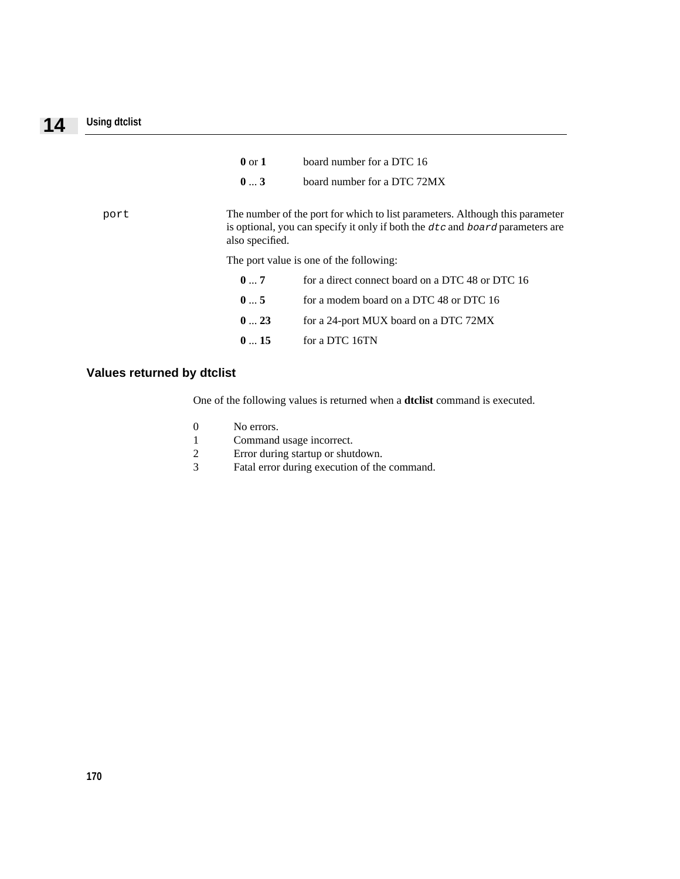| $0$ or $1$      | board number for a DTC 16                                                                                                                                           |
|-----------------|---------------------------------------------------------------------------------------------------------------------------------------------------------------------|
| $0 \dots 3$     | board number for a DTC 72MX                                                                                                                                         |
| also specified. | The number of the port for which to list parameters. Although this parameter<br>is optional, you can specify it only if both the $d\tau c$ and board parameters are |
|                 | The port value is one of the following:                                                                                                                             |
| 07              | for a direct connect board on a DTC 48 or DTC 16                                                                                                                    |
| 05              | for a modem board on a DTC 48 or DTC 16                                                                                                                             |
| 023             | for a 24-port MUX board on a DTC 72MX                                                                                                                               |
| 015             | for a DTC 16TN                                                                                                                                                      |
|                 |                                                                                                                                                                     |

### **Values returned by dtclist**

One of the following values is returned when a **dtclist** command is executed.

- 0 No errors.<br>1 Command
- 1 Command usage incorrect.<br>2 Error during startup or shut
- 2 Error during startup or shutdown.<br>3 Fatal error during execution of the
- Fatal error during execution of the command.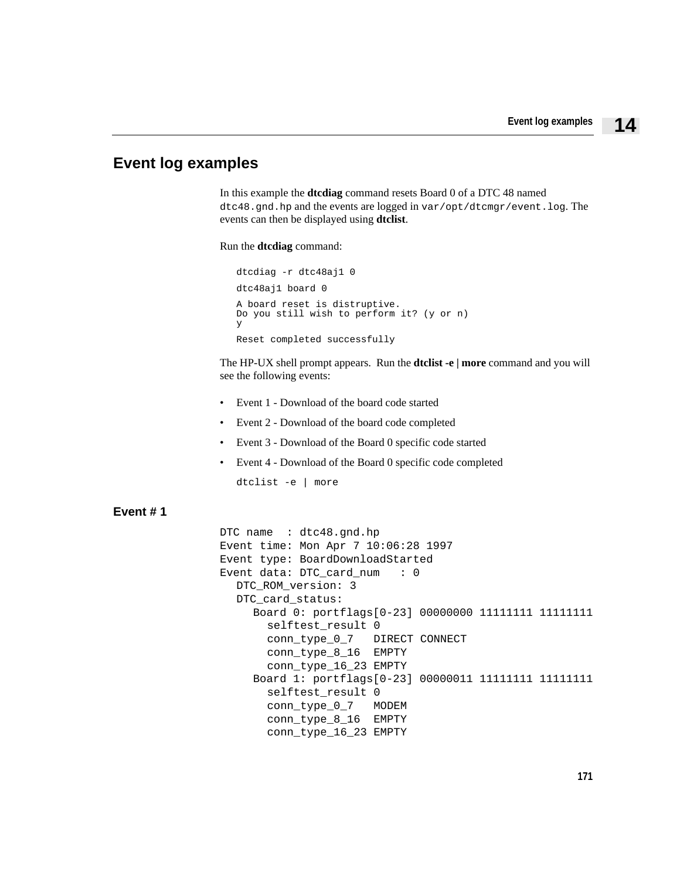### **Event log examples**

In this example the **dtcdiag** command resets Board 0 of a DTC 48 named dtc48.gnd.hp and the events are logged in var/opt/dtcmgr/event.log. The events can then be displayed using **dtclist**.

Run the **dtcdiag** command:

```
dtcdiag -r dtc48aj1 0
dtc48aj1 board 0
A board reset is distruptive.
Do you still wish to perform it? (y or n)
y
Reset completed successfully
```
The HP-UX shell prompt appears. Run the **dtclist -e | more** command and you will see the following events:

- Event 1 Download of the board code started
- Event 2 Download of the board code completed
- Event 3 Download of the Board 0 specific code started
- Event 4 Download of the Board 0 specific code completed

dtclist -e | more

#### **Event # 1**

```
DTC name : dtc48.gnd.hp
Event time: Mon Apr 7 10:06:28 1997
Event type: BoardDownloadStarted
Event data: DTC_card_num : 0
  DTC_ROM_version: 3
  DTC_card_status:
    Board 0: portflags[0-23] 00000000 11111111 11111111
       selftest_result 0
       conn_type_0_7 DIRECT CONNECT
       conn_type_8_16 EMPTY
       conn_type_16_23 EMPTY
    Board 1: portflags[0-23] 00000011 11111111 11111111
       selftest_result 0
       conn_type_0_7 MODEM
       conn_type_8_16 EMPTY
       conn_type_16_23 EMPTY
```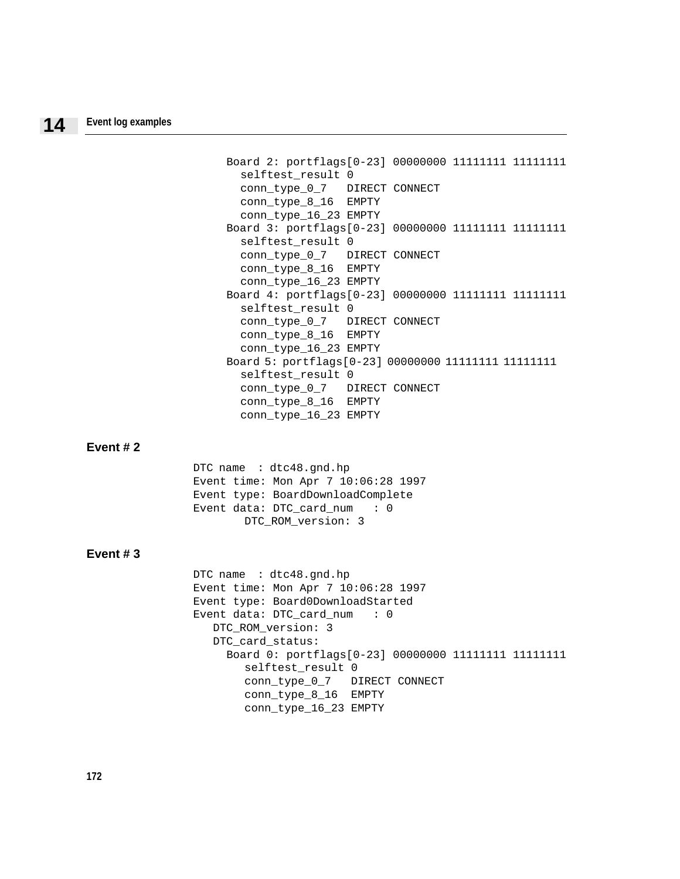```
Board 2: portflags[0-23] 00000000 11111111 11111111
  selftest_result 0
 conn_type_0_7 DIRECT CONNECT
 conn_type_8_16 EMPTY
  conn_type_16_23 EMPTY
Board 3: portflags[0-23] 00000000 11111111 11111111
  selftest_result 0
  conn_type_0_7 DIRECT CONNECT
  conn_type_8_16 EMPTY
  conn_type_16_23 EMPTY
Board 4: portflags[0-23] 00000000 11111111 11111111
  selftest_result 0
  conn_type_0_7 DIRECT CONNECT
 conn_type_8_16 EMPTY
 conn_type_16_23 EMPTY
Board 5: portflags[0-23] 00000000 11111111 11111111
 selftest_result 0
 conn_type_0_7 DIRECT CONNECT
  conn_type_8_16 EMPTY
  conn_type_16_23 EMPTY
```
#### **Event # 2**

|  | DTC name $: dtc48.$ and $.$ hp      |
|--|-------------------------------------|
|  | Event time: Mon Apr 7 10:06:28 1997 |
|  | Event type: BoardDownloadComplete   |
|  | Event data: DTC card num : 0        |
|  | DTC ROM version: 3                  |

#### **Event # 3**

```
DTC name : dtc48.gnd.hp
Event time: Mon Apr 7 10:06:28 1997
Event type: Board0DownloadStarted
Event data: DTC_card_num : 0
  DTC_ROM_version: 3
  DTC_card_status:
     Board 0: portflags[0-23] 00000000 11111111 11111111
       selftest_result 0
       conn_type_0_7 DIRECT CONNECT
       conn_type_8_16 EMPTY
       conn_type_16_23 EMPTY
```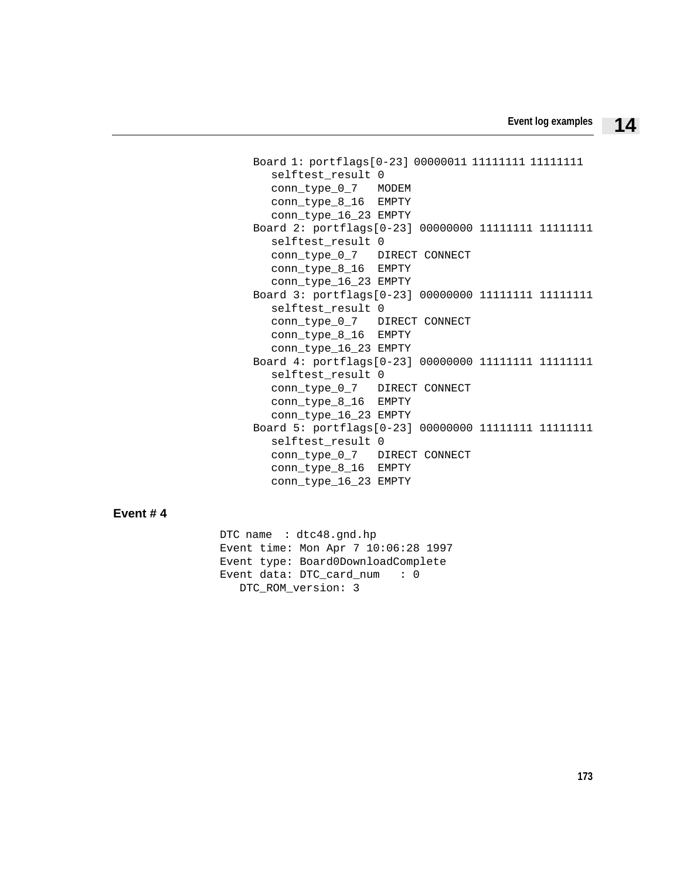Board 1: portflags[0-23] 00000011 11111111 11111111 selftest\_result 0 conn\_type\_0\_7 MODEM conn\_type\_8\_16 EMPTY conn\_type\_16\_23 EMPTY Board 2: portflags[0-23] 00000000 11111111 11111111 selftest\_result 0 conn\_type\_0\_7 DIRECT CONNECT conn\_type\_8\_16 EMPTY conn\_type\_16\_23 EMPTY Board 3: portflags[0-23] 00000000 11111111 11111111 selftest\_result 0 conn\_type\_0\_7 DIRECT CONNECT conn\_type\_8\_16 EMPTY conn\_type\_16\_23 EMPTY Board 4: portflags[0-23] 00000000 11111111 11111111 selftest\_result 0 conn\_type\_0\_7 DIRECT CONNECT conn\_type\_8\_16 EMPTY conn\_type\_16\_23 EMPTY Board 5: portflags[0-23] 00000000 11111111 11111111 selftest\_result 0 conn\_type\_0\_7 DIRECT CONNECT conn\_type\_8\_16 EMPTY conn\_type\_16\_23 EMPTY

### **Event # 4**

DTC name : dtc48.gnd.hp Event time: Mon Apr 7 10:06:28 1997 Event type: Board0DownloadComplete Event data: DTC\_card\_num : 0 DTC\_ROM\_version: 3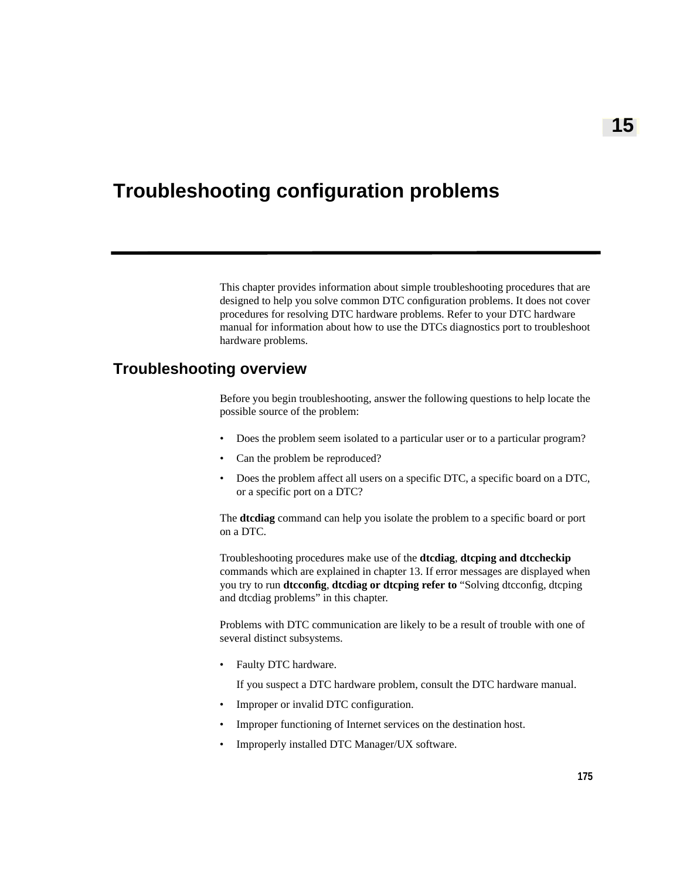## **Troubleshooting configuration problems**

This chapter provides information about simple troubleshooting procedures that are designed to help you solve common DTC configuration problems. It does not cover procedures for resolving DTC hardware problems. Refer to your DTC hardware manual for information about how to use the DTCs diagnostics port to troubleshoot hardware problems.

### **Troubleshooting overview**

Before you begin troubleshooting, answer the following questions to help locate the possible source of the problem:

- Does the problem seem isolated to a particular user or to a particular program?
- Can the problem be reproduced?
- Does the problem affect all users on a specific DTC, a specific board on a DTC, or a specific port on a DTC?

The **dtcdiag** command can help you isolate the problem to a specific board or port on a DTC.

Troubleshooting procedures make use of the **dtcdiag**, **dtcping and dtccheckip** commands which are explained in chapter 13. If error messages are displayed when you try to run **dtcconfig**, **dtcdiag or dtcping refer to** "Solving dtcconfig, dtcping and dtcdiag problems" in this chapter.

Problems with DTC communication are likely to be a result of trouble with one of several distinct subsystems.

• Faulty DTC hardware.

If you suspect a DTC hardware problem, consult the DTC hardware manual.

- Improper or invalid DTC configuration.
- Improper functioning of Internet services on the destination host.
- Improperly installed DTC Manager/UX software.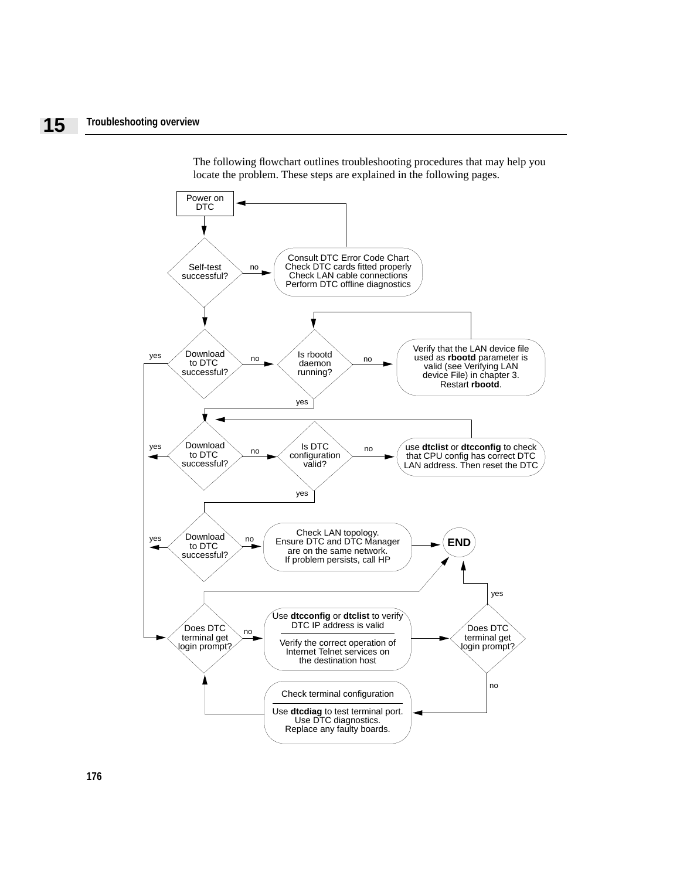

The following flowchart outlines troubleshooting procedures that may help you locate the problem. These steps are explained in the following pages.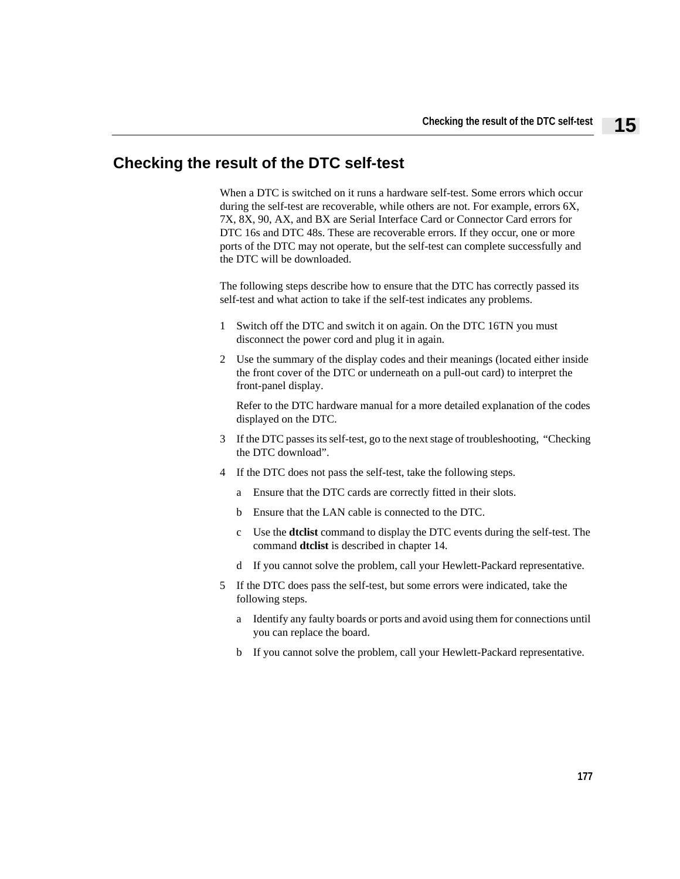### **Checking the result of the DTC self-test**

When a DTC is switched on it runs a hardware self-test. Some errors which occur during the self-test are recoverable, while others are not. For example, errors 6X, 7X, 8X, 90, AX, and BX are Serial Interface Card or Connector Card errors for DTC 16s and DTC 48s. These are recoverable errors. If they occur, one or more ports of the DTC may not operate, but the self-test can complete successfully and the DTC will be downloaded.

The following steps describe how to ensure that the DTC has correctly passed its self-test and what action to take if the self-test indicates any problems.

- 1 Switch off the DTC and switch it on again. On the DTC 16TN you must disconnect the power cord and plug it in again.
- 2 Use the summary of the display codes and their meanings (located either inside the front cover of the DTC or underneath on a pull-out card) to interpret the front-panel display.

Refer to the DTC hardware manual for a more detailed explanation of the codes displayed on the DTC.

- 3 If the DTC passes its self-test, go to the next stage of troubleshooting, "Checking the DTC download".
- 4 If the DTC does not pass the self-test, take the following steps.
	- a Ensure that the DTC cards are correctly fitted in their slots.
	- b Ensure that the LAN cable is connected to the DTC.
	- c Use the **dtclist** command to display the DTC events during the self-test. The command **dtclist** is described in chapter 14.
	- d If you cannot solve the problem, call your Hewlett-Packard representative.
- 5 If the DTC does pass the self-test, but some errors were indicated, take the following steps.
	- a Identify any faulty boards or ports and avoid using them for connections until you can replace the board.
	- b If you cannot solve the problem, call your Hewlett-Packard representative.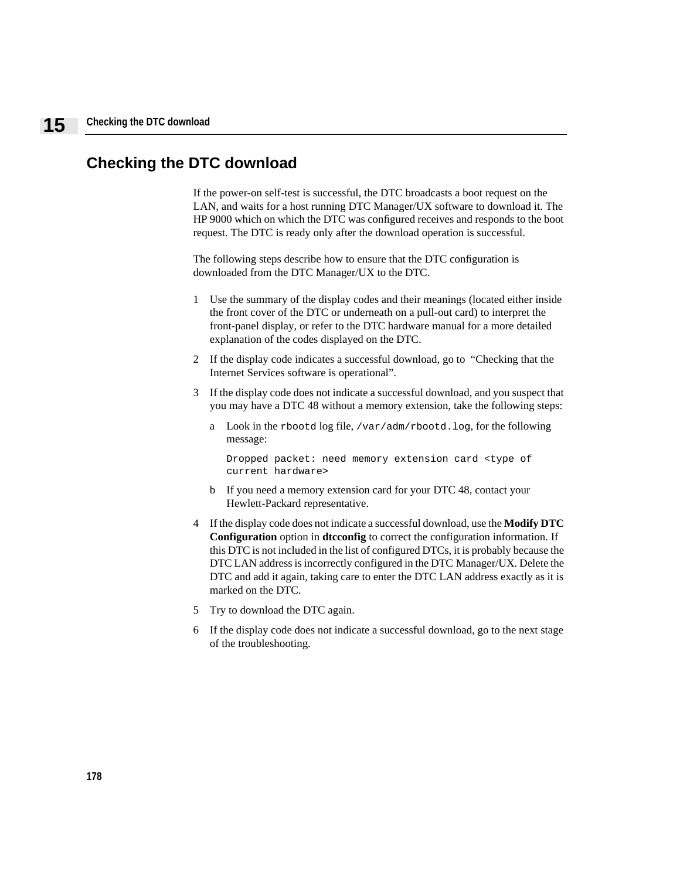### **Checking the DTC download**

If the power-on self-test is successful, the DTC broadcasts a boot request on the LAN, and waits for a host running DTC Manager/UX software to download it. The HP 9000 which on which the DTC was configured receives and responds to the boot request. The DTC is ready only after the download operation is successful.

The following steps describe how to ensure that the DTC configuration is downloaded from the DTC Manager/UX to the DTC.

- 1 Use the summary of the display codes and their meanings (located either inside the front cover of the DTC or underneath on a pull-out card) to interpret the front-panel display, or refer to the DTC hardware manual for a more detailed explanation of the codes displayed on the DTC.
- 2 If the display code indicates a successful download, go to "Checking that the Internet Services software is operational".
- 3 If the display code does not indicate a successful download, and you suspect that you may have a DTC 48 without a memory extension, take the following steps:
	- a Look in the rbootd log file, /var/adm/rbootd.log, for the following message:

Dropped packet: need memory extension card <type of current hardware>

- b If you need a memory extension card for your DTC 48, contact your Hewlett-Packard representative.
- 4 If the display code does not indicate a successful download, use the **Modify DTC Configuration** option in **dtcconfig** to correct the configuration information. If this DTC is not included in the list of configured DTCs, it is probably because the DTC LAN address is incorrectly configured in the DTC Manager/UX. Delete the DTC and add it again, taking care to enter the DTC LAN address exactly as it is marked on the DTC.
- 5 Try to download the DTC again.
- 6 If the display code does not indicate a successful download, go to the next stage of the troubleshooting.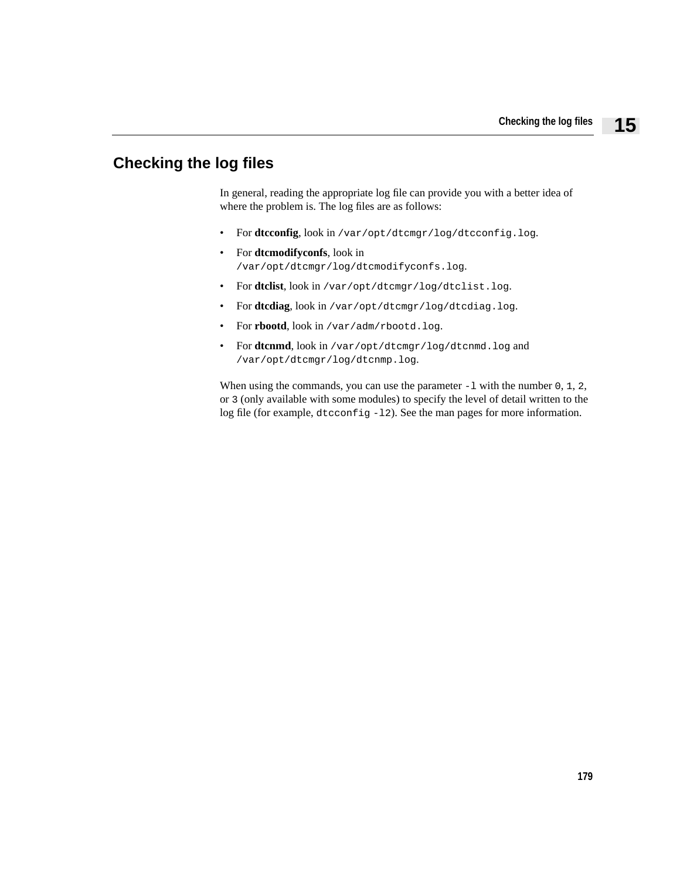## **Checking the log files**

In general, reading the appropriate log file can provide you with a better idea of where the problem is. The log files are as follows:

- For **dtcconfig**, look in /var/opt/dtcmgr/log/dtcconfig.log.
- For **dtcmodifyconfs**, look in /var/opt/dtcmgr/log/dtcmodifyconfs.log.
- For **dtclist**, look in /var/opt/dtcmgr/log/dtclist.log.
- For **dtcdiag**, look in /var/opt/dtcmgr/log/dtcdiag.log.
- For **rbootd**, look in /var/adm/rbootd.log.
- For **dtcnmd**, look in /var/opt/dtcmgr/log/dtcnmd.log and /var/opt/dtcmgr/log/dtcnmp.log.

When using the commands, you can use the parameter  $-1$  with the number 0, 1, 2, or 3 (only available with some modules) to specify the level of detail written to the log file (for example, dtcconfig -12). See the man pages for more information.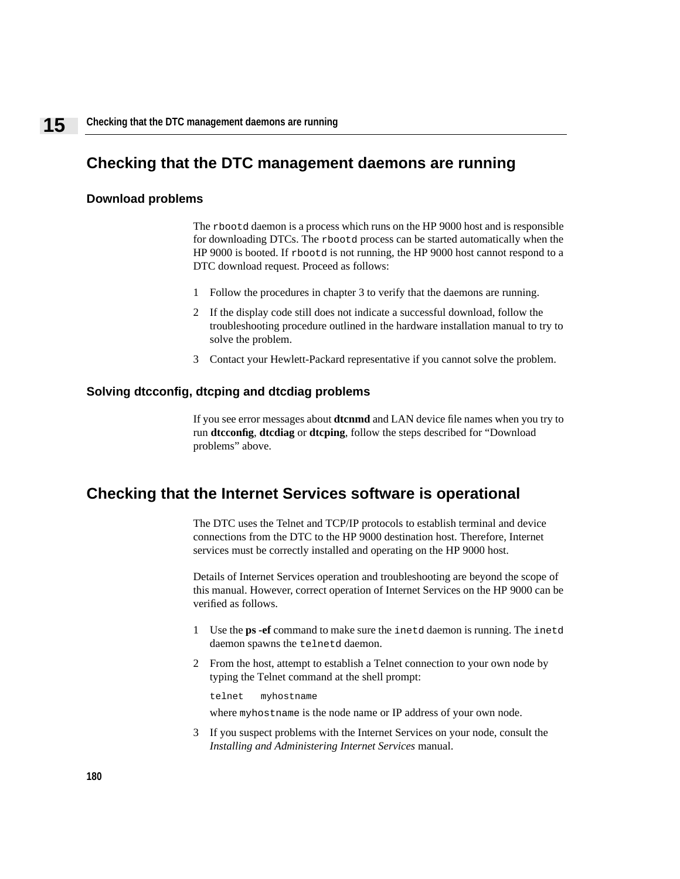### **Checking that the DTC management daemons are running**

#### **Download problems**

The rbootd daemon is a process which runs on the HP 9000 host and is responsible for downloading DTCs. The rbootd process can be started automatically when the HP 9000 is booted. If rbootd is not running, the HP 9000 host cannot respond to a DTC download request. Proceed as follows:

- 1 Follow the procedures in chapter 3 to verify that the daemons are running.
- 2 If the display code still does not indicate a successful download, follow the troubleshooting procedure outlined in the hardware installation manual to try to solve the problem.
- 3 Contact your Hewlett-Packard representative if you cannot solve the problem.

#### **Solving dtcconfig, dtcping and dtcdiag problems**

If you see error messages about **dtcnmd** and LAN device file names when you try to run **dtcconfig**, **dtcdiag** or **dtcping**, follow the steps described for "Download problems" above.

### **Checking that the Internet Services software is operational**

The DTC uses the Telnet and TCP/IP protocols to establish terminal and device connections from the DTC to the HP 9000 destination host. Therefore, Internet services must be correctly installed and operating on the HP 9000 host.

Details of Internet Services operation and troubleshooting are beyond the scope of this manual. However, correct operation of Internet Services on the HP 9000 can be verified as follows.

- 1 Use the **ps -ef** command to make sure the inetd daemon is running. The inetd daemon spawns the telnetd daemon.
- 2 From the host, attempt to establish a Telnet connection to your own node by typing the Telnet command at the shell prompt:

telnet myhostname

where myhostname is the node name or IP address of your own node.

3 If you suspect problems with the Internet Services on your node, consult the *Installing and Administering Internet Services* manual.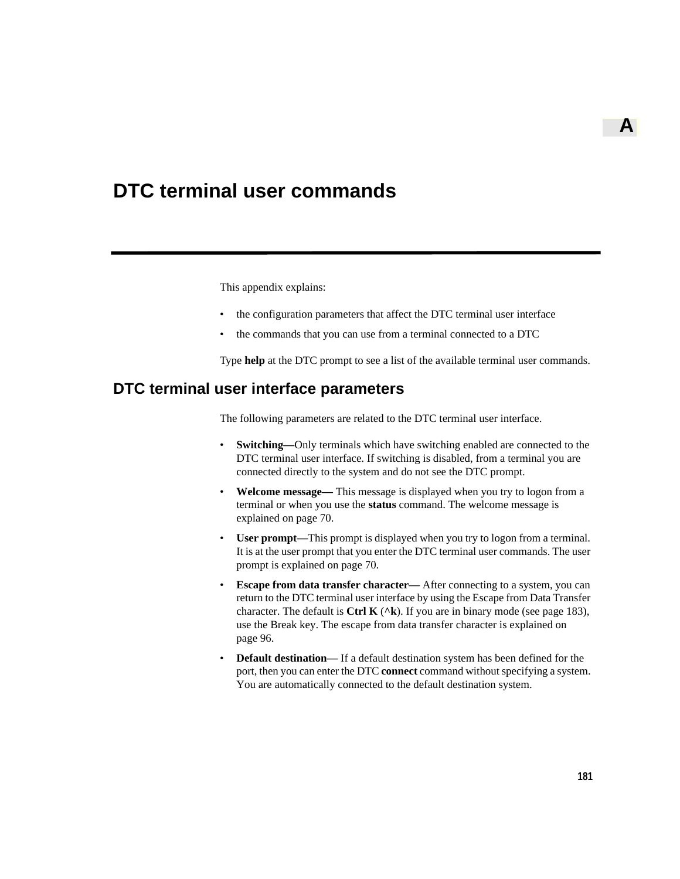# **DTC terminal user commands**

This appendix explains:

- the configuration parameters that affect the DTC terminal user interface
- the commands that you can use from a terminal connected to a DTC

Type **help** at the DTC prompt to see a list of the available terminal user commands.

# **DTC terminal user interface parameters**

The following parameters are related to the DTC terminal user interface.

- **Switching—**Only terminals which have switching enabled are connected to the DTC terminal user interface. If switching is disabled, from a terminal you are connected directly to the system and do not see the DTC prompt.
- **Welcome message—** This message is displayed when you try to logon from a terminal or when you use the **status** command. The welcome message is explained on page 70.
- **User prompt**—This prompt is displayed when you try to logon from a terminal. It is at the user prompt that you enter the DTC terminal user commands. The user prompt is explained on page 70.
- **Escape from data transfer character—** After connecting to a system, you can return to the DTC terminal user interface by using the Escape from Data Transfer character. The default is **Ctrl K** (**^k**). If you are in binary mode (see page 183), use the Break key. The escape from data transfer character is explained on page 96.
- **Default destination—** If a default destination system has been defined for the port, then you can enter the DTC **connect** command without specifying a system. You are automatically connected to the default destination system.

**A**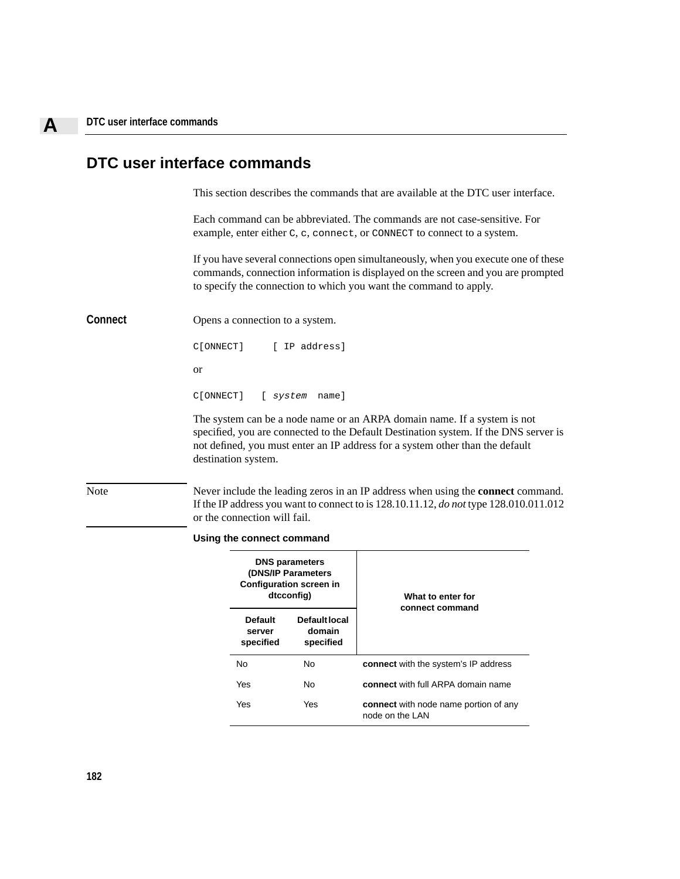# **DTC user interface commands**

This section describes the commands that are available at the DTC user interface.

Each command can be abbreviated. The commands are not case-sensitive. For example, enter either C, c, connect, or CONNECT to connect to a system.

If you have several connections open simultaneously, when you execute one of these commands, connection information is displayed on the screen and you are prompted to specify the connection to which you want the command to apply.

**Connect** Opens a connection to a system. C[ONNECT] [ IP address] or C[ONNECT] [ system name]

The system can be a node name or an ARPA domain name. If a system is not specified, you are connected to the Default Destination system. If the DNS server is not defined, you must enter an IP address for a system other than the default destination system.

Note Never include the leading zeros in an IP address when using the **connect** command. If the IP address you want to connect to is 128.10.11.12, *do not* type 128.010.011.012 or the connection will fail.

#### **Using the connect command**

|                                       | <b>DNS parameters</b><br>(DNS/IP Parameters<br><b>Configuration screen in</b><br>dtcconfig) | What to enter for<br>connect command                            |
|---------------------------------------|---------------------------------------------------------------------------------------------|-----------------------------------------------------------------|
| <b>Default</b><br>server<br>specified | Default local<br>domain<br>specified                                                        |                                                                 |
| <b>No</b>                             | No.                                                                                         | <b>connect</b> with the system's IP address                     |
| Yes                                   | No.                                                                                         | connect with full ARPA domain name                              |
| Yes                                   | Yes                                                                                         | <b>connect</b> with node name portion of any<br>node on the LAN |

**182**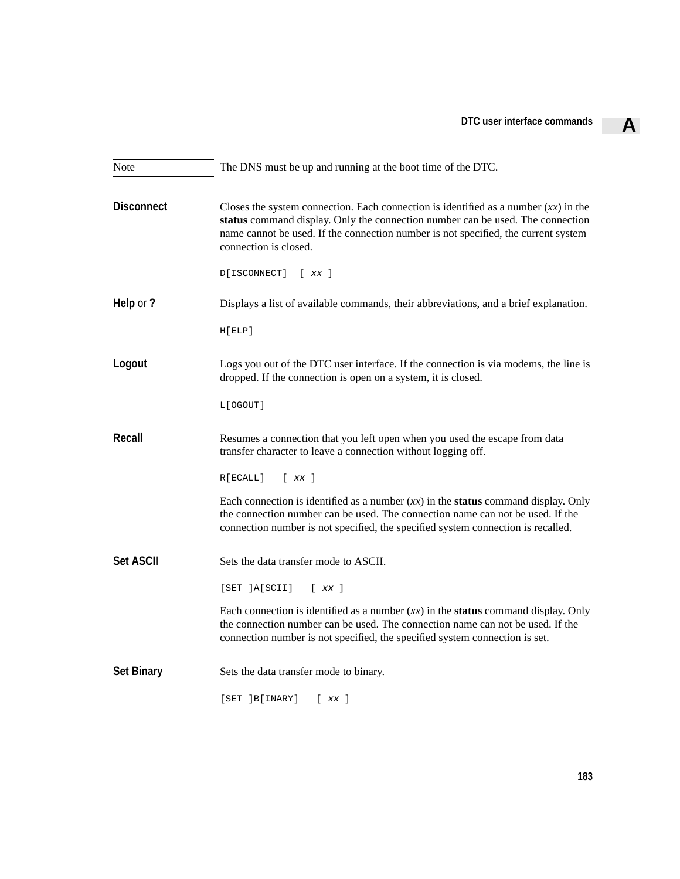| <b>Note</b>       | The DNS must be up and running at the boot time of the DTC.                                                                                                                                                                                                                            |
|-------------------|----------------------------------------------------------------------------------------------------------------------------------------------------------------------------------------------------------------------------------------------------------------------------------------|
| <b>Disconnect</b> | Closes the system connection. Each connection is identified as a number $(xx)$ in the<br>status command display. Only the connection number can be used. The connection<br>name cannot be used. If the connection number is not specified, the current system<br>connection is closed. |
|                   | D[ISCONNECT] [ xx ]                                                                                                                                                                                                                                                                    |
| Help or?          | Displays a list of available commands, their abbreviations, and a brief explanation.                                                                                                                                                                                                   |
|                   | H[ELP]                                                                                                                                                                                                                                                                                 |
| Logout            | Logs you out of the DTC user interface. If the connection is via modems, the line is<br>dropped. If the connection is open on a system, it is closed.                                                                                                                                  |
|                   | L[OGOUT]                                                                                                                                                                                                                                                                               |
| Recall            | Resumes a connection that you left open when you used the escape from data<br>transfer character to leave a connection without logging off.                                                                                                                                            |
|                   | R[ECALL]<br>$\lceil xx \rceil$                                                                                                                                                                                                                                                         |
|                   | Each connection is identified as a number $(xx)$ in the <b>status</b> command display. Only<br>the connection number can be used. The connection name can not be used. If the<br>connection number is not specified, the specified system connection is recalled.                      |
| <b>Set ASCII</b>  | Sets the data transfer mode to ASCII.                                                                                                                                                                                                                                                  |
|                   | $[SET \ ]A[SCII]$<br>$\lceil xx \rceil$                                                                                                                                                                                                                                                |
|                   | Each connection is identified as a number $(xx)$ in the <b>status</b> command display. Only<br>the connection number can be used. The connection name can not be used. If the<br>connection number is not specified, the specified system connection is set.                           |
| <b>Set Binary</b> | Sets the data transfer mode to binary.                                                                                                                                                                                                                                                 |
|                   | [SET ]B[INARY]<br>[xx]                                                                                                                                                                                                                                                                 |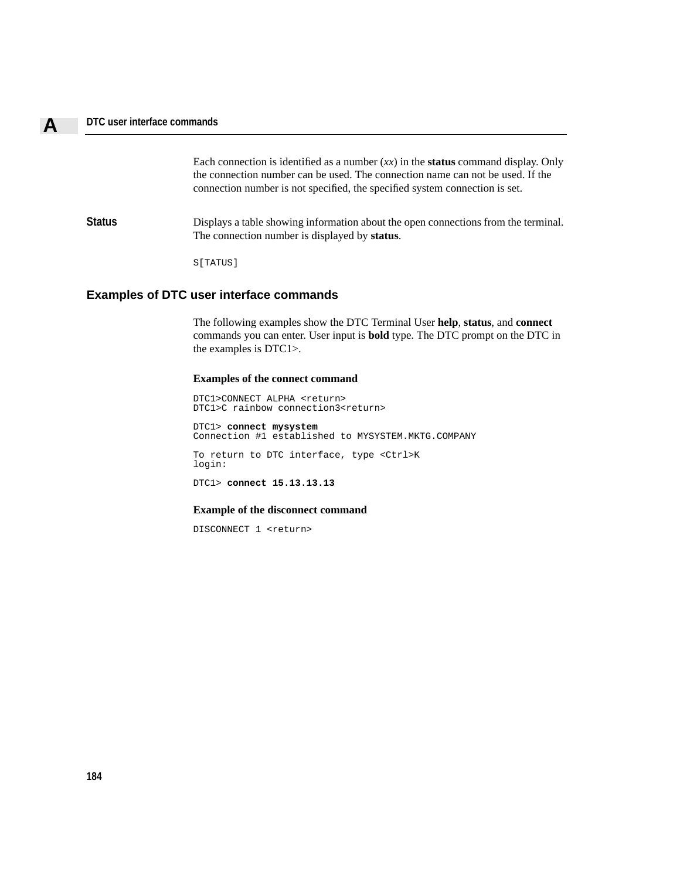Each connection is identified as a number (*xx*) in the **status** command display. Only the connection number can be used. The connection name can not be used. If the connection number is not specified, the specified system connection is set.

**Status** Displays a table showing information about the open connections from the terminal. The connection number is displayed by **status**.

S[TATUS]

#### **Examples of DTC user interface commands**

The following examples show the DTC Terminal User **help**, **status**, and **connect** commands you can enter. User input is **bold** type. The DTC prompt on the DTC in the examples is DTC1>.

#### **Examples of the connect command**

DTC1>CONNECT ALPHA <return> DTC1>C rainbow connection3<return>

DTC1> **connect mysystem** Connection #1 established to MYSYSTEM.MKTG.COMPANY

To return to DTC interface, type <Ctrl>K login:

DTC1> **connect 15.13.13.13**

#### **Example of the disconnect command**

DISCONNECT 1 <return>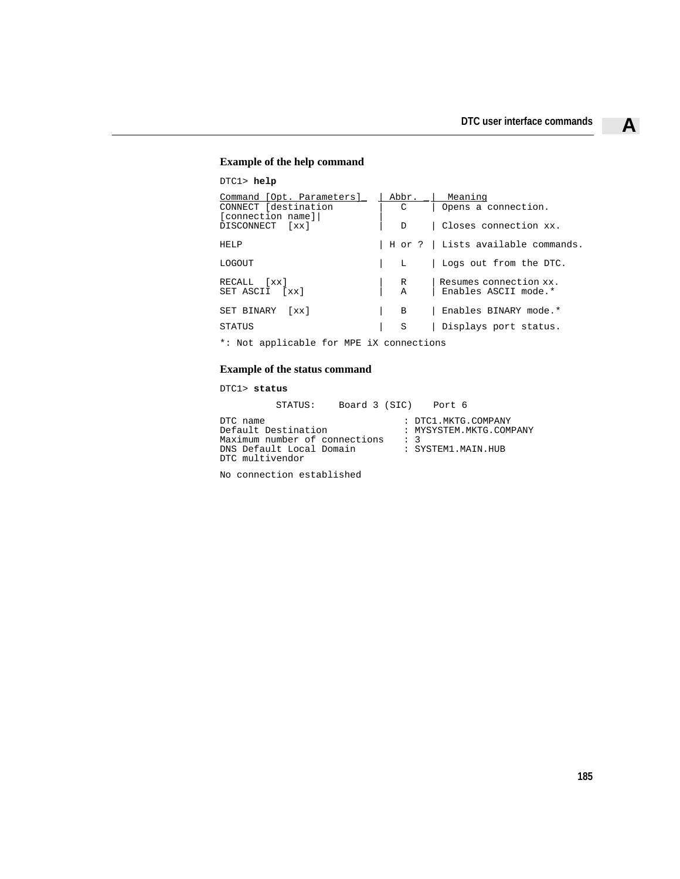#### **Example of the help command**

DTC1> **help**

| Command [Opt. Parameters]<br>CONNECT [destination]<br>[connection name]] | Abbr.<br>C | Meaning<br>Opens a connection.                 |
|--------------------------------------------------------------------------|------------|------------------------------------------------|
| DISCONNECT [xx]                                                          | D          | Closes connection xx.                          |
| <b>HELP</b>                                                              |            | H or ?   Lists available commands.             |
| LOGOUT                                                                   | L          | Logs out from the DTC.                         |
| RECALL [xx]<br>SET ASCII [xx]                                            |            | Resumes connection xx.<br>Enables ASCII mode.* |
| SET BINARY [xx]                                                          | В          | Enables BINARY mode.*                          |
| <b>STATUS</b>                                                            | S          | Displays port status.                          |

\*: Not applicable for MPE iX connections

#### **Example of the status command**

#### DTC1> **status**

STATUS: Board 3 (SIC) Port 6 DTC name : DTC1.MKTG.COMPANY Default Destination : MYSYSTEM.MKTG.COMPANY Maximum number of connections : 3 DNS Default Local Domain : SYSTEM1.MAIN.HUB DTC multivendor

No connection established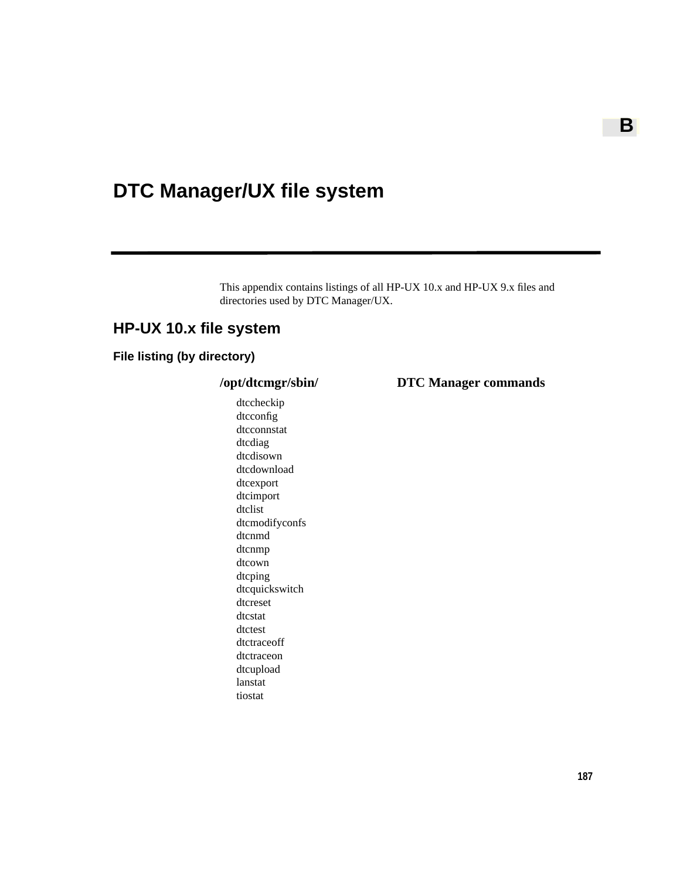# **DTC Manager/UX file system**

This appendix contains listings of all HP-UX 10.x and HP-UX 9.x files and directories used by DTC Manager/UX.

# **HP-UX 10.x file system**

# **File listing (by directory)**

dtccheckip dtcconfig dtcconnstat dtcdiag dtcdisown dtcdownload dtcexport dtcimport dtclist dtcmodifyconfs dtcnmd dtcnmp dtcown dtcping dtcquickswitch dtcreset dtcstat dtctest dtctraceoff dtctraceon dtcupload lanstat tiostat

**/opt/dtcmgr/sbin/ DTC Manager commands**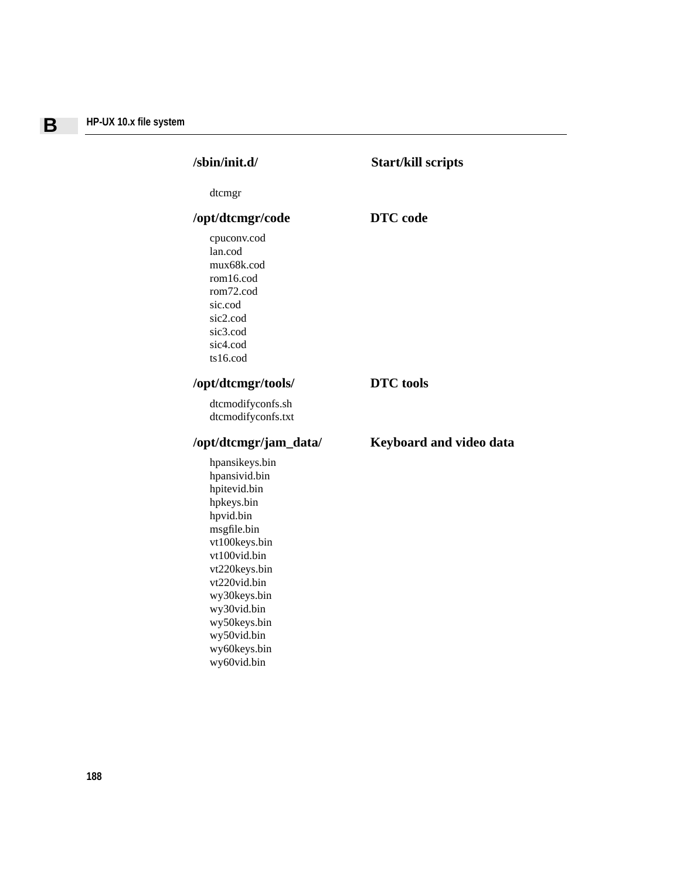dtcmgr

## **/opt/dtcmgr/code DTC code**

cpuconv.cod lan.cod mux68k.cod rom16.cod rom72.cod sic.cod sic2.cod sic3.cod sic4.cod ts16.cod

## **/opt/dtcmgr/tools/ DTC tools**

dtcmodifyconfs.sh dtcmodifyconfs.txt

# **/opt/dtcmgr/jam\_data/ Keyboard and video data**

hpansikeys.bin hpansivid.bin hpitevid.bin hpkeys.bin hpvid.bin msgfile.bin vt100keys.bin vt100vid.bin vt220keys.bin vt220vid.bin wy30keys.bin wy30vid.bin wy50keys.bin wy50vid.bin wy60keys.bin wy60vid.bin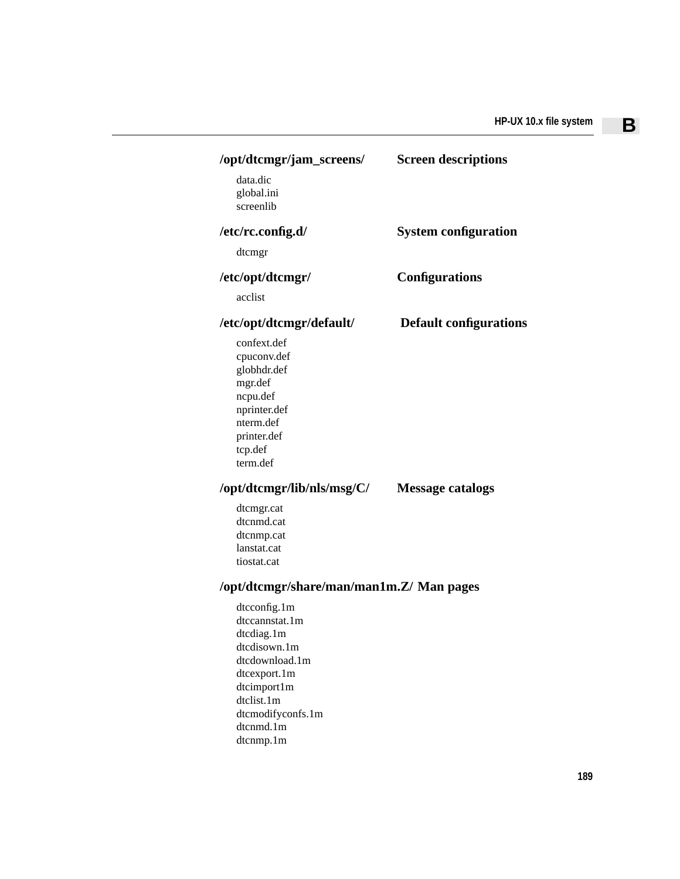| /opt/dtcmgr/jam_screens/                                                                                                                                                   | <b>Screen descriptions</b>    |
|----------------------------------------------------------------------------------------------------------------------------------------------------------------------------|-------------------------------|
| data.dic<br>global.ini<br>screenlib                                                                                                                                        |                               |
| /etc/rc.config.d/                                                                                                                                                          | <b>System configuration</b>   |
| dtcmgr                                                                                                                                                                     |                               |
| /etc/opt/dtcmgr/                                                                                                                                                           | <b>Configurations</b>         |
| acclist                                                                                                                                                                    |                               |
| /etc/opt/dtcmgr/default/                                                                                                                                                   | <b>Default configurations</b> |
| confext.def<br>cpuconv.def<br>globhdr.def<br>mgr.def<br>ncpu.def<br>nprinter.def<br>nterm.def<br>printer.def<br>tcp.def<br>term.def                                        |                               |
| /opt/dtcmgr/lib/nls/msg/C/                                                                                                                                                 | <b>Message catalogs</b>       |
| dtcmgr.cat<br>dtcnmd.cat<br>dtcnmp.cat<br>lanstat.cat<br>tiostat.cat                                                                                                       |                               |
| /opt/dtcmgr/share/man/man1m.Z/ Man pages                                                                                                                                   |                               |
| dtcconfig.1m<br>dtccannstat.1m<br>dtcdiag.1m<br>dtcdisown.1m<br>dtcdownload.1m<br>dtcexport.1m<br>dtcimport1m<br>dtclist.1m<br>dtcmodifyconfs.1m<br>dtcnmd.1m<br>dtcnmp.1m |                               |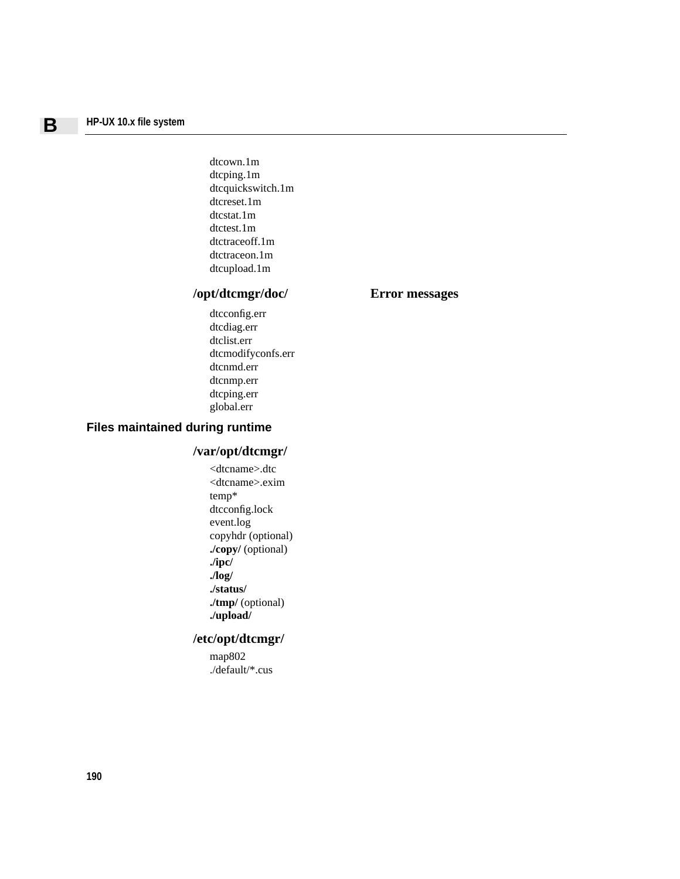dtcown.1m dtcping.1m dtcquickswitch.1m dtcreset.1m dtcstat.1m dtctest.1m dtctraceoff.1m dtctraceon.1m dtcupload.1m

### **/opt/dtcmgr/doc/ Error messages**

dtcconfig.err dtcdiag.err dtclist.err dtcmodifyconfs.err dtcnmd.err dtcnmp.err dtcping.err global.err

### **Files maintained during runtime**

### **/var/opt/dtcmgr/**

<dtcname>.dtc <dtcname>.exim temp\* dtcconfig.lock event.log copyhdr (optional) **./copy/** (optional) **./ipc/ ./log/ ./status/ ./tmp/** (optional) **./upload/**

### **/etc/opt/dtcmgr/**

map802 ./default/\*.cus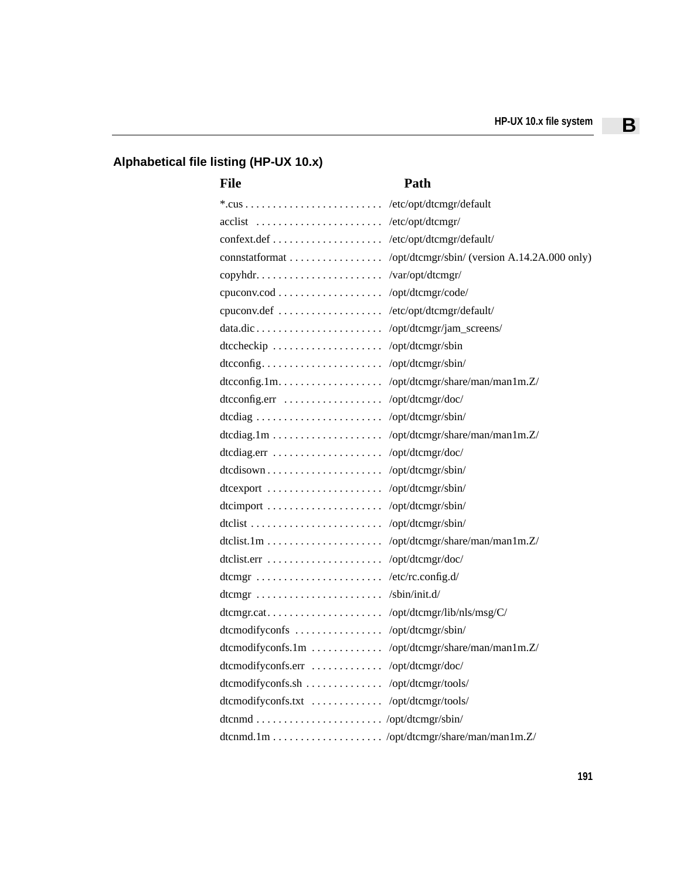# **Alphabetical file listing (HP-UX 10.x)**

| <b>File</b>                                               | Path                                         |
|-----------------------------------------------------------|----------------------------------------------|
|                                                           | /etc/opt/dtcmgr/default                      |
| $acclist$                                                 | /etc/opt/dtcmgr/                             |
| $confext. def \ldots  \ldots  \ldots$                     | /etc/opt/dtcmgr/default/                     |
| connstatformat                                            | /opt/dtcmgr/sbin/ (version A.14.2A.000 only) |
|                                                           | /var/opt/dtcmgr/                             |
| $cpuconv.cod \ldots \ldots \ldots \ldots \ldots$          | /opt/dtcmgr/code/                            |
| cpuconv.def                                               | /etc/opt/dtcmgr/default/                     |
| $data.dic \ldots \ldots \ldots \ldots \ldots$             | /opt/dtcmgr/jam_screens/                     |
| dtccheckip                                                | /opt/dtcmgr/sbin                             |
|                                                           | /opt/dtcmgr/sbin/                            |
|                                                           | /opt/dtcmgr/share/man/man1m.Z/               |
| $d$ tcconfig.err                                          | /opt/dtcmgr/doc/                             |
|                                                           | /opt/dtcmgr/sbin/                            |
|                                                           | /opt/dtcmgr/share/man/man1m.Z/               |
|                                                           | /opt/dtcmgr/doc/                             |
|                                                           | /opt/dtcmgr/sbin/                            |
| dtcexport                                                 | /opt/dtcmgr/sbin/                            |
|                                                           | /opt/dtcmgr/sbin/                            |
|                                                           | /opt/dtcmgr/sbin/                            |
| $dtclist.1m \ldots \ldots \ldots \ldots \ldots \ldots$    | /opt/dtcmgr/share/man/man1m.Z/               |
| $dtclist. err \dots \dots \dots \dots \dots \dots$        | /opt/dtcmgr/doc/                             |
| $d$ temgr $\dots\dots\dots\dots\dots\dots\dots\dots\dots$ | /etc/rc.config.d/                            |
| $d$ temgr $\dots\dots\dots\dots\dots\dots\dots\dots\dots$ | /sbin/init.d/                                |
| dtcmgr.cat                                                | /opt/dtcmgr/lib/nls/msg/C/                   |
| dtcmodifyconfs                                            | /opt/dtcmgr/sbin/                            |
| $d$ tcmodifyconfs.1m                                      | /opt/dtcmgr/share/man/man1m.Z/               |
| dtcmodifyconfs.err                                        | /opt/dtcmgr/doc/                             |
| dtcmodifyconfs.sh                                         | /opt/dtcmgr/tools/                           |
| dtcmodifyconfs.txt                                        | /opt/dtcmgr/tools/                           |
|                                                           |                                              |
|                                                           |                                              |

**191**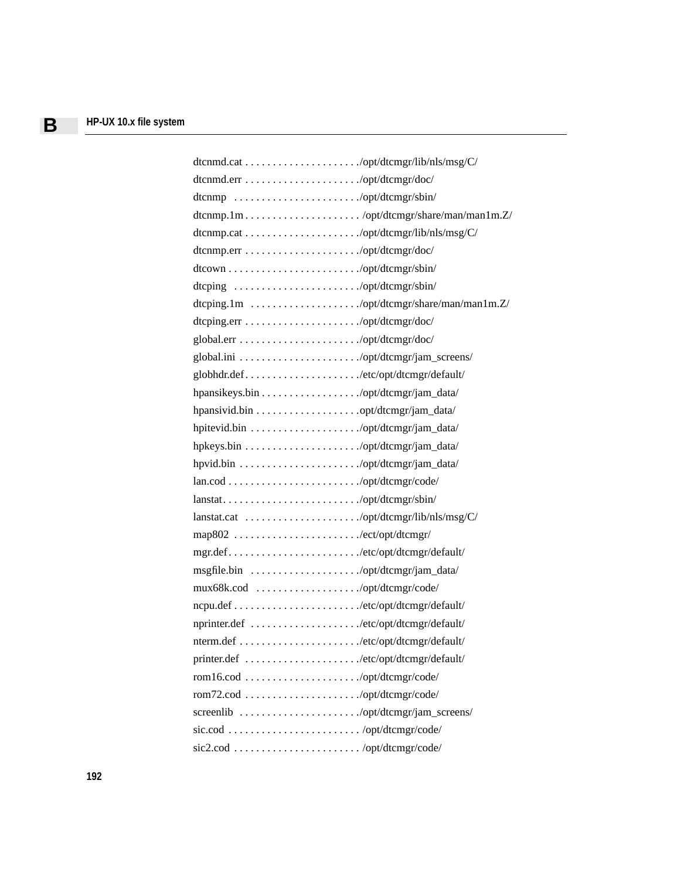| dtenmp /opt/dtemgr/sbin/                  |  |
|-------------------------------------------|--|
| dtcnmp.1m/opt/dtcmgr/share/man/man1m.Z/   |  |
|                                           |  |
|                                           |  |
|                                           |  |
| dteping /opt/dtemgr/sbin/                 |  |
| dtcping.1m /opt/dtcmgr/share/man/man1m.Z/ |  |
|                                           |  |
|                                           |  |
|                                           |  |
| globhdr.def/etc/opt/dtcmgr/default/       |  |
|                                           |  |
|                                           |  |
|                                           |  |
|                                           |  |
|                                           |  |
|                                           |  |
| lanstat/opt/dtcmgr/sbin/                  |  |
|                                           |  |
|                                           |  |
| mgr.def/etc/opt/dtcmgr/default/           |  |
| msgfile.bin /opt/dtcmgr/jam_data/         |  |
| mux68k.cod /opt/dtcmgr/code/              |  |
|                                           |  |
| nprinter.def /etc/opt/dtcmgr/default/     |  |
|                                           |  |
| printer.def /etc/opt/dtcmgr/default/      |  |
|                                           |  |
|                                           |  |
| screenlib /opt/dtcmgr/jam_screens/        |  |
|                                           |  |
| sic2.cod /opt/dtcmgr/code/                |  |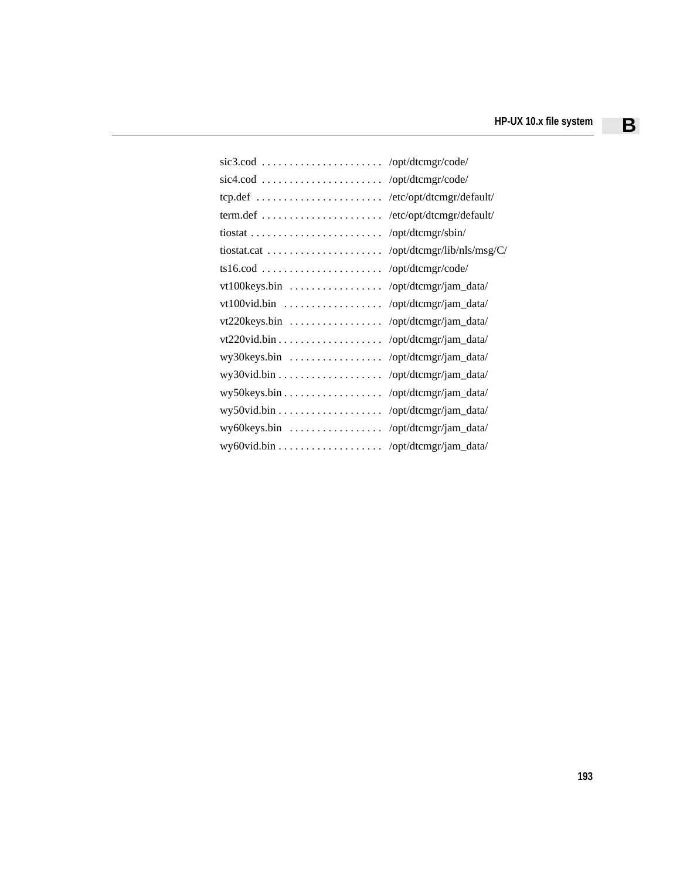| $\text{sic3.cod}$<br>/opt/dtcmgr/code/                                    |
|---------------------------------------------------------------------------|
| $\text{sic}4.\text{cod}$<br>/opt/dtcmgr/code/                             |
| /etc/opt/dtcmgr/default/<br>tcp.def                                       |
| /etc/opt/dtcmgr/default/                                                  |
| /opt/dtcmgr/sbin/                                                         |
| /opt/dtcmgr/lib/nls/msg/C/                                                |
| /opt/dtcmgr/code/<br>$ts16.cod \ldots \ldots \ldots \ldots \ldots \ldots$ |
| /opt/dtcmgr/jam_data/<br>$vt100 \text{keys}$ .bin                         |
| $vt100vid$ .bin<br>/opt/dtcmgr/jam_data/                                  |
| $vt220 \text{keys}$ .bin<br>/opt/dtcmgr/jam_data/                         |
| /opt/dtcmgr/jam_data/                                                     |
| $wy30keys.$ bin<br>/opt/dtcmgr/jam_data/                                  |
| /opt/dtcmgr/jam_data/                                                     |
| /opt/dtcmgr/jam_data/                                                     |
| /opt/dtcmgr/jam_data/                                                     |
| wy60keys.bin<br>/opt/dtcmgr/jam_data/                                     |
| /opt/dtcmgr/jam_data/                                                     |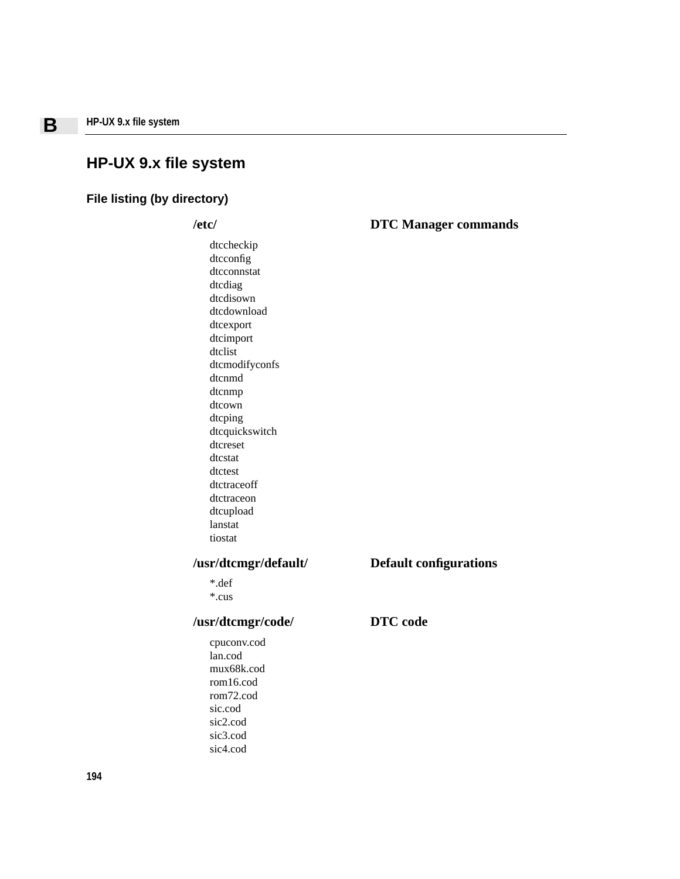# **HP-UX 9.x file system**

# **File listing (by directory)**

# **/etc/ DTC Manager commands**

dtccheckip dtcconfig dtcconnstat dtcdiag dtcdisown dtcdownload dtcexport dtcimport dtclist dtcmodifyconfs dtcnmd dtcnmp dtcown dtcping dtcquickswitch dtcreset dtcstat dtctest dtctraceoff dtctraceon dtcupload lanstat tiostat

# **/usr/dtcmgr/default/ Default configurations**

\*.def \*.cus

## **/usr/dtcmgr/code/ DTC code**

cpuconv.cod lan.cod mux68k.cod rom16.cod rom72.cod sic.cod sic2.cod sic3.cod sic4.cod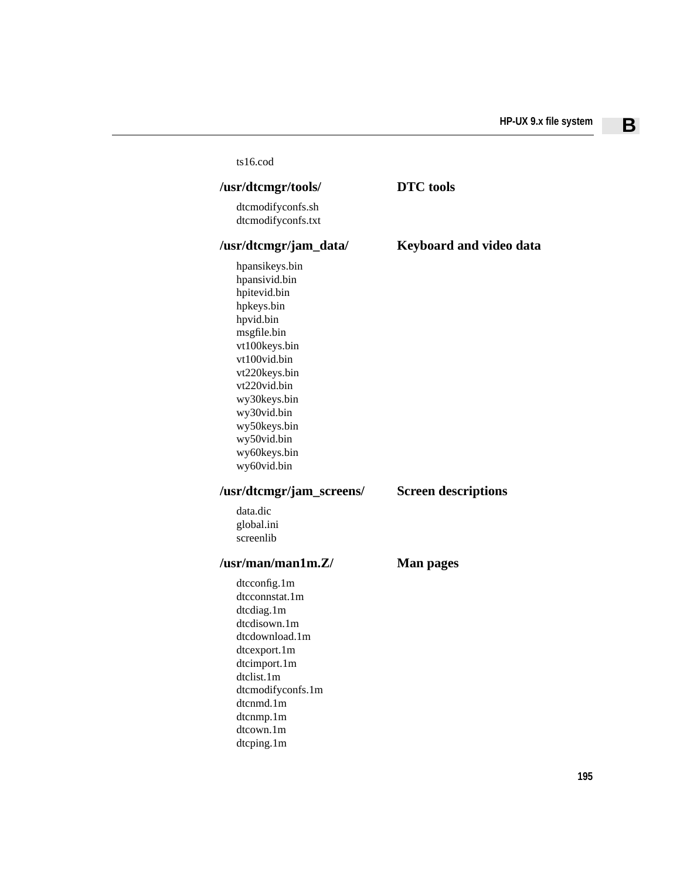| /usr/dtcmgr/tools/                                    | <b>DTC</b> tools               |
|-------------------------------------------------------|--------------------------------|
| dtcmodifyconfs.sh                                     |                                |
| dtcmodifyconfs.txt                                    |                                |
| /usr/dtcmgr/jam_data/                                 | <b>Keyboard and video data</b> |
| hpansikeys.bin                                        |                                |
| hpansivid.bin                                         |                                |
| hpitevid.bin                                          |                                |
| hpkeys.bin                                            |                                |
| hpvid.bin                                             |                                |
| msgfile.bin                                           |                                |
| vt100keys.bin                                         |                                |
| vt100vid.bin                                          |                                |
| vt220keys.bin                                         |                                |
| vt220vid.bin                                          |                                |
| wy30keys.bin                                          |                                |
| wy30vid.bin                                           |                                |
| wy50keys.bin                                          |                                |
| wy50vid.bin                                           |                                |
| wy60keys.bin                                          |                                |
| wy60vid.bin                                           |                                |
| /usr/dtcmgr/jam_screens/                              | <b>Screen descriptions</b>     |
| data.dic                                              |                                |
| global.ini                                            |                                |
| screenlib                                             |                                |
| $\sqrt{\text{usr}/\text{man}/\text{man}/\text{Im}.Z}$ | Man pages                      |
| dtcconfig.1m                                          |                                |
| dtcconnstat.1m                                        |                                |
| dtcdiag.1m                                            |                                |
| dtedisown.1m                                          |                                |
| dtcdownload.1m                                        |                                |
| dtcexport.1m                                          |                                |
| dtcimport.1m                                          |                                |
| dtclist.1m                                            |                                |
|                                                       |                                |
| dtcmodifyconfs.1m                                     |                                |
| dtcnmd.1m                                             |                                |

dtcown.1m dtcping.1m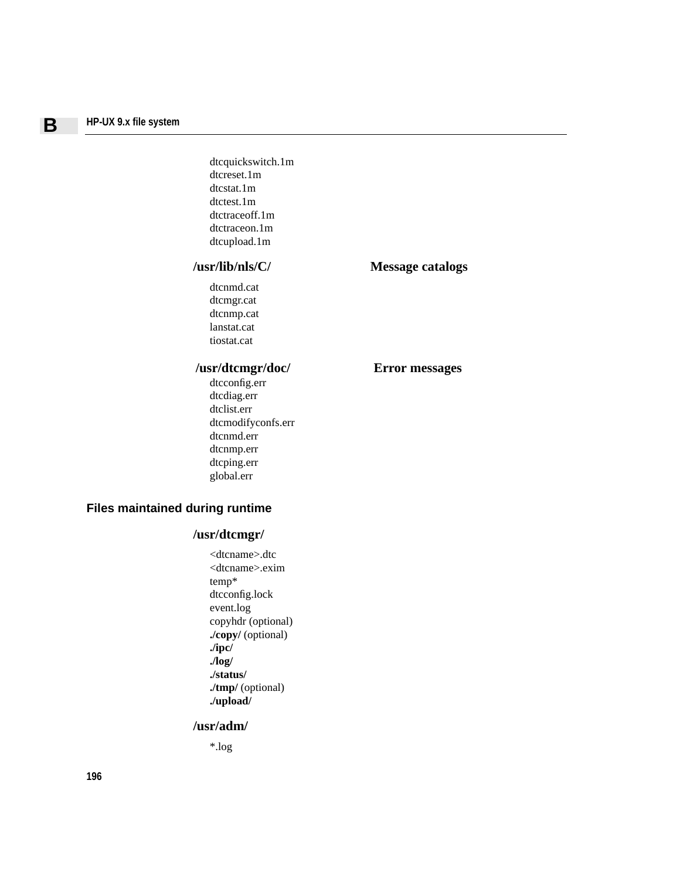dtcquickswitch.1m dtcreset.1m dtcstat.1m dtctest.1m dtctraceoff.1m dtctraceon.1m dtcupload.1m

### **/usr/lib/nls/C/ Message catalogs**

dtcnmd.cat dtcmgr.cat dtcnmp.cat lanstat.cat tiostat.cat

## **/usr/dtcmgr/doc/ Error messages**

dtcconfig.err dtcdiag.err dtclist.err dtcmodifyconfs.err dtcnmd.err dtcnmp.err dtcping.err global.err

**Files maintained during runtime**

### **/usr/dtcmgr/**

<dtcname>.dtc <dtcname>.exim temp\* dtcconfig.lock event.log copyhdr (optional) **./copy/** (optional) **./ipc/ ./log/ ./status/ ./tmp/** (optional) **./upload/**

#### **/usr/adm/**

\*.log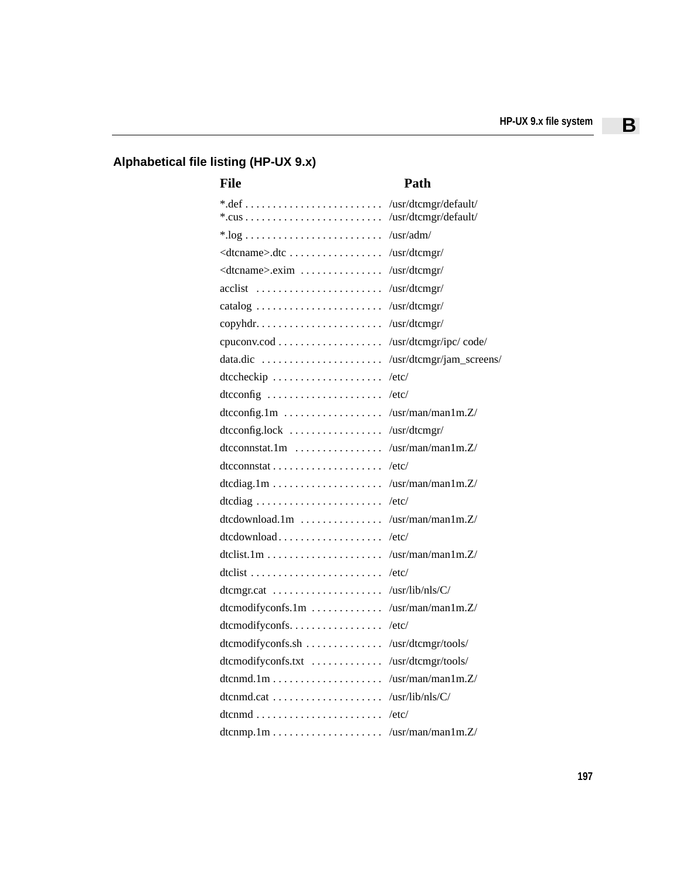# **Alphabetical file listing (HP-UX 9.x)**

| <b>File</b>                                               | Path                                         |
|-----------------------------------------------------------|----------------------------------------------|
|                                                           | /usr/dtcmgr/default/<br>/usr/dtcmgr/default/ |
|                                                           | $\sqrt{usr/adm/}$                            |
| $\langle$ dtcname $\rangle$ .dtc                          | /usr/dtcmgr/                                 |
| $\langle$ dtcname $\rangle$ .exim                         | /usr/dtcmgr/                                 |
| $acclist$                                                 | /usr/dtcmgr/                                 |
| $catalog \dots \dots \dots \dots \dots \dots \dots \dots$ | $\sqrt{usr/dtcmgr/}$                         |
| copyhdr                                                   | /usr/dtcmgr/                                 |
| $c$ pu $\text{conv.cod} \dots \dots \dots \dots \dots$    | /usr/dtcmgr/ipc/ code/                       |
| data.dic                                                  | /usr/dtcmgr/jam_screens/                     |
| dtccheckip                                                | /etc/                                        |
| dtcconfig                                                 | /etc/                                        |
| $dt$ cconfig.1m $\ldots \ldots \ldots \ldots \ldots$      | /usr/man/man1m. $Z/$                         |
| $dt$ cconfig.lock $\ldots$                                | /usr/dtcmgr/                                 |
| $d$ tcconnstat.1m                                         | /usr/man/man1m.Z/                            |
| $d$ tcconnstat $\ldots \ldots \ldots \ldots \ldots$       | /etc/                                        |
| $d$ tcdiag. $1m$                                          | /usr/man/man1m.Z/                            |
| $d$ tediag                                                | /etc/                                        |
| $d$ tcdownload.1m                                         | /usr/man/man1m.Z/                            |
| $d$ tcdownload                                            | /etc/                                        |
|                                                           | $\sqrt{usr/man/man1m.Z/}$                    |
|                                                           | /etc/                                        |
| dtcmgr.cat                                                | /usr/lib/nls/ $C/$                           |
| $d$ tcmodifyconfs.1m                                      | /usr/man/man1m. $Z/$                         |
| dtcmodifyconfs                                            | /etc/                                        |
| $d$ tcmodifyconfs.sh                                      | /usr/dtcmgr/tools/                           |
| dtcmodifyconfs.txt                                        | /usr/dtcmgr/tools/                           |
| $d$ tcnmd.1m                                              | $\sqrt{usr/man/man1m.Z/}$                    |
|                                                           | /usr/lib/nls/ $C/$                           |
|                                                           | /etc/                                        |
|                                                           | $\sqrt{usr/man/man1m.Z/}$                    |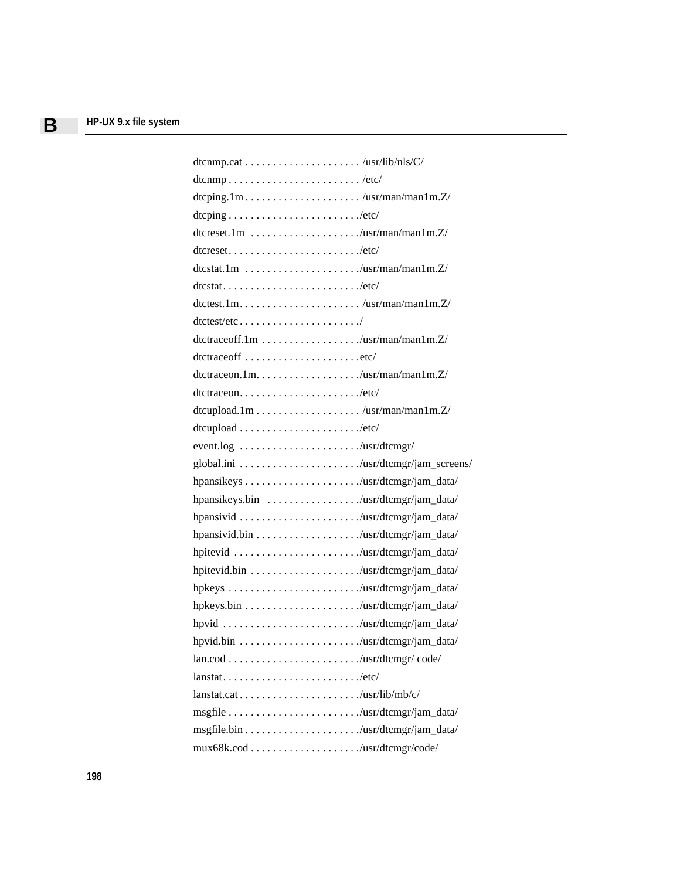| dtenmp/etc/                                                                 |
|-----------------------------------------------------------------------------|
| dtcping.1m/usr/man/man1m.Z/                                                 |
|                                                                             |
|                                                                             |
| $d$ tcreset/etc/                                                            |
| $dtestat.1m \ldots \ldots \ldots \ldots \ldots \ldots \ldots \ldots \ldots$ |
| dtestat/etc/                                                                |
|                                                                             |
| $d$ tctest/etc/                                                             |
|                                                                             |
|                                                                             |
|                                                                             |
|                                                                             |
| dtcupload.1m/usr/man/man1m.Z/                                               |
|                                                                             |
| event.log /usr/dtcmgr/                                                      |
|                                                                             |
|                                                                             |
| hpansikeys.bin /usr/dtcmgr/jam_data/                                        |
|                                                                             |
|                                                                             |
| hpitevid /usr/dtcmgr/jam_data/                                              |
|                                                                             |
|                                                                             |
|                                                                             |
| hpvid /usr/dtcmgr/jam_data/                                                 |
|                                                                             |
|                                                                             |
| lanstat/etc/                                                                |
| $lanstat.cat$ /usr/lib/mb/c/                                                |
|                                                                             |
|                                                                             |
|                                                                             |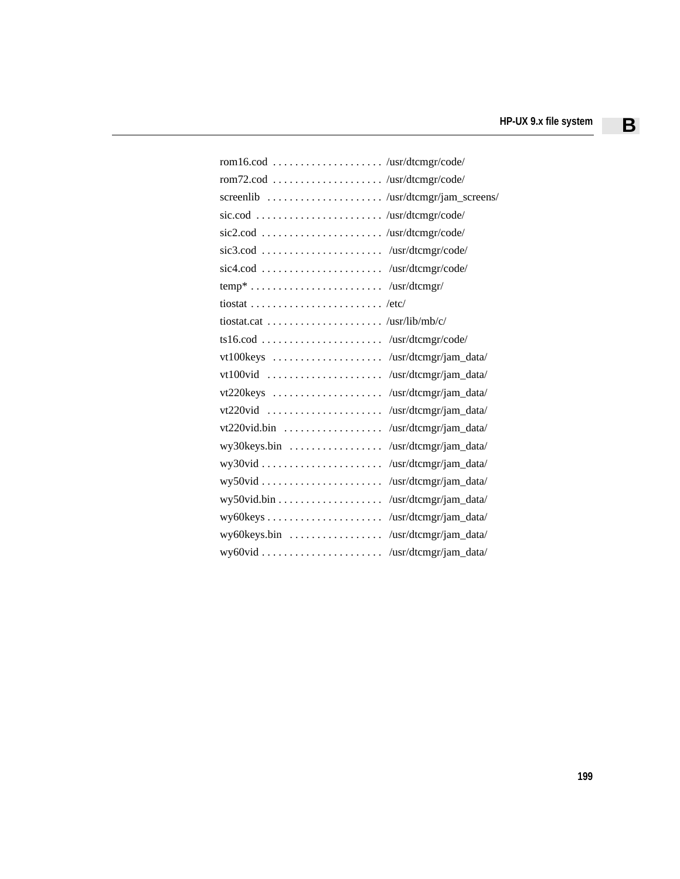| rom72.cod /usr/dtcmgr/code/                                                                     |  |
|-------------------------------------------------------------------------------------------------|--|
|                                                                                                 |  |
| $\text{sic.co}d \dots \dots \dots \dots \dots \dots \dots \dots \dots \text{/usr/dtcmgr/code/}$ |  |
|                                                                                                 |  |
|                                                                                                 |  |
|                                                                                                 |  |
|                                                                                                 |  |
|                                                                                                 |  |
|                                                                                                 |  |
|                                                                                                 |  |
|                                                                                                 |  |
|                                                                                                 |  |
| /usr/dtcmgr/jam_data/<br>$vt220 \text{keys}$                                                    |  |
| vt220vid<br>/usr/dtcmgr/jam_data/                                                               |  |
| $vt220$ vid.bin<br>/usr/dtcmgr/jam_data/                                                        |  |
| $wy30keys.$ bin<br>/usr/dtcmgr/jam_data/                                                        |  |
| $wy30vid \ldots \ldots \ldots \ldots \ldots \ldots$<br>/usr/dtcmgr/jam_data/                    |  |
| $wy50vid \ldots \ldots \ldots \ldots \ldots \ldots$<br>/usr/dtcmgr/jam_data/                    |  |
| /usr/dtcmgr/jam_data/                                                                           |  |
| $wy60keys \ldots \ldots \ldots \ldots \ldots \ldots$<br>/usr/dtcmgr/jam_data/                   |  |
| $wy60keys.$ bin<br>/usr/dtcmgr/jam_data/                                                        |  |
| /usr/dtcmgr/jam_data/                                                                           |  |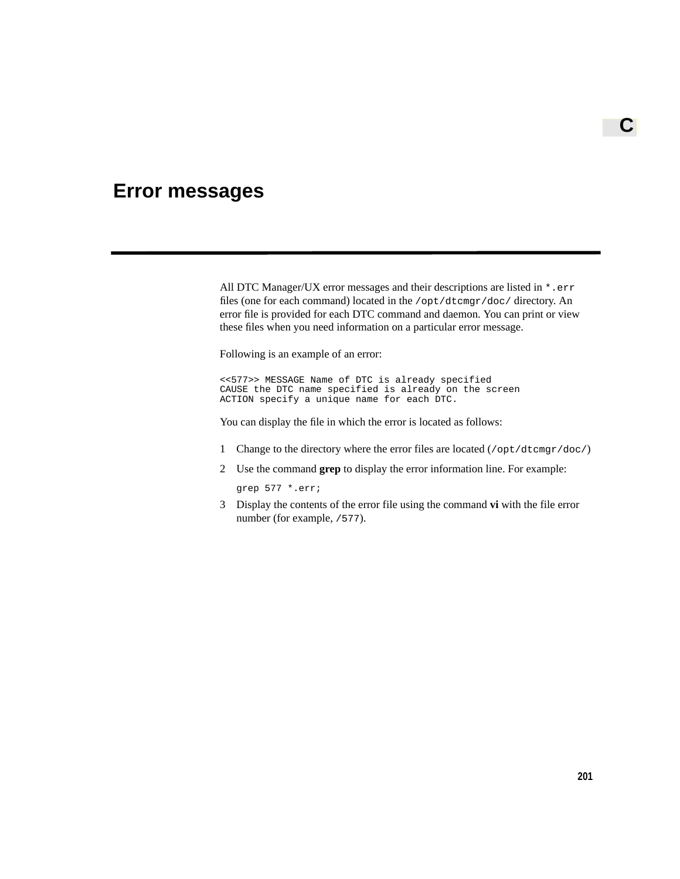# **Error messages**

All DTC Manager/UX error messages and their descriptions are listed in  $*$  . err files (one for each command) located in the /opt/dtcmgr/doc/ directory. An error file is provided for each DTC command and daemon. You can print or view these files when you need information on a particular error message.

Following is an example of an error:

<<577>> MESSAGE Name of DTC is already specified CAUSE the DTC name specified is already on the screen ACTION specify a unique name for each DTC.

You can display the file in which the error is located as follows:

- 1 Change to the directory where the error files are located  $($  /opt/dtcmgr/doc/ $)$
- 2 Use the command **grep** to display the error information line. For example:

grep 577 \*.err;

3 Display the contents of the error file using the command **vi** with the file error number (for example, /577).

**C**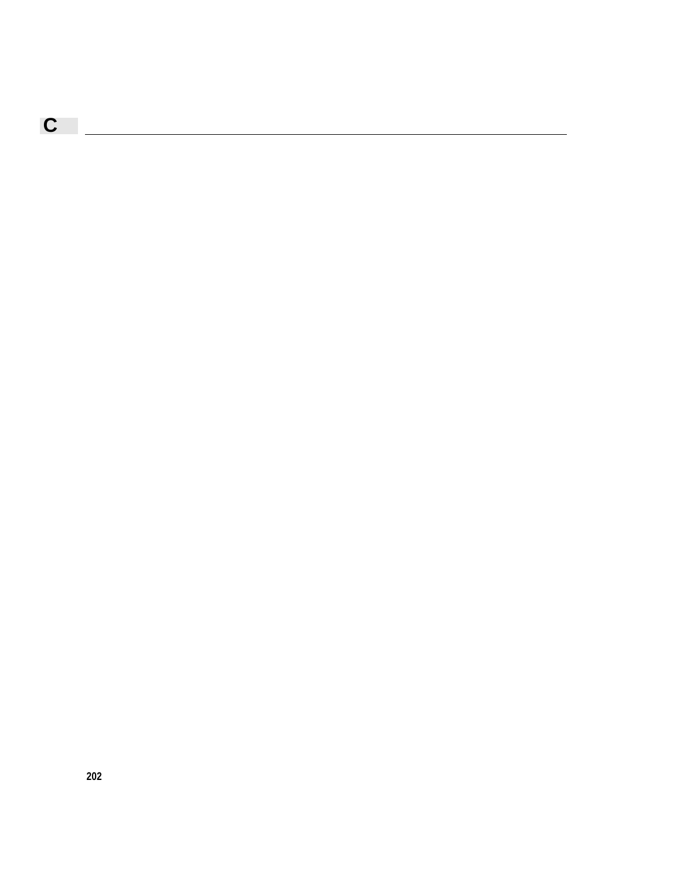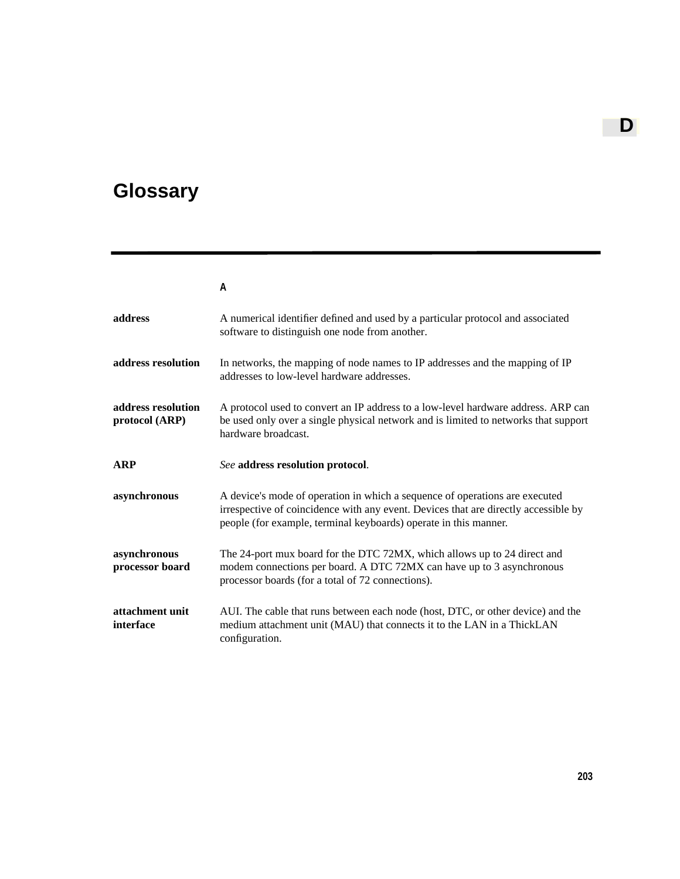# **Glossary**

|                                      | A                                                                                                                                                                                                                                      |
|--------------------------------------|----------------------------------------------------------------------------------------------------------------------------------------------------------------------------------------------------------------------------------------|
| address                              | A numerical identifier defined and used by a particular protocol and associated<br>software to distinguish one node from another.                                                                                                      |
| address resolution                   | In networks, the mapping of node names to IP addresses and the mapping of IP<br>addresses to low-level hardware addresses.                                                                                                             |
| address resolution<br>protocol (ARP) | A protocol used to convert an IP address to a low-level hardware address. ARP can<br>be used only over a single physical network and is limited to networks that support<br>hardware broadcast.                                        |
| ARP                                  | See address resolution protocol.                                                                                                                                                                                                       |
| asynchronous                         | A device's mode of operation in which a sequence of operations are executed<br>irrespective of coincidence with any event. Devices that are directly accessible by<br>people (for example, terminal keyboards) operate in this manner. |
| asynchronous<br>processor board      | The 24-port mux board for the DTC 72MX, which allows up to 24 direct and<br>modem connections per board. A DTC 72MX can have up to 3 asynchronous<br>processor boards (for a total of 72 connections).                                 |
| attachment unit<br>interface         | AUI. The cable that runs between each node (host, DTC, or other device) and the<br>medium attachment unit (MAU) that connects it to the LAN in a ThickLAN<br>configuration.                                                            |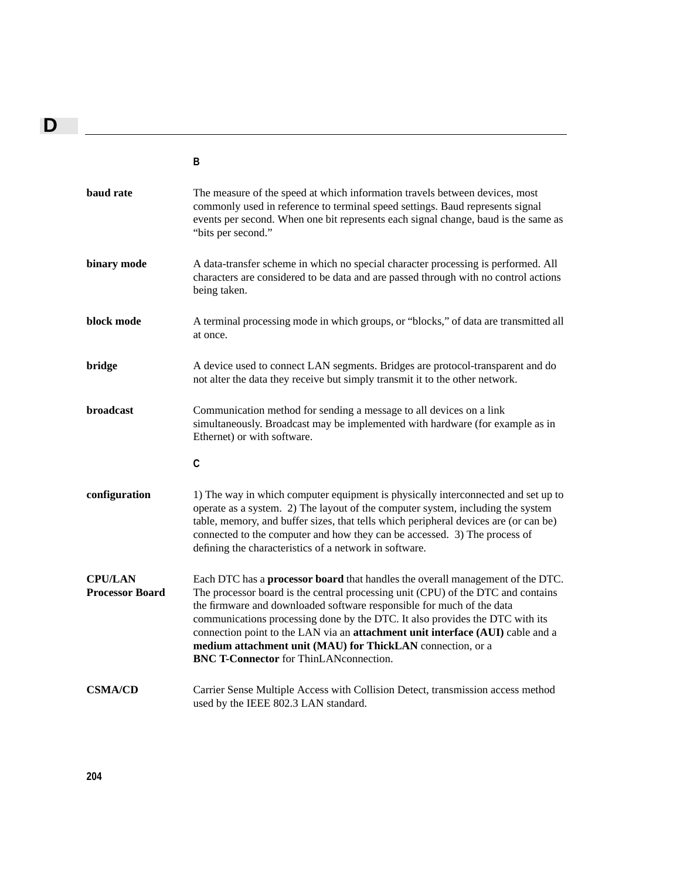# **B**

| baud rate                                | The measure of the speed at which information travels between devices, most<br>commonly used in reference to terminal speed settings. Baud represents signal<br>events per second. When one bit represents each signal change, baud is the same as<br>"bits per second."                                                                                                                                                                                                                                                     |
|------------------------------------------|------------------------------------------------------------------------------------------------------------------------------------------------------------------------------------------------------------------------------------------------------------------------------------------------------------------------------------------------------------------------------------------------------------------------------------------------------------------------------------------------------------------------------|
| binary mode                              | A data-transfer scheme in which no special character processing is performed. All<br>characters are considered to be data and are passed through with no control actions<br>being taken.                                                                                                                                                                                                                                                                                                                                     |
| block mode                               | A terminal processing mode in which groups, or "blocks," of data are transmitted all<br>at once.                                                                                                                                                                                                                                                                                                                                                                                                                             |
| bridge                                   | A device used to connect LAN segments. Bridges are protocol-transparent and do<br>not alter the data they receive but simply transmit it to the other network.                                                                                                                                                                                                                                                                                                                                                               |
| broadcast                                | Communication method for sending a message to all devices on a link<br>simultaneously. Broadcast may be implemented with hardware (for example as in<br>Ethernet) or with software.                                                                                                                                                                                                                                                                                                                                          |
|                                          | $\mathbf c$                                                                                                                                                                                                                                                                                                                                                                                                                                                                                                                  |
| configuration                            | 1) The way in which computer equipment is physically interconnected and set up to<br>operate as a system. 2) The layout of the computer system, including the system<br>table, memory, and buffer sizes, that tells which peripheral devices are (or can be)<br>connected to the computer and how they can be accessed. 3) The process of<br>defining the characteristics of a network in software.                                                                                                                          |
| <b>CPU/LAN</b><br><b>Processor Board</b> | Each DTC has a processor board that handles the overall management of the DTC.<br>The processor board is the central processing unit (CPU) of the DTC and contains<br>the firmware and downloaded software responsible for much of the data<br>communications processing done by the DTC. It also provides the DTC with its<br>connection point to the LAN via an attachment unit interface (AUI) cable and a<br>medium attachment unit (MAU) for ThickLAN connection, or a<br><b>BNC T-Connector</b> for ThinLANconnection. |
| <b>CSMA/CD</b>                           | Carrier Sense Multiple Access with Collision Detect, transmission access method<br>used by the IEEE 802.3 LAN standard.                                                                                                                                                                                                                                                                                                                                                                                                      |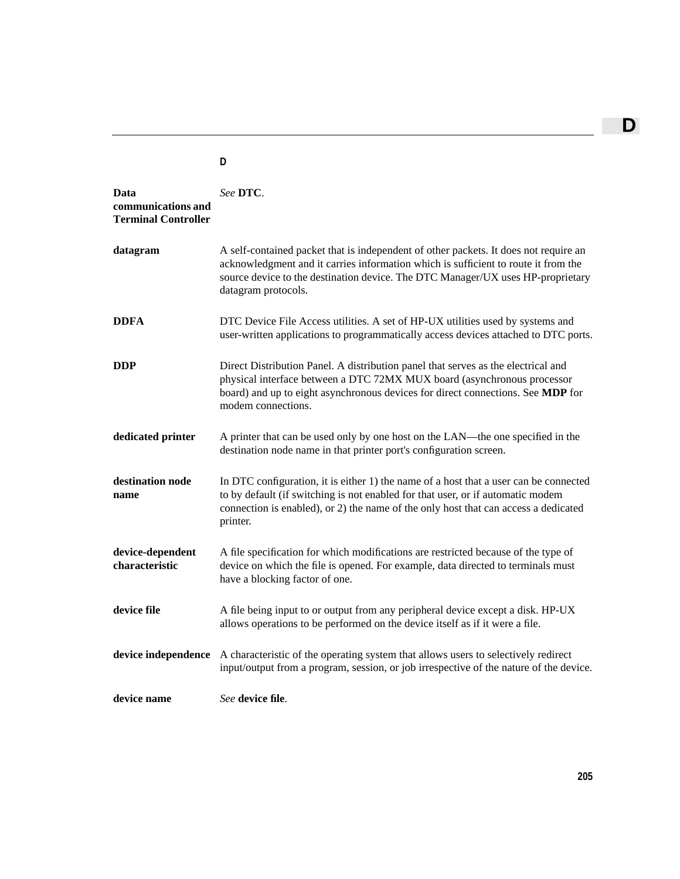|                                                          | D                                                                                                                                                                                                                                                                                    |
|----------------------------------------------------------|--------------------------------------------------------------------------------------------------------------------------------------------------------------------------------------------------------------------------------------------------------------------------------------|
| Data<br>communications and<br><b>Terminal Controller</b> | See DTC.                                                                                                                                                                                                                                                                             |
| datagram                                                 | A self-contained packet that is independent of other packets. It does not require an<br>acknowledgment and it carries information which is sufficient to route it from the<br>source device to the destination device. The DTC Manager/UX uses HP-proprietary<br>datagram protocols. |
| <b>DDFA</b>                                              | DTC Device File Access utilities. A set of HP-UX utilities used by systems and<br>user-written applications to programmatically access devices attached to DTC ports.                                                                                                                |
| <b>DDP</b>                                               | Direct Distribution Panel. A distribution panel that serves as the electrical and<br>physical interface between a DTC 72MX MUX board (asynchronous processor<br>board) and up to eight asynchronous devices for direct connections. See MDP for<br>modem connections.                |
| dedicated printer                                        | A printer that can be used only by one host on the LAN—the one specified in the<br>destination node name in that printer port's configuration screen.                                                                                                                                |
| destination node<br>name                                 | In DTC configuration, it is either 1) the name of a host that a user can be connected<br>to by default (if switching is not enabled for that user, or if automatic modem<br>connection is enabled), or 2) the name of the only host that can access a dedicated<br>printer.          |
| device-dependent<br>characteristic                       | A file specification for which modifications are restricted because of the type of<br>device on which the file is opened. For example, data directed to terminals must<br>have a blocking factor of one.                                                                             |
| device file                                              | A file being input to or output from any peripheral device except a disk. HP-UX<br>allows operations to be performed on the device itself as if it were a file.                                                                                                                      |
|                                                          | device independence A characteristic of the operating system that allows users to selectively redirect<br>input/output from a program, session, or job irrespective of the nature of the device.                                                                                     |
| device name                                              | See device file.                                                                                                                                                                                                                                                                     |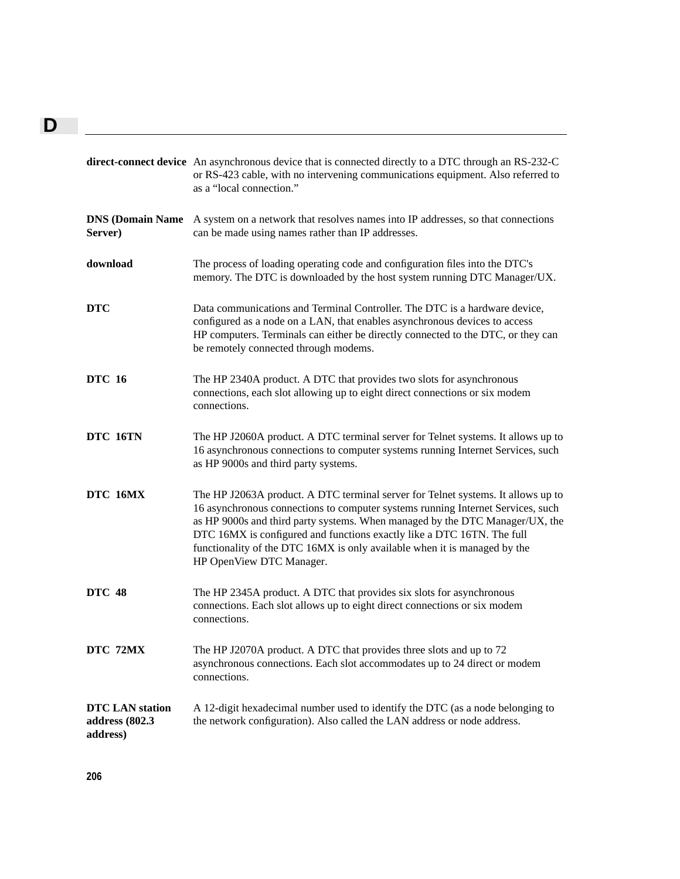|                                                       | direct-connect device An asynchronous device that is connected directly to a DTC through an RS-232-C<br>or RS-423 cable, with no intervening communications equipment. Also referred to<br>as a "local connection."                                                                                                                                                                                                                    |
|-------------------------------------------------------|----------------------------------------------------------------------------------------------------------------------------------------------------------------------------------------------------------------------------------------------------------------------------------------------------------------------------------------------------------------------------------------------------------------------------------------|
| <b>DNS</b> (Domain Name<br>Server)                    | A system on a network that resolves names into IP addresses, so that connections<br>can be made using names rather than IP addresses.                                                                                                                                                                                                                                                                                                  |
| download                                              | The process of loading operating code and configuration files into the DTC's<br>memory. The DTC is downloaded by the host system running DTC Manager/UX.                                                                                                                                                                                                                                                                               |
| <b>DTC</b>                                            | Data communications and Terminal Controller. The DTC is a hardware device,<br>configured as a node on a LAN, that enables asynchronous devices to access<br>HP computers. Terminals can either be directly connected to the DTC, or they can<br>be remotely connected through modems.                                                                                                                                                  |
| <b>DTC</b> 16                                         | The HP 2340A product. A DTC that provides two slots for asynchronous<br>connections, each slot allowing up to eight direct connections or six modem<br>connections.                                                                                                                                                                                                                                                                    |
| DTC 16TN                                              | The HP J2060A product. A DTC terminal server for Telnet systems. It allows up to<br>16 asynchronous connections to computer systems running Internet Services, such<br>as HP 9000s and third party systems.                                                                                                                                                                                                                            |
| DTC 16MX                                              | The HP J2063A product. A DTC terminal server for Telnet systems. It allows up to<br>16 asynchronous connections to computer systems running Internet Services, such<br>as HP 9000s and third party systems. When managed by the DTC Manager/UX, the<br>DTC 16MX is configured and functions exactly like a DTC 16TN. The full<br>functionality of the DTC 16MX is only available when it is managed by the<br>HP OpenView DTC Manager. |
| <b>DTC 48</b>                                         | The HP 2345A product. A DTC that provides six slots for asynchronous<br>connections. Each slot allows up to eight direct connections or six modem<br>connections.                                                                                                                                                                                                                                                                      |
| DTC 72MX                                              | The HP J2070A product. A DTC that provides three slots and up to 72<br>asynchronous connections. Each slot accommodates up to 24 direct or modem<br>connections.                                                                                                                                                                                                                                                                       |
| <b>DTC LAN station</b><br>address (802.3)<br>address) | A 12-digit hexadecimal number used to identify the DTC (as a node belonging to<br>the network configuration). Also called the LAN address or node address.                                                                                                                                                                                                                                                                             |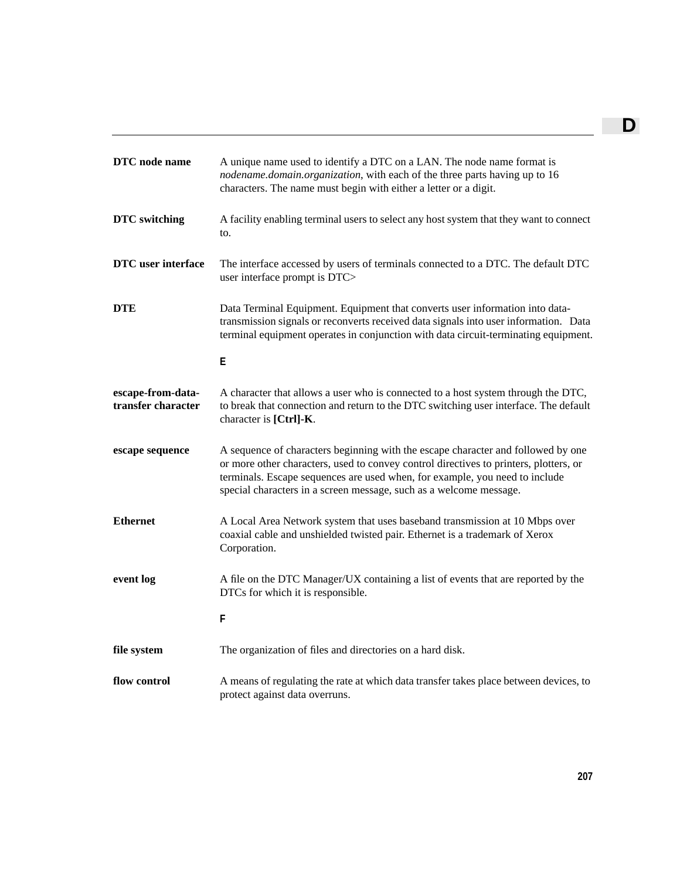| DTC node name                           | A unique name used to identify a DTC on a LAN. The node name format is<br>nodename.domain.organization, with each of the three parts having up to 16<br>characters. The name must begin with either a letter or a digit.                                                                                                       |
|-----------------------------------------|--------------------------------------------------------------------------------------------------------------------------------------------------------------------------------------------------------------------------------------------------------------------------------------------------------------------------------|
| <b>DTC</b> switching                    | A facility enabling terminal users to select any host system that they want to connect<br>to.                                                                                                                                                                                                                                  |
| <b>DTC</b> user interface               | The interface accessed by users of terminals connected to a DTC. The default DTC<br>user interface prompt is DTC>                                                                                                                                                                                                              |
| <b>DTE</b>                              | Data Terminal Equipment. Equipment that converts user information into data-<br>transmission signals or reconverts received data signals into user information. Data<br>terminal equipment operates in conjunction with data circuit-terminating equipment.                                                                    |
|                                         | E                                                                                                                                                                                                                                                                                                                              |
| escape-from-data-<br>transfer character | A character that allows a user who is connected to a host system through the DTC,<br>to break that connection and return to the DTC switching user interface. The default<br>character is [Ctrl]-K.                                                                                                                            |
| escape sequence                         | A sequence of characters beginning with the escape character and followed by one<br>or more other characters, used to convey control directives to printers, plotters, or<br>terminals. Escape sequences are used when, for example, you need to include<br>special characters in a screen message, such as a welcome message. |
| <b>Ethernet</b>                         | A Local Area Network system that uses baseband transmission at 10 Mbps over<br>coaxial cable and unshielded twisted pair. Ethernet is a trademark of Xerox<br>Corporation.                                                                                                                                                     |
| event log                               | A file on the DTC Manager/UX containing a list of events that are reported by the<br>DTCs for which it is responsible.                                                                                                                                                                                                         |
|                                         | F                                                                                                                                                                                                                                                                                                                              |
| file system                             | The organization of files and directories on a hard disk.                                                                                                                                                                                                                                                                      |
| flow control                            | A means of regulating the rate at which data transfer takes place between devices, to<br>protect against data overruns.                                                                                                                                                                                                        |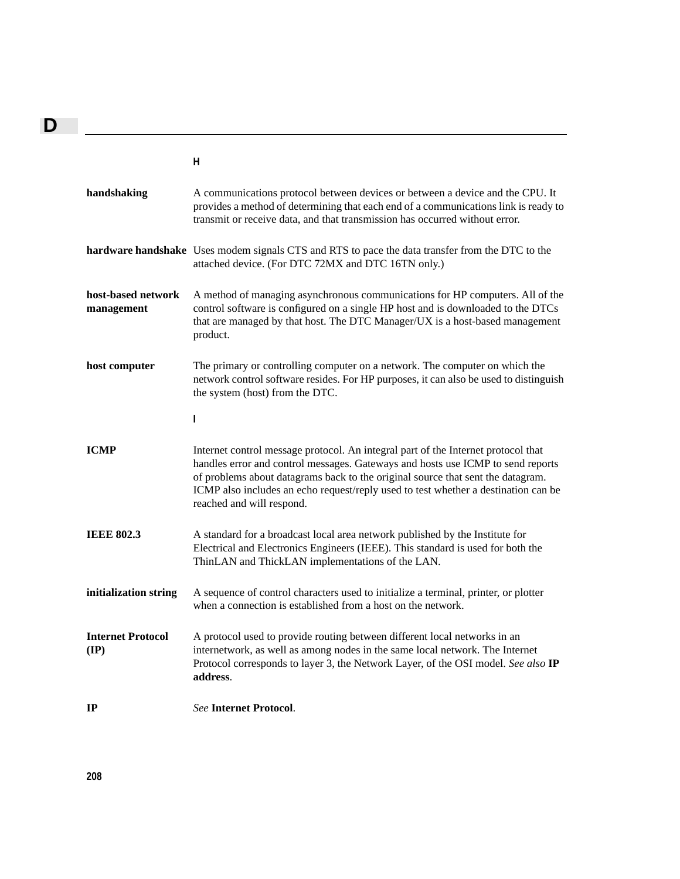|                                             | н                                                                                                                                                                                                                                                                                                                                                                          |
|---------------------------------------------|----------------------------------------------------------------------------------------------------------------------------------------------------------------------------------------------------------------------------------------------------------------------------------------------------------------------------------------------------------------------------|
| handshaking                                 | A communications protocol between devices or between a device and the CPU. It<br>provides a method of determining that each end of a communications link is ready to<br>transmit or receive data, and that transmission has occurred without error.                                                                                                                        |
|                                             | hardware handshake Uses modem signals CTS and RTS to pace the data transfer from the DTC to the<br>attached device. (For DTC 72MX and DTC 16TN only.)                                                                                                                                                                                                                      |
| host-based network<br>management            | A method of managing asynchronous communications for HP computers. All of the<br>control software is configured on a single HP host and is downloaded to the DTCs<br>that are managed by that host. The DTC Manager/UX is a host-based management<br>product.                                                                                                              |
| host computer                               | The primary or controlling computer on a network. The computer on which the<br>network control software resides. For HP purposes, it can also be used to distinguish<br>the system (host) from the DTC.                                                                                                                                                                    |
|                                             | ı                                                                                                                                                                                                                                                                                                                                                                          |
| <b>ICMP</b>                                 | Internet control message protocol. An integral part of the Internet protocol that<br>handles error and control messages. Gateways and hosts use ICMP to send reports<br>of problems about datagrams back to the original source that sent the datagram.<br>ICMP also includes an echo request/reply used to test whether a destination can be<br>reached and will respond. |
| <b>IEEE 802.3</b>                           | A standard for a broadcast local area network published by the Institute for<br>Electrical and Electronics Engineers (IEEE). This standard is used for both the<br>ThinLAN and ThickLAN implementations of the LAN.                                                                                                                                                        |
| initialization string                       | A sequence of control characters used to initialize a terminal, printer, or plotter<br>when a connection is established from a host on the network.                                                                                                                                                                                                                        |
| <b>Internet Protocol</b><br>$(\mathbf{IP})$ | A protocol used to provide routing between different local networks in an<br>internetwork, as well as among nodes in the same local network. The Internet<br>Protocol corresponds to layer 3, the Network Layer, of the OSI model. See also IP<br>address.                                                                                                                 |
| $_{\rm IP}$                                 | See Internet Protocol.                                                                                                                                                                                                                                                                                                                                                     |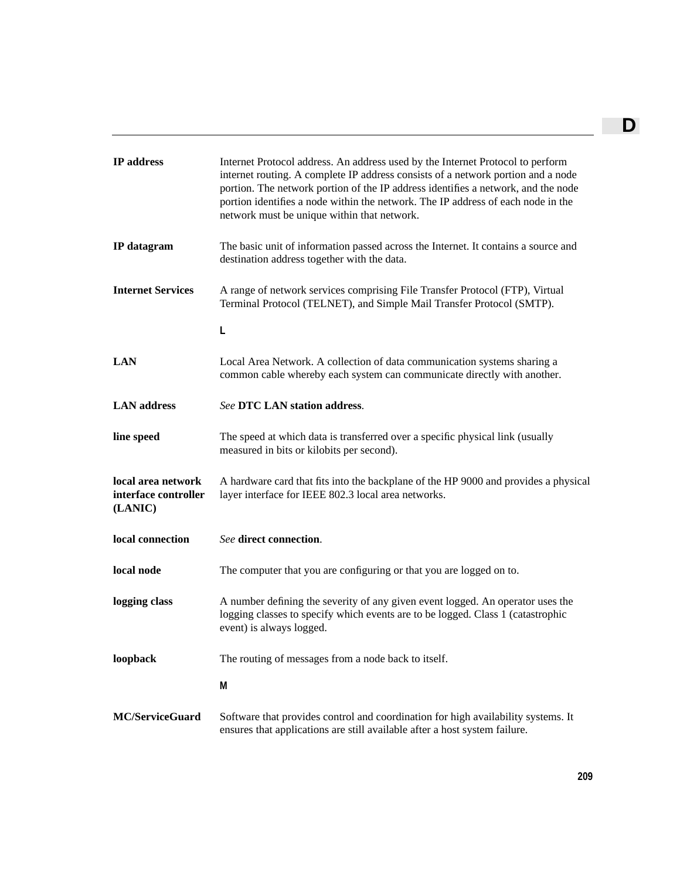| IP address                                            | Internet Protocol address. An address used by the Internet Protocol to perform<br>internet routing. A complete IP address consists of a network portion and a node<br>portion. The network portion of the IP address identifies a network, and the node<br>portion identifies a node within the network. The IP address of each node in the<br>network must be unique within that network. |
|-------------------------------------------------------|--------------------------------------------------------------------------------------------------------------------------------------------------------------------------------------------------------------------------------------------------------------------------------------------------------------------------------------------------------------------------------------------|
| IP datagram                                           | The basic unit of information passed across the Internet. It contains a source and<br>destination address together with the data.                                                                                                                                                                                                                                                          |
| <b>Internet Services</b>                              | A range of network services comprising File Transfer Protocol (FTP), Virtual<br>Terminal Protocol (TELNET), and Simple Mail Transfer Protocol (SMTP).<br>L                                                                                                                                                                                                                                 |
|                                                       |                                                                                                                                                                                                                                                                                                                                                                                            |
| <b>LAN</b>                                            | Local Area Network. A collection of data communication systems sharing a<br>common cable whereby each system can communicate directly with another.                                                                                                                                                                                                                                        |
| <b>LAN</b> address                                    | See DTC LAN station address.                                                                                                                                                                                                                                                                                                                                                               |
| line speed                                            | The speed at which data is transferred over a specific physical link (usually<br>measured in bits or kilobits per second).                                                                                                                                                                                                                                                                 |
| local area network<br>interface controller<br>(LANIC) | A hardware card that fits into the backplane of the HP 9000 and provides a physical<br>layer interface for IEEE 802.3 local area networks.                                                                                                                                                                                                                                                 |
| local connection                                      | See direct connection.                                                                                                                                                                                                                                                                                                                                                                     |
| local node                                            | The computer that you are configuring or that you are logged on to.                                                                                                                                                                                                                                                                                                                        |
| logging class                                         | A number defining the severity of any given event logged. An operator uses the<br>logging classes to specify which events are to be logged. Class 1 (catastrophic<br>event) is always logged.                                                                                                                                                                                              |
| loopback                                              | The routing of messages from a node back to itself.                                                                                                                                                                                                                                                                                                                                        |
|                                                       | M                                                                                                                                                                                                                                                                                                                                                                                          |
| MC/ServiceGuard                                       | Software that provides control and coordination for high availability systems. It<br>ensures that applications are still available after a host system failure.                                                                                                                                                                                                                            |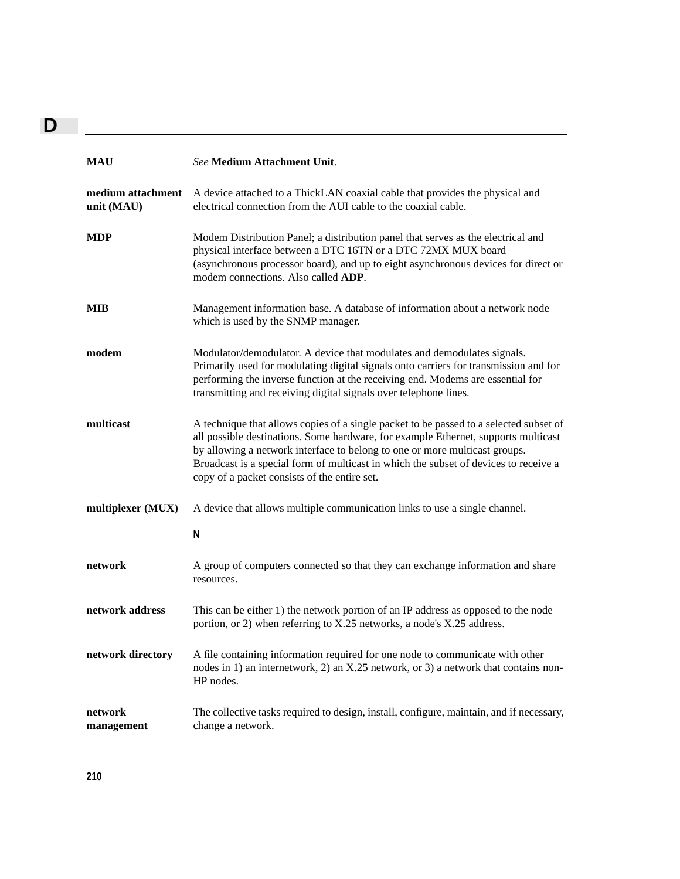| <b>MAU</b>            | See Medium Attachment Unit.                                                                                                                                                                                                                                                                                                                                                                        |
|-----------------------|----------------------------------------------------------------------------------------------------------------------------------------------------------------------------------------------------------------------------------------------------------------------------------------------------------------------------------------------------------------------------------------------------|
| unit (MAU)            | <b>medium attachment</b> A device attached to a ThickLAN coaxial cable that provides the physical and<br>electrical connection from the AUI cable to the coaxial cable.                                                                                                                                                                                                                            |
| <b>MDP</b>            | Modem Distribution Panel; a distribution panel that serves as the electrical and<br>physical interface between a DTC 16TN or a DTC 72MX MUX board<br>(asynchronous processor board), and up to eight asynchronous devices for direct or<br>modem connections. Also called <b>ADP</b> .                                                                                                             |
| <b>MIB</b>            | Management information base. A database of information about a network node<br>which is used by the SNMP manager.                                                                                                                                                                                                                                                                                  |
| modem                 | Modulator/demodulator. A device that modulates and demodulates signals.<br>Primarily used for modulating digital signals onto carriers for transmission and for<br>performing the inverse function at the receiving end. Modems are essential for<br>transmitting and receiving digital signals over telephone lines.                                                                              |
| multicast             | A technique that allows copies of a single packet to be passed to a selected subset of<br>all possible destinations. Some hardware, for example Ethernet, supports multicast<br>by allowing a network interface to belong to one or more multicast groups.<br>Broadcast is a special form of multicast in which the subset of devices to receive a<br>copy of a packet consists of the entire set. |
| multiplexer (MUX)     | A device that allows multiple communication links to use a single channel.<br>N                                                                                                                                                                                                                                                                                                                    |
| network               | A group of computers connected so that they can exchange information and share<br>resources.                                                                                                                                                                                                                                                                                                       |
| network address       | This can be either 1) the network portion of an IP address as opposed to the node<br>portion, or 2) when referring to X.25 networks, a node's X.25 address.                                                                                                                                                                                                                                        |
| network directory     | A file containing information required for one node to communicate with other<br>nodes in 1) an internetwork, 2) an X.25 network, or 3) a network that contains non-<br>HP nodes.                                                                                                                                                                                                                  |
| network<br>management | The collective tasks required to design, install, configure, maintain, and if necessary,<br>change a network.                                                                                                                                                                                                                                                                                      |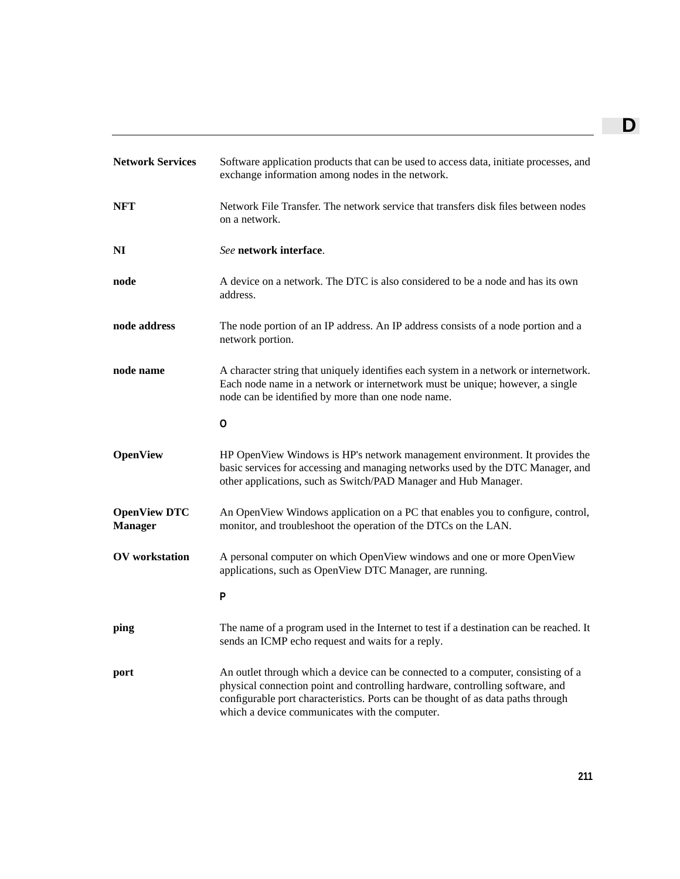| <b>Network Services</b>               | Software application products that can be used to access data, initiate processes, and<br>exchange information among nodes in the network.                                                                                                                                                              |
|---------------------------------------|---------------------------------------------------------------------------------------------------------------------------------------------------------------------------------------------------------------------------------------------------------------------------------------------------------|
| <b>NFT</b>                            | Network File Transfer. The network service that transfers disk files between nodes<br>on a network.                                                                                                                                                                                                     |
| NI                                    | See network interface.                                                                                                                                                                                                                                                                                  |
| node                                  | A device on a network. The DTC is also considered to be a node and has its own<br>address.                                                                                                                                                                                                              |
| node address                          | The node portion of an IP address. An IP address consists of a node portion and a<br>network portion.                                                                                                                                                                                                   |
| node name                             | A character string that uniquely identifies each system in a network or internetwork.<br>Each node name in a network or internetwork must be unique; however, a single<br>node can be identified by more than one node name.                                                                            |
|                                       | $\mathbf 0$                                                                                                                                                                                                                                                                                             |
| <b>OpenView</b>                       | HP OpenView Windows is HP's network management environment. It provides the<br>basic services for accessing and managing networks used by the DTC Manager, and<br>other applications, such as Switch/PAD Manager and Hub Manager.                                                                       |
| <b>OpenView DTC</b><br><b>Manager</b> | An OpenView Windows application on a PC that enables you to configure, control,<br>monitor, and troubleshoot the operation of the DTCs on the LAN.                                                                                                                                                      |
| OV workstation                        | A personal computer on which OpenView windows and one or more OpenView<br>applications, such as OpenView DTC Manager, are running.                                                                                                                                                                      |
|                                       | P                                                                                                                                                                                                                                                                                                       |
| ping                                  | The name of a program used in the Internet to test if a destination can be reached. It<br>sends an ICMP echo request and waits for a reply.                                                                                                                                                             |
| port                                  | An outlet through which a device can be connected to a computer, consisting of a<br>physical connection point and controlling hardware, controlling software, and<br>configurable port characteristics. Ports can be thought of as data paths through<br>which a device communicates with the computer. |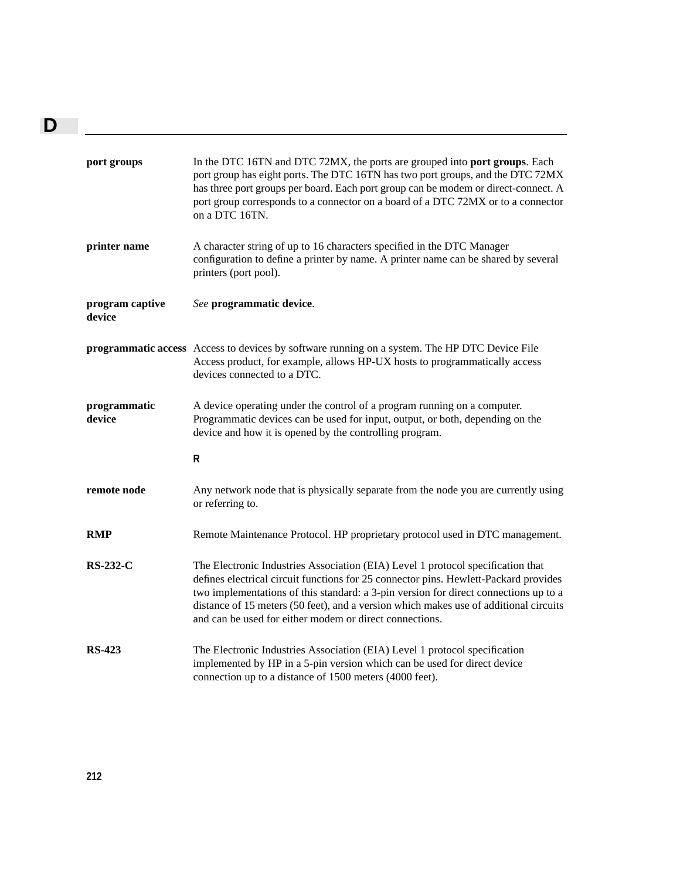| port groups               | In the DTC 16TN and DTC 72MX, the ports are grouped into <b>port groups</b> . Each<br>port group has eight ports. The DTC 16TN has two port groups, and the DTC 72MX<br>has three port groups per board. Each port group can be modem or direct-connect. A<br>port group corresponds to a connector on a board of a DTC 72MX or to a connector<br>on a DTC 16TN.                                                    |
|---------------------------|---------------------------------------------------------------------------------------------------------------------------------------------------------------------------------------------------------------------------------------------------------------------------------------------------------------------------------------------------------------------------------------------------------------------|
| printer name              | A character string of up to 16 characters specified in the DTC Manager<br>configuration to define a printer by name. A printer name can be shared by several<br>printers (port pool).                                                                                                                                                                                                                               |
| program captive<br>device | See programmatic device.                                                                                                                                                                                                                                                                                                                                                                                            |
|                           | programmatic access Access to devices by software running on a system. The HP DTC Device File<br>Access product, for example, allows HP-UX hosts to programmatically access<br>devices connected to a DTC.                                                                                                                                                                                                          |
| programmatic<br>device    | A device operating under the control of a program running on a computer.<br>Programmatic devices can be used for input, output, or both, depending on the<br>device and how it is opened by the controlling program.                                                                                                                                                                                                |
|                           | R                                                                                                                                                                                                                                                                                                                                                                                                                   |
| remote node               | Any network node that is physically separate from the node you are currently using<br>or referring to.                                                                                                                                                                                                                                                                                                              |
| <b>RMP</b>                | Remote Maintenance Protocol. HP proprietary protocol used in DTC management.                                                                                                                                                                                                                                                                                                                                        |
| $RS-232-C$                | The Electronic Industries Association (EIA) Level 1 protocol specification that<br>defines electrical circuit functions for 25 connector pins. Hewlett-Packard provides<br>two implementations of this standard: a 3-pin version for direct connections up to a<br>distance of 15 meters (50 feet), and a version which makes use of additional circuits<br>and can be used for either modem or direct connections. |
| <b>RS-423</b>             | The Electronic Industries Association (EIA) Level 1 protocol specification<br>implemented by HP in a 5-pin version which can be used for direct device<br>connection up to a distance of 1500 meters (4000 feet).                                                                                                                                                                                                   |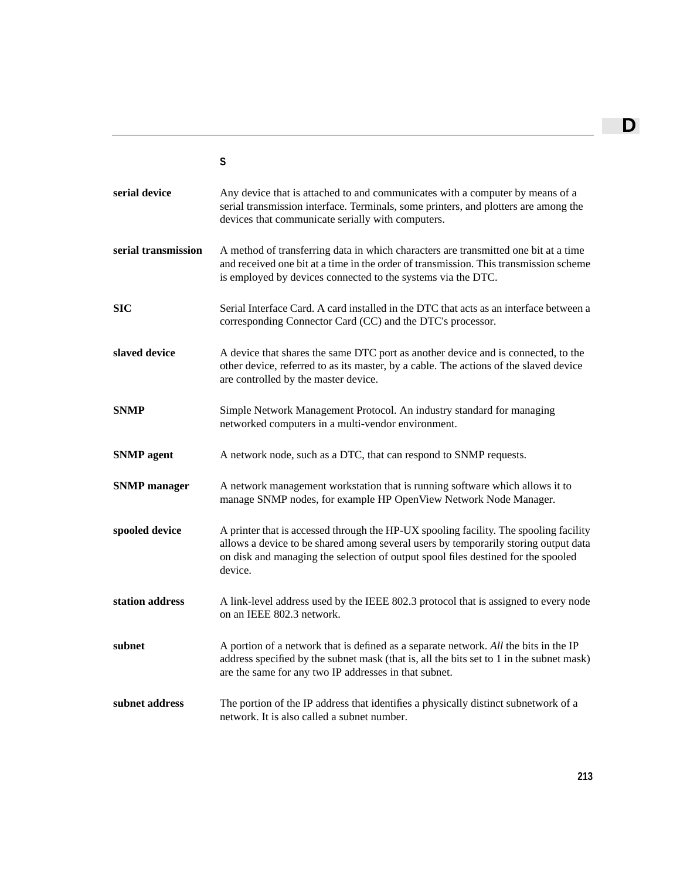|                     | S                                                                                                                                                                                                                                                                            |
|---------------------|------------------------------------------------------------------------------------------------------------------------------------------------------------------------------------------------------------------------------------------------------------------------------|
| serial device       | Any device that is attached to and communicates with a computer by means of a<br>serial transmission interface. Terminals, some printers, and plotters are among the<br>devices that communicate serially with computers.                                                    |
| serial transmission | A method of transferring data in which characters are transmitted one bit at a time<br>and received one bit at a time in the order of transmission. This transmission scheme<br>is employed by devices connected to the systems via the DTC.                                 |
| <b>SIC</b>          | Serial Interface Card. A card installed in the DTC that acts as an interface between a<br>corresponding Connector Card (CC) and the DTC's processor.                                                                                                                         |
| slaved device       | A device that shares the same DTC port as another device and is connected, to the<br>other device, referred to as its master, by a cable. The actions of the slaved device<br>are controlled by the master device.                                                           |
| <b>SNMP</b>         | Simple Network Management Protocol. An industry standard for managing<br>networked computers in a multi-vendor environment.                                                                                                                                                  |
| <b>SNMP</b> agent   | A network node, such as a DTC, that can respond to SNMP requests.                                                                                                                                                                                                            |
| <b>SNMP</b> manager | A network management workstation that is running software which allows it to<br>manage SNMP nodes, for example HP OpenView Network Node Manager.                                                                                                                             |
| spooled device      | A printer that is accessed through the HP-UX spooling facility. The spooling facility<br>allows a device to be shared among several users by temporarily storing output data<br>on disk and managing the selection of output spool files destined for the spooled<br>device. |
| station address     | A link-level address used by the IEEE 802.3 protocol that is assigned to every node<br>on an IEEE 802.3 network.                                                                                                                                                             |
| subnet              | A portion of a network that is defined as a separate network. All the bits in the IP<br>address specified by the subnet mask (that is, all the bits set to 1 in the subnet mask)<br>are the same for any two IP addresses in that subnet.                                    |
| subnet address      | The portion of the IP address that identifies a physically distinct subnetwork of a<br>network. It is also called a subnet number.                                                                                                                                           |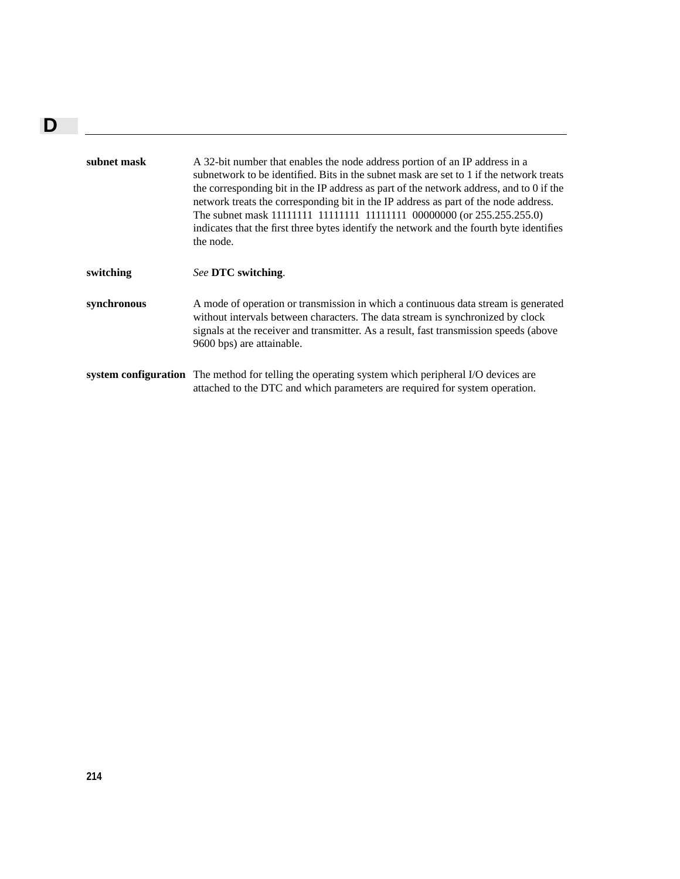| subnet mask | A 32-bit number that enables the node address portion of an IP address in a<br>subnetwork to be identified. Bits in the subnet mask are set to 1 if the network treats<br>the corresponding bit in the IP address as part of the network address, and to 0 if the<br>network treats the corresponding bit in the IP address as part of the node address.<br>The subnet mask 11111111 11111111 11111111 00000000 (or 255.255.255.0)<br>indicates that the first three bytes identify the network and the fourth byte identifies<br>the node. |
|-------------|---------------------------------------------------------------------------------------------------------------------------------------------------------------------------------------------------------------------------------------------------------------------------------------------------------------------------------------------------------------------------------------------------------------------------------------------------------------------------------------------------------------------------------------------|
| switching   | See DTC switching.                                                                                                                                                                                                                                                                                                                                                                                                                                                                                                                          |
| synchronous | A mode of operation or transmission in which a continuous data stream is generated<br>without intervals between characters. The data stream is synchronized by clock<br>signals at the receiver and transmitter. As a result, fast transmission speeds (above<br>9600 bps) are attainable.                                                                                                                                                                                                                                                  |
|             | system configuration The method for telling the operating system which peripheral I/O devices are<br>attached to the DTC and which parameters are required for system operation.                                                                                                                                                                                                                                                                                                                                                            |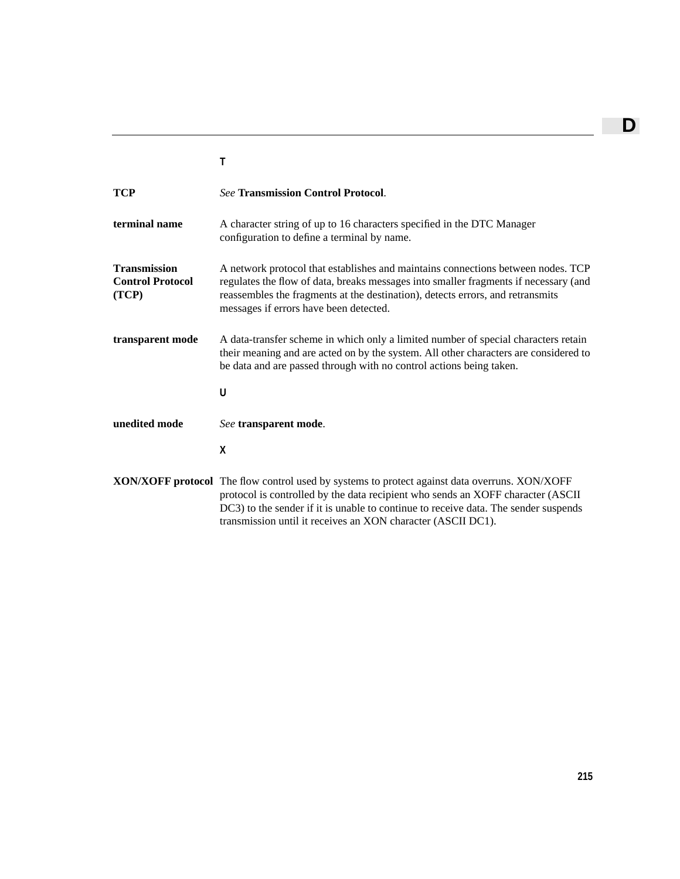|                                                         | Т                                                                                                                                                                                                                                                                                                                                              |
|---------------------------------------------------------|------------------------------------------------------------------------------------------------------------------------------------------------------------------------------------------------------------------------------------------------------------------------------------------------------------------------------------------------|
| <b>TCP</b>                                              | <b>See Transmission Control Protocol.</b>                                                                                                                                                                                                                                                                                                      |
| terminal name                                           | A character string of up to 16 characters specified in the DTC Manager<br>configuration to define a terminal by name.                                                                                                                                                                                                                          |
| <b>Transmission</b><br><b>Control Protocol</b><br>(TCP) | A network protocol that establishes and maintains connections between nodes. TCP<br>regulates the flow of data, breaks messages into smaller fragments if necessary (and<br>reassembles the fragments at the destination), detects errors, and retransmits<br>messages if errors have been detected.                                           |
| transparent mode                                        | A data-transfer scheme in which only a limited number of special characters retain<br>their meaning and are acted on by the system. All other characters are considered to<br>be data and are passed through with no control actions being taken.                                                                                              |
|                                                         | U                                                                                                                                                                                                                                                                                                                                              |
| unedited mode                                           | See transparent mode.                                                                                                                                                                                                                                                                                                                          |
|                                                         | X                                                                                                                                                                                                                                                                                                                                              |
|                                                         | <b>XON/XOFF protocol</b> The flow control used by systems to protect against data overruns. XON/XOFF<br>protocol is controlled by the data recipient who sends an XOFF character (ASCII<br>DC3) to the sender if it is unable to continue to receive data. The sender suspends<br>transmission until it receives an XON character (ASCII DC1). |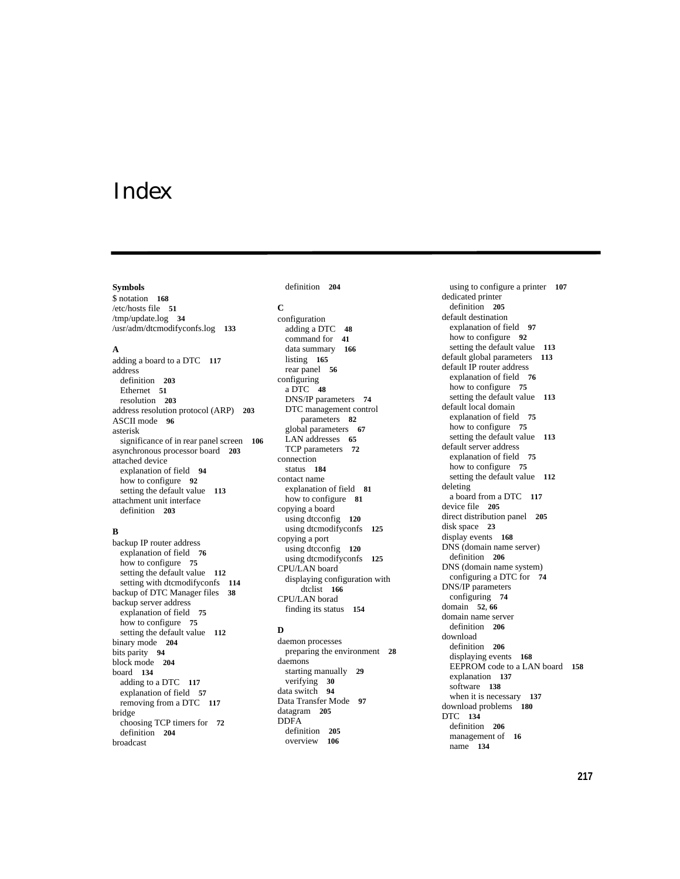# Index

#### **Symbols**

\$ notation **168** /etc/hosts file **51** /tmp/update.log **34** /usr/adm/dtcmodifyconfs.log **133**

#### **A**

adding a board to a DTC **117** address definition **203** Ethernet **51** resolution **203** address resolution protocol (ARP) **203** ASCII mode **96** asterisk significance of in rear panel screen **106** asynchronous processor board **203** attached device explanation of field **94** how to configure **92** setting the default value **113** attachment unit interface definition **203**

### **B**

backup IP router address explanation of field **76** how to configure **75** setting the default value **112** setting with dtcmodifyconfs **114** backup of DTC Manager files **38** backup server address explanation of field **75** how to configure **75** setting the default value **112** binary mode **204** bits parity **94** block mode **204** board **134** adding to a DTC **117** explanation of field **57** removing from a DTC **117** bridge choosing TCP timers for **72** definition **204** broadcast

#### definition **204**

**C** configuration adding a DTC **48** command for **41** data summary **166** listing **165** rear panel **56** configuring a DTC **48** DNS/IP parameters **74** DTC management control parameters **82** global parameters **67** LAN addresses **65** TCP parameters **72** connection status **184** contact name explanation of field **81** how to configure **81** copying a board using dtcconfig **120** using dtcmodifyconfs **125** copying a port using dtcconfig **120** using dtcmodifyconfs **125** CPU/LAN board displaying configuration with dtclist **166** CPU/LAN borad finding its status **154**

## **D**

daemon processes preparing the environment **28** daemons starting manually **29** verifying **30** data switch **94** Data Transfer Mode **97** datagram **205** DDFA definition **205** overview **106**

using to configure a printer **107** dedicated printer definition **205** default destination explanation of field **97** how to configure **92** setting the default value **113** default global parameters **113** default IP router address explanation of field **76** how to configure **75** setting the default value **113** default local domain explanation of field **75** how to configure **75** setting the default value **113** default server address explanation of field **75** how to configure **75** setting the default value **112** deleting a board from a DTC **117** device file **205** direct distribution panel **205** disk space **23** display events **168** DNS (domain name server) definition **206** DNS (domain name system) configuring a DTC for **74** DNS/IP parameters configuring **74** domain **52**, **66** domain name server definition **206** download definition **206** displaying events **168** EEPROM code to a LAN board **158** explanation **137** software **138** when it is necessary **137** download problems **180** DTC **134** definition **206** management of **16** name **134**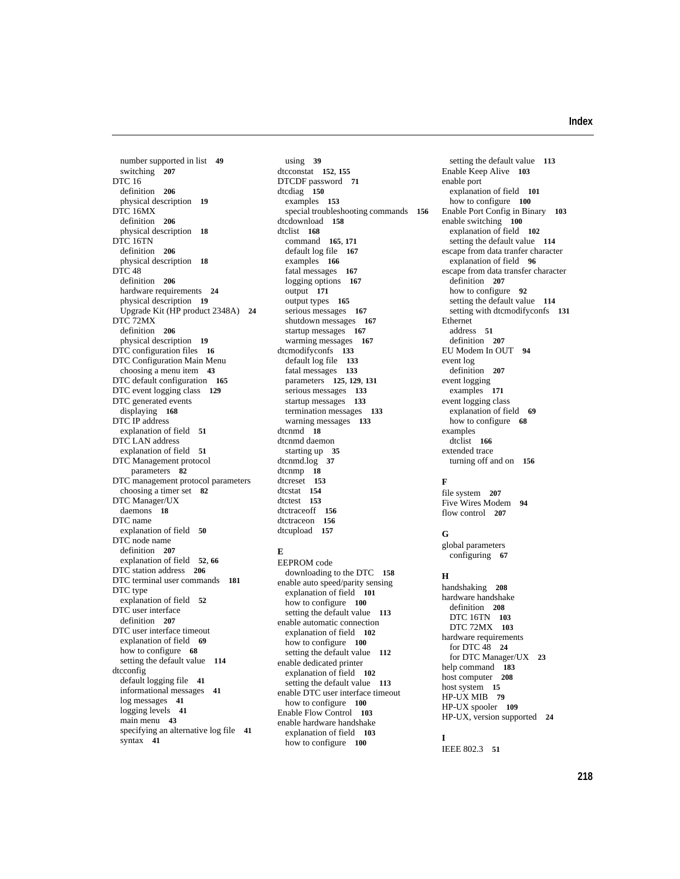number supported in list **49** switching **207** DTC 16 definition **206** physical description **19** DTC 16MX definition **206** physical description **18** DTC 16TN definition **206** physical description **18** DTC<sub>48</sub> definition **206** hardware requirements **24** physical description **19** Upgrade Kit (HP product 2348A) **24** DTC 72MX definition **206** physical description **19** DTC configuration files **16** DTC Configuration Main Menu choosing a menu item **43** DTC default configuration **165** DTC event logging class **129** DTC generated events displaying **168** DTC IP address explanation of field **51** DTC LAN address explanation of field **51** DTC Management protocol parameters **82** DTC management protocol parameters choosing a timer set **82** DTC Manager/UX daemons **18** DTC name explanation of field **50** DTC node name definition **207** explanation of field **52**, **66** DTC station address **206** DTC terminal user commands **181** DTC type explanation of field **52** DTC user interface definition **207** DTC user interface timeout explanation of field **69** how to configure **68** setting the default value **114** dtcconfig default logging file **41** informational messages **41** log messages **41** logging levels **41** main menu **43** specifying an alternative log file **41** syntax **41**

using **39** dtcconstat **152**, **155** DTCDF password **71** dtcdiag **150** examples **153** special troubleshooting commands **156** dtcdownload **158** dtclist **168** command **165**, **171** default log file **167** examples **166** fatal messages **167** logging options **167** output **171** output types **165** serious messages **167** shutdown messages **167** startup messages **167** warming messages **167** dtcmodifyconfs **133** default log file **133** fatal messages **133** parameters **125**, **129**, **131** serious messages **133** startup messages **133** termination messages **133** warning messages **133** dtcnmd **18** dtcnmd daemon starting up **35** dtcnmd.log 37 dtcnmp **18** dtcreset **153** dtcstat **154** dtctest **153** dtctraceoff **156** dtctraceon **156** dtcupload **157**

# **E**

EEPROM code downloading to the DTC **158** enable auto speed/parity sensing explanation of field **101** how to configure **100** setting the default value **113** enable automatic connection explanation of field **102** how to configure **100** setting the default value **112** enable dedicated printer explanation of field **102** setting the default value **113** enable DTC user interface timeout how to configure **100** Enable Flow Control **103** enable hardware handshake explanation of field **103** how to configure **100**

setting the default value **113** Enable Keep Alive **103** enable port explanation of field **101** how to configure **100** Enable Port Config in Binary **103** enable switching **100** explanation of field **102** setting the default value **114** escape from data tranfer character explanation of field **96** escape from data transfer character definition **207** how to configure **92** setting the default value **114** setting with dtcmodifyconfs **131** Ethernet address **51** definition **207** EU Modem In OUT **94** event log definition **207** event logging examples **171** event logging class explanation of field **69** how to configure **68** examples dtclist **166** extended trace turning off and on **156**

## **F**

file system **207** Five Wires Modem **94** flow control **207**

## **G**

global parameters configuring **67**

## **H**

handshaking **208** hardware handshake definition **208** DTC 16TN **103** DTC 72MX **103** hardware requirements for DTC 48 **24** for DTC Manager/UX **23** help command **183** host computer **208** host system **15** HP-UX MIB **79** HP-UX spooler **109** HP-UX, version supported **24**

# **I**

IEEE 802.3 **51**

#### **Index**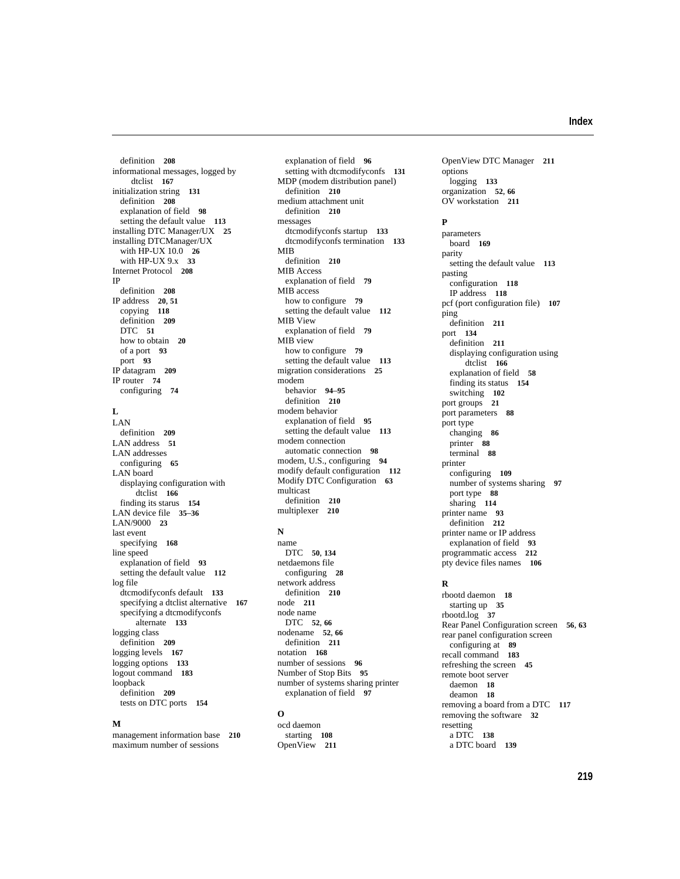definition **208** informational messages, logged by dtclist **167** initialization string **131** definition **208** explanation of field **98** setting the default value **113** installing DTC Manager/UX **25** installing DTCManager/UX with HP-UX 10.0 **26** with HP-UX 9.x **33** Internet Protocol **208** IP definition **208** IP address **20**, **51** copying **118** definition **209** DTC **51** how to obtain **20** of a port **93** port **93** IP datagram **209** IP router **74** configuring **74 L** LAN definition **209** LAN address **51** LAN addresses configuring **65** LAN board displaying configuration with dtclist **166** finding its starus **154** LAN device file **35**–**36** LAN/9000 **23** last event specifying **168** line speed explanation of field **93** setting the default value **112** log file dtcmodifyconfs default **133** specifying a dtclist alternative **167** specifying a dtcmodifyconfs alternate **133** logging class definition **209** logging levels **167** logging options **133** logout command **183** loopback definition **209** tests on DTC ports **154**

#### **M**

management information base **210** maximum number of sessions

explanation of field **96** setting with dtcmodifyconfs **131** MDP (modem distribution panel) definition **210** medium attachment unit definition **210** messages dtcmodifyconfs startup **133** dtcmodifyconfs termination **133** MIB definition **210** MIB Access explanation of field **79** MIB access how to configure **79** setting the default value **112** MIB View explanation of field **79** MIB view how to configure **79** setting the default value **113** migration considerations **25** modem behavior **94**–**95** definition **210** modem behavior explanation of field **95** setting the default value **113** modem connection automatic connection **98** modem, U.S., configuring **94** modify default configuration **112** Modify DTC Configuration **63** multicast definition **210** multiplexer **210**

# **N**

name DTC **50**, **134** netdaemons file configuring **28** network address definition **210** node **211** node name DTC **52**, **66** nodename **52**, **66** definition **211** notation **168** number of sessions **96** Number of Stop Bits **95** number of systems sharing printer explanation of field **97**

# **O**

ocd daemon starting **108** OpenView **211** OpenView DTC Manager **211** options logging **133** organization **52**, **66** OV workstation **211**

#### **P**

parameters board **169** parity setting the default value **113** pasting configuration **118** IP address **118** pcf (port configuration file) **107** ping definition **211** port **134** definition **211** displaying configuration using dtclist **166** explanation of field **58** finding its status **154** switching **102** port groups **21** port parameters **88** port type changing **86** printer **88** terminal **88** printer configuring **109** number of systems sharing **97** port type **88** sharing **114** printer name **93** definition **212** printer name or IP address explanation of field **93** programmatic access **212** pty device files names **106**

#### **R**

rbootd daemon **18** starting up **35** rbootd.log **37** Rear Panel Configuration screen **56**, **63** rear panel configuration screen configuring at **89** recall command **183** refreshing the screen **45** remote boot server daemon **18** deamon **18** removing a board from a DTC **117** removing the software **32** resetting a DTC **138** a DTC board **139**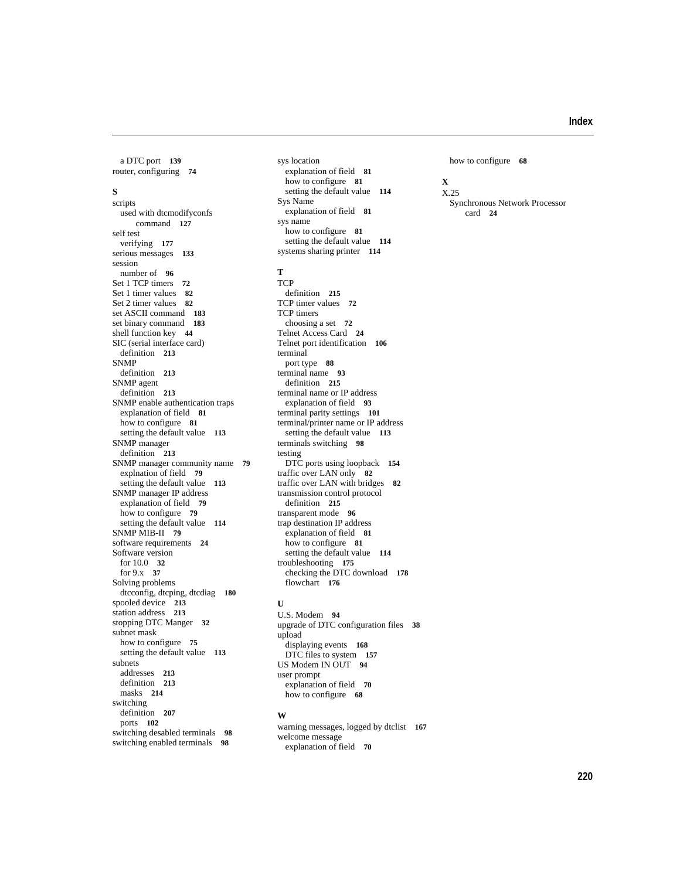a DTC port **139** router, configuring **74**

#### **S**

scripts used with dtcmodifyconfs command **127** self test verifying **177** serious messages **133** session number of **96** Set 1 TCP timers **72** Set 1 timer values **82** Set 2 timer values **82** set ASCII command **183** set binary command **183** shell function key **44** SIC (serial interface card) definition **213** SNMP definition **213** SNMP agent definition **213** SNMP enable authentication traps explanation of field **81** how to configure **81** setting the default value **113** SNMP manager definition **213** SNMP manager community name **79** explnation of field **79** setting the default value **113** SNMP manager IP address explanation of field **79** how to configure **79** setting the default value **114** SNMP MIB-II **79** software requirements **24** Software version for 10.0 **32** for 9.x **37** Solving problems dtcconfig, dtcping, dtcdiag **180** spooled device **213** station address **213** stopping DTC Manger **32** subnet mask how to configure **75** setting the default value **113** subnets addresses **213** definition **213** masks **214** switching definition **207** ports **102** switching desabled terminals **98** switching enabled terminals **98**

sys location explanation of field **81** how to configure **81** setting the default value **114** Sys Name explanation of field **81** sys name how to configure **81** setting the default value **114** systems sharing printer **114**

# **T**

**TCP** definition **215** TCP timer values **72** TCP timers choosing a set **72** Telnet Access Card **24** Telnet port identification **106** terminal port type **88** terminal name **93** definition **215** terminal name or IP address explanation of field **93** terminal parity settings **101** terminal/printer name or IP address setting the default value **113** terminals switching **98** testing DTC ports using loopback **154** traffic over LAN only **82** traffic over LAN with bridges **82** transmission control protocol definition **215** transparent mode **96** trap destination IP address explanation of field **81** how to configure **81** setting the default value **114** troubleshooting **175** checking the DTC download **178** flowchart **176**

## **U**

U.S. Modem **94** upgrade of DTC configuration files **38** upload displaying events **168** DTC files to system **157** US Modem IN OUT **94** user prompt explanation of field **70** how to configure **68**

## **W**

warning messages, logged by dtclist **167** welcome message explanation of field **70**

how to configure **68**

# **X**

X.25 Synchronous Network Processor card **24**